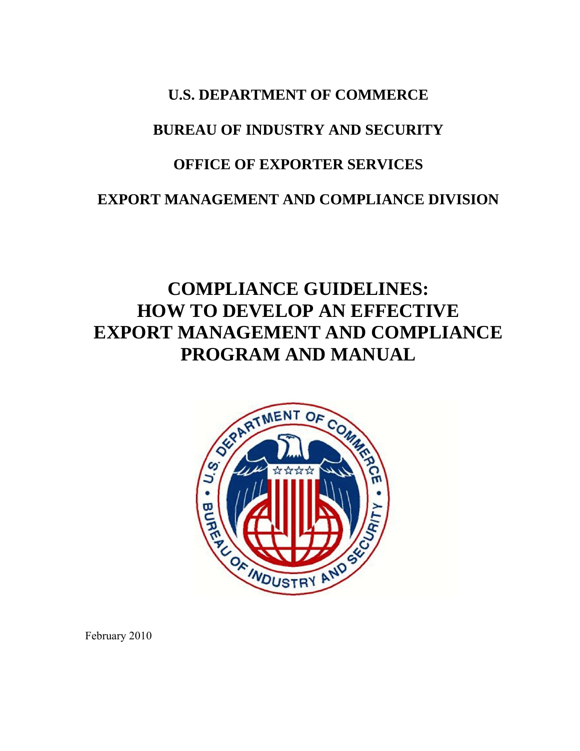## **U.S. DEPARTMENT OF COMMERCE**

## **BUREAU OF INDUSTRY AND SECURITY**

## **OFFICE OF EXPORTER SERVICES**

### **EXPORT MANAGEMENT AND COMPLIANCE DIVISION**

# **COMPLIANCE GUIDELINES: HOW TO DEVELOP AN EFFECTIVE EXPORT MANAGEMENT AND COMPLIANCE PROGRAM AND MANUAL**



February 2010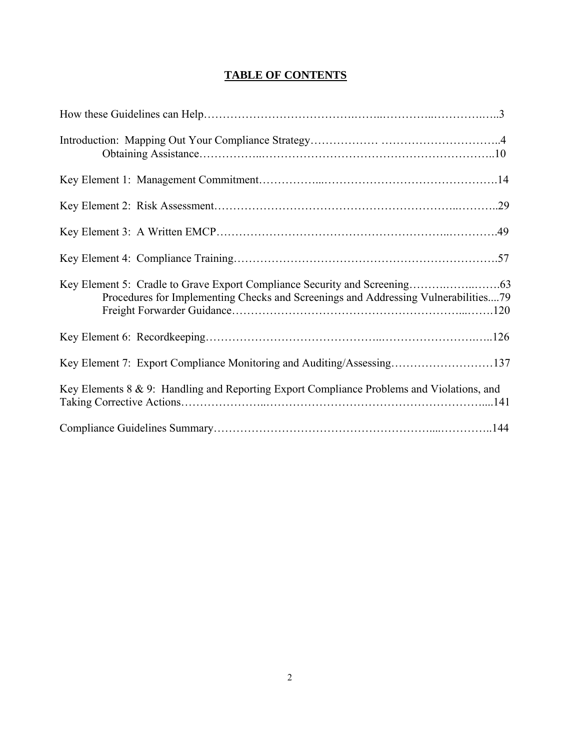### **TABLE OF CONTENTS**

| Procedures for Implementing Checks and Screenings and Addressing Vulnerabilities79        |  |
|-------------------------------------------------------------------------------------------|--|
|                                                                                           |  |
| Key Element 7: Export Compliance Monitoring and Auditing/Assessing137                     |  |
| Key Elements 8 & 9: Handling and Reporting Export Compliance Problems and Violations, and |  |
|                                                                                           |  |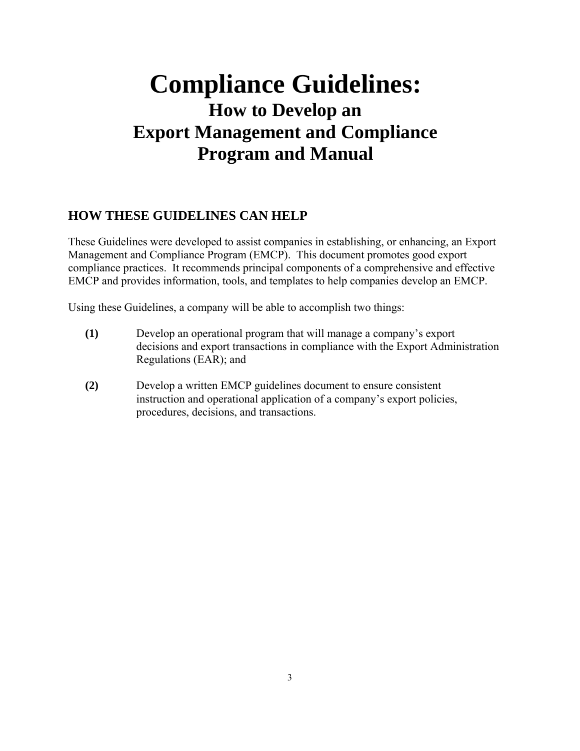# **Compliance Guidelines: How to Develop an Export Management and Compliance Program and Manual**

### **HOW THESE GUIDELINES CAN HELP**

These Guidelines were developed to assist companies in establishing, or enhancing, an Export Management and Compliance Program (EMCP). This document promotes good export compliance practices. It recommends principal components of a comprehensive and effective EMCP and provides information, tools, and templates to help companies develop an EMCP.

Using these Guidelines, a company will be able to accomplish two things:

- **(1)** Develop an operational program that will manage a company's export decisions and export transactions in compliance with the Export Administration Regulations (EAR); and
- **(2)** Develop a written EMCP guidelines document to ensure consistent instruction and operational application of a company's export policies, procedures, decisions, and transactions.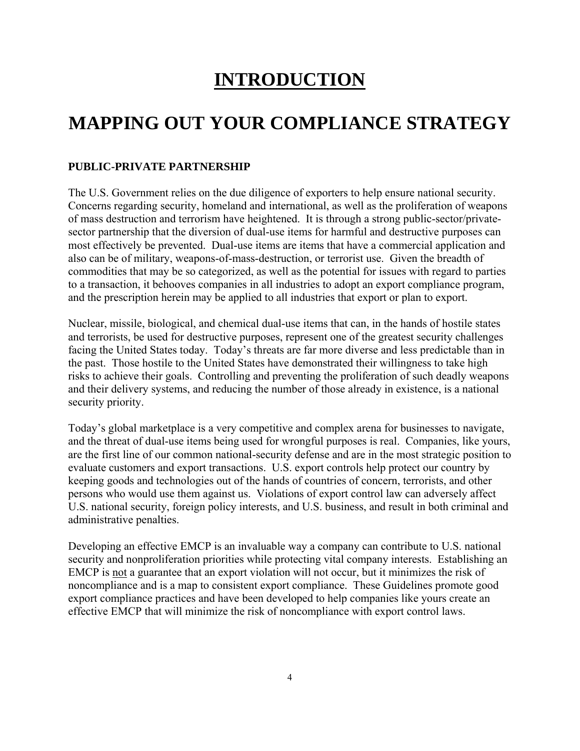# **INTRODUCTION**

# **MAPPING OUT YOUR COMPLIANCE STRATEGY**

### **PUBLIC-PRIVATE PARTNERSHIP**

The U.S. Government relies on the due diligence of exporters to help ensure national security. Concerns regarding security, homeland and international, as well as the proliferation of weapons of mass destruction and terrorism have heightened. It is through a strong public-sector/privatesector partnership that the diversion of dual-use items for harmful and destructive purposes can most effectively be prevented. Dual-use items are items that have a commercial application and also can be of military, weapons-of-mass-destruction, or terrorist use. Given the breadth of commodities that may be so categorized, as well as the potential for issues with regard to parties to a transaction, it behooves companies in all industries to adopt an export compliance program, and the prescription herein may be applied to all industries that export or plan to export.

Nuclear, missile, biological, and chemical dual-use items that can, in the hands of hostile states and terrorists, be used for destructive purposes, represent one of the greatest security challenges facing the United States today. Today's threats are far more diverse and less predictable than in the past. Those hostile to the United States have demonstrated their willingness to take high risks to achieve their goals. Controlling and preventing the proliferation of such deadly weapons and their delivery systems, and reducing the number of those already in existence, is a national security priority.

Today's global marketplace is a very competitive and complex arena for businesses to navigate, and the threat of dual-use items being used for wrongful purposes is real. Companies, like yours, are the first line of our common national-security defense and are in the most strategic position to evaluate customers and export transactions. U.S. export controls help protect our country by keeping goods and technologies out of the hands of countries of concern, terrorists, and other persons who would use them against us. Violations of export control law can adversely affect U.S. national security, foreign policy interests, and U.S. business, and result in both criminal and administrative penalties.

Developing an effective EMCP is an invaluable way a company can contribute to U.S. national security and nonproliferation priorities while protecting vital company interests. Establishing an EMCP is not a guarantee that an export violation will not occur, but it minimizes the risk of noncompliance and is a map to consistent export compliance. These Guidelines promote good export compliance practices and have been developed to help companies like yours create an effective EMCP that will minimize the risk of noncompliance with export control laws.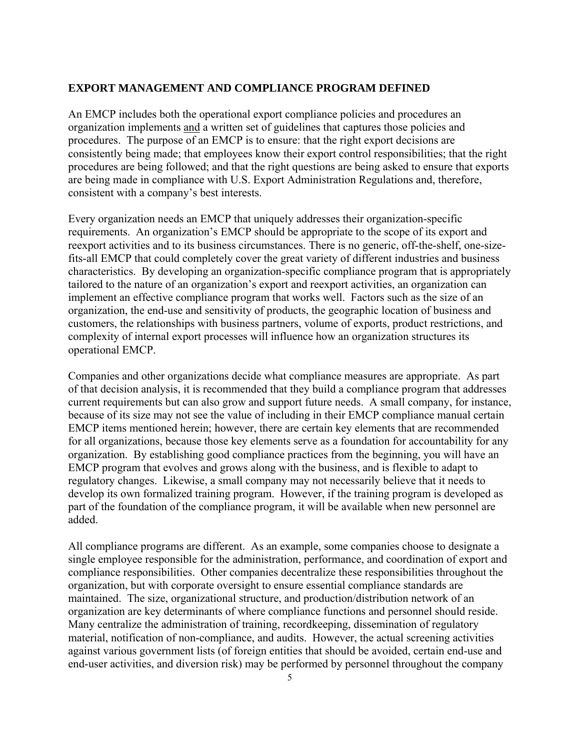#### **EXPORT MANAGEMENT AND COMPLIANCE PROGRAM DEFINED**

An EMCP includes both the operational export compliance policies and procedures an organization implements and a written set of guidelines that captures those policies and procedures. The purpose of an EMCP is to ensure: that the right export decisions are consistently being made; that employees know their export control responsibilities; that the right procedures are being followed; and that the right questions are being asked to ensure that exports are being made in compliance with U.S. Export Administration Regulations and, therefore, consistent with a company's best interests.

Every organization needs an EMCP that uniquely addresses their organization-specific requirements. An organization's EMCP should be appropriate to the scope of its export and reexport activities and to its business circumstances. There is no generic, off-the-shelf, one-sizefits-all EMCP that could completely cover the great variety of different industries and business characteristics.By developing an organization-specific compliance program that is appropriately tailored to the nature of an organization's export and reexport activities, an organization can implement an effective compliance program that works well. Factors such as the size of an organization, the end-use and sensitivity of products, the geographic location of business and customers, the relationships with business partners, volume of exports, product restrictions, and complexity of internal export processes will influence how an organization structures its operational EMCP.

Companies and other organizations decide what compliance measures are appropriate. As part of that decision analysis, it is recommended that they build a compliance program that addresses current requirements but can also grow and support future needs. A small company, for instance, because of its size may not see the value of including in their EMCP compliance manual certain EMCP items mentioned herein; however, there are certain key elements that are recommended for all organizations, because those key elements serve as a foundation for accountability for any organization. By establishing good compliance practices from the beginning, you will have an EMCP program that evolves and grows along with the business, and is flexible to adapt to regulatory changes. Likewise, a small company may not necessarily believe that it needs to develop its own formalized training program. However, if the training program is developed as part of the foundation of the compliance program, it will be available when new personnel are added.

All compliance programs are different. As an example, some companies choose to designate a single employee responsible for the administration, performance, and coordination of export and compliance responsibilities. Other companies decentralize these responsibilities throughout the organization, but with corporate oversight to ensure essential compliance standards are maintained. The size, organizational structure, and production/distribution network of an organization are key determinants of where compliance functions and personnel should reside. Many centralize the administration of training, recordkeeping, dissemination of regulatory material, notification of non-compliance, and audits. However, the actual screening activities against various government lists (of foreign entities that should be avoided, certain end-use and end-user activities, and diversion risk) may be performed by personnel throughout the company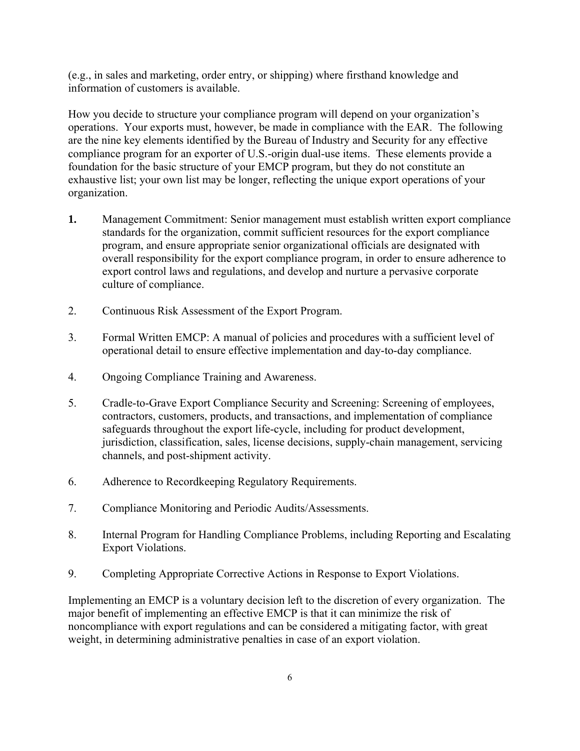(e.g., in sales and marketing, order entry, or shipping) where firsthand knowledge and information of customers is available.

How you decide to structure your compliance program will depend on your organization's operations. Your exports must, however, be made in compliance with the EAR. The following are the nine key elements identified by the Bureau of Industry and Security for any effective compliance program for an exporter of U.S.-origin dual-use items. These elements provide a foundation for the basic structure of your EMCP program, but they do not constitute an exhaustive list; your own list may be longer, reflecting the unique export operations of your organization.

- **1.** Management Commitment: Senior management must establish written export compliance standards for the organization, commit sufficient resources for the export compliance program, and ensure appropriate senior organizational officials are designated with overall responsibility for the export compliance program, in order to ensure adherence to export control laws and regulations, and develop and nurture a pervasive corporate culture of compliance.
- 2. Continuous Risk Assessment of the Export Program.
- 3. Formal Written EMCP: A manual of policies and procedures with a sufficient level of operational detail to ensure effective implementation and day-to-day compliance.
- 4. Ongoing Compliance Training and Awareness.
- 5. Cradle-to-Grave Export Compliance Security and Screening: Screening of employees, contractors, customers, products, and transactions, and implementation of compliance safeguards throughout the export life-cycle, including for product development, jurisdiction, classification, sales, license decisions, supply-chain management, servicing channels, and post-shipment activity.
- 6. Adherence to Recordkeeping Regulatory Requirements.
- 7. Compliance Monitoring and Periodic Audits/Assessments.
- 8. Internal Program for Handling Compliance Problems, including Reporting and Escalating Export Violations.
- 9. Completing Appropriate Corrective Actions in Response to Export Violations.

Implementing an EMCP is a voluntary decision left to the discretion of every organization. The major benefit of implementing an effective EMCP is that it can minimize the risk of noncompliance with export regulations and can be considered a mitigating factor, with great weight, in determining administrative penalties in case of an export violation.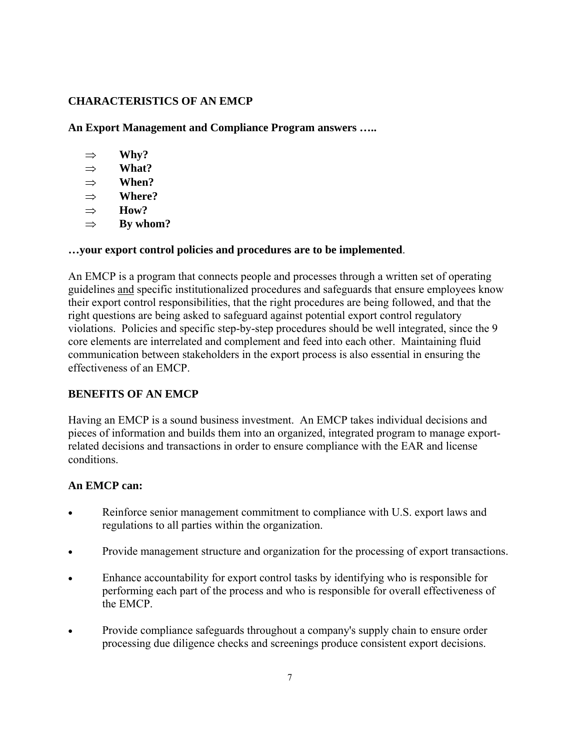### **CHARACTERISTICS OF AN EMCP**

**An Export Management and Compliance Program answers …..** 

- ⇒ **Why?**
- ⇒ **What?**
- ⇒ **When?**
- ⇒ **Where?**
- ⇒ **How?**
- ⇒ **By whom?**

### **…your export control policies and procedures are to be implemented**.

An EMCP is a program that connects people and processes through a written set of operating guidelines and specific institutionalized procedures and safeguards that ensure employees know their export control responsibilities, that the right procedures are being followed, and that the right questions are being asked to safeguard against potential export control regulatory violations. Policies and specific step-by-step procedures should be well integrated, since the 9 core elements are interrelated and complement and feed into each other. Maintaining fluid communication between stakeholders in the export process is also essential in ensuring the effectiveness of an EMCP.

### **BENEFITS OF AN EMCP**

Having an EMCP is a sound business investment. An EMCP takes individual decisions and pieces of information and builds them into an organized, integrated program to manage exportrelated decisions and transactions in order to ensure compliance with the EAR and license conditions.

### **An EMCP can:**

- Reinforce senior management commitment to compliance with U.S. export laws and regulations to all parties within the organization.
- Provide management structure and organization for the processing of export transactions.
- Enhance accountability for export control tasks by identifying who is responsible for performing each part of the process and who is responsible for overall effectiveness of the EMCP.
- Provide compliance safeguards throughout a company's supply chain to ensure order processing due diligence checks and screenings produce consistent export decisions.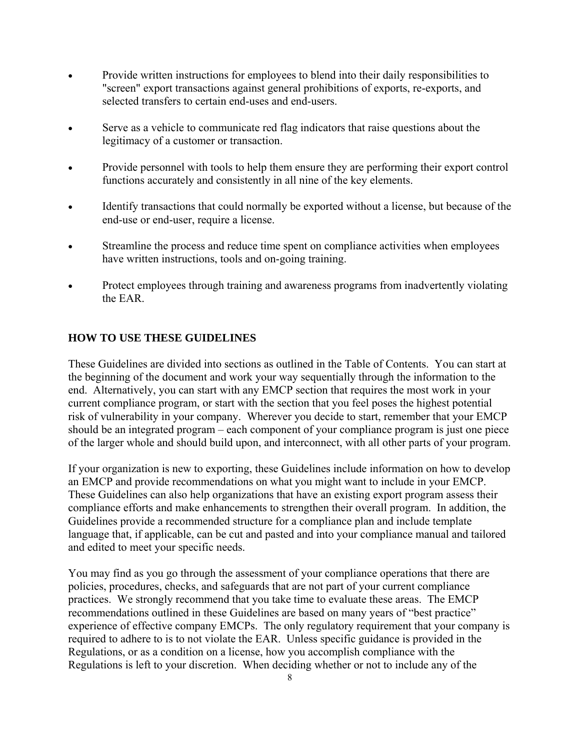- Provide written instructions for employees to blend into their daily responsibilities to "screen" export transactions against general prohibitions of exports, re-exports, and selected transfers to certain end-uses and end-users.
- Serve as a vehicle to communicate red flag indicators that raise questions about the legitimacy of a customer or transaction.
- Provide personnel with tools to help them ensure they are performing their export control functions accurately and consistently in all nine of the key elements.
- Identify transactions that could normally be exported without a license, but because of the end-use or end-user, require a license.
- Streamline the process and reduce time spent on compliance activities when employees have written instructions, tools and on-going training.
- Protect employees through training and awareness programs from inadvertently violating the EAR.

### **HOW TO USE THESE GUIDELINES**

These Guidelines are divided into sections as outlined in the Table of Contents. You can start at the beginning of the document and work your way sequentially through the information to the end. Alternatively, you can start with any EMCP section that requires the most work in your current compliance program, or start with the section that you feel poses the highest potential risk of vulnerability in your company. Wherever you decide to start, remember that your EMCP should be an integrated program – each component of your compliance program is just one piece of the larger whole and should build upon, and interconnect, with all other parts of your program.

If your organization is new to exporting, these Guidelines include information on how to develop an EMCP and provide recommendations on what you might want to include in your EMCP. These Guidelines can also help organizations that have an existing export program assess their compliance efforts and make enhancements to strengthen their overall program. In addition, the Guidelines provide a recommended structure for a compliance plan and include template language that, if applicable, can be cut and pasted and into your compliance manual and tailored and edited to meet your specific needs.

You may find as you go through the assessment of your compliance operations that there are policies, procedures, checks, and safeguards that are not part of your current compliance practices. We strongly recommend that you take time to evaluate these areas. The EMCP recommendations outlined in these Guidelines are based on many years of "best practice" experience of effective company EMCPs. The only regulatory requirement that your company is required to adhere to is to not violate the EAR. Unless specific guidance is provided in the Regulations, or as a condition on a license, how you accomplish compliance with the Regulations is left to your discretion. When deciding whether or not to include any of the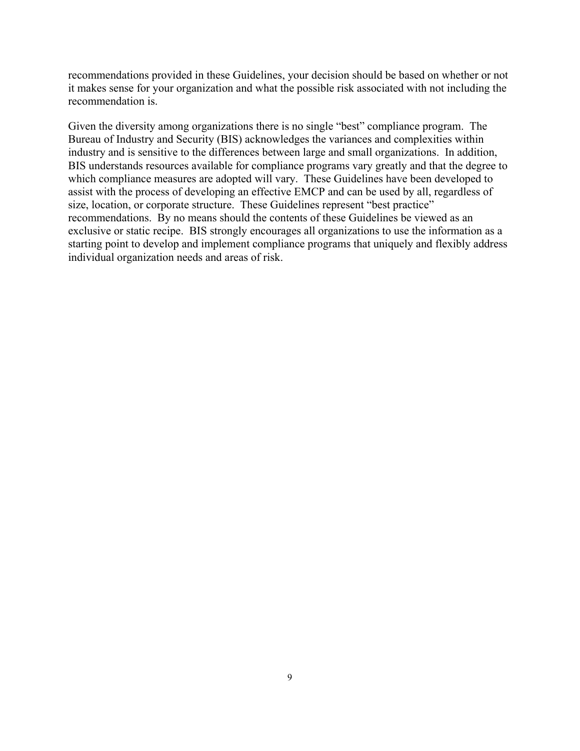recommendations provided in these Guidelines, your decision should be based on whether or not it makes sense for your organization and what the possible risk associated with not including the recommendation is.

Given the diversity among organizations there is no single "best" compliance program. The Bureau of Industry and Security (BIS) acknowledges the variances and complexities within industry and is sensitive to the differences between large and small organizations. In addition, BIS understands resources available for compliance programs vary greatly and that the degree to which compliance measures are adopted will vary. These Guidelines have been developed to assist with the process of developing an effective EMCP and can be used by all, regardless of size, location, or corporate structure. These Guidelines represent "best practice" recommendations. By no means should the contents of these Guidelines be viewed as an exclusive or static recipe. BIS strongly encourages all organizations to use the information as a starting point to develop and implement compliance programs that uniquely and flexibly address individual organization needs and areas of risk.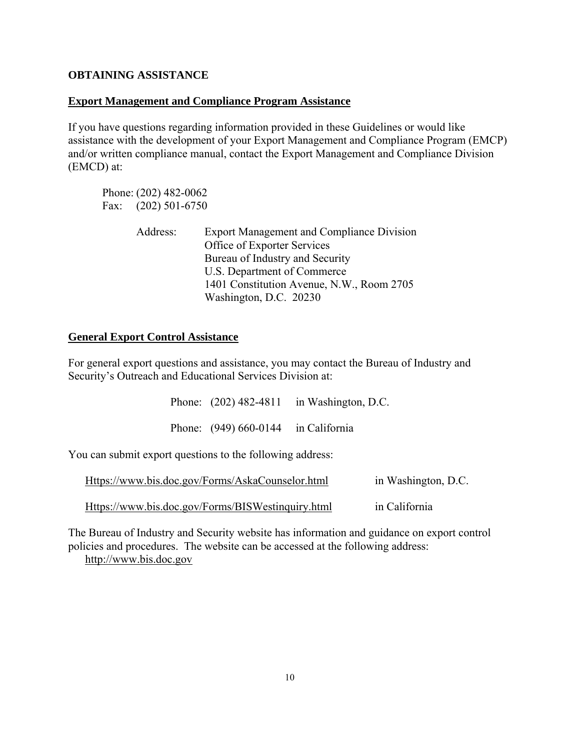### **OBTAINING ASSISTANCE**

### **Export Management and Compliance Program Assistance**

If you have questions regarding information provided in these Guidelines or would like assistance with the development of your Export Management and Compliance Program (EMCP) and/or written compliance manual, contact the Export Management and Compliance Division (EMCD) at:

 Phone: (202) 482-0062 Fax: (202) 501-6750

| Address: | <b>Export Management and Compliance Division</b> |
|----------|--------------------------------------------------|
|          | Office of Exporter Services                      |
|          | Bureau of Industry and Security                  |
|          | U.S. Department of Commerce                      |
|          | 1401 Constitution Avenue, N.W., Room 2705        |
|          | Washington, D.C. 20230                           |

### **General Export Control Assistance**

For general export questions and assistance, you may contact the Bureau of Industry and Security's Outreach and Educational Services Division at:

|                                                           |                                       | Phone: $(202)$ 482-4811 in Washington, D.C. |  |
|-----------------------------------------------------------|---------------------------------------|---------------------------------------------|--|
|                                                           | Phone: $(949) 660-0144$ in California |                                             |  |
| You can submit export questions to the following address: |                                       |                                             |  |

Https://www.bis.doc.gov/Forms/AskaCounselor.html in Washington, D.C.

Https://www.bis.doc.gov/Forms/BISWestinquiry.html in California

The Bureau of Industry and Security website has information and guidance on export control policies and procedures. The website can be accessed at the following address: http://www.bis.doc.gov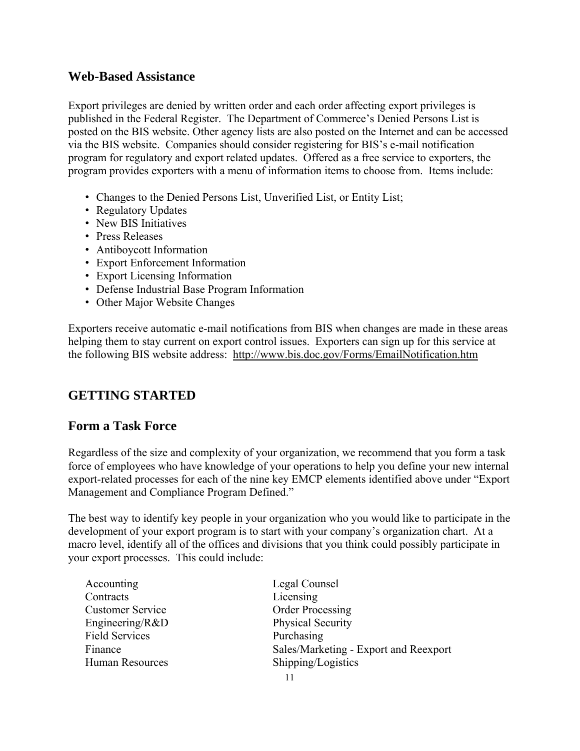### **Web-Based Assistance**

Export privileges are denied by written order and each order affecting export privileges is published in the Federal Register. The Department of Commerce's Denied Persons List is posted on the BIS website. Other agency lists are also posted on the Internet and can be accessed via the BIS website. Companies should consider registering for BIS's e-mail notification program for regulatory and export related updates. Offered as a free service to exporters, the program provides exporters with a menu of information items to choose from. Items include:

- Changes to the Denied Persons List, Unverified List, or Entity List;
- Regulatory Updates
- New BIS Initiatives
- Press Releases
- Antiboycott Information
- Export Enforcement Information
- Export Licensing Information
- Defense Industrial Base Program Information
- Other Major Website Changes

Exporters receive automatic e-mail notifications from BIS when changes are made in these areas helping them to stay current on export control issues. Exporters can sign up for this service at the following BIS website address: <http://www.bis.doc.gov/Forms/EmailNotification.htm>

### **GETTING STARTED**

### **Form a Task Force**

Regardless of the size and complexity of your organization, we recommend that you form a task force of employees who have knowledge of your operations to help you define your new internal export-related processes for each of the nine key EMCP elements identified above under "Export Management and Compliance Program Defined."

The best way to identify key people in your organization who you would like to participate in the development of your export program is to start with your company's organization chart. At a macro level, identify all of the offices and divisions that you think could possibly participate in your export processes. This could include:

- Accounting Legal Counsel Contracts Licensing Customer Service Order Processing Engineering/R&D Physical Security Field Services Purchasing Human Resources Shipping/Logistics
- Finance Sales/Marketing Export and Reexport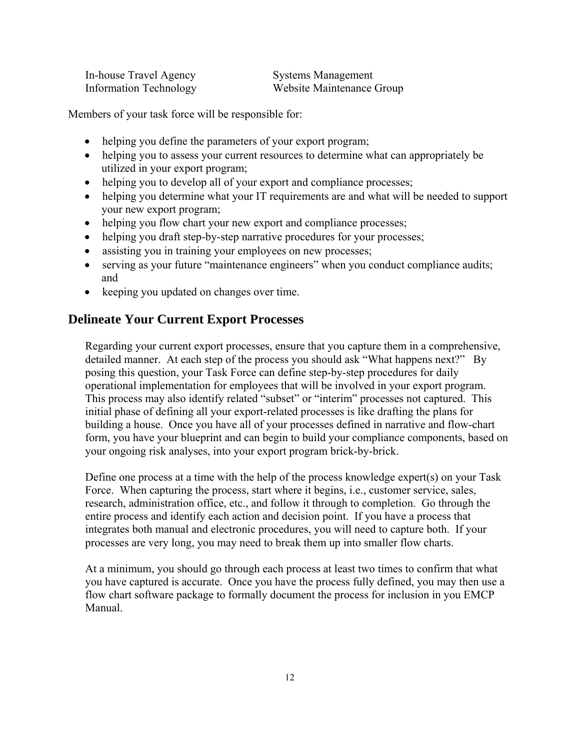| In-house Travel Agency        |
|-------------------------------|
| <b>Information Technology</b> |

Systems Management Website Maintenance Group

Members of your task force will be responsible for:

- helping you define the parameters of your export program;
- helping you to assess your current resources to determine what can appropriately be utilized in your export program;
- helping you to develop all of your export and compliance processes;
- helping you determine what your IT requirements are and what will be needed to support your new export program;
- helping you flow chart your new export and compliance processes;
- helping you draft step-by-step narrative procedures for your processes;
- assisting you in training your employees on new processes;
- serving as your future "maintenance engineers" when you conduct compliance audits; and
- keeping you updated on changes over time.

### **Delineate Your Current Export Processes**

Regarding your current export processes, ensure that you capture them in a comprehensive, detailed manner. At each step of the process you should ask "What happens next?" By posing this question, your Task Force can define step-by-step procedures for daily operational implementation for employees that will be involved in your export program. This process may also identify related "subset" or "interim" processes not captured. This initial phase of defining all your export-related processes is like drafting the plans for building a house. Once you have all of your processes defined in narrative and flow-chart form, you have your blueprint and can begin to build your compliance components, based on your ongoing risk analyses, into your export program brick-by-brick.

Define one process at a time with the help of the process knowledge expert(s) on your Task Force. When capturing the process, start where it begins, i.e., customer service, sales, research, administration office, etc., and follow it through to completion. Go through the entire process and identify each action and decision point. If you have a process that integrates both manual and electronic procedures, you will need to capture both. If your processes are very long, you may need to break them up into smaller flow charts.

At a minimum, you should go through each process at least two times to confirm that what you have captured is accurate. Once you have the process fully defined, you may then use a flow chart software package to formally document the process for inclusion in you EMCP Manual.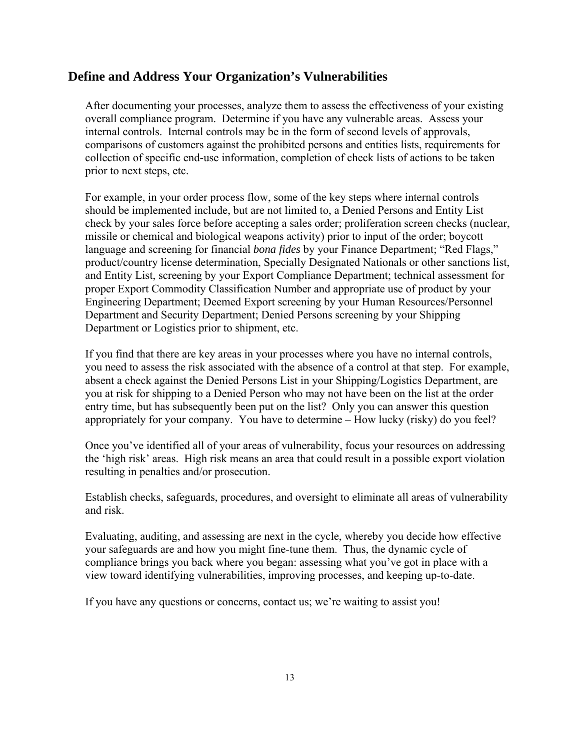### **Define and Address Your Organization's Vulnerabilities**

After documenting your processes, analyze them to assess the effectiveness of your existing overall compliance program. Determine if you have any vulnerable areas. Assess your internal controls. Internal controls may be in the form of second levels of approvals, comparisons of customers against the prohibited persons and entities lists, requirements for collection of specific end-use information, completion of check lists of actions to be taken prior to next steps, etc.

For example, in your order process flow, some of the key steps where internal controls should be implemented include, but are not limited to, a Denied Persons and Entity List check by your sales force before accepting a sales order; proliferation screen checks (nuclear, missile or chemical and biological weapons activity) prior to input of the order; boycott language and screening for financial *bona fides* by your Finance Department; "Red Flags," product/country license determination, Specially Designated Nationals or other sanctions list, and Entity List, screening by your Export Compliance Department; technical assessment for proper Export Commodity Classification Number and appropriate use of product by your Engineering Department; Deemed Export screening by your Human Resources/Personnel Department and Security Department; Denied Persons screening by your Shipping Department or Logistics prior to shipment, etc.

If you find that there are key areas in your processes where you have no internal controls, you need to assess the risk associated with the absence of a control at that step. For example, absent a check against the Denied Persons List in your Shipping/Logistics Department, are you at risk for shipping to a Denied Person who may not have been on the list at the order entry time, but has subsequently been put on the list? Only you can answer this question appropriately for your company. You have to determine – How lucky (risky) do you feel?

Once you've identified all of your areas of vulnerability, focus your resources on addressing the 'high risk' areas. High risk means an area that could result in a possible export violation resulting in penalties and/or prosecution.

Establish checks, safeguards, procedures, and oversight to eliminate all areas of vulnerability and risk.

Evaluating, auditing, and assessing are next in the cycle, whereby you decide how effective your safeguards are and how you might fine-tune them. Thus, the dynamic cycle of compliance brings you back where you began: assessing what you've got in place with a view toward identifying vulnerabilities, improving processes, and keeping up-to-date.

If you have any questions or concerns, contact us; we're waiting to assist you!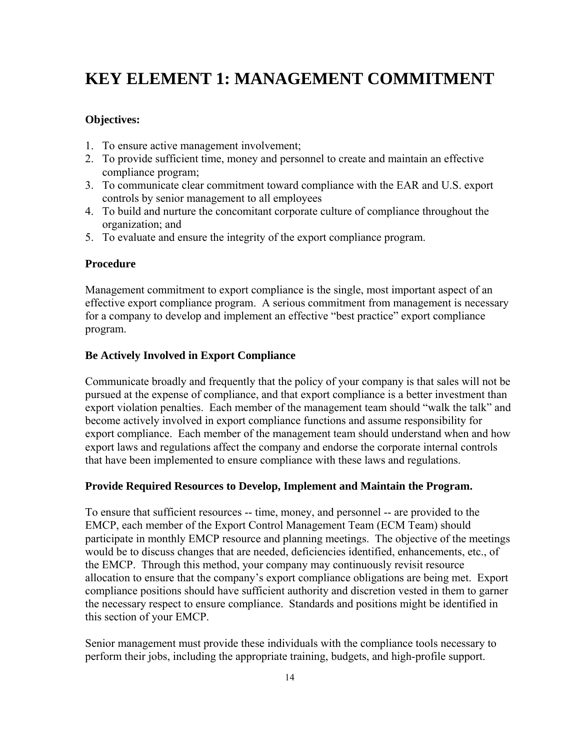## **KEY ELEMENT 1: MANAGEMENT COMMITMENT**

### **Objectives:**

- 1. To ensure active management involvement;
- 2. To provide sufficient time, money and personnel to create and maintain an effective compliance program;
- 3. To communicate clear commitment toward compliance with the EAR and U.S. export controls by senior management to all employees
- 4. To build and nurture the concomitant corporate culture of compliance throughout the organization; and
- 5. To evaluate and ensure the integrity of the export compliance program.

#### **Procedure**

Management commitment to export compliance is the single, most important aspect of an effective export compliance program. A serious commitment from management is necessary for a company to develop and implement an effective "best practice" export compliance program.

#### **Be Actively Involved in Export Compliance**

Communicate broadly and frequently that the policy of your company is that sales will not be pursued at the expense of compliance, and that export compliance is a better investment than export violation penalties. Each member of the management team should "walk the talk" and become actively involved in export compliance functions and assume responsibility for export compliance. Each member of the management team should understand when and how export laws and regulations affect the company and endorse the corporate internal controls that have been implemented to ensure compliance with these laws and regulations.

#### **Provide Required Resources to Develop, Implement and Maintain the Program.**

To ensure that sufficient resources -- time, money, and personnel -- are provided to the EMCP, each member of the Export Control Management Team (ECM Team) should participate in monthly EMCP resource and planning meetings. The objective of the meetings would be to discuss changes that are needed, deficiencies identified, enhancements, etc., of the EMCP. Through this method, your company may continuously revisit resource allocation to ensure that the company's export compliance obligations are being met. Export compliance positions should have sufficient authority and discretion vested in them to garner the necessary respect to ensure compliance. Standards and positions might be identified in this section of your EMCP.

Senior management must provide these individuals with the compliance tools necessary to perform their jobs, including the appropriate training, budgets, and high-profile support.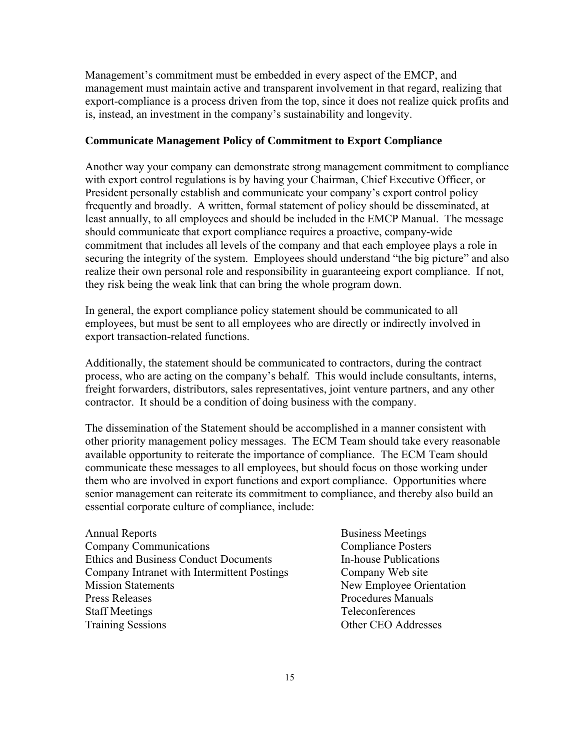Management's commitment must be embedded in every aspect of the EMCP, and management must maintain active and transparent involvement in that regard, realizing that export-compliance is a process driven from the top, since it does not realize quick profits and is, instead, an investment in the company's sustainability and longevity.

#### **Communicate Management Policy of Commitment to Export Compliance**

Another way your company can demonstrate strong management commitment to compliance with export control regulations is by having your Chairman, Chief Executive Officer, or President personally establish and communicate your company's export control policy frequently and broadly. A written, formal statement of policy should be disseminated, at least annually, to all employees and should be included in the EMCP Manual. The message should communicate that export compliance requires a proactive, company-wide commitment that includes all levels of the company and that each employee plays a role in securing the integrity of the system. Employees should understand "the big picture" and also realize their own personal role and responsibility in guaranteeing export compliance. If not, they risk being the weak link that can bring the whole program down.

In general, the export compliance policy statement should be communicated to all employees, but must be sent to all employees who are directly or indirectly involved in export transaction-related functions.

Additionally, the statement should be communicated to contractors, during the contract process, who are acting on the company's behalf. This would include consultants, interns, freight forwarders, distributors, sales representatives, joint venture partners, and any other contractor. It should be a condition of doing business with the company.

The dissemination of the Statement should be accomplished in a manner consistent with other priority management policy messages.The ECM Team should take every reasonable available opportunity to reiterate the importance of compliance. The ECM Team should communicate these messages to all employees, but should focus on those working under them who are involved in export functions and export compliance.Opportunities where senior management can reiterate its commitment to compliance, and thereby also build an essential corporate culture of compliance, include:

Annual Reports Business Meetings Company Communications Compliance Posters Ethics and Business Conduct Documents In-house Publications Company Intranet with Intermittent Postings Company Web site Mission Statements New Employee Orientation Press Releases **Procedures** Manuals Staff Meetings Teleconferences Training Sessions Other CEO Addresses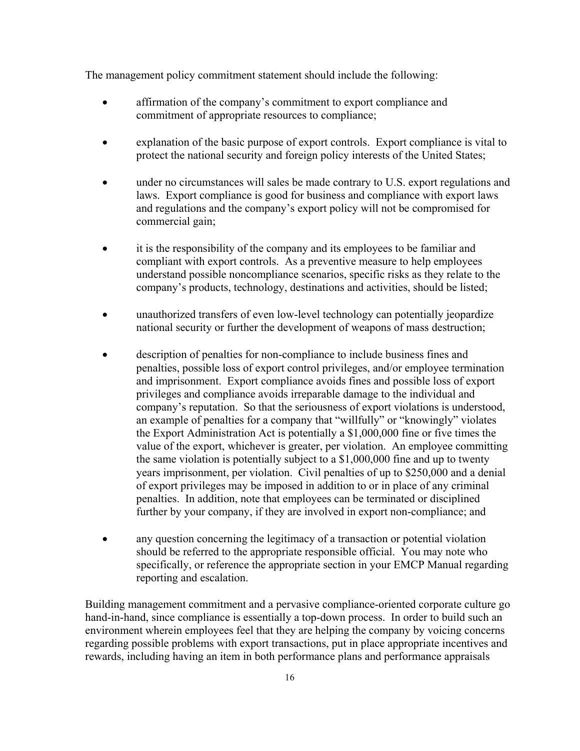The management policy commitment statement should include the following:

- affirmation of the company's commitment to export compliance and commitment of appropriate resources to compliance;
- explanation of the basic purpose of export controls. Export compliance is vital to protect the national security and foreign policy interests of the United States;
- under no circumstances will sales be made contrary to U.S. export regulations and laws. Export compliance is good for business and compliance with export laws and regulations and the company's export policy will not be compromised for commercial gain;
- it is the responsibility of the company and its employees to be familiar and compliant with export controls. As a preventive measure to help employees understand possible noncompliance scenarios, specific risks as they relate to the company's products, technology, destinations and activities, should be listed;
- unauthorized transfers of even low-level technology can potentially jeopardize national security or further the development of weapons of mass destruction;
- description of penalties for non-compliance to include business fines and penalties, possible loss of export control privileges, and/or employee termination and imprisonment. Export compliance avoids fines and possible loss of export privileges and compliance avoids irreparable damage to the individual and company's reputation. So that the seriousness of export violations is understood, an example of penalties for a company that "willfully" or "knowingly" violates the Export Administration Act is potentially a \$1,000,000 fine or five times the value of the export, whichever is greater, per violation. An employee committing the same violation is potentially subject to a \$1,000,000 fine and up to twenty years imprisonment, per violation. Civil penalties of up to \$250,000 and a denial of export privileges may be imposed in addition to or in place of any criminal penalties. In addition, note that employees can be terminated or disciplined further by your company, if they are involved in export non-compliance; and
- any question concerning the legitimacy of a transaction or potential violation should be referred to the appropriate responsible official. You may note who specifically, or reference the appropriate section in your EMCP Manual regarding reporting and escalation.

Building management commitment and a pervasive compliance-oriented corporate culture go hand-in-hand, since compliance is essentially a top-down process. In order to build such an environment wherein employees feel that they are helping the company by voicing concerns regarding possible problems with export transactions, put in place appropriate incentives and rewards, including having an item in both performance plans and performance appraisals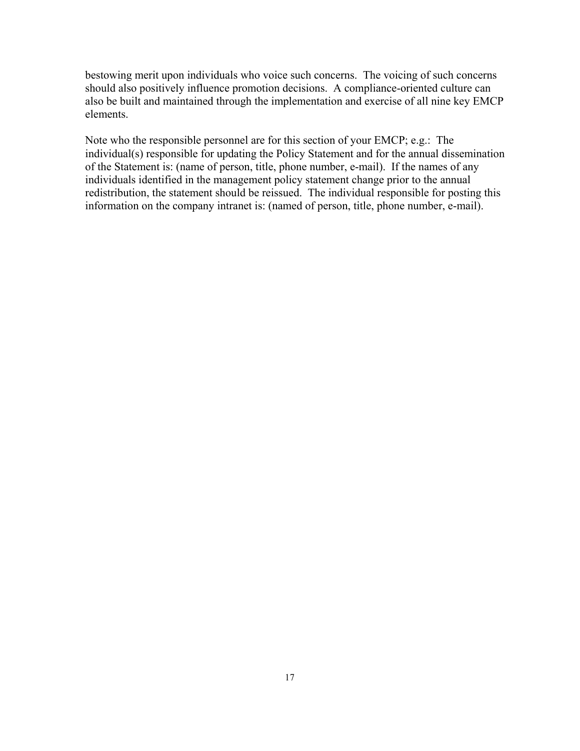bestowing merit upon individuals who voice such concerns. The voicing of such concerns should also positively influence promotion decisions. A compliance-oriented culture can also be built and maintained through the implementation and exercise of all nine key EMCP elements.

Note who the responsible personnel are for this section of your EMCP; e.g.: The individual(s) responsible for updating the Policy Statement and for the annual dissemination of the Statement is: (name of person, title, phone number, e-mail). If the names of any individuals identified in the management policy statement change prior to the annual redistribution, the statement should be reissued. The individual responsible for posting this information on the company intranet is: (named of person, title, phone number, e-mail).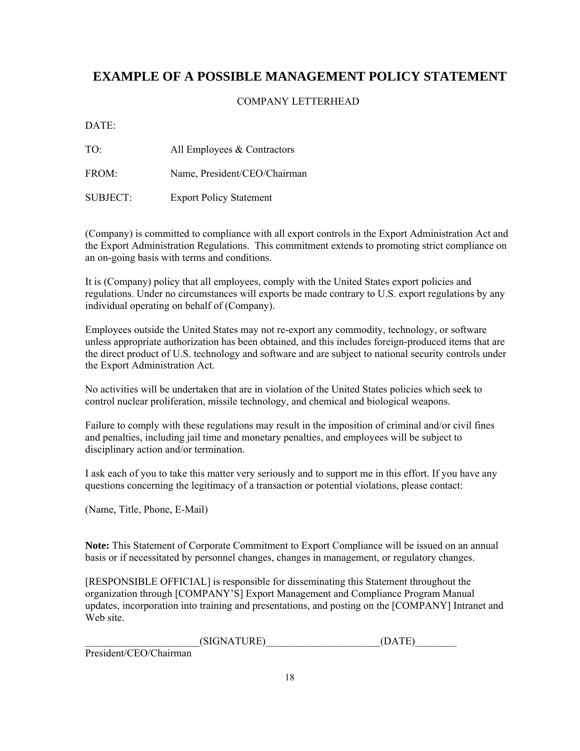### **EXAMPLE OF A POSSIBLE MANAGEMENT POLICY STATEMENT**

### COMPANY LETTERHEAD

DATE:

TO: All Employees & Contractors

FROM: Name, President/CEO/Chairman

SUBJECT: Export Policy Statement

(Company) is committed to compliance with all export controls in the Export Administration Act and the Export Administration Regulations. This commitment extends to promoting strict compliance on an on-going basis with terms and conditions.

It is (Company) policy that all employees, comply with the United States export policies and regulations. Under no circumstances will exports be made contrary to U.S. export regulations by any individual operating on behalf of (Company).

Employees outside the United States may not re-export any commodity, technology, or software unless appropriate authorization has been obtained, and this includes foreign-produced items that are the direct product of U.S. technology and software and are subject to national security controls under the Export Administration Act.

No activities will be undertaken that are in violation of the United States policies which seek to control nuclear proliferation, missile technology, and chemical and biological weapons.

Failure to comply with these regulations may result in the imposition of criminal and/or civil fines and penalties, including jail time and monetary penalties, and employees will be subject to disciplinary action and/or termination.

I ask each of you to take this matter very seriously and to support me in this effort. If you have any questions concerning the legitimacy of a transaction or potential violations, please contact:

(Name, Title, Phone, E-Mail)

**Note:** This Statement of Corporate Commitment to Export Compliance will be issued on an annual basis or if necessitated by personnel changes, changes in management, or regulatory changes.

[RESPONSIBLE OFFICIAL] is responsible for disseminating this Statement throughout the organization through [COMPANY'S] Export Management and Compliance Program Manual updates, incorporation into training and presentations, and posting on the [COMPANY] Intranet and Web site.

 $(SIGNATURE)$  (DATE)

President/CEO/Chairman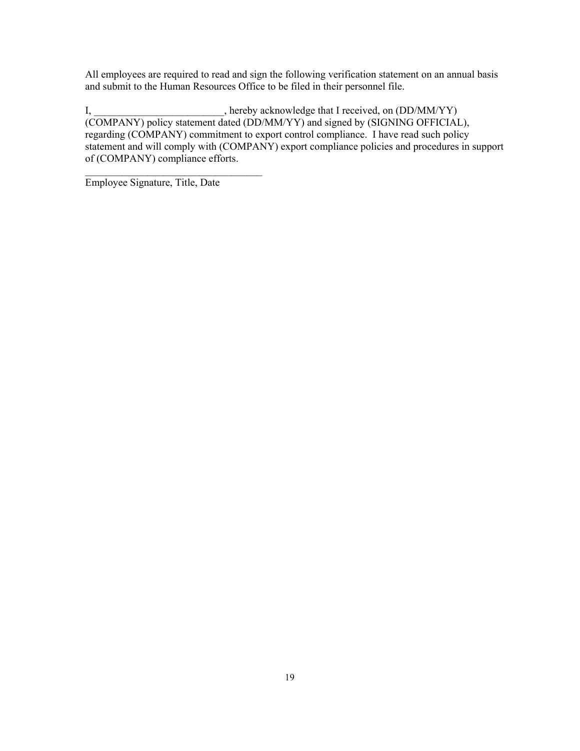All employees are required to read and sign the following verification statement on an annual basis and submit to the Human Resources Office to be filed in their personnel file.

I, hereby acknowledge that I received, on (DD/MM/YY) (COMPANY) policy statement dated (DD/MM/YY) and signed by (SIGNING OFFICIAL), regarding (COMPANY) commitment to export control compliance. I have read such policy statement and will comply with (COMPANY) export compliance policies and procedures in support of (COMPANY) compliance efforts.

Employee Signature, Title, Date

 $\mathcal{L}_\text{max}$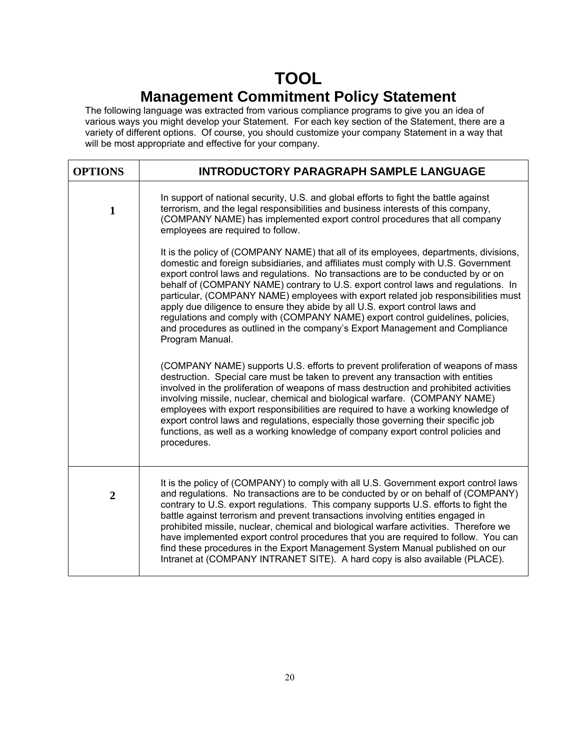# **TOOL**

## **Management Commitment Policy Statement**

The following language was extracted from various compliance programs to give you an idea of various ways you might develop your Statement. For each key section of the Statement, there are a variety of different options. Of course, you should customize your company Statement in a way that will be most appropriate and effective for your company.

| <b>OPTIONS</b> | <b>INTRODUCTORY PARAGRAPH SAMPLE LANGUAGE</b>                                                                                                                                                                                                                                                                                                                                                                                                                                                                                                                                                                                                                                                                     |
|----------------|-------------------------------------------------------------------------------------------------------------------------------------------------------------------------------------------------------------------------------------------------------------------------------------------------------------------------------------------------------------------------------------------------------------------------------------------------------------------------------------------------------------------------------------------------------------------------------------------------------------------------------------------------------------------------------------------------------------------|
| $\mathbf{1}$   | In support of national security, U.S. and global efforts to fight the battle against<br>terrorism, and the legal responsibilities and business interests of this company,<br>(COMPANY NAME) has implemented export control procedures that all company<br>employees are required to follow.                                                                                                                                                                                                                                                                                                                                                                                                                       |
|                | It is the policy of (COMPANY NAME) that all of its employees, departments, divisions,<br>domestic and foreign subsidiaries, and affiliates must comply with U.S. Government<br>export control laws and regulations. No transactions are to be conducted by or on<br>behalf of (COMPANY NAME) contrary to U.S. export control laws and regulations. In<br>particular, (COMPANY NAME) employees with export related job responsibilities must<br>apply due diligence to ensure they abide by all U.S. export control laws and<br>regulations and comply with (COMPANY NAME) export control guidelines, policies,<br>and procedures as outlined in the company's Export Management and Compliance<br>Program Manual. |
|                | (COMPANY NAME) supports U.S. efforts to prevent proliferation of weapons of mass<br>destruction. Special care must be taken to prevent any transaction with entities<br>involved in the proliferation of weapons of mass destruction and prohibited activities<br>involving missile, nuclear, chemical and biological warfare. (COMPANY NAME)<br>employees with export responsibilities are required to have a working knowledge of<br>export control laws and regulations, especially those governing their specific job<br>functions, as well as a working knowledge of company export control policies and<br>procedures.                                                                                      |
| $\overline{2}$ | It is the policy of (COMPANY) to comply with all U.S. Government export control laws<br>and regulations. No transactions are to be conducted by or on behalf of (COMPANY)<br>contrary to U.S. export regulations. This company supports U.S. efforts to fight the<br>battle against terrorism and prevent transactions involving entities engaged in<br>prohibited missile, nuclear, chemical and biological warfare activities. Therefore we<br>have implemented export control procedures that you are required to follow. You can<br>find these procedures in the Export Management System Manual published on our<br>Intranet at (COMPANY INTRANET SITE). A hard copy is also available (PLACE).              |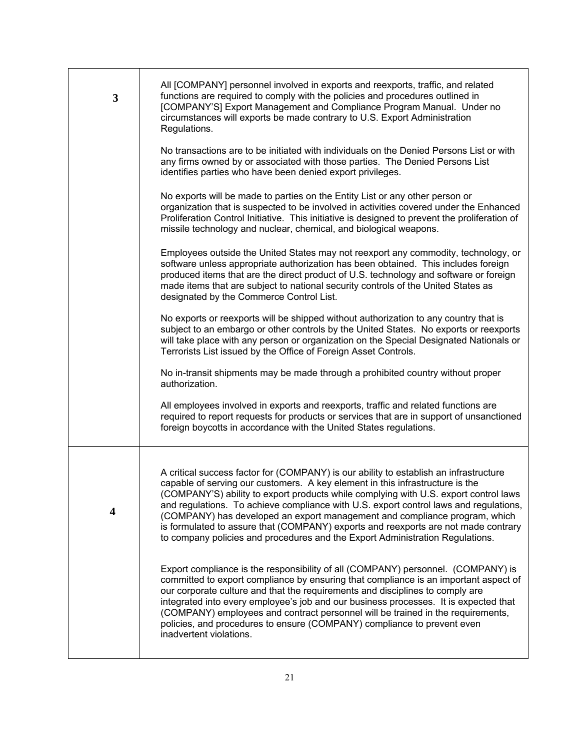| 3 | All [COMPANY] personnel involved in exports and reexports, traffic, and related<br>functions are required to comply with the policies and procedures outlined in<br>[COMPANY'S] Export Management and Compliance Program Manual. Under no<br>circumstances will exports be made contrary to U.S. Export Administration<br>Regulations.                                                                                                                                                                                                                                                                       |
|---|--------------------------------------------------------------------------------------------------------------------------------------------------------------------------------------------------------------------------------------------------------------------------------------------------------------------------------------------------------------------------------------------------------------------------------------------------------------------------------------------------------------------------------------------------------------------------------------------------------------|
|   | No transactions are to be initiated with individuals on the Denied Persons List or with<br>any firms owned by or associated with those parties. The Denied Persons List<br>identifies parties who have been denied export privileges.                                                                                                                                                                                                                                                                                                                                                                        |
|   | No exports will be made to parties on the Entity List or any other person or<br>organization that is suspected to be involved in activities covered under the Enhanced<br>Proliferation Control Initiative. This initiative is designed to prevent the proliferation of<br>missile technology and nuclear, chemical, and biological weapons.                                                                                                                                                                                                                                                                 |
|   | Employees outside the United States may not reexport any commodity, technology, or<br>software unless appropriate authorization has been obtained. This includes foreign<br>produced items that are the direct product of U.S. technology and software or foreign<br>made items that are subject to national security controls of the United States as<br>designated by the Commerce Control List.                                                                                                                                                                                                           |
|   | No exports or reexports will be shipped without authorization to any country that is<br>subject to an embargo or other controls by the United States. No exports or reexports<br>will take place with any person or organization on the Special Designated Nationals or<br>Terrorists List issued by the Office of Foreign Asset Controls.                                                                                                                                                                                                                                                                   |
|   | No in-transit shipments may be made through a prohibited country without proper<br>authorization.                                                                                                                                                                                                                                                                                                                                                                                                                                                                                                            |
|   | All employees involved in exports and reexports, traffic and related functions are<br>required to report requests for products or services that are in support of unsanctioned<br>foreign boycotts in accordance with the United States regulations.                                                                                                                                                                                                                                                                                                                                                         |
|   |                                                                                                                                                                                                                                                                                                                                                                                                                                                                                                                                                                                                              |
| 4 | A critical success factor for (COMPANY) is our ability to establish an infrastructure<br>capable of serving our customers. A key element in this infrastructure is the<br>(COMPANY'S) ability to export products while complying with U.S. export control laws<br>and regulations. To achieve compliance with U.S. export control laws and regulations,<br>(COMPANY) has developed an export management and compliance program, which<br>is formulated to assure that (COMPANY) exports and reexports are not made contrary<br>to company policies and procedures and the Export Administration Regulations. |
|   | Export compliance is the responsibility of all (COMPANY) personnel. (COMPANY) is<br>committed to export compliance by ensuring that compliance is an important aspect of<br>our corporate culture and that the requirements and disciplines to comply are<br>integrated into every employee's job and our business processes. It is expected that<br>(COMPANY) employees and contract personnel will be trained in the requirements,<br>policies, and procedures to ensure (COMPANY) compliance to prevent even<br>inadvertent violations.                                                                   |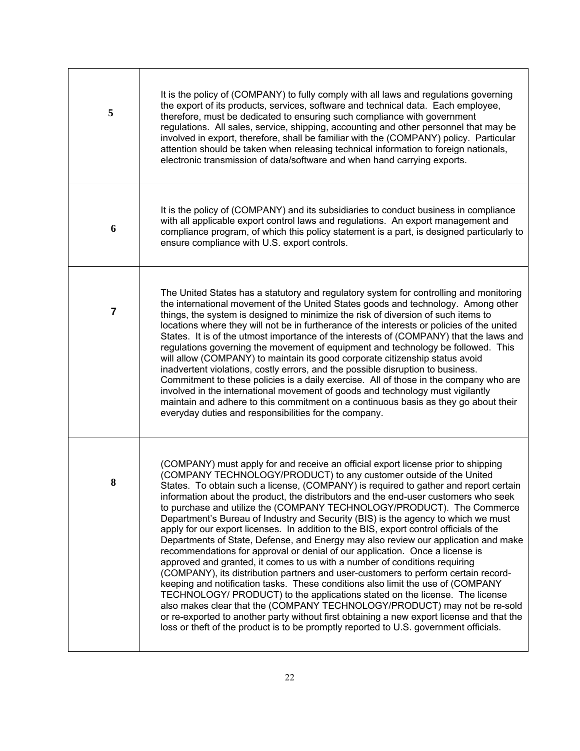| 5 | It is the policy of (COMPANY) to fully comply with all laws and regulations governing<br>the export of its products, services, software and technical data. Each employee,<br>therefore, must be dedicated to ensuring such compliance with government<br>regulations. All sales, service, shipping, accounting and other personnel that may be<br>involved in export, therefore, shall be familiar with the (COMPANY) policy. Particular<br>attention should be taken when releasing technical information to foreign nationals,<br>electronic transmission of data/software and when hand carrying exports.                                                                                                                                                                                                                                                                                                                                                                                                                                                                                                                                                                                                                                                                                                                                                                  |
|---|--------------------------------------------------------------------------------------------------------------------------------------------------------------------------------------------------------------------------------------------------------------------------------------------------------------------------------------------------------------------------------------------------------------------------------------------------------------------------------------------------------------------------------------------------------------------------------------------------------------------------------------------------------------------------------------------------------------------------------------------------------------------------------------------------------------------------------------------------------------------------------------------------------------------------------------------------------------------------------------------------------------------------------------------------------------------------------------------------------------------------------------------------------------------------------------------------------------------------------------------------------------------------------------------------------------------------------------------------------------------------------|
| 6 | It is the policy of (COMPANY) and its subsidiaries to conduct business in compliance<br>with all applicable export control laws and regulations. An export management and<br>compliance program, of which this policy statement is a part, is designed particularly to<br>ensure compliance with U.S. export controls.                                                                                                                                                                                                                                                                                                                                                                                                                                                                                                                                                                                                                                                                                                                                                                                                                                                                                                                                                                                                                                                         |
| 7 | The United States has a statutory and regulatory system for controlling and monitoring<br>the international movement of the United States goods and technology. Among other<br>things, the system is designed to minimize the risk of diversion of such items to<br>locations where they will not be in furtherance of the interests or policies of the united<br>States. It is of the utmost importance of the interests of (COMPANY) that the laws and<br>regulations governing the movement of equipment and technology be followed. This<br>will allow (COMPANY) to maintain its good corporate citizenship status avoid<br>inadvertent violations, costly errors, and the possible disruption to business.<br>Commitment to these policies is a daily exercise. All of those in the company who are<br>involved in the international movement of goods and technology must vigilantly<br>maintain and adhere to this commitment on a continuous basis as they go about their<br>everyday duties and responsibilities for the company.                                                                                                                                                                                                                                                                                                                                     |
| 8 | (COMPANY) must apply for and receive an official export license prior to shipping<br>(COMPANY TECHNOLOGY/PRODUCT) to any customer outside of the United<br>States. To obtain such a license, (COMPANY) is required to gather and report certain<br>information about the product, the distributors and the end-user customers who seek<br>to purchase and utilize the (COMPANY TECHNOLOGY/PRODUCT). The Commerce<br>Department's Bureau of Industry and Security (BIS) is the agency to which we must<br>apply for our export licenses. In addition to the BIS, export control officials of the<br>Departments of State, Defense, and Energy may also review our application and make<br>recommendations for approval or denial of our application. Once a license is<br>approved and granted, it comes to us with a number of conditions requiring<br>(COMPANY), its distribution partners and user-customers to perform certain record-<br>keeping and notification tasks. These conditions also limit the use of (COMPANY<br>TECHNOLOGY/ PRODUCT) to the applications stated on the license. The license<br>also makes clear that the (COMPANY TECHNOLOGY/PRODUCT) may not be re-sold<br>or re-exported to another party without first obtaining a new export license and that the<br>loss or theft of the product is to be promptly reported to U.S. government officials. |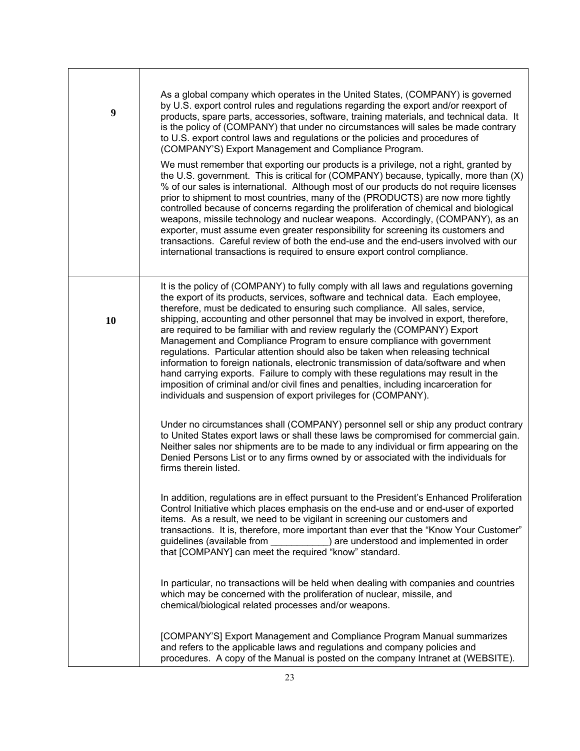| 9  | As a global company which operates in the United States, (COMPANY) is governed<br>by U.S. export control rules and regulations regarding the export and/or reexport of<br>products, spare parts, accessories, software, training materials, and technical data. It<br>is the policy of (COMPANY) that under no circumstances will sales be made contrary<br>to U.S. export control laws and regulations or the policies and procedures of<br>(COMPANY'S) Export Management and Compliance Program.                                                                                                                                                                                                                                                                                                                                                                                                                                  |
|----|-------------------------------------------------------------------------------------------------------------------------------------------------------------------------------------------------------------------------------------------------------------------------------------------------------------------------------------------------------------------------------------------------------------------------------------------------------------------------------------------------------------------------------------------------------------------------------------------------------------------------------------------------------------------------------------------------------------------------------------------------------------------------------------------------------------------------------------------------------------------------------------------------------------------------------------|
|    | We must remember that exporting our products is a privilege, not a right, granted by<br>the U.S. government. This is critical for (COMPANY) because, typically, more than (X)<br>% of our sales is international. Although most of our products do not require licenses<br>prior to shipment to most countries, many of the (PRODUCTS) are now more tightly<br>controlled because of concerns regarding the proliferation of chemical and biological<br>weapons, missile technology and nuclear weapons. Accordingly, (COMPANY), as an<br>exporter, must assume even greater responsibility for screening its customers and<br>transactions. Careful review of both the end-use and the end-users involved with our<br>international transactions is required to ensure export control compliance.                                                                                                                                  |
| 10 | It is the policy of (COMPANY) to fully comply with all laws and regulations governing<br>the export of its products, services, software and technical data. Each employee,<br>therefore, must be dedicated to ensuring such compliance. All sales, service,<br>shipping, accounting and other personnel that may be involved in export, therefore,<br>are required to be familiar with and review regularly the (COMPANY) Export<br>Management and Compliance Program to ensure compliance with government<br>regulations. Particular attention should also be taken when releasing technical<br>information to foreign nationals, electronic transmission of data/software and when<br>hand carrying exports. Failure to comply with these regulations may result in the<br>imposition of criminal and/or civil fines and penalties, including incarceration for<br>individuals and suspension of export privileges for (COMPANY). |
|    | Under no circumstances shall (COMPANY) personnel sell or ship any product contrary<br>to United States export laws or shall these laws be compromised for commercial gain.<br>Neither sales nor shipments are to be made to any individual or firm appearing on the<br>Denied Persons List or to any firms owned by or associated with the individuals for<br>firms therein listed.                                                                                                                                                                                                                                                                                                                                                                                                                                                                                                                                                 |
|    | In addition, regulations are in effect pursuant to the President's Enhanced Proliferation<br>Control Initiative which places emphasis on the end-use and or end-user of exported<br>items. As a result, we need to be vigilant in screening our customers and<br>transactions. It is, therefore, more important than ever that the "Know Your Customer"<br>guidelines (available from ) are understood and implemented in order<br>that [COMPANY] can meet the required "know" standard.                                                                                                                                                                                                                                                                                                                                                                                                                                            |
|    | In particular, no transactions will be held when dealing with companies and countries<br>which may be concerned with the proliferation of nuclear, missile, and<br>chemical/biological related processes and/or weapons.                                                                                                                                                                                                                                                                                                                                                                                                                                                                                                                                                                                                                                                                                                            |
|    | [COMPANY'S] Export Management and Compliance Program Manual summarizes<br>and refers to the applicable laws and regulations and company policies and<br>procedures. A copy of the Manual is posted on the company Intranet at (WEBSITE).                                                                                                                                                                                                                                                                                                                                                                                                                                                                                                                                                                                                                                                                                            |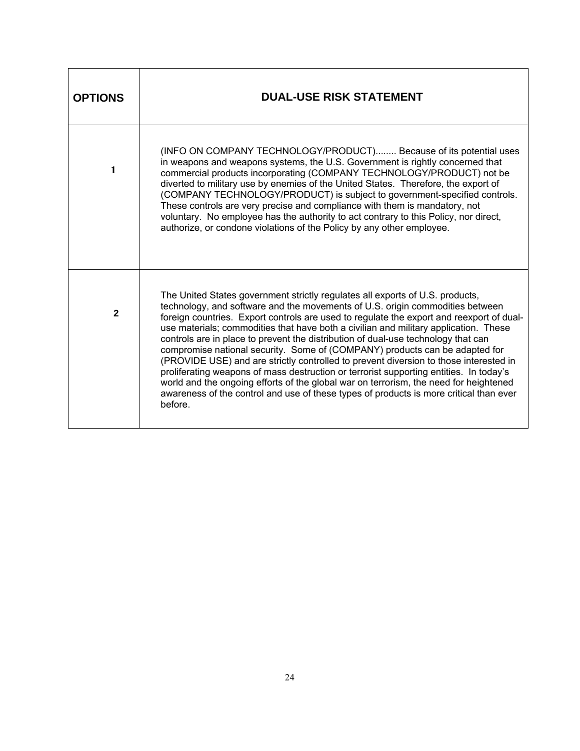| <b>OPTIONS</b> | <b>DUAL-USE RISK STATEMENT</b>                                                                                                                                                                                                                                                                                                                                                                                                                                                                                                                                                                                                                                                                                                                                                                                                                                                                          |
|----------------|---------------------------------------------------------------------------------------------------------------------------------------------------------------------------------------------------------------------------------------------------------------------------------------------------------------------------------------------------------------------------------------------------------------------------------------------------------------------------------------------------------------------------------------------------------------------------------------------------------------------------------------------------------------------------------------------------------------------------------------------------------------------------------------------------------------------------------------------------------------------------------------------------------|
| 1              | (INFO ON COMPANY TECHNOLOGY/PRODUCT) Because of its potential uses<br>in weapons and weapons systems, the U.S. Government is rightly concerned that<br>commercial products incorporating (COMPANY TECHNOLOGY/PRODUCT) not be<br>diverted to military use by enemies of the United States. Therefore, the export of<br>(COMPANY TECHNOLOGY/PRODUCT) is subject to government-specified controls.<br>These controls are very precise and compliance with them is mandatory, not<br>voluntary. No employee has the authority to act contrary to this Policy, nor direct,<br>authorize, or condone violations of the Policy by any other employee.                                                                                                                                                                                                                                                          |
| $\mathbf{2}$   | The United States government strictly regulates all exports of U.S. products,<br>technology, and software and the movements of U.S. origin commodities between<br>foreign countries. Export controls are used to regulate the export and reexport of dual-<br>use materials; commodities that have both a civilian and military application. These<br>controls are in place to prevent the distribution of dual-use technology that can<br>compromise national security. Some of (COMPANY) products can be adapted for<br>(PROVIDE USE) and are strictly controlled to prevent diversion to those interested in<br>proliferating weapons of mass destruction or terrorist supporting entities. In today's<br>world and the ongoing efforts of the global war on terrorism, the need for heightened<br>awareness of the control and use of these types of products is more critical than ever<br>before. |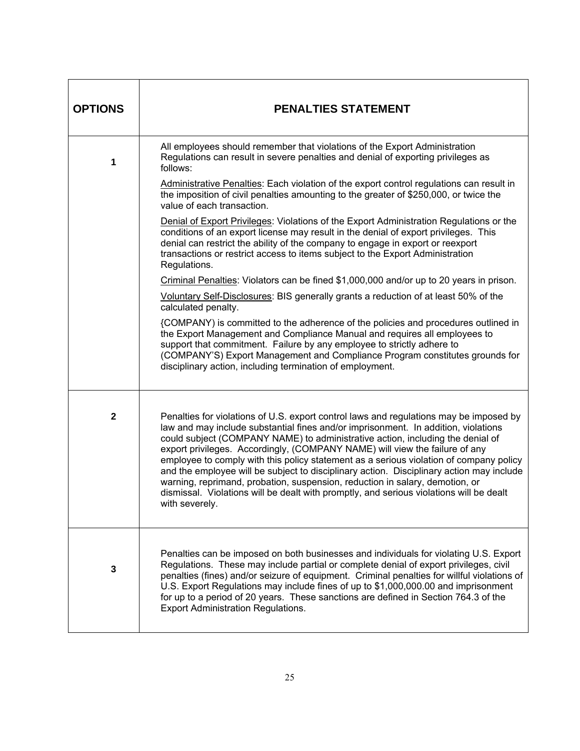| <b>OPTIONS</b> | <b>PENALTIES STATEMENT</b>                                                                                                                                                                                                                                                                                                                                                                                                                                                                                                                                                                                                                                                                                                       |
|----------------|----------------------------------------------------------------------------------------------------------------------------------------------------------------------------------------------------------------------------------------------------------------------------------------------------------------------------------------------------------------------------------------------------------------------------------------------------------------------------------------------------------------------------------------------------------------------------------------------------------------------------------------------------------------------------------------------------------------------------------|
| 1              | All employees should remember that violations of the Export Administration<br>Regulations can result in severe penalties and denial of exporting privileges as<br>follows:                                                                                                                                                                                                                                                                                                                                                                                                                                                                                                                                                       |
|                | Administrative Penalties: Each violation of the export control regulations can result in<br>the imposition of civil penalties amounting to the greater of \$250,000, or twice the<br>value of each transaction.                                                                                                                                                                                                                                                                                                                                                                                                                                                                                                                  |
|                | Denial of Export Privileges: Violations of the Export Administration Regulations or the<br>conditions of an export license may result in the denial of export privileges. This<br>denial can restrict the ability of the company to engage in export or reexport<br>transactions or restrict access to items subject to the Export Administration<br>Regulations.                                                                                                                                                                                                                                                                                                                                                                |
|                | Criminal Penalties: Violators can be fined \$1,000,000 and/or up to 20 years in prison.                                                                                                                                                                                                                                                                                                                                                                                                                                                                                                                                                                                                                                          |
|                | Voluntary Self-Disclosures: BIS generally grants a reduction of at least 50% of the<br>calculated penalty.                                                                                                                                                                                                                                                                                                                                                                                                                                                                                                                                                                                                                       |
|                | {COMPANY) is committed to the adherence of the policies and procedures outlined in<br>the Export Management and Compliance Manual and requires all employees to<br>support that commitment. Failure by any employee to strictly adhere to<br>(COMPANY'S) Export Management and Compliance Program constitutes grounds for<br>disciplinary action, including termination of employment.                                                                                                                                                                                                                                                                                                                                           |
| $\mathbf 2$    | Penalties for violations of U.S. export control laws and regulations may be imposed by<br>law and may include substantial fines and/or imprisonment. In addition, violations<br>could subject (COMPANY NAME) to administrative action, including the denial of<br>export privileges. Accordingly, (COMPANY NAME) will view the failure of any<br>employee to comply with this policy statement as a serious violation of company policy<br>and the employee will be subject to disciplinary action. Disciplinary action may include<br>warning, reprimand, probation, suspension, reduction in salary, demotion, or<br>dismissal. Violations will be dealt with promptly, and serious violations will be dealt<br>with severely. |
| $\mathbf 3$    | Penalties can be imposed on both businesses and individuals for violating U.S. Export<br>Regulations. These may include partial or complete denial of export privileges, civil<br>penalties (fines) and/or seizure of equipment. Criminal penalties for willful violations of<br>U.S. Export Regulations may include fines of up to \$1,000,000.00 and imprisonment<br>for up to a period of 20 years. These sanctions are defined in Section 764.3 of the<br><b>Export Administration Regulations.</b>                                                                                                                                                                                                                          |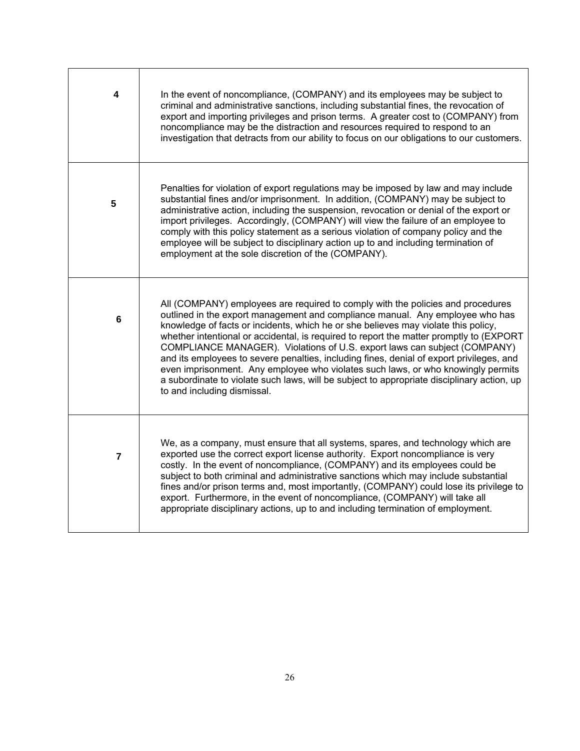| 4 | In the event of noncompliance, (COMPANY) and its employees may be subject to<br>criminal and administrative sanctions, including substantial fines, the revocation of<br>export and importing privileges and prison terms. A greater cost to (COMPANY) from<br>noncompliance may be the distraction and resources required to respond to an<br>investigation that detracts from our ability to focus on our obligations to our customers.                                                                                                                                                                                                                                                                                                   |
|---|---------------------------------------------------------------------------------------------------------------------------------------------------------------------------------------------------------------------------------------------------------------------------------------------------------------------------------------------------------------------------------------------------------------------------------------------------------------------------------------------------------------------------------------------------------------------------------------------------------------------------------------------------------------------------------------------------------------------------------------------|
| 5 | Penalties for violation of export regulations may be imposed by law and may include<br>substantial fines and/or imprisonment. In addition, (COMPANY) may be subject to<br>administrative action, including the suspension, revocation or denial of the export or<br>import privileges. Accordingly, (COMPANY) will view the failure of an employee to<br>comply with this policy statement as a serious violation of company policy and the<br>employee will be subject to disciplinary action up to and including termination of<br>employment at the sole discretion of the (COMPANY).                                                                                                                                                    |
| 6 | All (COMPANY) employees are required to comply with the policies and procedures<br>outlined in the export management and compliance manual. Any employee who has<br>knowledge of facts or incidents, which he or she believes may violate this policy,<br>whether intentional or accidental, is required to report the matter promptly to (EXPORT<br>COMPLIANCE MANAGER). Violations of U.S. export laws can subject (COMPANY)<br>and its employees to severe penalties, including fines, denial of export privileges, and<br>even imprisonment. Any employee who violates such laws, or who knowingly permits<br>a subordinate to violate such laws, will be subject to appropriate disciplinary action, up<br>to and including dismissal. |
| 7 | We, as a company, must ensure that all systems, spares, and technology which are<br>exported use the correct export license authority. Export noncompliance is very<br>costly. In the event of noncompliance, (COMPANY) and its employees could be<br>subject to both criminal and administrative sanctions which may include substantial<br>fines and/or prison terms and, most importantly, (COMPANY) could lose its privilege to<br>export. Furthermore, in the event of noncompliance, (COMPANY) will take all<br>appropriate disciplinary actions, up to and including termination of employment.                                                                                                                                      |

┑

 $\Gamma$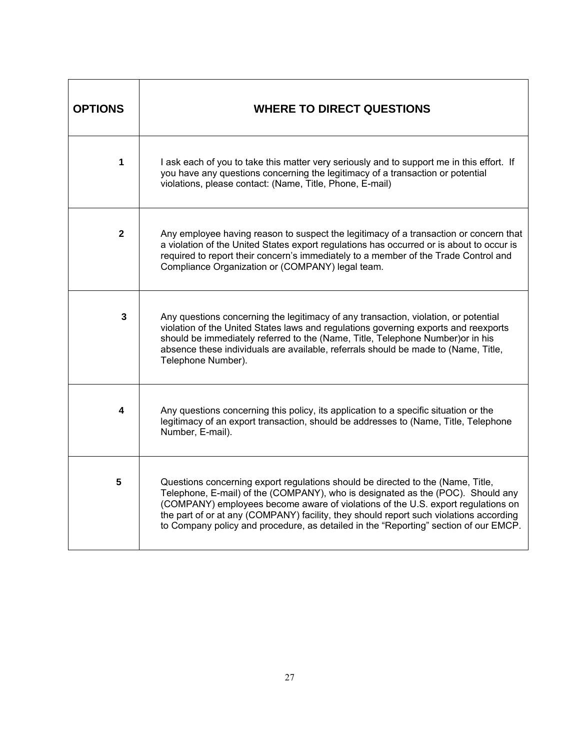| <b>OPTIONS</b> | <b>WHERE TO DIRECT QUESTIONS</b>                                                                                                                                                                                                                                                                                                                                                                                                         |
|----------------|------------------------------------------------------------------------------------------------------------------------------------------------------------------------------------------------------------------------------------------------------------------------------------------------------------------------------------------------------------------------------------------------------------------------------------------|
| 1              | I ask each of you to take this matter very seriously and to support me in this effort. If<br>you have any questions concerning the legitimacy of a transaction or potential<br>violations, please contact: (Name, Title, Phone, E-mail)                                                                                                                                                                                                  |
| $\mathbf{2}$   | Any employee having reason to suspect the legitimacy of a transaction or concern that<br>a violation of the United States export regulations has occurred or is about to occur is<br>required to report their concern's immediately to a member of the Trade Control and<br>Compliance Organization or (COMPANY) legal team.                                                                                                             |
| 3              | Any questions concerning the legitimacy of any transaction, violation, or potential<br>violation of the United States laws and regulations governing exports and reexports<br>should be immediately referred to the (Name, Title, Telephone Number) or in his<br>absence these individuals are available, referrals should be made to (Name, Title,<br>Telephone Number).                                                                |
| 4              | Any questions concerning this policy, its application to a specific situation or the<br>legitimacy of an export transaction, should be addresses to (Name, Title, Telephone<br>Number, E-mail).                                                                                                                                                                                                                                          |
| 5              | Questions concerning export regulations should be directed to the (Name, Title,<br>Telephone, E-mail) of the (COMPANY), who is designated as the (POC). Should any<br>(COMPANY) employees become aware of violations of the U.S. export regulations on<br>the part of or at any (COMPANY) facility, they should report such violations according<br>to Company policy and procedure, as detailed in the "Reporting" section of our EMCP. |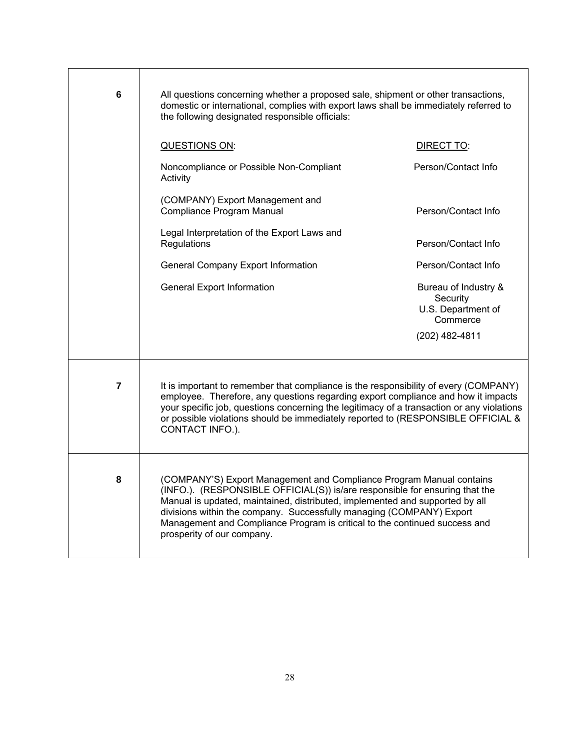| 6                       | All questions concerning whether a proposed sale, shipment or other transactions,<br>domestic or international, complies with export laws shall be immediately referred to<br>the following designated responsible officials:                                                                                                                                                                                           |                                                                    |
|-------------------------|-------------------------------------------------------------------------------------------------------------------------------------------------------------------------------------------------------------------------------------------------------------------------------------------------------------------------------------------------------------------------------------------------------------------------|--------------------------------------------------------------------|
|                         | QUESTIONS ON:                                                                                                                                                                                                                                                                                                                                                                                                           | DIRECT TO:                                                         |
|                         | Noncompliance or Possible Non-Compliant<br>Activity                                                                                                                                                                                                                                                                                                                                                                     | Person/Contact Info                                                |
|                         | (COMPANY) Export Management and<br><b>Compliance Program Manual</b>                                                                                                                                                                                                                                                                                                                                                     | Person/Contact Info                                                |
|                         | Legal Interpretation of the Export Laws and<br>Regulations                                                                                                                                                                                                                                                                                                                                                              | Person/Contact Info                                                |
|                         | <b>General Company Export Information</b>                                                                                                                                                                                                                                                                                                                                                                               | Person/Contact Info                                                |
|                         | <b>General Export Information</b>                                                                                                                                                                                                                                                                                                                                                                                       | Bureau of Industry &<br>Security<br>U.S. Department of<br>Commerce |
|                         |                                                                                                                                                                                                                                                                                                                                                                                                                         | (202) 482-4811                                                     |
| $\overline{\mathbf{z}}$ | It is important to remember that compliance is the responsibility of every (COMPANY)<br>employee. Therefore, any questions regarding export compliance and how it impacts<br>your specific job, questions concerning the legitimacy of a transaction or any violations<br>or possible violations should be immediately reported to (RESPONSIBLE OFFICIAL &<br>CONTACT INFO.).                                           |                                                                    |
| 8                       | (COMPANY'S) Export Management and Compliance Program Manual contains<br>(INFO.). (RESPONSIBLE OFFICIAL(S)) is/are responsible for ensuring that the<br>Manual is updated, maintained, distributed, implemented and supported by all<br>divisions within the company. Successfully managing (COMPANY) Export<br>Management and Compliance Program is critical to the continued success and<br>prosperity of our company. |                                                                    |

┑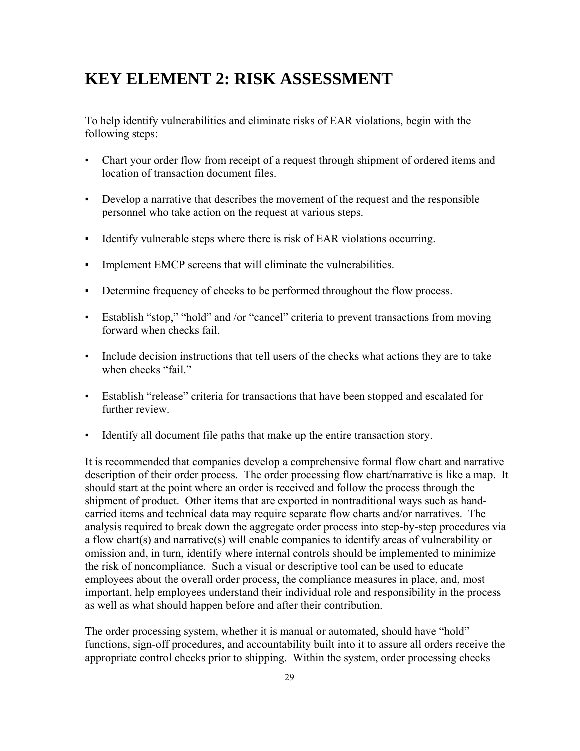## **KEY ELEMENT 2: RISK ASSESSMENT**

To help identify vulnerabilities and eliminate risks of EAR violations, begin with the following steps:

- Chart your order flow from receipt of a request through shipment of ordered items and location of transaction document files.
- Develop a narrative that describes the movement of the request and the responsible personnel who take action on the request at various steps.
- Identify vulnerable steps where there is risk of EAR violations occurring.
- Implement EMCP screens that will eliminate the vulnerabilities.
- Determine frequency of checks to be performed throughout the flow process.
- Establish "stop," "hold" and /or "cancel" criteria to prevent transactions from moving forward when checks fail.
- Include decision instructions that tell users of the checks what actions they are to take when checks "fail."
- Establish "release" criteria for transactions that have been stopped and escalated for further review
- Identify all document file paths that make up the entire transaction story.

It is recommended that companies develop a comprehensive formal flow chart and narrative description of their order process. The order processing flow chart/narrative is like a map. It should start at the point where an order is received and follow the process through the shipment of product. Other items that are exported in nontraditional ways such as handcarried items and technical data may require separate flow charts and/or narratives. The analysis required to break down the aggregate order process into step-by-step procedures via a flow chart(s) and narrative(s) will enable companies to identify areas of vulnerability or omission and, in turn, identify where internal controls should be implemented to minimize the risk of noncompliance. Such a visual or descriptive tool can be used to educate employees about the overall order process, the compliance measures in place, and, most important, help employees understand their individual role and responsibility in the process as well as what should happen before and after their contribution.

The order processing system, whether it is manual or automated, should have "hold" functions, sign-off procedures, and accountability built into it to assure all orders receive the appropriate control checks prior to shipping. Within the system, order processing checks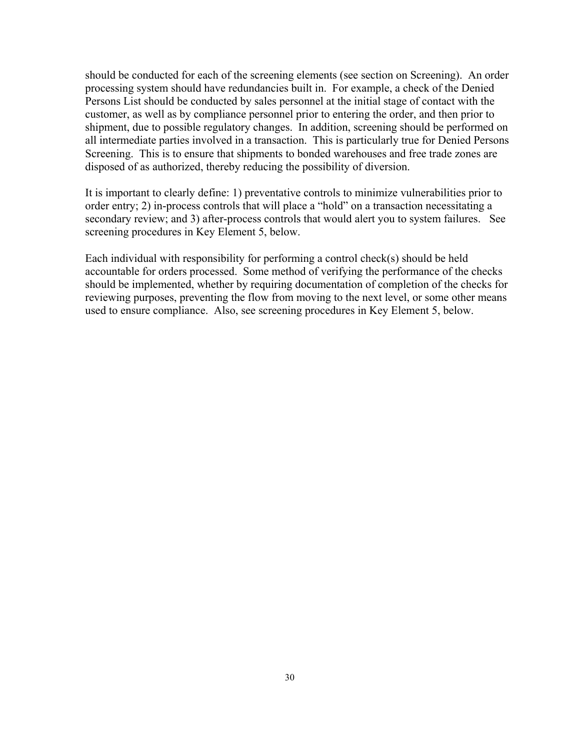should be conducted for each of the screening elements (see section on Screening). An order processing system should have redundancies built in. For example, a check of the Denied Persons List should be conducted by sales personnel at the initial stage of contact with the customer, as well as by compliance personnel prior to entering the order, and then prior to shipment, due to possible regulatory changes. In addition, screening should be performed on all intermediate parties involved in a transaction. This is particularly true for Denied Persons Screening. This is to ensure that shipments to bonded warehouses and free trade zones are disposed of as authorized, thereby reducing the possibility of diversion.

It is important to clearly define: 1) preventative controls to minimize vulnerabilities prior to order entry; 2) in-process controls that will place a "hold" on a transaction necessitating a secondary review; and 3) after-process controls that would alert you to system failures. See screening procedures in Key Element 5, below.

Each individual with responsibility for performing a control check(s) should be held accountable for orders processed. Some method of verifying the performance of the checks should be implemented, whether by requiring documentation of completion of the checks for reviewing purposes, preventing the flow from moving to the next level, or some other means used to ensure compliance. Also, see screening procedures in Key Element 5, below.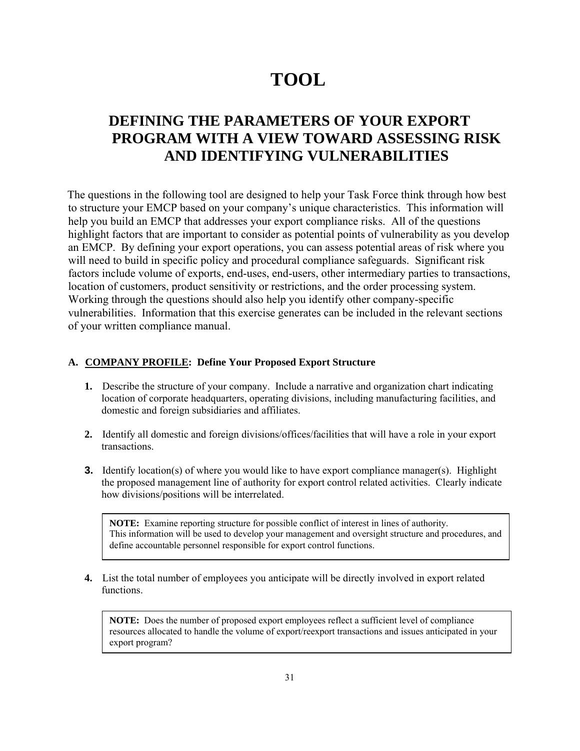# **TOOL**

## **DEFINING THE PARAMETERS OF YOUR EXPORT PROGRAM WITH A VIEW TOWARD ASSESSING RISK AND IDENTIFYING VULNERABILITIES**

The questions in the following tool are designed to help your Task Force think through how best to structure your EMCP based on your company's unique characteristics. This information will help you build an EMCP that addresses your export compliance risks. All of the questions highlight factors that are important to consider as potential points of vulnerability as you develop an EMCP. By defining your export operations, you can assess potential areas of risk where you will need to build in specific policy and procedural compliance safeguards. Significant risk factors include volume of exports, end-uses, end-users, other intermediary parties to transactions, location of customers, product sensitivity or restrictions, and the order processing system. Working through the questions should also help you identify other company-specific vulnerabilities. Information that this exercise generates can be included in the relevant sections of your written compliance manual.

### **A. COMPANY PROFILE: Define Your Proposed Export Structure**

- **1.** Describe the structure of your company. Include a narrative and organization chart indicating location of corporate headquarters, operating divisions, including manufacturing facilities, and domestic and foreign subsidiaries and affiliates.
- **2.** Identify all domestic and foreign divisions/offices/facilities that will have a role in your export transactions.
- **3.** Identify location(s) of where you would like to have export compliance manager(s). Highlight the proposed management line of authority for export control related activities. Clearly indicate how divisions/positions will be interrelated.

**NOTE:** Examine reporting structure for possible conflict of interest in lines of authority. This information will be used to develop your management and oversight structure and procedures, and define accountable personnel responsible for export control functions.

**4.** List the total number of employees you anticipate will be directly involved in export related functions.

**NOTE:** Does the number of proposed export employees reflect a sufficient level of compliance resources allocated to handle the volume of export/reexport transactions and issues anticipated in your export program?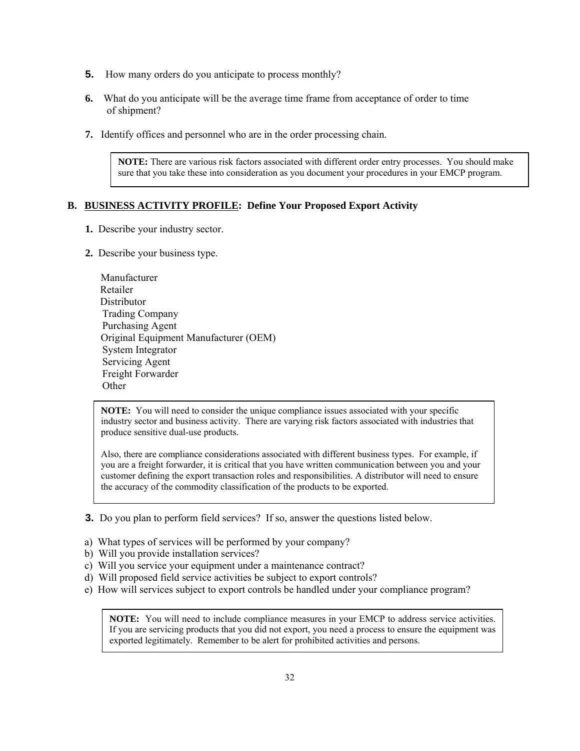- **5.** How many orders do you anticipate to process monthly?
- **6.** What do you anticipate will be the average time frame from acceptance of order to time of shipment?
- **7.** Identify offices and personnel who are in the order processing chain.

**NOTE:** There are various risk factors associated with different order entry processes. You should make sure that you take these into consideration as you document your procedures in your EMCP program.

### **B. BUSINESS ACTIVITY PROFILE: Define Your Proposed Export Activity**

- **1.** Describe your industry sector.
- **2.** Describe your business type.

| Manufacturer                          |  |
|---------------------------------------|--|
| Retailer                              |  |
| Distributor                           |  |
| <b>Trading Company</b>                |  |
| Purchasing Agent                      |  |
| Original Equipment Manufacturer (OEM) |  |
| <b>System Integrator</b>              |  |
| <b>Servicing Agent</b>                |  |
| Freight Forwarder                     |  |
| ther                                  |  |

**NOTE:** You will need to consider the unique compliance issues associated with your specific industry sector and business activity. There are varying risk factors associated with industries that produce sensitive dual-use products.

Also, there are compliance considerations associated with different business types. For example, if you are a freight forwarder, it is critical that you have written communication between you and your customer defining the export transaction roles and responsibilities. A distributor will need to ensure the accuracy of the commodity classification of the products to be exported.

- **3.** Do you plan to perform field services? If so, answer the questions listed below.
- a) What types of services will be performed by your company?
- b) Will you provide installation services?
- c) Will you service your equipment under a maintenance contract?
- d) Will proposed field service activities be subject to export controls?
- e) How will services subject to export controls be handled under your compliance program?

**NOTE:** You will need to include compliance measures in your EMCP to address service activities. If you are servicing products that you did not export, you need a process to ensure the equipment was exported legitimately. Remember to be alert for prohibited activities and persons.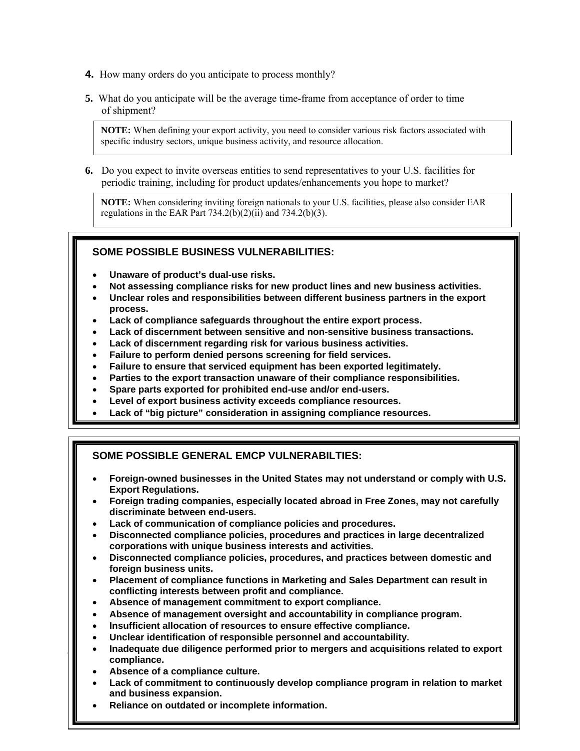- **4.** How many orders do you anticipate to process monthly?
- **5.** What do you anticipate will be the average time-frame from acceptance of order to time of shipment?

**NOTE:** When defining your export activity, you need to consider various risk factors associated with specific industry sectors, unique business activity, and resource allocation.

**6.** Do you expect to invite overseas entities to send representatives to your U.S. facilities for periodic training, including for product updates/enhancements you hope to market?

**NOTE:** When considering inviting foreign nationals to your U.S. facilities, please also consider EAR regulations in the EAR Part  $734.2(b)(2)(ii)$  and  $734.2(b)(3)$ .

### **SOME POSSIBLE BUSINESS VULNERABILITIES:**

- **Unaware of product's dual-use risks.**
- **Not assessing compliance risks for new product lines and new business activities.**
- **Unclear roles and responsibilities between different business partners in the export process.**
- **Lack of compliance safeguards throughout the entire export process.**
- **Lack of discernment between sensitive and non-sensitive business transactions.**
- **Lack of discernment regarding risk for various business activities.**
- **Failure to perform denied persons screening for field services.**
- **Failure to ensure that serviced equipment has been exported legitimately.**
- **Parties to the export transaction unaware of their compliance responsibilities.**
- **Spare parts exported for prohibited end-use and/or end-users.**
- **Level of export business activity exceeds compliance resources.**
- **Lack of "big picture" consideration in assigning compliance resources.**

### **SOME POSSIBLE GENERAL EMCP VULNERABILTIES:**

- **Foreign-owned businesses in the United States may not understand or comply with U.S. Export Regulations.**
- **Foreign trading companies, especially located abroad in Free Zones, may not carefully discriminate between end-users.**
- **Lack of communication of compliance policies and procedures.**
- **Disconnected compliance policies, procedures and practices in large decentralized corporations with unique business interests and activities.**
- **Disconnected compliance policies, procedures, and practices between domestic and foreign business units.**
- **Placement of compliance functions in Marketing and Sales Department can result in conflicting interests between profit and compliance.**
- **Absence of management commitment to export compliance.**
- **Absence of management oversight and accountability in compliance program.**
- **Insufficient allocation of resources to ensure effective compliance.**
- **Unclear identification of responsible personnel and accountability.**
- **EXPORED 19 Inadequate due diligence performed prior to mergers and acquisitions related to export** <br> **EXPORT compliance.** 
	- **Absence of a compliance culture.**
	- 33 **Lack of commitment to continuously develop compliance program in relation to market and business expansion.**
	- **Reliance on outdated or incomplete information.**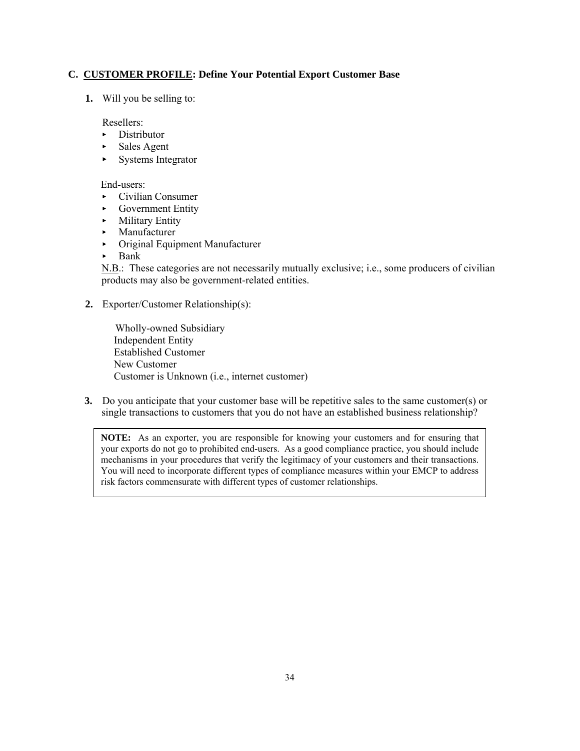#### **C. CUSTOMER PROFILE: Define Your Potential Export Customer Base**

**1.** Will you be selling to:

Resellers:

- < Distributor
- $\blacktriangleright$  Sales Agent
- $\blacktriangleright$  Systems Integrator

End-users:

- < Civilian Consumer
- < Government Entity
- < Military Entity
- < Manufacturer
- < Original Equipment Manufacturer
- $\blacktriangleright$  Bank

N.B.: These categories are not necessarily mutually exclusive; i.e., some producers of civilian products may also be government-related entities.

**2.** Exporter/Customer Relationship(s):

 Wholly-owned Subsidiary Independent Entity Established Customer New Customer Customer is Unknown (i.e., internet customer)

**3.** Do you anticipate that your customer base will be repetitive sales to the same customer(s) or single transactions to customers that you do not have an established business relationship?

**NOTE:** As an exporter, you are responsible for knowing your customers and for ensuring that your exports do not go to prohibited end-users. As a good compliance practice, you should include mechanisms in your procedures that verify the legitimacy of your customers and their transactions. You will need to incorporate different types of compliance measures within your EMCP to address risk factors commensurate with different types of customer relationships.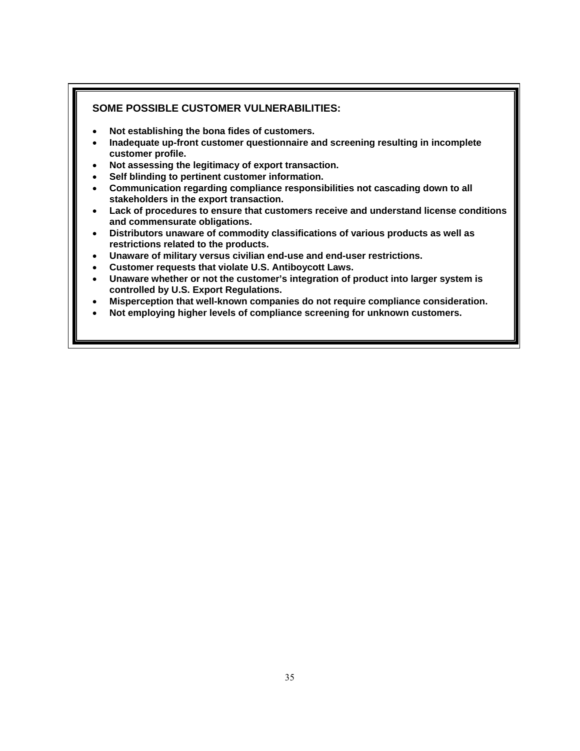#### **SOME POSSIBLE CUSTOMER VULNERABILITIES:**

- **Not establishing the bona fides of customers.**
- **Inadequate up-front customer questionnaire and screening resulting in incomplete customer profile.**
- **Not assessing the legitimacy of export transaction.**
- **Self blinding to pertinent customer information.**
- **Communication regarding compliance responsibilities not cascading down to all stakeholders in the export transaction.**
- **Lack of procedures to ensure that customers receive and understand license conditions and commensurate obligations.**
- **Distributors unaware of commodity classifications of various products as well as restrictions related to the products.**
- **Unaware of military versus civilian end-use and end-user restrictions.**
- **Customer requests that violate U.S. Antiboycott Laws.**
- **Unaware whether or not the customer's integration of product into larger system is controlled by U.S. Export Regulations.**
- **Misperception that well-known companies do not require compliance consideration.**
- **Not employing higher levels of compliance screening for unknown customers.**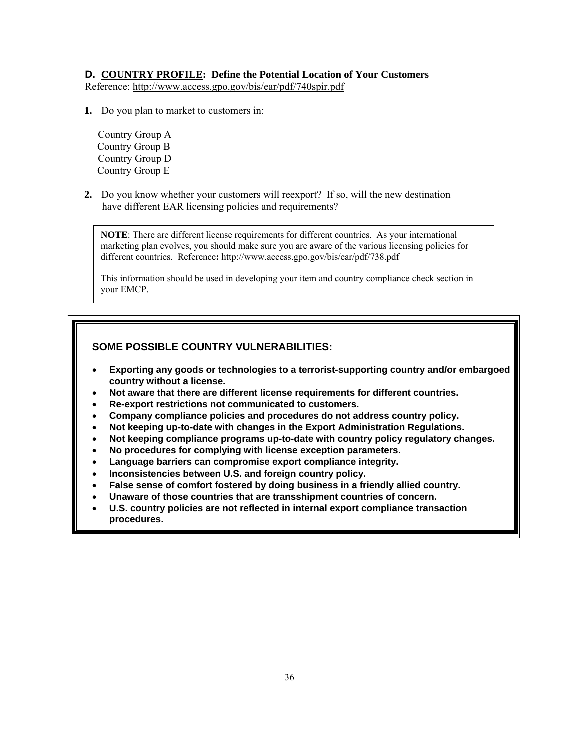#### **D. COUNTRY PROFILE: Define the Potential Location of Your Customers**

Reference:<http://www.access.gpo.gov/bis/ear/pdf/740spir.pdf>

**1.** Do you plan to market to customers in:

 Country Group A Country Group B Country Group D Country Group E

**2.** Do you know whether your customers will reexport? If so, will the new destination have different EAR licensing policies and requirements?

**NOTE**: There are different license requirements for different countries. As your international marketing plan evolves, you should make sure you are aware of the various licensing policies for different countries. Reference**:** <http://www.access.gpo.gov/bis/ear/pdf/738.pdf>

This information should be used in developing your item and country compliance check section in your EMCP.

### **SOME POSSIBLE COUNTRY VULNERABILITIES:**

- **Exporting any goods or technologies to a terrorist-supporting country and/or embargoed country without a license.**
- **Not aware that there are different license requirements for different countries.**
- **Re-export restrictions not communicated to customers.**
- **Company compliance policies and procedures do not address country policy.**
- **Not keeping up-to-date with changes in the Export Administration Regulations.**
- **Not keeping compliance programs up-to-date with country policy regulatory changes.**
- **No procedures for complying with license exception parameters.**
- **Language barriers can compromise export compliance integrity.**
- **Inconsistencies between U.S. and foreign country policy.**
- **False sense of comfort fostered by doing business in a friendly allied country.**
- **Unaware of those countries that are transshipment countries of concern.**
- **U.S. country policies are not reflected in internal export compliance transaction procedures.**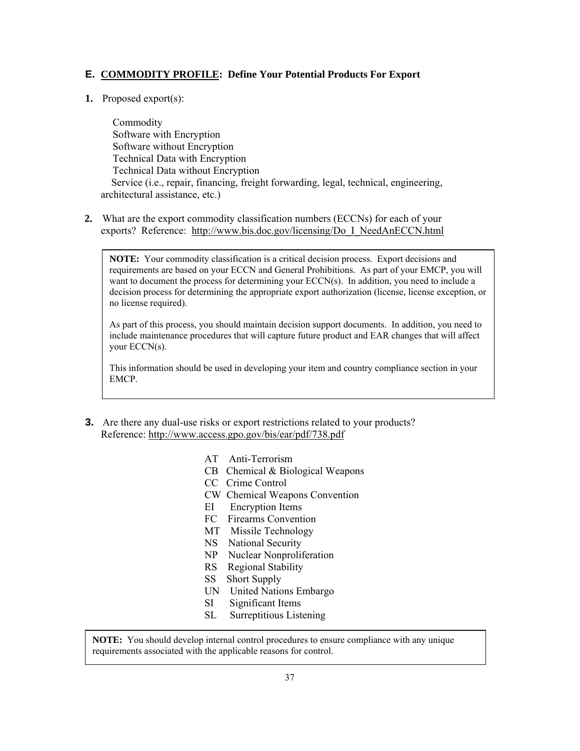#### **E. COMMODITY PROFILE: Define Your Potential Products For Export**

**1.** Proposed export(s):

 $\overline{\phantom{a}}$ 

 Commodity Software with Encryption Software without Encryption Technical Data with Encryption Technical Data without Encryption Service (i.e., repair, financing, freight forwarding, legal, technical, engineering, architectural assistance, etc.)

**2.** What are the export commodity classification numbers (ECCNs) for each of your exports? Reference: [http://www.bis.doc.gov/licensing/Do\\_I\\_NeedAnECCN.html](http://www.bis.doc.gov/licensing/Do_I_NeedAnECCN.html)

**NOTE:** Your commodity classification is a critical decision process. Export decisions and requirements are based on your ECCN and General Prohibitions. As part of your EMCP, you will want to document the process for determining your ECCN(s). In addition, you need to include a decision process for determining the appropriate export authorization (license, license exception, or no license required).

As part of this process, you should maintain decision support documents. In addition, you need to include maintenance procedures that will capture future product and EAR changes that will affect your ECCN(s).

This information should be used in developing your item and country compliance section in your EMCP.

- **3.** Are there any dual-use risks or export restrictions related to your products? Reference: <http://www.access.gpo.gov/bis/ear/pdf/738.pdf>
	- AT Anti-Terrorism
	- CB Chemical & Biological Weapons
	- CC Crime Control
	- CW Chemical Weapons Convention
	- EI Encryption Items
	- FC Firearms Convention
	- MT Missile Technology
	- NS National Security
	- NP Nuclear Nonproliferation
	- RS Regional Stability
	- SS Short Supply
	- UN United Nations Embargo
	- SI Significant Items
	- SL Surreptitious Listening

**NOTE:** You should develop internal control procedures to ensure compliance with any unique requirements associated with the applicable reasons for control.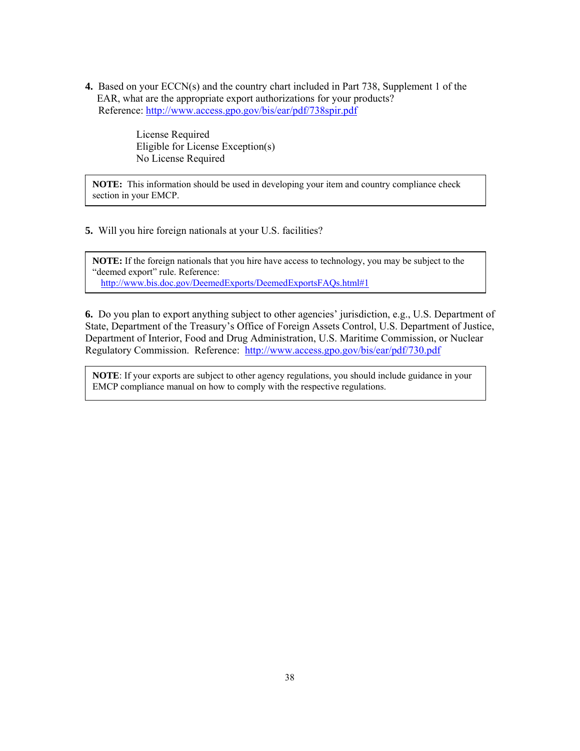**4.** Based on your ECCN(s) and the country chart included in Part 738, Supplement 1 of the EAR, what are the appropriate export authorizations for your products? Reference:<http://www.access.gpo.gov/bis/ear/pdf/738spir.pdf>

> License Required Eligible for License Exception(s) No License Required

**NOTE:** This information should be used in developing your item and country compliance check section in your EMCP.

**5.** Will you hire foreign nationals at your U.S. facilities?

**NOTE:** If the foreign nationals that you hire have access to technology, you may be subject to the "deemed export" rule. Reference: <http://www.bis.doc.gov/DeemedExports/DeemedExportsFAQs.html#1>

**6.** Do you plan to export anything subject to other agencies' jurisdiction, e.g., U.S. Department of State, Department of the Treasury's Office of Foreign Assets Control, U.S. Department of Justice, Department of Interior, Food and Drug Administration, U.S. Maritime Commission, or Nuclear Regulatory Commission. Reference: <http://www.access.gpo.gov/bis/ear/pdf/730.pdf>

**NOTE**: If your exports are subject to other agency regulations, you should include guidance in your EMCP compliance manual on how to comply with the respective regulations.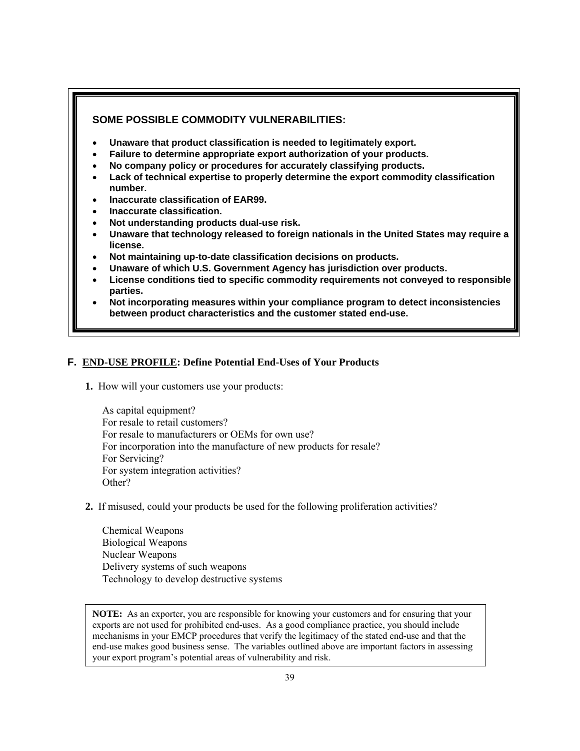### **SOME POSSIBLE COMMODITY VULNERABILITIES:**

- **Unaware that product classification is needed to legitimately export.**
- **Failure to determine appropriate export authorization of your products.**
- **No company policy or procedures for accurately classifying products.**
- **Lack of technical expertise to properly determine the export commodity classification number.**
- **Inaccurate classification of EAR99.**
- **Inaccurate classification.**
- **Not understanding products dual-use risk.**
- **Unaware that technology released to foreign nationals in the United States may require a license.**
- **Not maintaining up-to-date classification decisions on products.**
- **Unaware of which U.S. Government Agency has jurisdiction over products.**
- **License conditions tied to specific commodity requirements not conveyed to responsible parties.**
- **Not incorporating measures within your compliance program to detect inconsistencies between product characteristics and the customer stated end-use.**

#### **F. END-USE PROFILE: Define Potential End-Uses of Your Products**

**1.** How will your customers use your products:

 As capital equipment? For resale to retail customers? For resale to manufacturers or OEMs for own use? For incorporation into the manufacture of new products for resale? For Servicing? For system integration activities? Other?

**2.** If misused, could your products be used for the following proliferation activities?

 Chemical Weapons Biological Weapons Nuclear Weapons Delivery systems of such weapons Technology to develop destructive systems

**NOTE:** As an exporter, you are responsible for knowing your customers and for ensuring that your exports are not used for prohibited end-uses. As a good compliance practice, you should include mechanisms in your EMCP procedures that verify the legitimacy of the stated end-use and that the end-use makes good business sense. The variables outlined above are important factors in assessing your export program's potential areas of vulnerability and risk.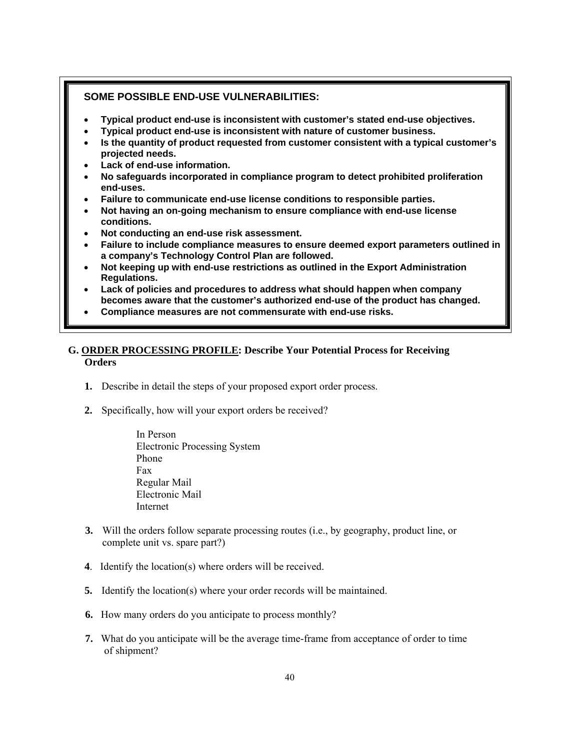#### **SOME POSSIBLE END-USE VULNERABILITIES:**

- **Typical product end-use is inconsistent with customer's stated end-use objectives.**
- **Typical product end-use is inconsistent with nature of customer business.**
- **Is the quantity of product requested from customer consistent with a typical customer's projected needs.**
- **Lack of end-use information.**
- **No safeguards incorporated in compliance program to detect prohibited proliferation end-uses.**
- **Failure to communicate end-use license conditions to responsible parties.**
- **Not having an on-going mechanism to ensure compliance with end-use license conditions.**
- **Not conducting an end-use risk assessment.**
- **Failure to include compliance measures to ensure deemed export parameters outlined in a company's Technology Control Plan are followed.**
- **Not keeping up with end-use restrictions as outlined in the Export Administration Regulations.**
- **Lack of policies and procedures to address what should happen when company becomes aware that the customer's authorized end-use of the product has changed.**
- **Compliance measures are not commensurate with end-use risks.**

#### **G. ORDER PROCESSING PROFILE: Describe Your Potential Process for Receiving Orders**

- **1.** Describe in detail the steps of your proposed export order process.
- **2.** Specifically, how will your export orders be received?

 In Person Electronic Processing System Phone Fax Regular Mail Electronic Mail Internet

- **3.** Will the orders follow separate processing routes (i.e., by geography, product line, or complete unit vs. spare part?)
- **4**. Identify the location(s) where orders will be received.
- **5.** Identify the location(s) where your order records will be maintained.
- **6.** How many orders do you anticipate to process monthly?
- **7.** What do you anticipate will be the average time-frame from acceptance of order to time of shipment?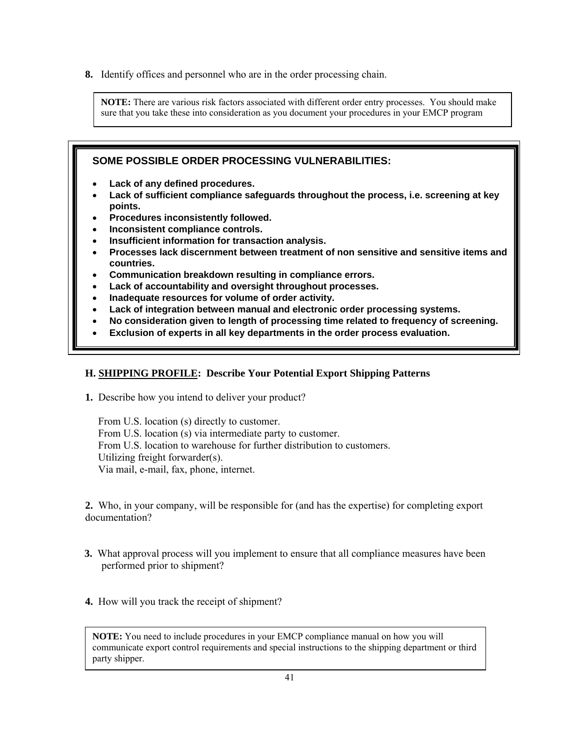**8.** Identify offices and personnel who are in the order processing chain.

**NOTE:** There are various risk factors associated with different order entry processes. You should make sure that you take these into consideration as you document your procedures in your EMCP program

## **SOME POSSIBLE ORDER PROCESSING VULNERABILITIES:**

- **Lack of any defined procedures.**
- **Lack of sufficient compliance safeguards throughout the process, i.e. screening at key points.**
- **Procedures inconsistently followed.**
- **Inconsistent compliance controls.**
- **Insufficient information for transaction analysis.**
- **Processes lack discernment between treatment of non sensitive and sensitive items and countries.**
- **Communication breakdown resulting in compliance errors.**
- **Lack of accountability and oversight throughout processes.**
- **Inadequate resources for volume of order activity.**
- **Lack of integration between manual and electronic order processing systems.**
- **No consideration given to length of processing time related to frequency of screening.**
- **Exclusion of experts in all key departments in the order process evaluation.**

#### **H. SHIPPING PROFILE: Describe Your Potential Export Shipping Patterns**

**1.** Describe how you intend to deliver your product?

 From U.S. location (s) directly to customer. From U.S. location (s) via intermediate party to customer. From U.S. location to warehouse for further distribution to customers. Utilizing freight forwarder(s). Via mail, e-mail, fax, phone, internet.

**2.** Who, in your company, will be responsible for (and has the expertise) for completing export documentation?

- **3.** What approval process will you implement to ensure that all compliance measures have been performed prior to shipment?
- **4.** How will you track the receipt of shipment?

**NOTE:** You need to include procedures in your EMCP compliance manual on how you will communicate export control requirements and special instructions to the shipping department or third party shipper.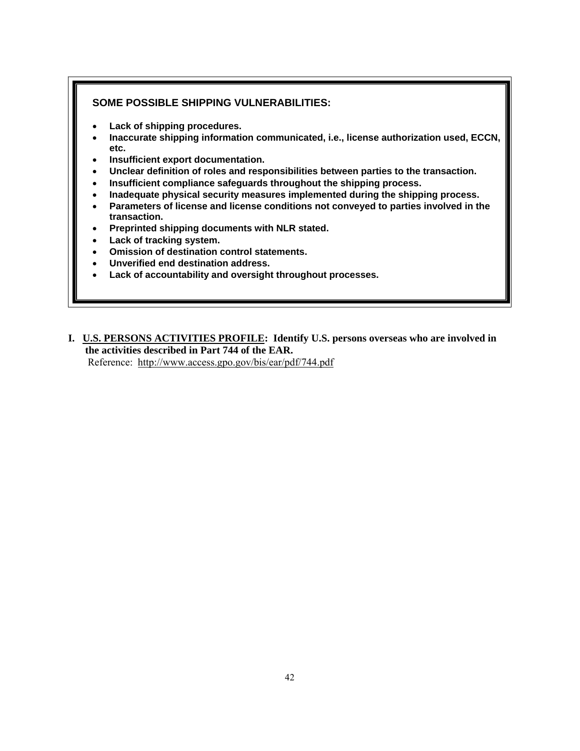#### **SOME POSSIBLE SHIPPING VULNERABILITIES:**

- **Lack of shipping procedures.**
- **Inaccurate shipping information communicated, i.e., license authorization used, ECCN, etc.**
- **Insufficient export documentation.**
- **Unclear definition of roles and responsibilities between parties to the transaction.**
- **Insufficient compliance safeguards throughout the shipping process.**
- **Inadequate physical security measures implemented during the shipping process.**
- **Parameters of license and license conditions not conveyed to parties involved in the transaction.**
- **Preprinted shipping documents with NLR stated.**
- **Lack of tracking system.**
- **Omission of destination control statements.**
- **Unverified end destination address.**
- **Lack of accountability and oversight throughout processes.**
- **I. U.S. PERSONS ACTIVITIES PROFILE: Identify U.S. persons overseas who are involved in the activities described in Part 744 of the EAR.**

Reference: <http://www.access.gpo.gov/bis/ear/pdf/744.pdf>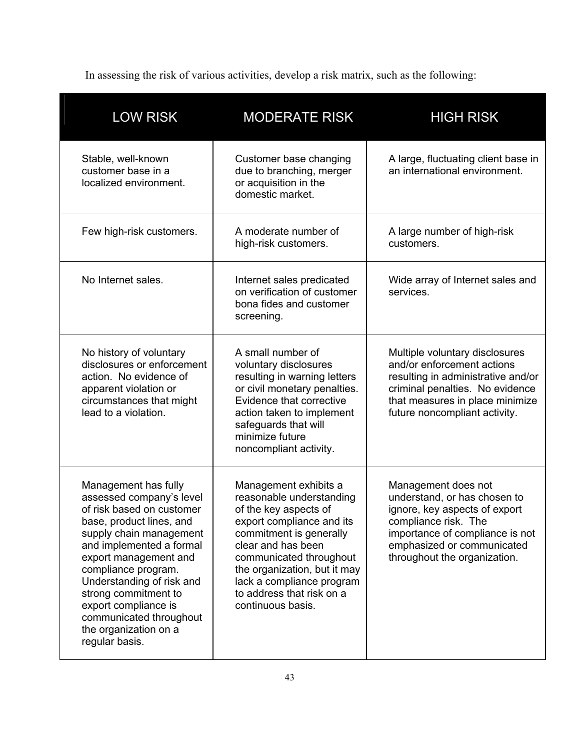In assessing the risk of various activities, develop a risk matrix, such as the following:

| <b>LOW RISK</b>                                                                                                                                                                                                                                                                                                                                                     | <b>MODERATE RISK</b>                                                                                                                                                                                                                                                                               | <b>HIGH RISK</b>                                                                                                                                                                                              |
|---------------------------------------------------------------------------------------------------------------------------------------------------------------------------------------------------------------------------------------------------------------------------------------------------------------------------------------------------------------------|----------------------------------------------------------------------------------------------------------------------------------------------------------------------------------------------------------------------------------------------------------------------------------------------------|---------------------------------------------------------------------------------------------------------------------------------------------------------------------------------------------------------------|
| Stable, well-known<br>customer base in a<br>localized environment.                                                                                                                                                                                                                                                                                                  | Customer base changing<br>due to branching, merger<br>or acquisition in the<br>domestic market.                                                                                                                                                                                                    | A large, fluctuating client base in<br>an international environment.                                                                                                                                          |
| Few high-risk customers.                                                                                                                                                                                                                                                                                                                                            | A moderate number of<br>high-risk customers.                                                                                                                                                                                                                                                       | A large number of high-risk<br>customers.                                                                                                                                                                     |
| No Internet sales.                                                                                                                                                                                                                                                                                                                                                  | Internet sales predicated<br>on verification of customer<br>bona fides and customer<br>screening.                                                                                                                                                                                                  | Wide array of Internet sales and<br>services.                                                                                                                                                                 |
| No history of voluntary<br>disclosures or enforcement<br>action. No evidence of<br>apparent violation or<br>circumstances that might<br>lead to a violation.                                                                                                                                                                                                        | A small number of<br>voluntary disclosures<br>resulting in warning letters<br>or civil monetary penalties.<br>Evidence that corrective<br>action taken to implement<br>safeguards that will<br>minimize future<br>noncompliant activity.                                                           | Multiple voluntary disclosures<br>and/or enforcement actions<br>resulting in administrative and/or<br>criminal penalties. No evidence<br>that measures in place minimize<br>future noncompliant activity.     |
| Management has fully<br>assessed company's level<br>of risk based on customer<br>base, product lines, and<br>supply chain management<br>and implemented a formal<br>export management and<br>compliance program.<br>Understanding of risk and<br>strong commitment to<br>export compliance is<br>communicated throughout<br>the organization on a<br>regular basis. | Management exhibits a<br>reasonable understanding<br>of the key aspects of<br>export compliance and its<br>commitment is generally<br>clear and has been<br>communicated throughout<br>the organization, but it may<br>lack a compliance program<br>to address that risk on a<br>continuous basis. | Management does not<br>understand, or has chosen to<br>ignore, key aspects of export<br>compliance risk. The<br>importance of compliance is not<br>emphasized or communicated<br>throughout the organization. |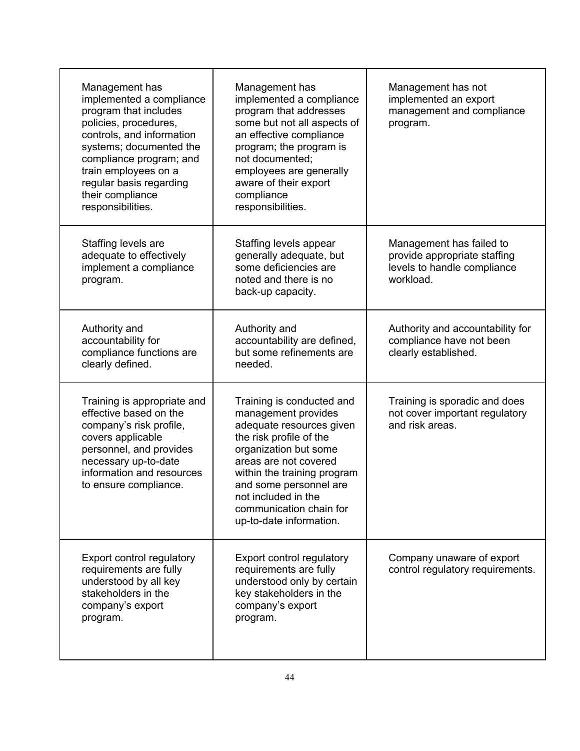| Management has<br>implemented a compliance<br>program that includes<br>policies, procedures,<br>controls, and information<br>systems; documented the<br>compliance program; and<br>train employees on a<br>regular basis regarding<br>their compliance<br>responsibilities. | Management has<br>implemented a compliance<br>program that addresses<br>some but not all aspects of<br>an effective compliance<br>program; the program is<br>not documented;<br>employees are generally<br>aware of their export<br>compliance<br>responsibilities.                             | Management has not<br>implemented an export<br>management and compliance<br>program.                 |
|-----------------------------------------------------------------------------------------------------------------------------------------------------------------------------------------------------------------------------------------------------------------------------|-------------------------------------------------------------------------------------------------------------------------------------------------------------------------------------------------------------------------------------------------------------------------------------------------|------------------------------------------------------------------------------------------------------|
| Staffing levels are<br>adequate to effectively<br>implement a compliance<br>program.                                                                                                                                                                                        | Staffing levels appear<br>generally adequate, but<br>some deficiencies are<br>noted and there is no<br>back-up capacity.                                                                                                                                                                        | Management has failed to<br>provide appropriate staffing<br>levels to handle compliance<br>workload. |
| Authority and<br>accountability for<br>compliance functions are<br>clearly defined.                                                                                                                                                                                         | Authority and<br>accountability are defined,<br>but some refinements are<br>needed.                                                                                                                                                                                                             | Authority and accountability for<br>compliance have not been<br>clearly established.                 |
| Training is appropriate and<br>effective based on the<br>company's risk profile,<br>covers applicable<br>personnel, and provides<br>necessary up-to-date<br>information and resources<br>to ensure compliance.                                                              | Training is conducted and<br>management provides<br>adequate resources given<br>the risk profile of the<br>organization but some<br>areas are not covered<br>within the training program<br>and some personnel are<br>not included in the<br>communication chain for<br>up-to-date information. | Training is sporadic and does<br>not cover important regulatory<br>and risk areas.                   |
| <b>Export control regulatory</b><br>requirements are fully<br>understood by all key<br>stakeholders in the<br>company's export<br>program.                                                                                                                                  | Export control regulatory<br>requirements are fully<br>understood only by certain<br>key stakeholders in the<br>company's export<br>program.                                                                                                                                                    | Company unaware of export<br>control regulatory requirements.                                        |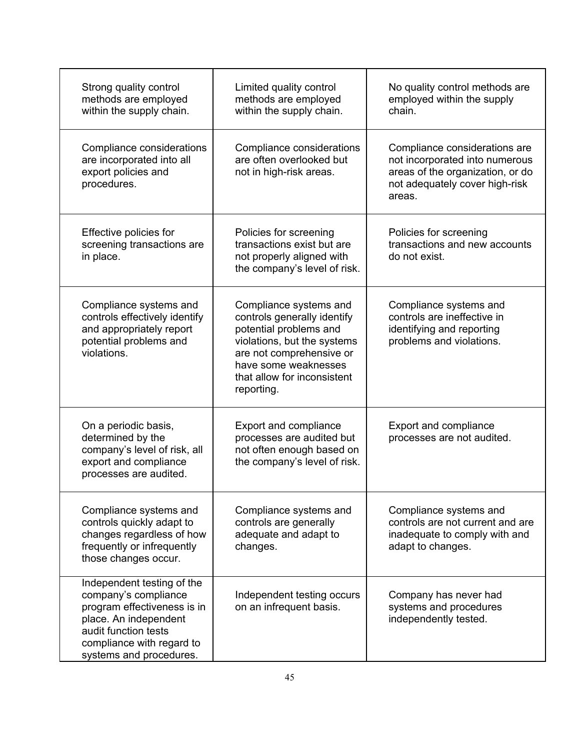| Strong quality control<br>methods are employed<br>within the supply chain.                                                                                                                 | Limited quality control<br>methods are employed<br>within the supply chain.                                                                                                                                     | No quality control methods are<br>employed within the supply<br>chain.                                                                          |
|--------------------------------------------------------------------------------------------------------------------------------------------------------------------------------------------|-----------------------------------------------------------------------------------------------------------------------------------------------------------------------------------------------------------------|-------------------------------------------------------------------------------------------------------------------------------------------------|
| Compliance considerations<br>are incorporated into all<br>export policies and<br>procedures.                                                                                               | Compliance considerations<br>are often overlooked but<br>not in high-risk areas.                                                                                                                                | Compliance considerations are<br>not incorporated into numerous<br>areas of the organization, or do<br>not adequately cover high-risk<br>areas. |
| Effective policies for<br>screening transactions are<br>in place.                                                                                                                          | Policies for screening<br>transactions exist but are<br>not properly aligned with<br>the company's level of risk.                                                                                               | Policies for screening<br>transactions and new accounts<br>do not exist.                                                                        |
| Compliance systems and<br>controls effectively identify<br>and appropriately report<br>potential problems and<br>violations.                                                               | Compliance systems and<br>controls generally identify<br>potential problems and<br>violations, but the systems<br>are not comprehensive or<br>have some weaknesses<br>that allow for inconsistent<br>reporting. | Compliance systems and<br>controls are ineffective in<br>identifying and reporting<br>problems and violations.                                  |
| On a periodic basis,<br>determined by the<br>company's level of risk, all<br>export and compliance<br>processes are audited.                                                               | <b>Export and compliance</b><br>processes are audited but<br>not often enough based on<br>the company's level of risk.                                                                                          | <b>Export and compliance</b><br>processes are not audited.                                                                                      |
| Compliance systems and<br>controls quickly adapt to<br>changes regardless of how<br>frequently or infrequently<br>those changes occur.                                                     | Compliance systems and<br>controls are generally<br>adequate and adapt to<br>changes.                                                                                                                           | Compliance systems and<br>controls are not current and are<br>inadequate to comply with and<br>adapt to changes.                                |
| Independent testing of the<br>company's compliance<br>program effectiveness is in<br>place. An independent<br>audit function tests<br>compliance with regard to<br>systems and procedures. | Independent testing occurs<br>on an infrequent basis.                                                                                                                                                           | Company has never had<br>systems and procedures<br>independently tested.                                                                        |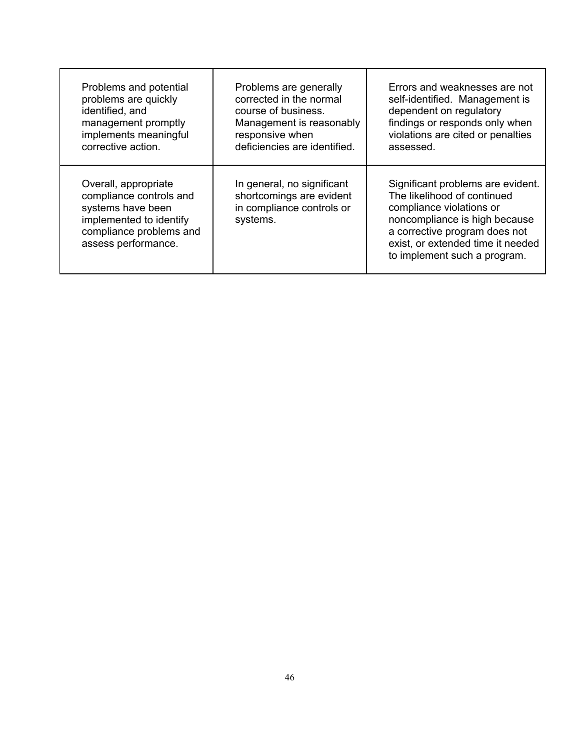| Problems and potential                                                                                                                            | Problems are generally                                                                          | Errors and weaknesses are not                                                                                                                                                                                                       |
|---------------------------------------------------------------------------------------------------------------------------------------------------|-------------------------------------------------------------------------------------------------|-------------------------------------------------------------------------------------------------------------------------------------------------------------------------------------------------------------------------------------|
| problems are quickly                                                                                                                              | corrected in the normal                                                                         | self-identified. Management is                                                                                                                                                                                                      |
| identified, and                                                                                                                                   | course of business.                                                                             | dependent on regulatory                                                                                                                                                                                                             |
| management promptly                                                                                                                               | Management is reasonably                                                                        | findings or responds only when                                                                                                                                                                                                      |
| implements meaningful                                                                                                                             | responsive when                                                                                 | violations are cited or penalties                                                                                                                                                                                                   |
| corrective action.                                                                                                                                | deficiencies are identified.                                                                    | assessed.                                                                                                                                                                                                                           |
| Overall, appropriate<br>compliance controls and<br>systems have been<br>implemented to identify<br>compliance problems and<br>assess performance. | In general, no significant<br>shortcomings are evident<br>in compliance controls or<br>systems. | Significant problems are evident.<br>The likelihood of continued<br>compliance violations or<br>noncompliance is high because<br>a corrective program does not<br>exist, or extended time it needed<br>to implement such a program. |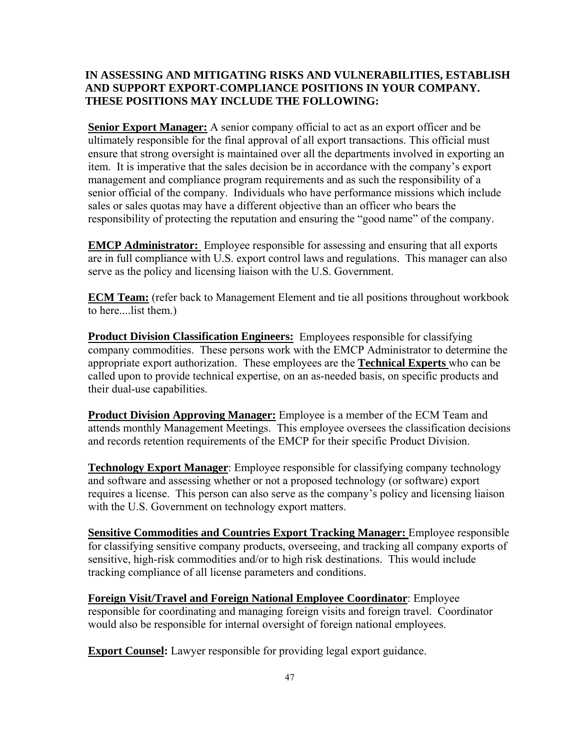## **IN ASSESSING AND MITIGATING RISKS AND VULNERABILITIES, ESTABLISH AND SUPPORT EXPORT-COMPLIANCE POSITIONS IN YOUR COMPANY. THESE POSITIONS MAY INCLUDE THE FOLLOWING:**

**Senior Export Manager:** A senior company official to act as an export officer and be ultimately responsible for the final approval of all export transactions. This official must ensure that strong oversight is maintained over all the departments involved in exporting an item. It is imperative that the sales decision be in accordance with the company's export management and compliance program requirements and as such the responsibility of a senior official of the company. Individuals who have performance missions which include sales or sales quotas may have a different objective than an officer who bears the responsibility of protecting the reputation and ensuring the "good name" of the company.

**EMCP Administrator:** Employee responsible for assessing and ensuring that all exports are in full compliance with U.S. export control laws and regulations. This manager can also serve as the policy and licensing liaison with the U.S. Government.

**ECM Team:** (refer back to Management Element and tie all positions throughout workbook to here....list them.)

**Product Division Classification Engineers:** Employees responsible for classifying company commodities. These persons work with the EMCP Administrator to determine the appropriate export authorization. These employees are the **Technical Experts** who can be called upon to provide technical expertise, on an as-needed basis, on specific products and their dual-use capabilities.

**Product Division Approving Manager:** Employee is a member of the ECM Team and attends monthly Management Meetings. This employee oversees the classification decisions and records retention requirements of the EMCP for their specific Product Division.

**Technology Export Manager**: Employee responsible for classifying company technology and software and assessing whether or not a proposed technology (or software) export requires a license. This person can also serve as the company's policy and licensing liaison with the U.S. Government on technology export matters.

**Sensitive Commodities and Countries Export Tracking Manager:** Employee responsible for classifying sensitive company products, overseeing, and tracking all company exports of sensitive, high-risk commodities and/or to high risk destinations. This would include tracking compliance of all license parameters and conditions.

**Foreign Visit/Travel and Foreign National Employee Coordinator**: Employee responsible for coordinating and managing foreign visits and foreign travel. Coordinator would also be responsible for internal oversight of foreign national employees.

**Export Counsel:** Lawyer responsible for providing legal export guidance.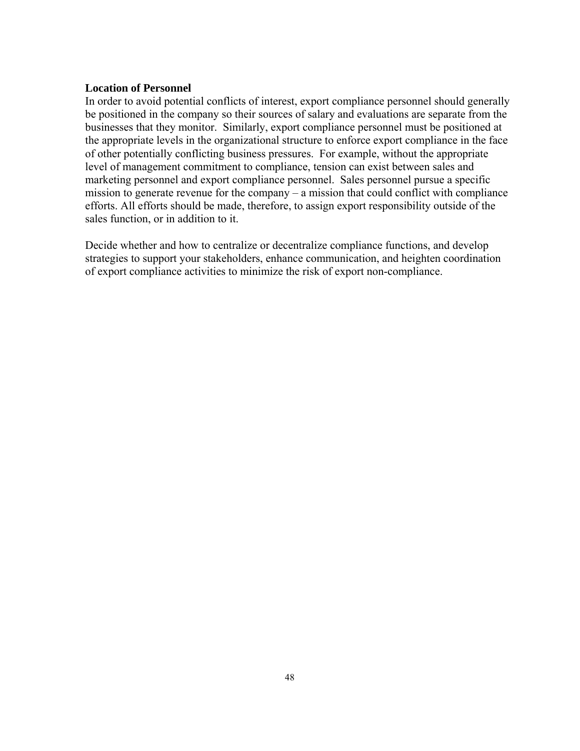#### **Location of Personnel**

In order to avoid potential conflicts of interest, export compliance personnel should generally be positioned in the company so their sources of salary and evaluations are separate from the businesses that they monitor. Similarly, export compliance personnel must be positioned at the appropriate levels in the organizational structure to enforce export compliance in the face of other potentially conflicting business pressures. For example, without the appropriate level of management commitment to compliance, tension can exist between sales and marketing personnel and export compliance personnel. Sales personnel pursue a specific mission to generate revenue for the company – a mission that could conflict with compliance efforts. All efforts should be made, therefore, to assign export responsibility outside of the sales function, or in addition to it.

Decide whether and how to centralize or decentralize compliance functions, and develop strategies to support your stakeholders, enhance communication, and heighten coordination of export compliance activities to minimize the risk of export non-compliance.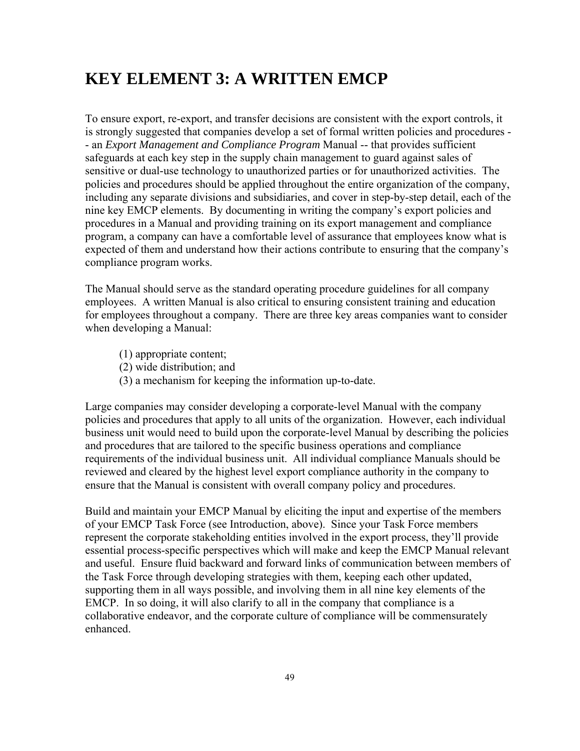# **KEY ELEMENT 3: A WRITTEN EMCP**

To ensure export, re-export, and transfer decisions are consistent with the export controls, it is strongly suggested that companies develop a set of formal written policies and procedures - - an *Export Management and Compliance Program* Manual -- that provides sufficient safeguards at each key step in the supply chain management to guard against sales of sensitive or dual-use technology to unauthorized parties or for unauthorized activities. The policies and procedures should be applied throughout the entire organization of the company, including any separate divisions and subsidiaries, and cover in step-by-step detail, each of the nine key EMCP elements. By documenting in writing the company's export policies and procedures in a Manual and providing training on its export management and compliance program, a company can have a comfortable level of assurance that employees know what is expected of them and understand how their actions contribute to ensuring that the company's compliance program works.

The Manual should serve as the standard operating procedure guidelines for all company employees. A written Manual is also critical to ensuring consistent training and education for employees throughout a company. There are three key areas companies want to consider when developing a Manual:

- (1) appropriate content;
- (2) wide distribution; and
- (3) a mechanism for keeping the information up-to-date.

Large companies may consider developing a corporate-level Manual with the company policies and procedures that apply to all units of the organization. However, each individual business unit would need to build upon the corporate-level Manual by describing the policies and procedures that are tailored to the specific business operations and compliance requirements of the individual business unit. All individual compliance Manuals should be reviewed and cleared by the highest level export compliance authority in the company to ensure that the Manual is consistent with overall company policy and procedures.

Build and maintain your EMCP Manual by eliciting the input and expertise of the members of your EMCP Task Force (see Introduction, above). Since your Task Force members represent the corporate stakeholding entities involved in the export process, they'll provide essential process-specific perspectives which will make and keep the EMCP Manual relevant and useful. Ensure fluid backward and forward links of communication between members of the Task Force through developing strategies with them, keeping each other updated, supporting them in all ways possible, and involving them in all nine key elements of the EMCP. In so doing, it will also clarify to all in the company that compliance is a collaborative endeavor, and the corporate culture of compliance will be commensurately enhanced.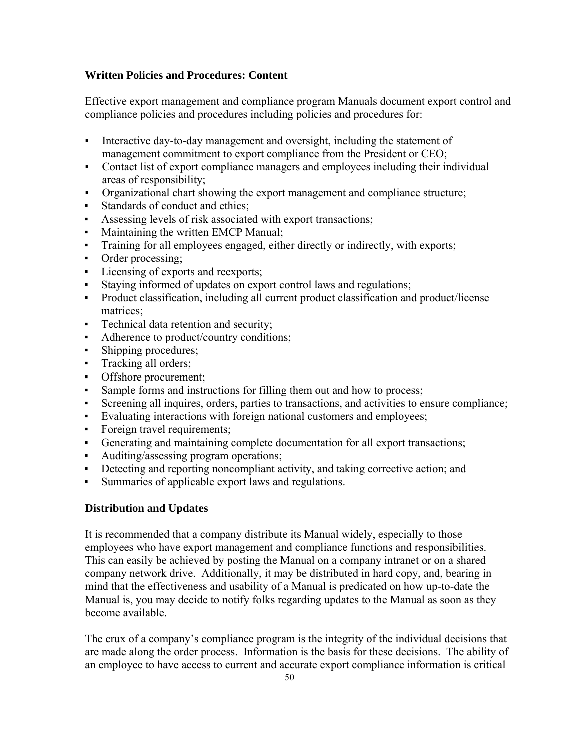#### **Written Policies and Procedures: Content**

Effective export management and compliance program Manuals document export control and compliance policies and procedures including policies and procedures for:

- Interactive day-to-day management and oversight, including the statement of management commitment to export compliance from the President or CEO;
- Contact list of export compliance managers and employees including their individual areas of responsibility;
- Organizational chart showing the export management and compliance structure;
- Standards of conduct and ethics;
- Assessing levels of risk associated with export transactions;
- Maintaining the written EMCP Manual;
- Training for all employees engaged, either directly or indirectly, with exports;
- Order processing;
- **•** Licensing of exports and reexports;
- Staying informed of updates on export control laws and regulations;
- Product classification, including all current product classification and product/license matrices;
- Technical data retention and security;
- Adherence to product/country conditions;
- Shipping procedures;
- **•** Tracking all orders;
- Offshore procurement;
- Sample forms and instructions for filling them out and how to process;
- Screening all inquires, orders, parties to transactions, and activities to ensure compliance;
- Evaluating interactions with foreign national customers and employees;
- Foreign travel requirements;
- Generating and maintaining complete documentation for all export transactions;
- Auditing/assessing program operations;
- Detecting and reporting noncompliant activity, and taking corrective action; and
- Summaries of applicable export laws and regulations.

## **Distribution and Updates**

It is recommended that a company distribute its Manual widely, especially to those employees who have export management and compliance functions and responsibilities. This can easily be achieved by posting the Manual on a company intranet or on a shared company network drive. Additionally, it may be distributed in hard copy, and, bearing in mind that the effectiveness and usability of a Manual is predicated on how up-to-date the Manual is, you may decide to notify folks regarding updates to the Manual as soon as they become available.

The crux of a company's compliance program is the integrity of the individual decisions that are made along the order process. Information is the basis for these decisions. The ability of an employee to have access to current and accurate export compliance information is critical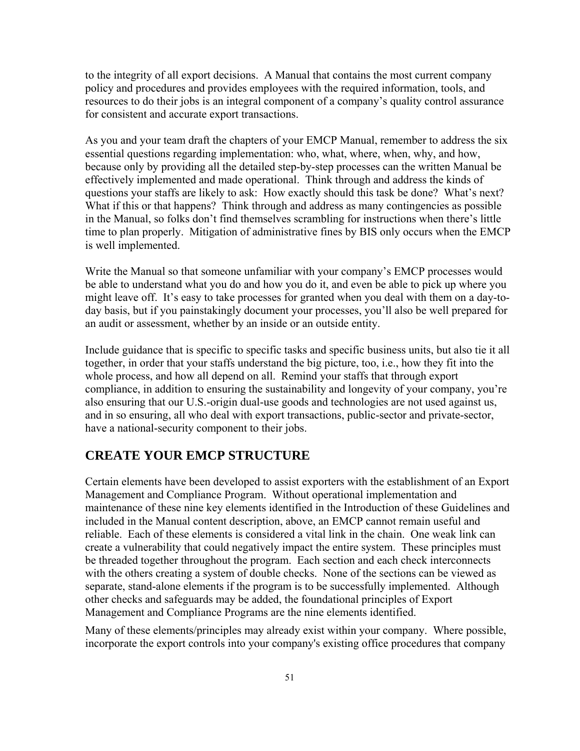to the integrity of all export decisions. A Manual that contains the most current company policy and procedures and provides employees with the required information, tools, and resources to do their jobs is an integral component of a company's quality control assurance for consistent and accurate export transactions.

As you and your team draft the chapters of your EMCP Manual, remember to address the six essential questions regarding implementation: who, what, where, when, why, and how, because only by providing all the detailed step-by-step processes can the written Manual be effectively implemented and made operational. Think through and address the kinds of questions your staffs are likely to ask: How exactly should this task be done? What's next? What if this or that happens? Think through and address as many contingencies as possible in the Manual, so folks don't find themselves scrambling for instructions when there's little time to plan properly. Mitigation of administrative fines by BIS only occurs when the EMCP is well implemented.

Write the Manual so that someone unfamiliar with your company's EMCP processes would be able to understand what you do and how you do it, and even be able to pick up where you might leave off. It's easy to take processes for granted when you deal with them on a day-today basis, but if you painstakingly document your processes, you'll also be well prepared for an audit or assessment, whether by an inside or an outside entity.

Include guidance that is specific to specific tasks and specific business units, but also tie it all together, in order that your staffs understand the big picture, too, i.e., how they fit into the whole process, and how all depend on all. Remind your staffs that through export compliance, in addition to ensuring the sustainability and longevity of your company, you're also ensuring that our U.S.-origin dual-use goods and technologies are not used against us, and in so ensuring, all who deal with export transactions, public-sector and private-sector, have a national-security component to their jobs.

## **CREATE YOUR EMCP STRUCTURE**

Certain elements have been developed to assist exporters with the establishment of an Export Management and Compliance Program. Without operational implementation and maintenance of these nine key elements identified in the Introduction of these Guidelines and included in the Manual content description, above, an EMCP cannot remain useful and reliable. Each of these elements is considered a vital link in the chain. One weak link can create a vulnerability that could negatively impact the entire system. These principles must be threaded together throughout the program. Each section and each check interconnects with the others creating a system of double checks. None of the sections can be viewed as separate, stand-alone elements if the program is to be successfully implemented. Although other checks and safeguards may be added, the foundational principles of Export Management and Compliance Programs are the nine elements identified.

Many of these elements/principles may already exist within your company. Where possible, incorporate the export controls into your company's existing office procedures that company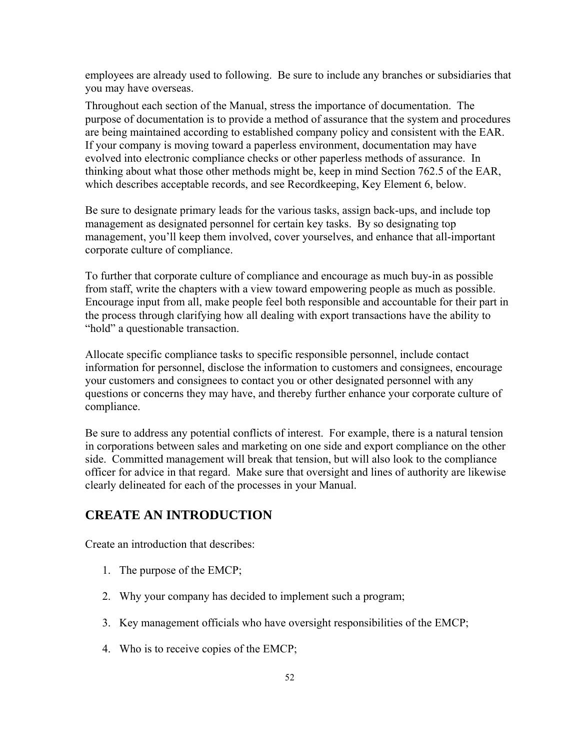employees are already used to following. Be sure to include any branches or subsidiaries that you may have overseas.

Throughout each section of the Manual, stress the importance of documentation. The purpose of documentation is to provide a method of assurance that the system and procedures are being maintained according to established company policy and consistent with the EAR. If your company is moving toward a paperless environment, documentation may have evolved into electronic compliance checks or other paperless methods of assurance. In thinking about what those other methods might be, keep in mind Section 762.5 of the EAR, which describes acceptable records, and see Recordkeeping, Key Element 6, below.

Be sure to designate primary leads for the various tasks, assign back-ups, and include top management as designated personnel for certain key tasks. By so designating top management, you'll keep them involved, cover yourselves, and enhance that all-important corporate culture of compliance.

To further that corporate culture of compliance and encourage as much buy-in as possible from staff, write the chapters with a view toward empowering people as much as possible. Encourage input from all, make people feel both responsible and accountable for their part in the process through clarifying how all dealing with export transactions have the ability to "hold" a questionable transaction.

Allocate specific compliance tasks to specific responsible personnel, include contact information for personnel, disclose the information to customers and consignees, encourage your customers and consignees to contact you or other designated personnel with any questions or concerns they may have, and thereby further enhance your corporate culture of compliance.

Be sure to address any potential conflicts of interest. For example, there is a natural tension in corporations between sales and marketing on one side and export compliance on the other side. Committed management will break that tension, but will also look to the compliance officer for advice in that regard. Make sure that oversight and lines of authority are likewise clearly delineated for each of the processes in your Manual.

## **CREATE AN INTRODUCTION**

Create an introduction that describes:

- 1. The purpose of the EMCP;
- 2. Why your company has decided to implement such a program;
- 3. Key management officials who have oversight responsibilities of the EMCP;
- 4. Who is to receive copies of the EMCP;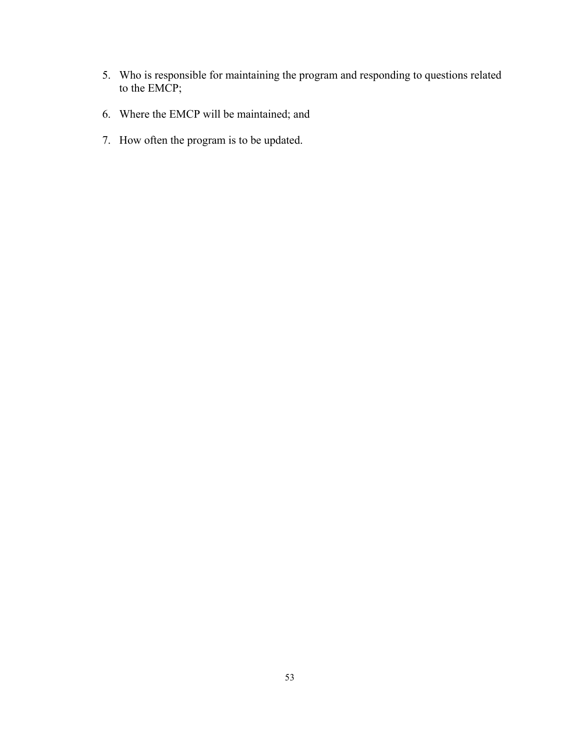- 5. Who is responsible for maintaining the program and responding to questions related to the EMCP;
- 6. Where the EMCP will be maintained; and
- 7. How often the program is to be updated.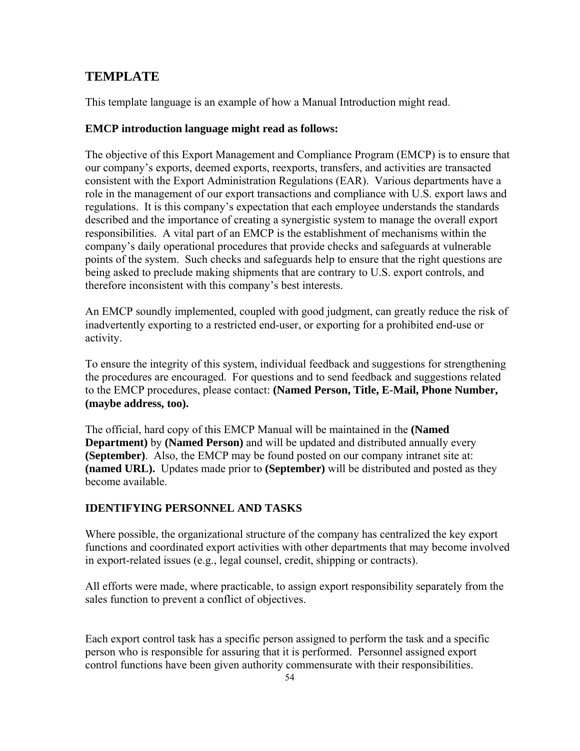## **TEMPLATE**

This template language is an example of how a Manual Introduction might read.

#### **EMCP introduction language might read as follows:**

The objective of this Export Management and Compliance Program (EMCP) is to ensure that our company's exports, deemed exports, reexports, transfers, and activities are transacted consistent with the Export Administration Regulations (EAR). Various departments have a role in the management of our export transactions and compliance with U.S. export laws and regulations. It is this company's expectation that each employee understands the standards described and the importance of creating a synergistic system to manage the overall export responsibilities. A vital part of an EMCP is the establishment of mechanisms within the company's daily operational procedures that provide checks and safeguards at vulnerable points of the system. Such checks and safeguards help to ensure that the right questions are being asked to preclude making shipments that are contrary to U.S. export controls, and therefore inconsistent with this company's best interests.

An EMCP soundly implemented, coupled with good judgment, can greatly reduce the risk of inadvertently exporting to a restricted end-user, or exporting for a prohibited end-use or activity.

To ensure the integrity of this system, individual feedback and suggestions for strengthening the procedures are encouraged. For questions and to send feedback and suggestions related to the EMCP procedures, please contact: **(Named Person, Title, E-Mail, Phone Number, (maybe address, too).** 

The official, hard copy of this EMCP Manual will be maintained in the **(Named Department)** by **(Named Person)** and will be updated and distributed annually every **(September)**. Also, the EMCP may be found posted on our company intranet site at: **(named URL).** Updates made prior to **(September)** will be distributed and posted as they become available.

## **IDENTIFYING PERSONNEL AND TASKS**

Where possible, the organizational structure of the company has centralized the key export functions and coordinated export activities with other departments that may become involved in export-related issues (e.g., legal counsel, credit, shipping or contracts).

All efforts were made, where practicable, to assign export responsibility separately from the sales function to prevent a conflict of objectives.

Each export control task has a specific person assigned to perform the task and a specific person who is responsible for assuring that it is performed. Personnel assigned export control functions have been given authority commensurate with their responsibilities.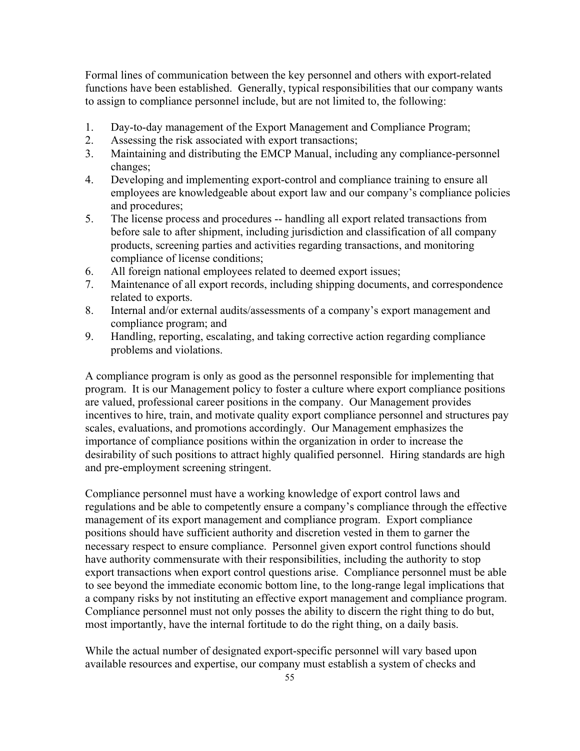Formal lines of communication between the key personnel and others with export-related functions have been established. Generally, typical responsibilities that our company wants to assign to compliance personnel include, but are not limited to, the following:

- 1. Day-to-day management of the Export Management and Compliance Program;
- 2. Assessing the risk associated with export transactions;
- 3. Maintaining and distributing the EMCP Manual, including any compliance-personnel changes;
- 4. Developing and implementing export-control and compliance training to ensure all employees are knowledgeable about export law and our company's compliance policies and procedures;
- 5. The license process and procedures -- handling all export related transactions from before sale to after shipment, including jurisdiction and classification of all company products, screening parties and activities regarding transactions, and monitoring compliance of license conditions;
- 6. All foreign national employees related to deemed export issues;
- 7. Maintenance of all export records, including shipping documents, and correspondence related to exports.
- 8. Internal and/or external audits/assessments of a company's export management and compliance program; and
- 9. Handling, reporting, escalating, and taking corrective action regarding compliance problems and violations.

A compliance program is only as good as the personnel responsible for implementing that program. It is our Management policy to foster a culture where export compliance positions are valued, professional career positions in the company. Our Management provides incentives to hire, train, and motivate quality export compliance personnel and structures pay scales, evaluations, and promotions accordingly. Our Management emphasizes the importance of compliance positions within the organization in order to increase the desirability of such positions to attract highly qualified personnel. Hiring standards are high and pre-employment screening stringent.

Compliance personnel must have a working knowledge of export control laws and regulations and be able to competently ensure a company's compliance through the effective management of its export management and compliance program. Export compliance positions should have sufficient authority and discretion vested in them to garner the necessary respect to ensure compliance. Personnel given export control functions should have authority commensurate with their responsibilities, including the authority to stop export transactions when export control questions arise. Compliance personnel must be able to see beyond the immediate economic bottom line, to the long-range legal implications that a company risks by not instituting an effective export management and compliance program. Compliance personnel must not only posses the ability to discern the right thing to do but, most importantly, have the internal fortitude to do the right thing, on a daily basis.

While the actual number of designated export-specific personnel will vary based upon available resources and expertise, our company must establish a system of checks and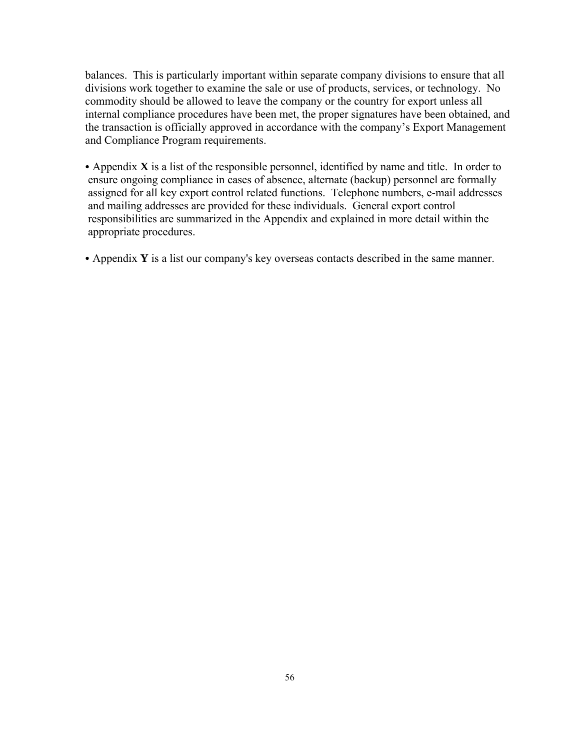balances. This is particularly important within separate company divisions to ensure that all divisions work together to examine the sale or use of products, services, or technology. No commodity should be allowed to leave the company or the country for export unless all internal compliance procedures have been met, the proper signatures have been obtained, and the transaction is officially approved in accordance with the company's Export Management and Compliance Program requirements.

• Appendix  $X$  is a list of the responsible personnel, identified by name and title. In order to ensure ongoing compliance in cases of absence, alternate (backup) personnel are formally assigned for all key export control related functions. Telephone numbers, e-mail addresses and mailing addresses are provided for these individuals. General export control responsibilities are summarized in the Appendix and explained in more detail within the appropriate procedures.

• Appendix **Y** is a list our company's key overseas contacts described in the same manner.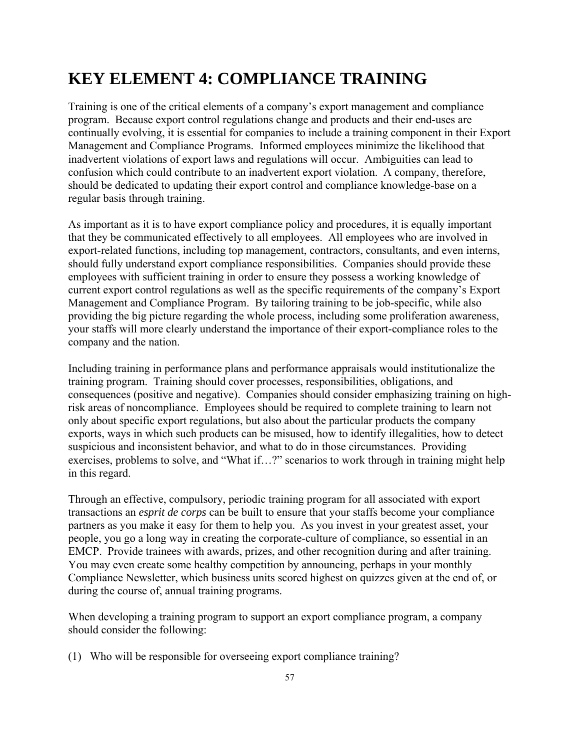# **KEY ELEMENT 4: COMPLIANCE TRAINING**

Training is one of the critical elements of a company's export management and compliance program. Because export control regulations change and products and their end-uses are continually evolving, it is essential for companies to include a training component in their Export Management and Compliance Programs. Informed employees minimize the likelihood that inadvertent violations of export laws and regulations will occur. Ambiguities can lead to confusion which could contribute to an inadvertent export violation. A company, therefore, should be dedicated to updating their export control and compliance knowledge-base on a regular basis through training.

As important as it is to have export compliance policy and procedures, it is equally important that they be communicated effectively to all employees. All employees who are involved in export-related functions, including top management, contractors, consultants, and even interns, should fully understand export compliance responsibilities. Companies should provide these employees with sufficient training in order to ensure they possess a working knowledge of current export control regulations as well as the specific requirements of the company's Export Management and Compliance Program. By tailoring training to be job-specific, while also providing the big picture regarding the whole process, including some proliferation awareness, your staffs will more clearly understand the importance of their export-compliance roles to the company and the nation.

Including training in performance plans and performance appraisals would institutionalize the training program. Training should cover processes, responsibilities, obligations, and consequences (positive and negative). Companies should consider emphasizing training on highrisk areas of noncompliance. Employees should be required to complete training to learn not only about specific export regulations, but also about the particular products the company exports, ways in which such products can be misused, how to identify illegalities, how to detect suspicious and inconsistent behavior, and what to do in those circumstances. Providing exercises, problems to solve, and "What if…?" scenarios to work through in training might help in this regard.

Through an effective, compulsory, periodic training program for all associated with export transactions an *esprit de corps* can be built to ensure that your staffs become your compliance partners as you make it easy for them to help you. As you invest in your greatest asset, your people, you go a long way in creating the corporate-culture of compliance, so essential in an EMCP. Provide trainees with awards, prizes, and other recognition during and after training. You may even create some healthy competition by announcing, perhaps in your monthly Compliance Newsletter, which business units scored highest on quizzes given at the end of, or during the course of, annual training programs.

When developing a training program to support an export compliance program, a company should consider the following:

(1) Who will be responsible for overseeing export compliance training?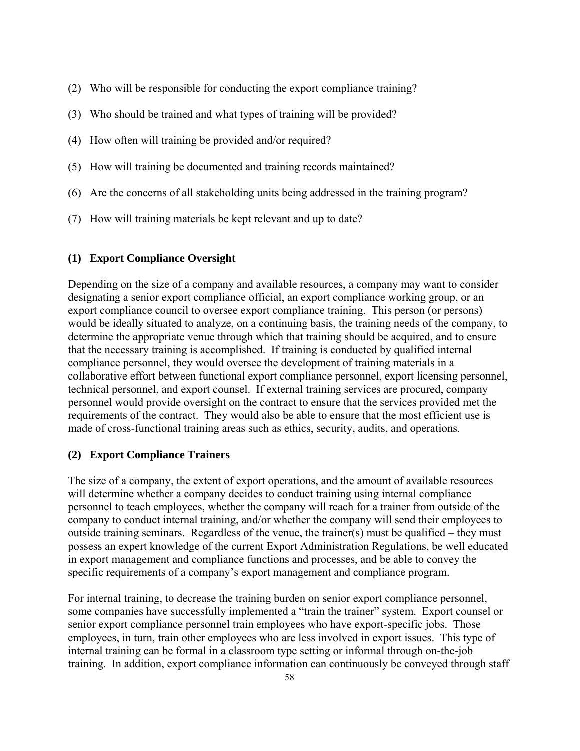- (2) Who will be responsible for conducting the export compliance training?
- (3) Who should be trained and what types of training will be provided?
- (4) How often will training be provided and/or required?
- (5) How will training be documented and training records maintained?
- (6) Are the concerns of all stakeholding units being addressed in the training program?
- (7) How will training materials be kept relevant and up to date?

## **(1) Export Compliance Oversight**

Depending on the size of a company and available resources, a company may want to consider designating a senior export compliance official, an export compliance working group, or an export compliance council to oversee export compliance training. This person (or persons) would be ideally situated to analyze, on a continuing basis, the training needs of the company, to determine the appropriate venue through which that training should be acquired, and to ensure that the necessary training is accomplished. If training is conducted by qualified internal compliance personnel, they would oversee the development of training materials in a collaborative effort between functional export compliance personnel, export licensing personnel, technical personnel, and export counsel. If external training services are procured, company personnel would provide oversight on the contract to ensure that the services provided met the requirements of the contract. They would also be able to ensure that the most efficient use is made of cross-functional training areas such as ethics, security, audits, and operations.

## **(2) Export Compliance Trainers**

The size of a company, the extent of export operations, and the amount of available resources will determine whether a company decides to conduct training using internal compliance personnel to teach employees, whether the company will reach for a trainer from outside of the company to conduct internal training, and/or whether the company will send their employees to outside training seminars. Regardless of the venue, the trainer(s) must be qualified – they must possess an expert knowledge of the current Export Administration Regulations, be well educated in export management and compliance functions and processes, and be able to convey the specific requirements of a company's export management and compliance program.

For internal training, to decrease the training burden on senior export compliance personnel, some companies have successfully implemented a "train the trainer" system. Export counsel or senior export compliance personnel train employees who have export-specific jobs. Those employees, in turn, train other employees who are less involved in export issues. This type of internal training can be formal in a classroom type setting or informal through on-the-job training. In addition, export compliance information can continuously be conveyed through staff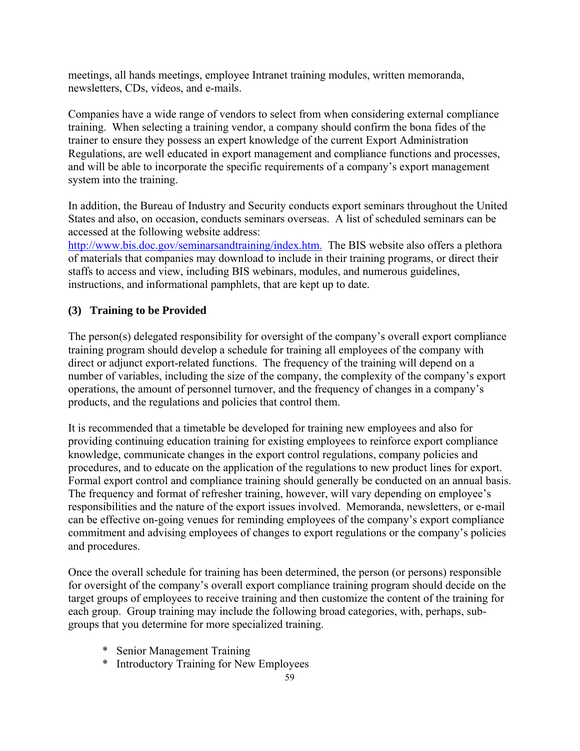meetings, all hands meetings, employee Intranet training modules, written memoranda, newsletters, CDs, videos, and e-mails.

Companies have a wide range of vendors to select from when considering external compliance training. When selecting a training vendor, a company should confirm the bona fides of the trainer to ensure they possess an expert knowledge of the current Export Administration Regulations, are well educated in export management and compliance functions and processes, and will be able to incorporate the specific requirements of a company's export management system into the training.

In addition, the Bureau of Industry and Security conducts export seminars throughout the United States and also, on occasion, conducts seminars overseas. A list of scheduled seminars can be accessed at the following website address:

<http://www.bis.doc.gov/seminarsandtraining/index.htm.> The BIS website also offers a plethora of materials that companies may download to include in their training programs, or direct their staffs to access and view, including BIS webinars, modules, and numerous guidelines, instructions, and informational pamphlets, that are kept up to date.

## **(3) Training to be Provided**

The person(s) delegated responsibility for oversight of the company's overall export compliance training program should develop a schedule for training all employees of the company with direct or adjunct export-related functions. The frequency of the training will depend on a number of variables, including the size of the company, the complexity of the company's export operations, the amount of personnel turnover, and the frequency of changes in a company's products, and the regulations and policies that control them.

It is recommended that a timetable be developed for training new employees and also for providing continuing education training for existing employees to reinforce export compliance knowledge, communicate changes in the export control regulations, company policies and procedures, and to educate on the application of the regulations to new product lines for export. Formal export control and compliance training should generally be conducted on an annual basis. The frequency and format of refresher training, however, will vary depending on employee's responsibilities and the nature of the export issues involved. Memoranda, newsletters, or e-mail can be effective on-going venues for reminding employees of the company's export compliance commitment and advising employees of changes to export regulations or the company's policies and procedures.

Once the overall schedule for training has been determined, the person (or persons) responsible for oversight of the company's overall export compliance training program should decide on the target groups of employees to receive training and then customize the content of the training for each group. Group training may include the following broad categories, with, perhaps, subgroups that you determine for more specialized training.

- \* Senior Management Training
- \* Introductory Training for New Employees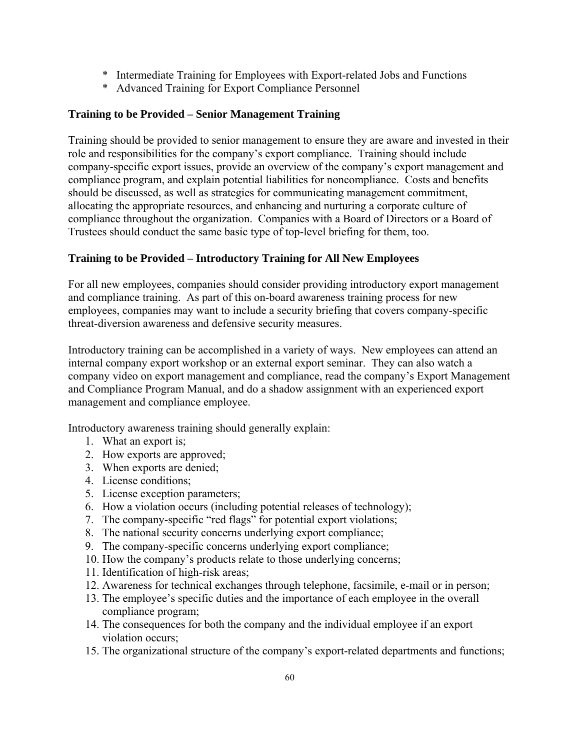- \* Intermediate Training for Employees with Export-related Jobs and Functions
- \* Advanced Training for Export Compliance Personnel

## **Training to be Provided – Senior Management Training**

Training should be provided to senior management to ensure they are aware and invested in their role and responsibilities for the company's export compliance. Training should include company-specific export issues, provide an overview of the company's export management and compliance program, and explain potential liabilities for noncompliance. Costs and benefits should be discussed, as well as strategies for communicating management commitment, allocating the appropriate resources, and enhancing and nurturing a corporate culture of compliance throughout the organization. Companies with a Board of Directors or a Board of Trustees should conduct the same basic type of top-level briefing for them, too.

## **Training to be Provided – Introductory Training for All New Employees**

For all new employees, companies should consider providing introductory export management and compliance training. As part of this on-board awareness training process for new employees, companies may want to include a security briefing that covers company-specific threat-diversion awareness and defensive security measures.

Introductory training can be accomplished in a variety of ways. New employees can attend an internal company export workshop or an external export seminar. They can also watch a company video on export management and compliance, read the company's Export Management and Compliance Program Manual, and do a shadow assignment with an experienced export management and compliance employee.

Introductory awareness training should generally explain:

- 1. What an export is;
- 2. How exports are approved;
- 3. When exports are denied;
- 4. License conditions;
- 5. License exception parameters;
- 6. How a violation occurs (including potential releases of technology);
- 7. The company-specific "red flags" for potential export violations;
- 8. The national security concerns underlying export compliance;
- 9. The company-specific concerns underlying export compliance;
- 10. How the company's products relate to those underlying concerns;
- 11. Identification of high-risk areas;
- 12. Awareness for technical exchanges through telephone, facsimile, e-mail or in person;
- 13. The employee's specific duties and the importance of each employee in the overall compliance program;
- 14. The consequences for both the company and the individual employee if an export violation occurs;
- 15. The organizational structure of the company's export-related departments and functions;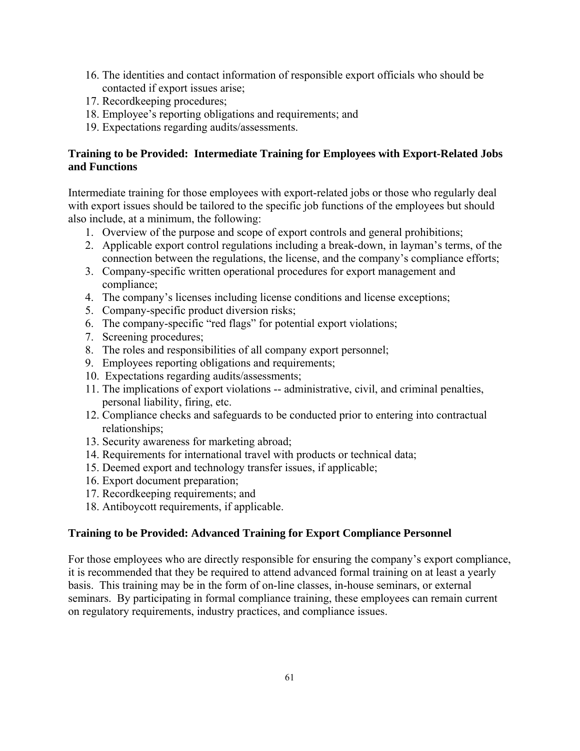- 16. The identities and contact information of responsible export officials who should be contacted if export issues arise;
- 17. Recordkeeping procedures;
- 18. Employee's reporting obligations and requirements; and
- 19. Expectations regarding audits/assessments.

## **Training to be Provided: Intermediate Training for Employees with Export-Related Jobs and Functions**

Intermediate training for those employees with export-related jobs or those who regularly deal with export issues should be tailored to the specific job functions of the employees but should also include, at a minimum, the following:

- 1. Overview of the purpose and scope of export controls and general prohibitions;
- 2. Applicable export control regulations including a break-down, in layman's terms, of the connection between the regulations, the license, and the company's compliance efforts;
- 3. Company-specific written operational procedures for export management and compliance;
- 4. The company's licenses including license conditions and license exceptions;
- 5. Company-specific product diversion risks;
- 6. The company-specific "red flags" for potential export violations;
- 7. Screening procedures;
- 8. The roles and responsibilities of all company export personnel;
- 9. Employees reporting obligations and requirements;
- 10. Expectations regarding audits/assessments;
- 11. The implications of export violations -- administrative, civil, and criminal penalties, personal liability, firing, etc.
- 12. Compliance checks and safeguards to be conducted prior to entering into contractual relationships;
- 13. Security awareness for marketing abroad;
- 14. Requirements for international travel with products or technical data;
- 15. Deemed export and technology transfer issues, if applicable;
- 16. Export document preparation;
- 17. Recordkeeping requirements; and
- 18. Antiboycott requirements, if applicable.

## **Training to be Provided: Advanced Training for Export Compliance Personnel**

For those employees who are directly responsible for ensuring the company's export compliance, it is recommended that they be required to attend advanced formal training on at least a yearly basis. This training may be in the form of on-line classes, in-house seminars, or external seminars. By participating in formal compliance training, these employees can remain current on regulatory requirements, industry practices, and compliance issues.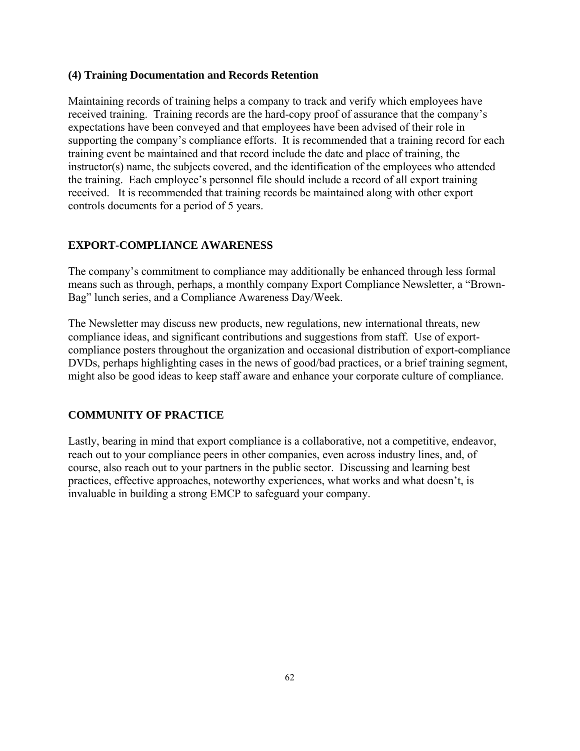### **(4) Training Documentation and Records Retention**

Maintaining records of training helps a company to track and verify which employees have received training. Training records are the hard-copy proof of assurance that the company's expectations have been conveyed and that employees have been advised of their role in supporting the company's compliance efforts. It is recommended that a training record for each training event be maintained and that record include the date and place of training, the instructor(s) name, the subjects covered, and the identification of the employees who attended the training. Each employee's personnel file should include a record of all export training received. It is recommended that training records be maintained along with other export controls documents for a period of 5 years.

## **EXPORT-COMPLIANCE AWARENESS**

The company's commitment to compliance may additionally be enhanced through less formal means such as through, perhaps, a monthly company Export Compliance Newsletter, a "Brown-Bag" lunch series, and a Compliance Awareness Day/Week.

The Newsletter may discuss new products, new regulations, new international threats, new compliance ideas, and significant contributions and suggestions from staff. Use of exportcompliance posters throughout the organization and occasional distribution of export-compliance DVDs, perhaps highlighting cases in the news of good/bad practices, or a brief training segment, might also be good ideas to keep staff aware and enhance your corporate culture of compliance.

## **COMMUNITY OF PRACTICE**

Lastly, bearing in mind that export compliance is a collaborative, not a competitive, endeavor, reach out to your compliance peers in other companies, even across industry lines, and, of course, also reach out to your partners in the public sector. Discussing and learning best practices, effective approaches, noteworthy experiences, what works and what doesn't, is invaluable in building a strong EMCP to safeguard your company.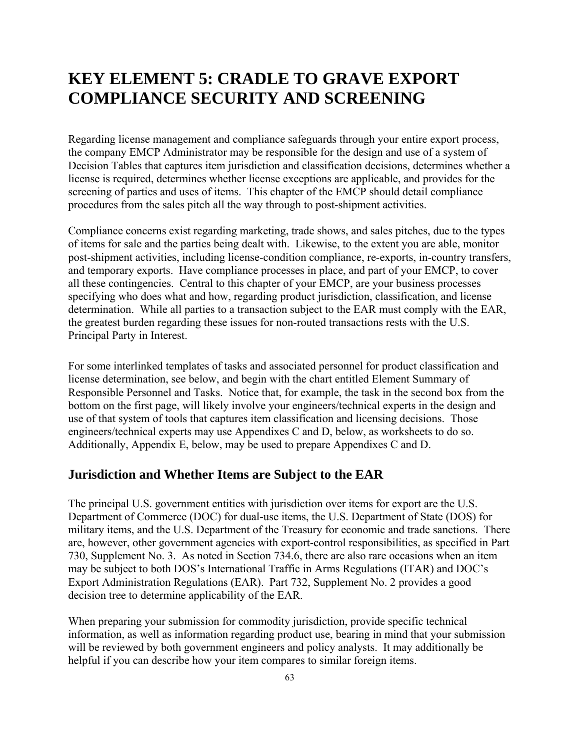# **KEY ELEMENT 5: CRADLE TO GRAVE EXPORT COMPLIANCE SECURITY AND SCREENING**

Regarding license management and compliance safeguards through your entire export process, the company EMCP Administrator may be responsible for the design and use of a system of Decision Tables that captures item jurisdiction and classification decisions, determines whether a license is required, determines whether license exceptions are applicable, and provides for the screening of parties and uses of items. This chapter of the EMCP should detail compliance procedures from the sales pitch all the way through to post-shipment activities.

Compliance concerns exist regarding marketing, trade shows, and sales pitches, due to the types of items for sale and the parties being dealt with. Likewise, to the extent you are able, monitor post-shipment activities, including license-condition compliance, re-exports, in-country transfers, and temporary exports. Have compliance processes in place, and part of your EMCP, to cover all these contingencies. Central to this chapter of your EMCP, are your business processes specifying who does what and how, regarding product jurisdiction, classification, and license determination. While all parties to a transaction subject to the EAR must comply with the EAR, the greatest burden regarding these issues for non-routed transactions rests with the U.S. Principal Party in Interest.

For some interlinked templates of tasks and associated personnel for product classification and license determination, see below, and begin with the chart entitled Element Summary of Responsible Personnel and Tasks. Notice that, for example, the task in the second box from the bottom on the first page, will likely involve your engineers/technical experts in the design and use of that system of tools that captures item classification and licensing decisions. Those engineers/technical experts may use Appendixes C and D, below, as worksheets to do so. Additionally, Appendix E, below, may be used to prepare Appendixes C and D.

## **Jurisdiction and Whether Items are Subject to the EAR**

The principal U.S. government entities with jurisdiction over items for export are the U.S. Department of Commerce (DOC) for dual-use items, the U.S. Department of State (DOS) for military items, and the U.S. Department of the Treasury for economic and trade sanctions. There are, however, other government agencies with export-control responsibilities, as specified in Part 730, Supplement No. 3. As noted in Section 734.6, there are also rare occasions when an item may be subject to both DOS's International Traffic in Arms Regulations (ITAR) and DOC's Export Administration Regulations (EAR). Part 732, Supplement No. 2 provides a good decision tree to determine applicability of the EAR.

When preparing your submission for commodity jurisdiction, provide specific technical information, as well as information regarding product use, bearing in mind that your submission will be reviewed by both government engineers and policy analysts. It may additionally be helpful if you can describe how your item compares to similar foreign items.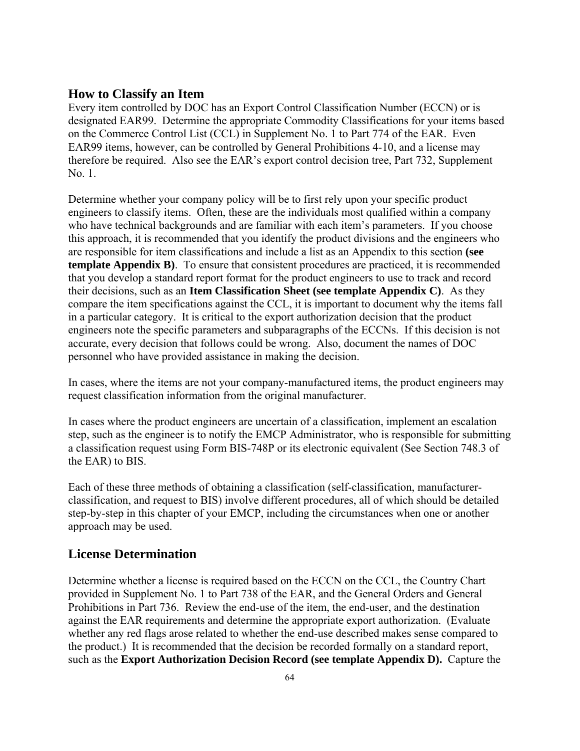## **How to Classify an Item**

Every item controlled by DOC has an Export Control Classification Number (ECCN) or is designated EAR99. Determine the appropriate Commodity Classifications for your items based on the Commerce Control List (CCL) in Supplement No. 1 to Part 774 of the EAR. Even EAR99 items, however, can be controlled by General Prohibitions 4-10, and a license may therefore be required. Also see the EAR's export control decision tree, Part 732, Supplement No. 1.

Determine whether your company policy will be to first rely upon your specific product engineers to classify items. Often, these are the individuals most qualified within a company who have technical backgrounds and are familiar with each item's parameters. If you choose this approach, it is recommended that you identify the product divisions and the engineers who are responsible for item classifications and include a list as an Appendix to this section **(see template Appendix B)**. To ensure that consistent procedures are practiced, it is recommended that you develop a standard report format for the product engineers to use to track and record their decisions, such as an **Item Classification Sheet (see template Appendix C)**. As they compare the item specifications against the CCL, it is important to document why the items fall in a particular category. It is critical to the export authorization decision that the product engineers note the specific parameters and subparagraphs of the ECCNs. If this decision is not accurate, every decision that follows could be wrong. Also, document the names of DOC personnel who have provided assistance in making the decision.

In cases, where the items are not your company-manufactured items, the product engineers may request classification information from the original manufacturer.

In cases where the product engineers are uncertain of a classification, implement an escalation step, such as the engineer is to notify the EMCP Administrator, who is responsible for submitting a classification request using Form BIS-748P or its electronic equivalent (See Section 748.3 of the EAR) to BIS.

Each of these three methods of obtaining a classification (self-classification, manufacturerclassification, and request to BIS) involve different procedures, all of which should be detailed step-by-step in this chapter of your EMCP, including the circumstances when one or another approach may be used.

## **License Determination**

Determine whether a license is required based on the ECCN on the CCL, the Country Chart provided in Supplement No. 1 to Part 738 of the EAR, and the General Orders and General Prohibitions in Part 736. Review the end-use of the item, the end-user, and the destination against the EAR requirements and determine the appropriate export authorization. (Evaluate whether any red flags arose related to whether the end-use described makes sense compared to the product.) It is recommended that the decision be recorded formally on a standard report, such as the **Export Authorization Decision Record (see template Appendix D).** Capture the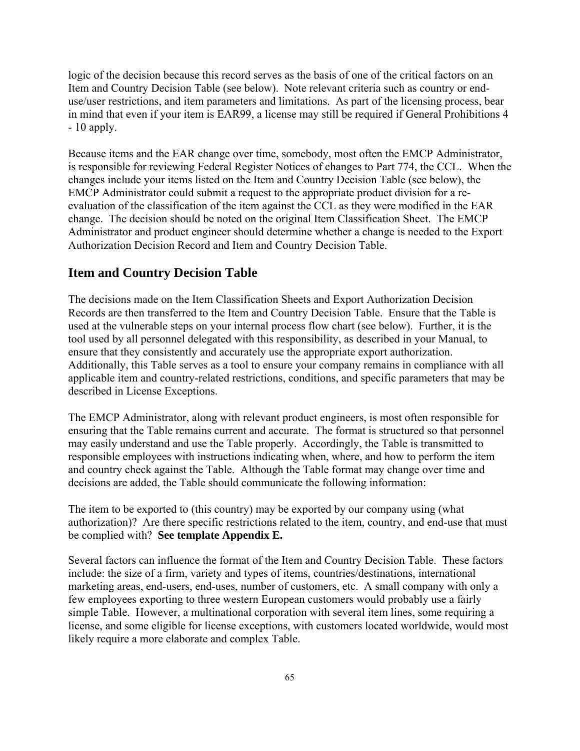logic of the decision because this record serves as the basis of one of the critical factors on an Item and Country Decision Table (see below). Note relevant criteria such as country or enduse/user restrictions, and item parameters and limitations. As part of the licensing process, bear in mind that even if your item is EAR99, a license may still be required if General Prohibitions 4 - 10 apply.

Because items and the EAR change over time, somebody, most often the EMCP Administrator, is responsible for reviewing Federal Register Notices of changes to Part 774, the CCL. When the changes include your items listed on the Item and Country Decision Table (see below), the EMCP Administrator could submit a request to the appropriate product division for a reevaluation of the classification of the item against the CCL as they were modified in the EAR change. The decision should be noted on the original Item Classification Sheet. The EMCP Administrator and product engineer should determine whether a change is needed to the Export Authorization Decision Record and Item and Country Decision Table.

## **Item and Country Decision Table**

The decisions made on the Item Classification Sheets and Export Authorization Decision Records are then transferred to the Item and Country Decision Table. Ensure that the Table is used at the vulnerable steps on your internal process flow chart (see below). Further, it is the tool used by all personnel delegated with this responsibility, as described in your Manual, to ensure that they consistently and accurately use the appropriate export authorization. Additionally, this Table serves as a tool to ensure your company remains in compliance with all applicable item and country-related restrictions, conditions, and specific parameters that may be described in License Exceptions.

The EMCP Administrator, along with relevant product engineers, is most often responsible for ensuring that the Table remains current and accurate. The format is structured so that personnel may easily understand and use the Table properly. Accordingly, the Table is transmitted to responsible employees with instructions indicating when, where, and how to perform the item and country check against the Table. Although the Table format may change over time and decisions are added, the Table should communicate the following information:

The item to be exported to (this country) may be exported by our company using (what authorization)? Are there specific restrictions related to the item, country, and end-use that must be complied with? **See template Appendix E.** 

Several factors can influence the format of the Item and Country Decision Table. These factors include: the size of a firm, variety and types of items, countries/destinations, international marketing areas, end-users, end-uses, number of customers, etc. A small company with only a few employees exporting to three western European customers would probably use a fairly simple Table. However, a multinational corporation with several item lines, some requiring a license, and some eligible for license exceptions, with customers located worldwide, would most likely require a more elaborate and complex Table.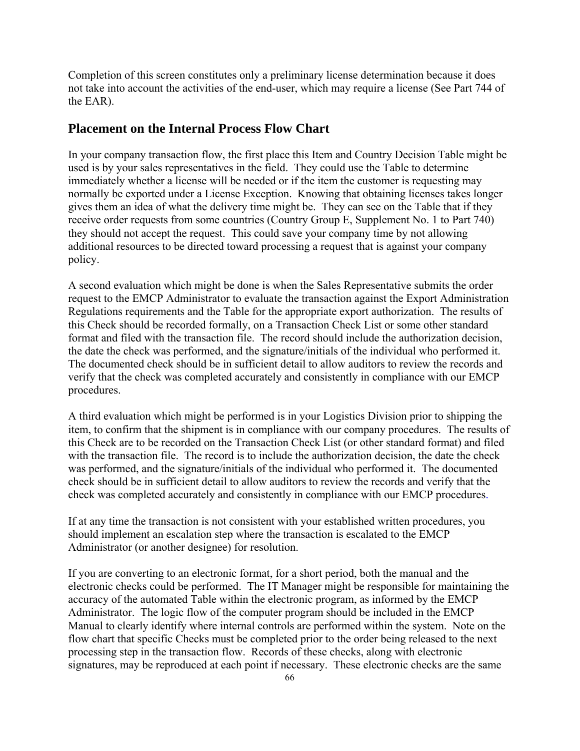Completion of this screen constitutes only a preliminary license determination because it does not take into account the activities of the end-user, which may require a license (See Part 744 of the EAR).

#### **Placement on the Internal Process Flow Chart**

In your company transaction flow, the first place this Item and Country Decision Table might be used is by your sales representatives in the field. They could use the Table to determine immediately whether a license will be needed or if the item the customer is requesting may normally be exported under a License Exception. Knowing that obtaining licenses takes longer gives them an idea of what the delivery time might be. They can see on the Table that if they receive order requests from some countries (Country Group E, Supplement No. 1 to Part 740) they should not accept the request. This could save your company time by not allowing additional resources to be directed toward processing a request that is against your company policy.

A second evaluation which might be done is when the Sales Representative submits the order request to the EMCP Administrator to evaluate the transaction against the Export Administration Regulations requirements and the Table for the appropriate export authorization. The results of this Check should be recorded formally, on a Transaction Check List or some other standard format and filed with the transaction file. The record should include the authorization decision, the date the check was performed, and the signature/initials of the individual who performed it. The documented check should be in sufficient detail to allow auditors to review the records and verify that the check was completed accurately and consistently in compliance with our EMCP procedures.

A third evaluation which might be performed is in your Logistics Division prior to shipping the item, to confirm that the shipment is in compliance with our company procedures. The results of this Check are to be recorded on the Transaction Check List (or other standard format) and filed with the transaction file. The record is to include the authorization decision, the date the check was performed, and the signature/initials of the individual who performed it. The documented check should be in sufficient detail to allow auditors to review the records and verify that the check was completed accurately and consistently in compliance with our EMCP procedures.

If at any time the transaction is not consistent with your established written procedures, you should implement an escalation step where the transaction is escalated to the EMCP Administrator (or another designee) for resolution.

If you are converting to an electronic format, for a short period, both the manual and the electronic checks could be performed. The IT Manager might be responsible for maintaining the accuracy of the automated Table within the electronic program, as informed by the EMCP Administrator. The logic flow of the computer program should be included in the EMCP Manual to clearly identify where internal controls are performed within the system. Note on the flow chart that specific Checks must be completed prior to the order being released to the next processing step in the transaction flow. Records of these checks, along with electronic signatures, may be reproduced at each point if necessary. These electronic checks are the same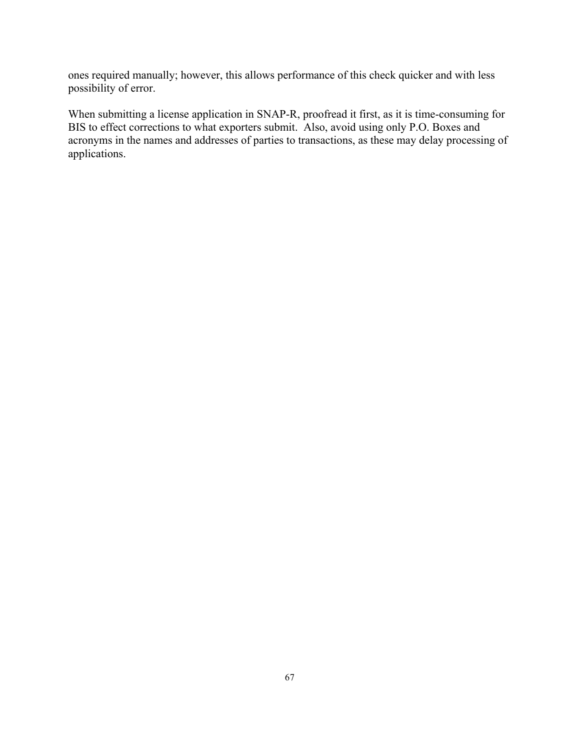ones required manually; however, this allows performance of this check quicker and with less possibility of error.

When submitting a license application in SNAP-R, proofread it first, as it is time-consuming for BIS to effect corrections to what exporters submit. Also, avoid using only P.O. Boxes and acronyms in the names and addresses of parties to transactions, as these may delay processing of applications.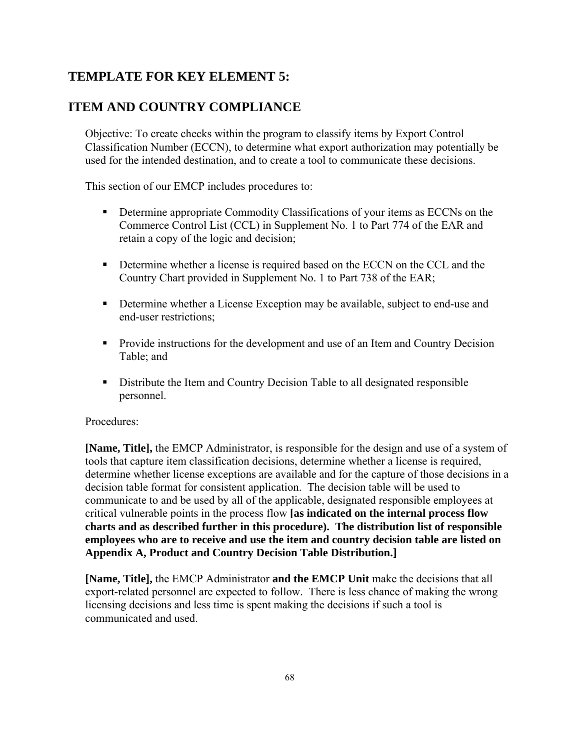## **TEMPLATE FOR KEY ELEMENT 5:**

## **ITEM AND COUNTRY COMPLIANCE**

Objective: To create checks within the program to classify items by Export Control Classification Number (ECCN), to determine what export authorization may potentially be used for the intended destination, and to create a tool to communicate these decisions.

This section of our EMCP includes procedures to:

- **•** Determine appropriate Commodity Classifications of your items as ECCNs on the Commerce Control List (CCL) in Supplement No. 1 to Part 774 of the EAR and retain a copy of the logic and decision;
- **Determine whether a license is required based on the ECCN on the CCL and the** Country Chart provided in Supplement No. 1 to Part 738 of the EAR;
- Determine whether a License Exception may be available, subject to end-use and end-user restrictions;
- **Provide instructions for the development and use of an Item and Country Decision** Table; and
- Distribute the Item and Country Decision Table to all designated responsible personnel.

## Procedures:

**[Name, Title],** the EMCP Administrator, is responsible for the design and use of a system of tools that capture item classification decisions, determine whether a license is required, determine whether license exceptions are available and for the capture of those decisions in a decision table format for consistent application. The decision table will be used to communicate to and be used by all of the applicable, designated responsible employees at critical vulnerable points in the process flow **[as indicated on the internal process flow charts and as described further in this procedure). The distribution list of responsible employees who are to receive and use the item and country decision table are listed on Appendix A, Product and Country Decision Table Distribution.]**

**[Name, Title],** the EMCP Administrator **and the EMCP Unit** make the decisions that all export-related personnel are expected to follow. There is less chance of making the wrong licensing decisions and less time is spent making the decisions if such a tool is communicated and used.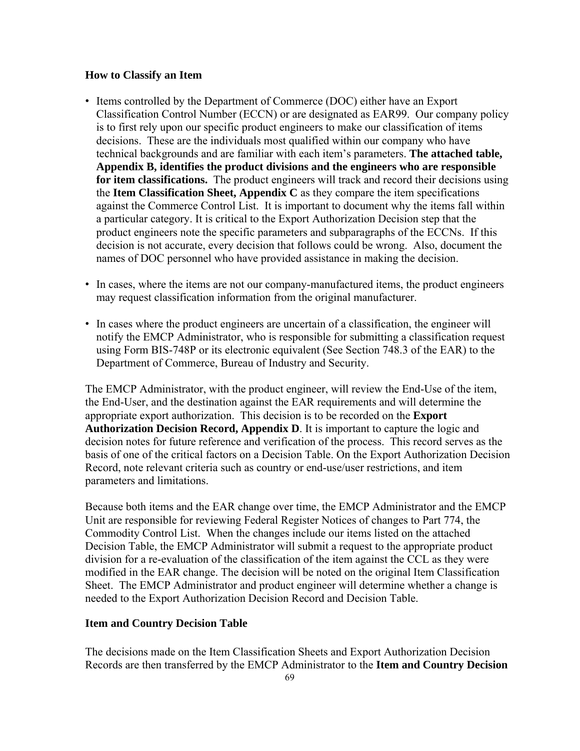#### **How to Classify an Item**

- Items controlled by the Department of Commerce (DOC) either have an Export Classification Control Number (ECCN) or are designated as EAR99. Our company policy is to first rely upon our specific product engineers to make our classification of items decisions. These are the individuals most qualified within our company who have technical backgrounds and are familiar with each item's parameters. **The attached table, Appendix B, identifies the product divisions and the engineers who are responsible for item classifications.** The product engineers will track and record their decisions using the **Item Classification Sheet, Appendix C** as they compare the item specifications against the Commerce Control List. It is important to document why the items fall within a particular category. It is critical to the Export Authorization Decision step that the product engineers note the specific parameters and subparagraphs of the ECCNs. If this decision is not accurate, every decision that follows could be wrong. Also, document the names of DOC personnel who have provided assistance in making the decision.
- In cases, where the items are not our company-manufactured items, the product engineers may request classification information from the original manufacturer.
- In cases where the product engineers are uncertain of a classification, the engineer will notify the EMCP Administrator, who is responsible for submitting a classification request using Form BIS-748P or its electronic equivalent (See Section 748.3 of the EAR) to the Department of Commerce, Bureau of Industry and Security.

The EMCP Administrator, with the product engineer, will review the End-Use of the item, the End-User, and the destination against the EAR requirements and will determine the appropriate export authorization. This decision is to be recorded on the **Export Authorization Decision Record, Appendix D**. It is important to capture the logic and decision notes for future reference and verification of the process. This record serves as the basis of one of the critical factors on a Decision Table. On the Export Authorization Decision Record, note relevant criteria such as country or end-use/user restrictions, and item parameters and limitations.

Because both items and the EAR change over time, the EMCP Administrator and the EMCP Unit are responsible for reviewing Federal Register Notices of changes to Part 774, the Commodity Control List. When the changes include our items listed on the attached Decision Table, the EMCP Administrator will submit a request to the appropriate product division for a re-evaluation of the classification of the item against the CCL as they were modified in the EAR change. The decision will be noted on the original Item Classification Sheet. The EMCP Administrator and product engineer will determine whether a change is needed to the Export Authorization Decision Record and Decision Table.

#### **Item and Country Decision Table**

The decisions made on the Item Classification Sheets and Export Authorization Decision Records are then transferred by the EMCP Administrator to the **Item and Country Decision**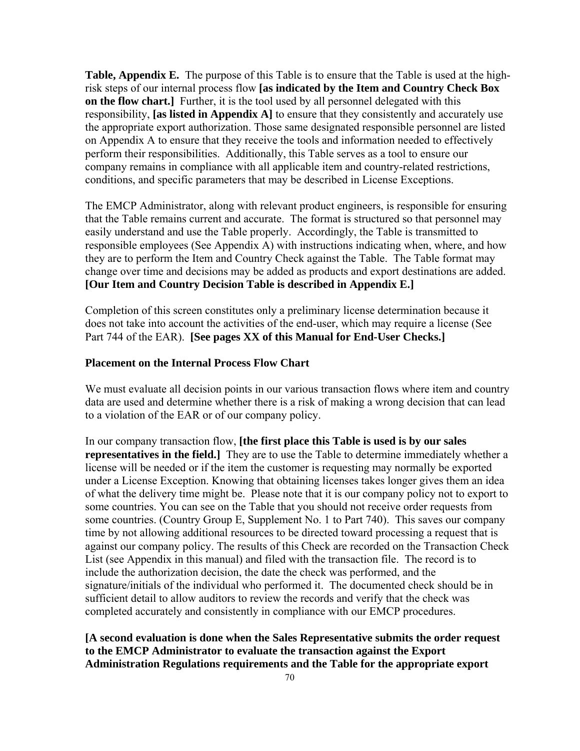**Table, Appendix E.** The purpose of this Table is to ensure that the Table is used at the highrisk steps of our internal process flow **[as indicated by the Item and Country Check Box on the flow chart.**] Further, it is the tool used by all personnel delegated with this responsibility, **[as listed in Appendix A]** to ensure that they consistently and accurately use the appropriate export authorization. Those same designated responsible personnel are listed on Appendix A to ensure that they receive the tools and information needed to effectively perform their responsibilities. Additionally, this Table serves as a tool to ensure our company remains in compliance with all applicable item and country-related restrictions, conditions, and specific parameters that may be described in License Exceptions.

The EMCP Administrator, along with relevant product engineers, is responsible for ensuring that the Table remains current and accurate. The format is structured so that personnel may easily understand and use the Table properly. Accordingly, the Table is transmitted to responsible employees (See Appendix A) with instructions indicating when, where, and how they are to perform the Item and Country Check against the Table. The Table format may change over time and decisions may be added as products and export destinations are added. **[Our Item and Country Decision Table is described in Appendix E.]** 

Completion of this screen constitutes only a preliminary license determination because it does not take into account the activities of the end-user, which may require a license (See Part 744 of the EAR). **[See pages XX of this Manual for End-User Checks.]**

#### **Placement on the Internal Process Flow Chart**

We must evaluate all decision points in our various transaction flows where item and country data are used and determine whether there is a risk of making a wrong decision that can lead to a violation of the EAR or of our company policy.

In our company transaction flow, **[the first place this Table is used is by our sales representatives in the field.** They are to use the Table to determine immediately whether a license will be needed or if the item the customer is requesting may normally be exported under a License Exception. Knowing that obtaining licenses takes longer gives them an idea of what the delivery time might be. Please note that it is our company policy not to export to some countries. You can see on the Table that you should not receive order requests from some countries. (Country Group E, Supplement No. 1 to Part 740). This saves our company time by not allowing additional resources to be directed toward processing a request that is against our company policy. The results of this Check are recorded on the Transaction Check List (see Appendix in this manual) and filed with the transaction file. The record is to include the authorization decision, the date the check was performed, and the signature/initials of the individual who performed it. The documented check should be in sufficient detail to allow auditors to review the records and verify that the check was completed accurately and consistently in compliance with our EMCP procedures.

**[A second evaluation is done when the Sales Representative submits the order request to the EMCP Administrator to evaluate the transaction against the Export Administration Regulations requirements and the Table for the appropriate export**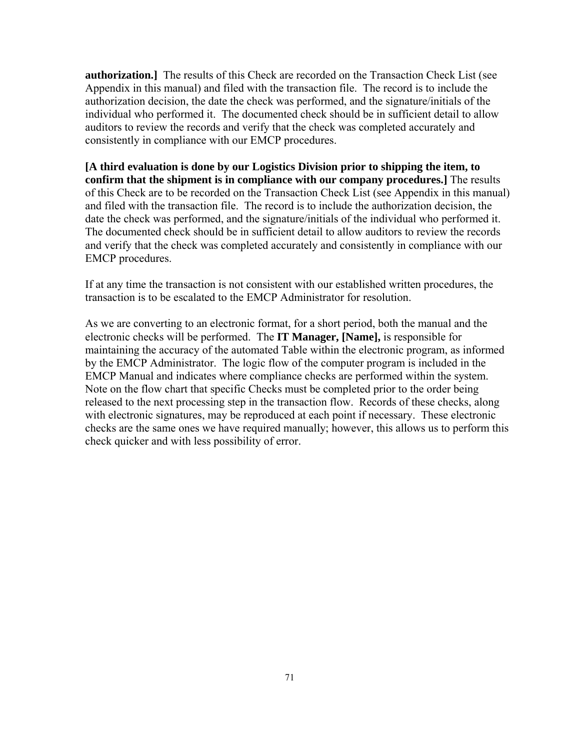**authorization.]** The results of this Check are recorded on the Transaction Check List (see Appendix in this manual) and filed with the transaction file. The record is to include the authorization decision, the date the check was performed, and the signature/initials of the individual who performed it. The documented check should be in sufficient detail to allow auditors to review the records and verify that the check was completed accurately and consistently in compliance with our EMCP procedures.

**[A third evaluation is done by our Logistics Division prior to shipping the item, to confirm that the shipment is in compliance with our company procedures.]** The results of this Check are to be recorded on the Transaction Check List (see Appendix in this manual) and filed with the transaction file. The record is to include the authorization decision, the date the check was performed, and the signature/initials of the individual who performed it. The documented check should be in sufficient detail to allow auditors to review the records and verify that the check was completed accurately and consistently in compliance with our EMCP procedures.

If at any time the transaction is not consistent with our established written procedures, the transaction is to be escalated to the EMCP Administrator for resolution.

As we are converting to an electronic format, for a short period, both the manual and the electronic checks will be performed. The **IT Manager, [Name],** is responsible for maintaining the accuracy of the automated Table within the electronic program, as informed by the EMCP Administrator. The logic flow of the computer program is included in the EMCP Manual and indicates where compliance checks are performed within the system. Note on the flow chart that specific Checks must be completed prior to the order being released to the next processing step in the transaction flow. Records of these checks, along with electronic signatures, may be reproduced at each point if necessary. These electronic checks are the same ones we have required manually; however, this allows us to perform this check quicker and with less possibility of error.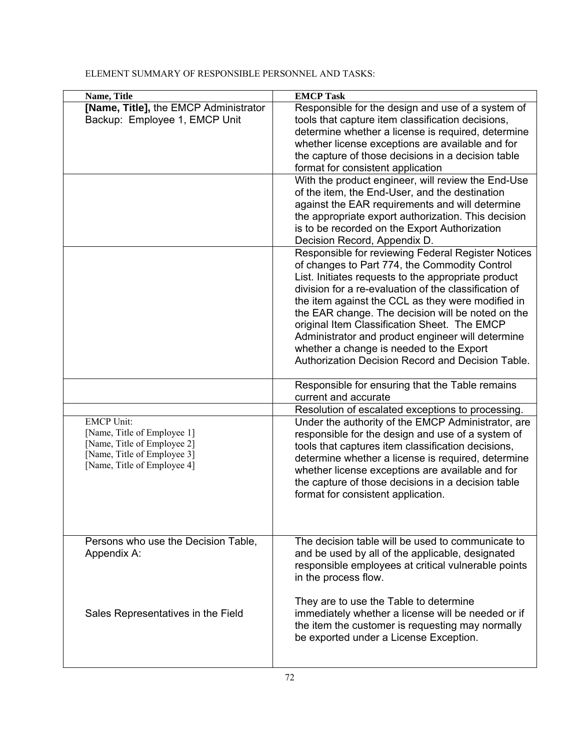## ELEMENT SUMMARY OF RESPONSIBLE PERSONNEL AND TASKS:

| Name, Title                           | <b>EMCP Task</b>                                      |
|---------------------------------------|-------------------------------------------------------|
| [Name, Title], the EMCP Administrator | Responsible for the design and use of a system of     |
| Backup: Employee 1, EMCP Unit         | tools that capture item classification decisions,     |
|                                       | determine whether a license is required, determine    |
|                                       | whether license exceptions are available and for      |
|                                       | the capture of those decisions in a decision table    |
|                                       | format for consistent application                     |
|                                       | With the product engineer, will review the End-Use    |
|                                       | of the item, the End-User, and the destination        |
|                                       |                                                       |
|                                       | against the EAR requirements and will determine       |
|                                       | the appropriate export authorization. This decision   |
|                                       | is to be recorded on the Export Authorization         |
|                                       | Decision Record, Appendix D.                          |
|                                       | Responsible for reviewing Federal Register Notices    |
|                                       | of changes to Part 774, the Commodity Control         |
|                                       | List. Initiates requests to the appropriate product   |
|                                       | division for a re-evaluation of the classification of |
|                                       | the item against the CCL as they were modified in     |
|                                       | the EAR change. The decision will be noted on the     |
|                                       | original Item Classification Sheet. The EMCP          |
|                                       | Administrator and product engineer will determine     |
|                                       | whether a change is needed to the Export              |
|                                       | Authorization Decision Record and Decision Table.     |
|                                       |                                                       |
|                                       | Responsible for ensuring that the Table remains       |
|                                       | current and accurate                                  |
|                                       | Resolution of escalated exceptions to processing.     |
| <b>EMCP Unit:</b>                     | Under the authority of the EMCP Administrator, are    |
| [Name, Title of Employee 1]           | responsible for the design and use of a system of     |
| [Name, Title of Employee 2]           | tools that captures item classification decisions,    |
| [Name, Title of Employee 3]           | determine whether a license is required, determine    |
| [Name, Title of Employee 4]           | whether license exceptions are available and for      |
|                                       | the capture of those decisions in a decision table    |
|                                       |                                                       |
|                                       | format for consistent application.                    |
|                                       |                                                       |
|                                       |                                                       |
|                                       | The decision table will be used to communicate to     |
| Persons who use the Decision Table,   |                                                       |
| Appendix A:                           |                                                       |
|                                       | and be used by all of the applicable, designated      |
|                                       | responsible employees at critical vulnerable points   |
|                                       | in the process flow.                                  |
|                                       |                                                       |
|                                       | They are to use the Table to determine                |
| Sales Representatives in the Field    | immediately whether a license will be needed or if    |
|                                       | the item the customer is requesting may normally      |
|                                       | be exported under a License Exception.                |
|                                       |                                                       |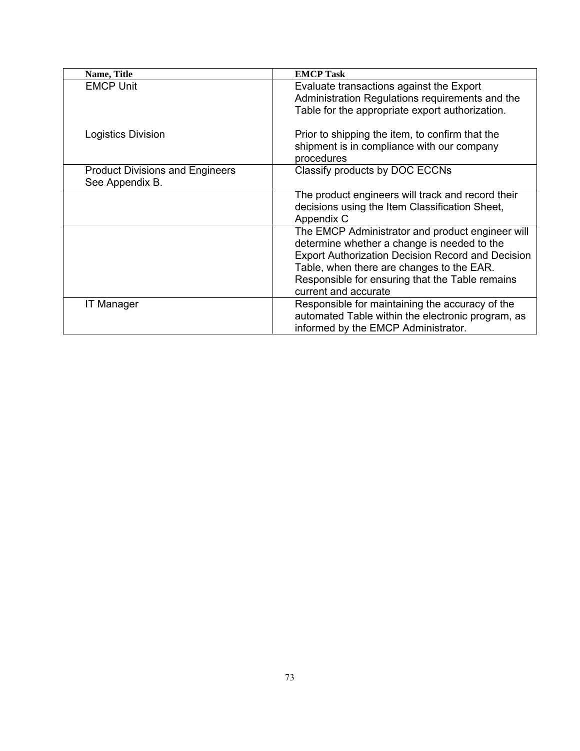| Name, Title                                               | <b>EMCP Task</b>                                                                                                                                                                                                                                                                    |  |
|-----------------------------------------------------------|-------------------------------------------------------------------------------------------------------------------------------------------------------------------------------------------------------------------------------------------------------------------------------------|--|
| <b>EMCP Unit</b>                                          | Evaluate transactions against the Export<br>Administration Regulations requirements and the<br>Table for the appropriate export authorization.                                                                                                                                      |  |
| Logistics Division                                        | Prior to shipping the item, to confirm that the<br>shipment is in compliance with our company<br>procedures                                                                                                                                                                         |  |
| <b>Product Divisions and Engineers</b><br>See Appendix B. | Classify products by DOC ECCNs                                                                                                                                                                                                                                                      |  |
|                                                           | The product engineers will track and record their<br>decisions using the Item Classification Sheet,<br>Appendix C                                                                                                                                                                   |  |
|                                                           | The EMCP Administrator and product engineer will<br>determine whether a change is needed to the<br><b>Export Authorization Decision Record and Decision</b><br>Table, when there are changes to the EAR.<br>Responsible for ensuring that the Table remains<br>current and accurate |  |
| <b>IT Manager</b>                                         | Responsible for maintaining the accuracy of the<br>automated Table within the electronic program, as<br>informed by the EMCP Administrator.                                                                                                                                         |  |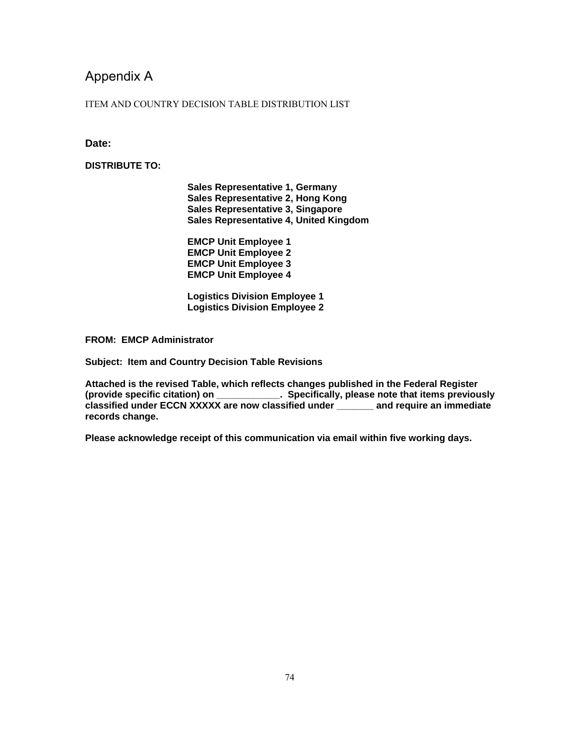# Appendix A

#### ITEM AND COUNTRY DECISION TABLE DISTRIBUTION LIST

### **Date:**

#### **DISTRIBUTE TO:**

**Sales Representative 1, Germany Sales Representative 2, Hong Kong Sales Representative 3, Singapore Sales Representative 4, United Kingdom** 

**EMCP Unit Employee 1 EMCP Unit Employee 2 EMCP Unit Employee 3 EMCP Unit Employee 4** 

**Logistics Division Employee 1 Logistics Division Employee 2** 

**FROM: EMCP Administrator** 

**Subject: Item and Country Decision Table Revisions** 

**Attached is the revised Table, which reflects changes published in the Federal Register (provide specific citation) on \_\_\_\_\_\_\_\_\_\_\_\_. Specifically, please note that items previously classified under ECCN XXXXX are now classified under \_\_\_\_\_\_\_ and require an immediate records change.** 

**Please acknowledge receipt of this communication via email within five working days.**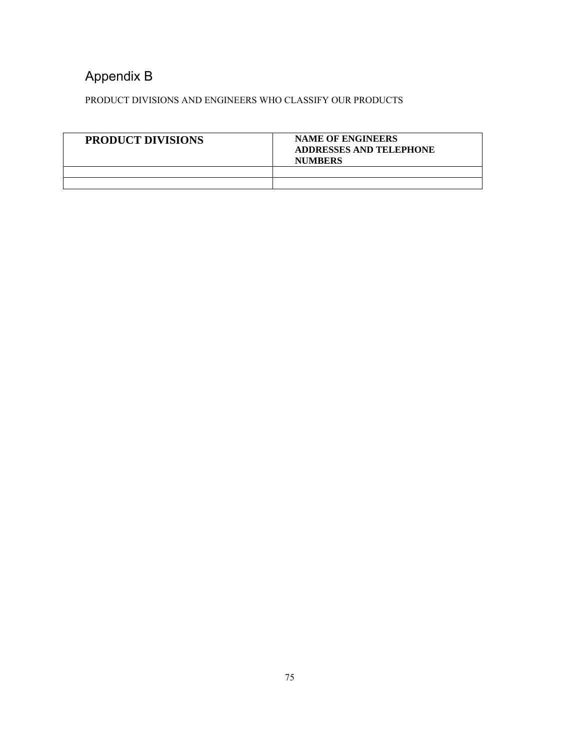# Appendix B

PRODUCT DIVISIONS AND ENGINEERS WHO CLASSIFY OUR PRODUCTS

| <b>PRODUCT DIVISIONS</b> | <b>NAME OF ENGINEERS</b><br><b>ADDRESSES AND TELEPHONE</b><br><b>NUMBERS</b> |
|--------------------------|------------------------------------------------------------------------------|
|                          |                                                                              |
|                          |                                                                              |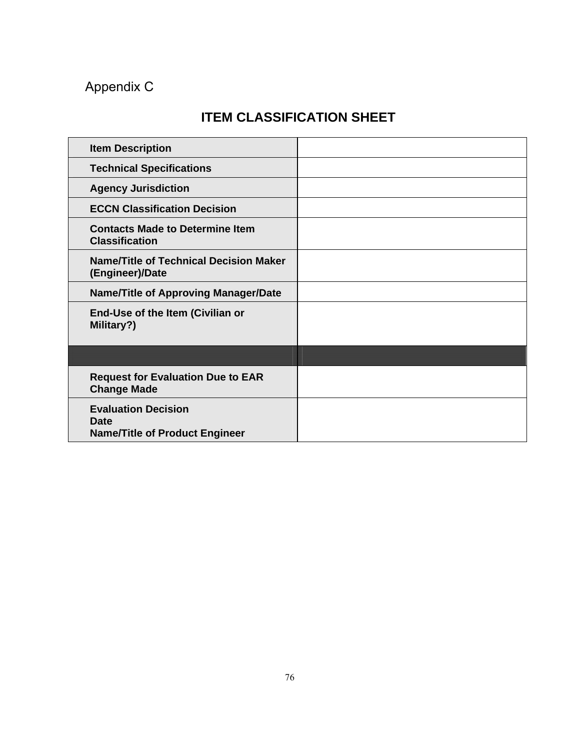# Appendix C

# **ITEM CLASSIFICATION SHEET**

| <b>Item Description</b>                                                     |  |
|-----------------------------------------------------------------------------|--|
| <b>Technical Specifications</b>                                             |  |
| <b>Agency Jurisdiction</b>                                                  |  |
| <b>ECCN Classification Decision</b>                                         |  |
| <b>Contacts Made to Determine Item</b><br><b>Classification</b>             |  |
| <b>Name/Title of Technical Decision Maker</b><br>(Engineer)/Date            |  |
| <b>Name/Title of Approving Manager/Date</b>                                 |  |
| End-Use of the Item (Civilian or<br>Military?)                              |  |
|                                                                             |  |
| <b>Request for Evaluation Due to EAR</b><br><b>Change Made</b>              |  |
| <b>Evaluation Decision</b><br>Date<br><b>Name/Title of Product Engineer</b> |  |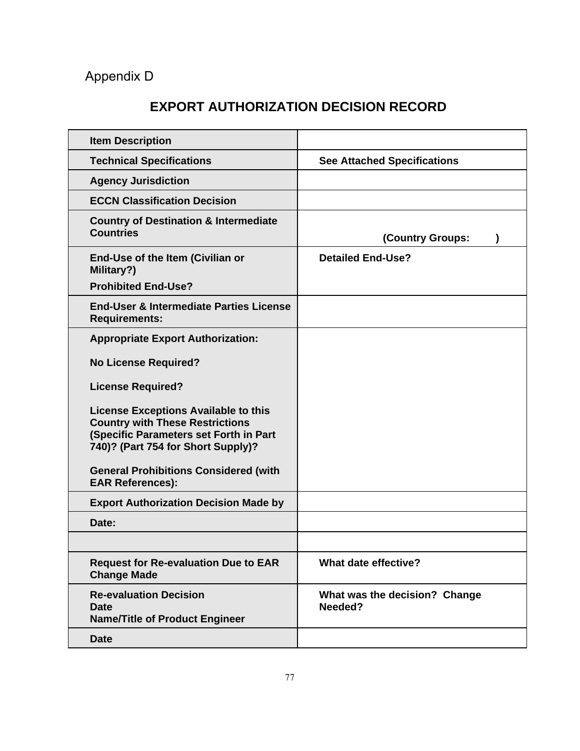# Appendix D

# **EXPORT AUTHORIZATION DECISION RECORD**

| <b>Item Description</b>                                                                                                                                               |                                          |  |
|-----------------------------------------------------------------------------------------------------------------------------------------------------------------------|------------------------------------------|--|
| <b>Technical Specifications</b>                                                                                                                                       | <b>See Attached Specifications</b>       |  |
| <b>Agency Jurisdiction</b>                                                                                                                                            |                                          |  |
| <b>ECCN Classification Decision</b>                                                                                                                                   |                                          |  |
| <b>Country of Destination &amp; Intermediate</b><br><b>Countries</b>                                                                                                  | (Country Groups:<br><sup>)</sup>         |  |
| End-Use of the Item (Civilian or<br>Military?)                                                                                                                        | <b>Detailed End-Use?</b>                 |  |
| <b>Prohibited End-Use?</b>                                                                                                                                            |                                          |  |
| <b>End-User &amp; Intermediate Parties License</b><br><b>Requirements:</b>                                                                                            |                                          |  |
| <b>Appropriate Export Authorization:</b>                                                                                                                              |                                          |  |
| <b>No License Required?</b>                                                                                                                                           |                                          |  |
| <b>License Required?</b>                                                                                                                                              |                                          |  |
| <b>License Exceptions Available to this</b><br><b>Country with These Restrictions</b><br>(Specific Parameters set Forth in Part<br>740)? (Part 754 for Short Supply)? |                                          |  |
| <b>General Prohibitions Considered (with</b><br><b>EAR References):</b>                                                                                               |                                          |  |
| <b>Export Authorization Decision Made by</b>                                                                                                                          |                                          |  |
| Date:                                                                                                                                                                 |                                          |  |
|                                                                                                                                                                       |                                          |  |
| <b>Request for Re-evaluation Due to EAR</b><br><b>Change Made</b>                                                                                                     | What date effective?                     |  |
| <b>Re-evaluation Decision</b><br><b>Date</b><br><b>Name/Title of Product Engineer</b>                                                                                 | What was the decision? Change<br>Needed? |  |
| <b>Date</b>                                                                                                                                                           |                                          |  |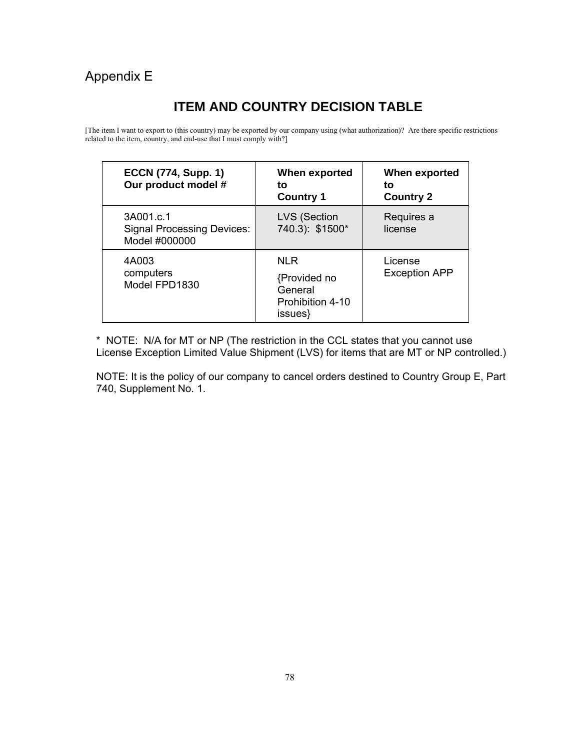# Appendix E

# **ITEM AND COUNTRY DECISION TABLE**

[The item I want to export to (this country) may be exported by our company using (what authorization)? Are there specific restrictions related to the item, country, and end-use that I must comply with?]

| <b>ECCN (774, Supp. 1)</b><br>Our product model #               | When exported<br>to<br><b>Country 1</b>                              | When exported<br>to<br><b>Country 2</b> |
|-----------------------------------------------------------------|----------------------------------------------------------------------|-----------------------------------------|
| 3A001.c.1<br><b>Signal Processing Devices:</b><br>Model #000000 | <b>LVS (Section</b><br>740.3): \$1500*                               | Requires a<br>license                   |
| 4A003<br>computers<br>Model FPD1830                             | <b>NLR</b><br>{Provided no<br>General<br>Prohibition 4-10<br>issues} | License<br><b>Exception APP</b>         |

\* NOTE: N/A for MT or NP (The restriction in the CCL states that you cannot use License Exception Limited Value Shipment (LVS) for items that are MT or NP controlled.)

NOTE: It is the policy of our company to cancel orders destined to Country Group E, Part 740, Supplement No. 1.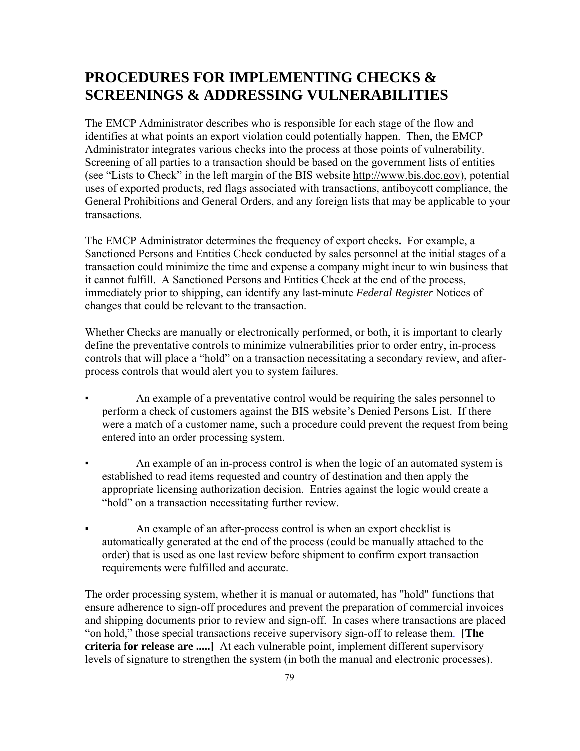# **PROCEDURES FOR IMPLEMENTING CHECKS & SCREENINGS & ADDRESSING VULNERABILITIES**

The EMCP Administrator describes who is responsible for each stage of the flow and identifies at what points an export violation could potentially happen. Then, the EMCP Administrator integrates various checks into the process at those points of vulnerability. Screening of all parties to a transaction should be based on the government lists of entities (see "Lists to Check" in the left margin of the BIS website [http://www.bis.doc.gov](http://www.bis.doc.gov/)), potential uses of exported products, red flags associated with transactions, antiboycott compliance, the General Prohibitions and General Orders, and any foreign lists that may be applicable to your transactions.

The EMCP Administrator determines the frequency of export checks**.** For example, a Sanctioned Persons and Entities Check conducted by sales personnel at the initial stages of a transaction could minimize the time and expense a company might incur to win business that it cannot fulfill. A Sanctioned Persons and Entities Check at the end of the process, immediately prior to shipping, can identify any last-minute *Federal Register* Notices of changes that could be relevant to the transaction.

Whether Checks are manually or electronically performed, or both, it is important to clearly define the preventative controls to minimize vulnerabilities prior to order entry, in-process controls that will place a "hold" on a transaction necessitating a secondary review, and afterprocess controls that would alert you to system failures.

- An example of a preventative control would be requiring the sales personnel to perform a check of customers against the BIS website's Denied Persons List. If there were a match of a customer name, such a procedure could prevent the request from being entered into an order processing system.
- An example of an in-process control is when the logic of an automated system is established to read items requested and country of destination and then apply the appropriate licensing authorization decision. Entries against the logic would create a "hold" on a transaction necessitating further review.
- An example of an after-process control is when an export checklist is automatically generated at the end of the process (could be manually attached to the order) that is used as one last review before shipment to confirm export transaction requirements were fulfilled and accurate.

The order processing system, whether it is manual or automated, has "hold" functions that ensure adherence to sign-off procedures and prevent the preparation of commercial invoices and shipping documents prior to review and sign-off. In cases where transactions are placed "on hold," those special transactions receive supervisory sign-off to release them. **[The criteria for release are .....]** At each vulnerable point, implement different supervisory levels of signature to strengthen the system (in both the manual and electronic processes).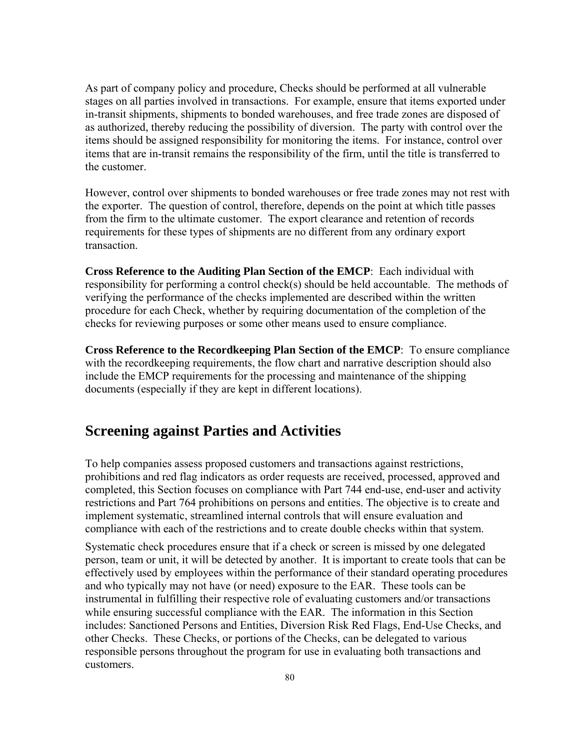As part of company policy and procedure, Checks should be performed at all vulnerable stages on all parties involved in transactions. For example, ensure that items exported under in-transit shipments, shipments to bonded warehouses, and free trade zones are disposed of as authorized, thereby reducing the possibility of diversion. The party with control over the items should be assigned responsibility for monitoring the items. For instance, control over items that are in-transit remains the responsibility of the firm, until the title is transferred to the customer.

However, control over shipments to bonded warehouses or free trade zones may not rest with the exporter. The question of control, therefore, depends on the point at which title passes from the firm to the ultimate customer. The export clearance and retention of records requirements for these types of shipments are no different from any ordinary export transaction.

**Cross Reference to the Auditing Plan Section of the EMCP**: Each individual with responsibility for performing a control check(s) should be held accountable. The methods of verifying the performance of the checks implemented are described within the written procedure for each Check, whether by requiring documentation of the completion of the checks for reviewing purposes or some other means used to ensure compliance.

**Cross Reference to the Recordkeeping Plan Section of the EMCP**: To ensure compliance with the recordkeeping requirements, the flow chart and narrative description should also include the EMCP requirements for the processing and maintenance of the shipping documents (especially if they are kept in different locations).

# **Screening against Parties and Activities**

To help companies assess proposed customers and transactions against restrictions, prohibitions and red flag indicators as order requests are received, processed, approved and completed, this Section focuses on compliance with Part 744 end-use, end-user and activity restrictions and Part 764 prohibitions on persons and entities. The objective is to create and implement systematic, streamlined internal controls that will ensure evaluation and compliance with each of the restrictions and to create double checks within that system.

Systematic check procedures ensure that if a check or screen is missed by one delegated person, team or unit, it will be detected by another. It is important to create tools that can be effectively used by employees within the performance of their standard operating procedures and who typically may not have (or need) exposure to the EAR. These tools can be instrumental in fulfilling their respective role of evaluating customers and/or transactions while ensuring successful compliance with the EAR. The information in this Section includes: Sanctioned Persons and Entities, Diversion Risk Red Flags, End-Use Checks, and other Checks. These Checks, or portions of the Checks, can be delegated to various responsible persons throughout the program for use in evaluating both transactions and customers.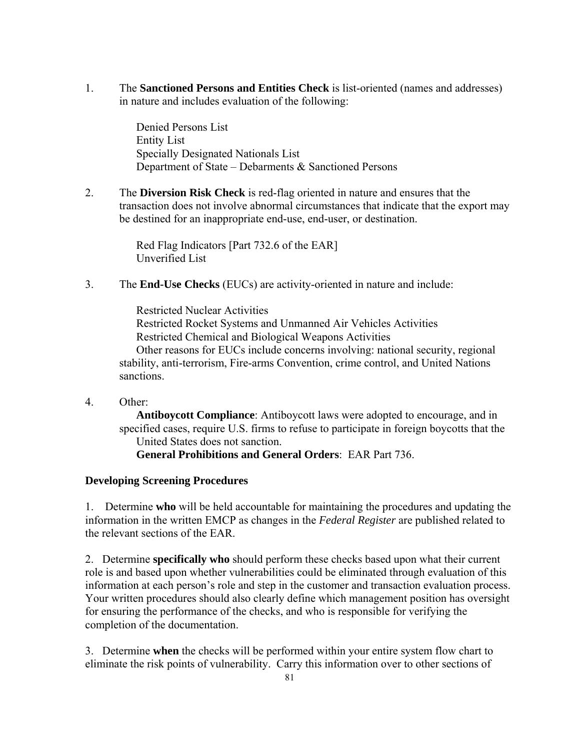1. The **Sanctioned Persons and Entities Check** is list-oriented (names and addresses) in nature and includes evaluation of the following:

> Denied Persons List Entity List Specially Designated Nationals List Department of State – Debarments & Sanctioned Persons

2. The **Diversion Risk Check** is red-flag oriented in nature and ensures that the transaction does not involve abnormal circumstances that indicate that the export may be destined for an inappropriate end-use, end-user, or destination.

> Red Flag Indicators [Part 732.6 of the EAR] Unverified List

3. The **End-Use Checks** (EUCs) are activity-oriented in nature and include:

 Restricted Nuclear Activities Restricted Rocket Systems and Unmanned Air Vehicles Activities Restricted Chemical and Biological Weapons Activities Other reasons for EUCs include concerns involving: national security, regional stability, anti-terrorism, Fire-arms Convention, crime control, and United Nations sanctions.

4. Other:

**Antiboycott Compliance**: Antiboycott laws were adopted to encourage, and in specified cases, require U.S. firms to refuse to participate in foreign boycotts that the United States does not sanction.  **General Prohibitions and General Orders**: EAR Part 736.

# **Developing Screening Procedures**

1. Determine **who** will be held accountable for maintaining the procedures and updating the information in the written EMCP as changes in the *Federal Register* are published related to the relevant sections of the EAR.

2. Determine **specifically who** should perform these checks based upon what their current role is and based upon whether vulnerabilities could be eliminated through evaluation of this information at each person's role and step in the customer and transaction evaluation process. Your written procedures should also clearly define which management position has oversight for ensuring the performance of the checks, and who is responsible for verifying the completion of the documentation.

3. Determine **when** the checks will be performed within your entire system flow chart to eliminate the risk points of vulnerability. Carry this information over to other sections of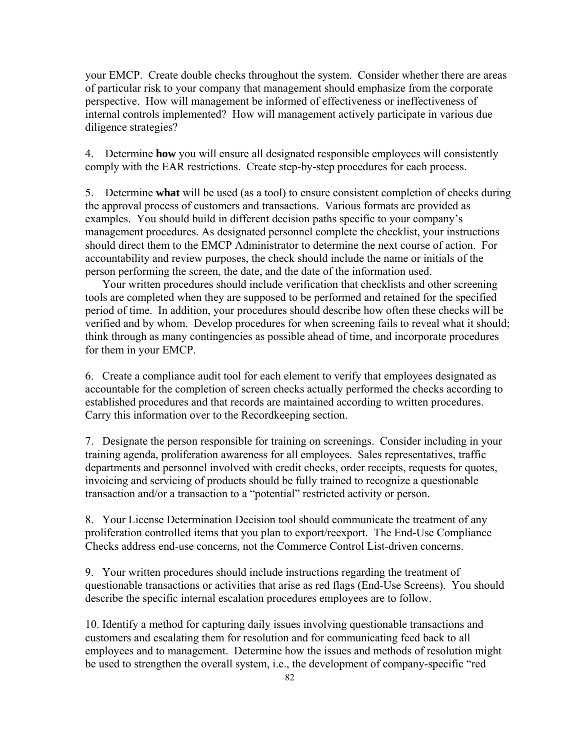your EMCP. Create double checks throughout the system. Consider whether there are areas of particular risk to your company that management should emphasize from the corporate perspective. How will management be informed of effectiveness or ineffectiveness of internal controls implemented? How will management actively participate in various due diligence strategies?

4. Determine **how** you will ensure all designated responsible employees will consistently comply with the EAR restrictions. Create step-by-step procedures for each process.

5. Determine **what** will be used (as a tool) to ensure consistent completion of checks during the approval process of customers and transactions. Various formats are provided as examples.You should build in different decision paths specific to your company's management procedures. As designated personnel complete the checklist, your instructions should direct them to the EMCP Administrator to determine the next course of action. For accountability and review purposes, the check should include the name or initials of the person performing the screen, the date, and the date of the information used.

Your written procedures should include verification that checklists and other screening tools are completed when they are supposed to be performed and retained for the specified period of time. In addition, your procedures should describe how often these checks will be verified and by whom. Develop procedures for when screening fails to reveal what it should; think through as many contingencies as possible ahead of time, and incorporate procedures for them in your EMCP.

6. Create a compliance audit tool for each element to verify that employees designated as accountable for the completion of screen checks actually performed the checks according to established procedures and that records are maintained according to written procedures. Carry this information over to the Recordkeeping section.

7. Designate the person responsible for training on screenings. Consider including in your training agenda, proliferation awareness for all employees. Sales representatives, traffic departments and personnel involved with credit checks, order receipts, requests for quotes, invoicing and servicing of products should be fully trained to recognize a questionable transaction and/or a transaction to a "potential" restricted activity or person.

8. Your License Determination Decision tool should communicate the treatment of any proliferation controlled items that you plan to export/reexport. The End-Use Compliance Checks address end-use concerns, not the Commerce Control List-driven concerns.

9. Your written procedures should include instructions regarding the treatment of questionable transactions or activities that arise as red flags (End-Use Screens). You should describe the specific internal escalation procedures employees are to follow.

10. Identify a method for capturing daily issues involving questionable transactions and customers and escalating them for resolution and for communicating feed back to all employees and to management. Determine how the issues and methods of resolution might be used to strengthen the overall system, i.e., the development of company-specific "red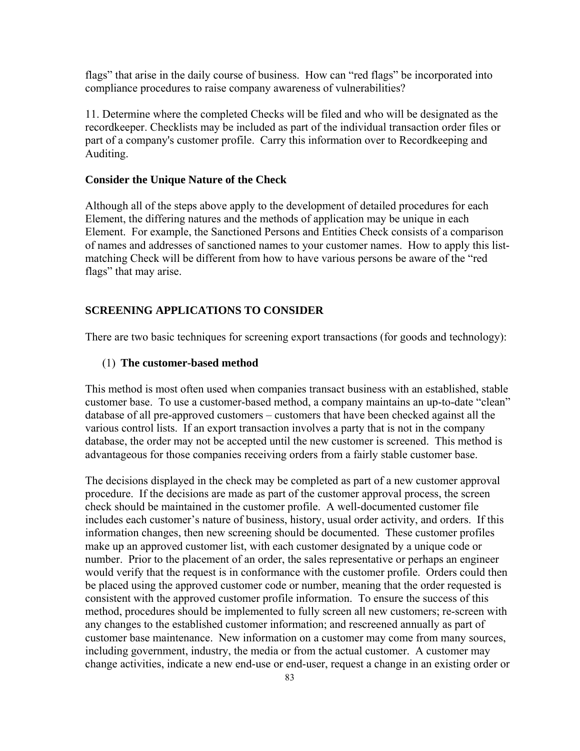flags" that arise in the daily course of business. How can "red flags" be incorporated into compliance procedures to raise company awareness of vulnerabilities?

11. Determine where the completed Checks will be filed and who will be designated as the recordkeeper. Checklists may be included as part of the individual transaction order files or part of a company's customer profile. Carry this information over to Recordkeeping and Auditing.

#### **Consider the Unique Nature of the Check**

Although all of the steps above apply to the development of detailed procedures for each Element, the differing natures and the methods of application may be unique in each Element. For example, the Sanctioned Persons and Entities Check consists of a comparison of names and addresses of sanctioned names to your customer names. How to apply this listmatching Check will be different from how to have various persons be aware of the "red flags" that may arise.

# **SCREENING APPLICATIONS TO CONSIDER**

There are two basic techniques for screening export transactions (for goods and technology):

#### (1) **The customer-based method**

This method is most often used when companies transact business with an established, stable customer base. To use a customer-based method, a company maintains an up-to-date "clean" database of all pre-approved customers – customers that have been checked against all the various control lists. If an export transaction involves a party that is not in the company database, the order may not be accepted until the new customer is screened. This method is advantageous for those companies receiving orders from a fairly stable customer base.

The decisions displayed in the check may be completed as part of a new customer approval procedure. If the decisions are made as part of the customer approval process, the screen check should be maintained in the customer profile. A well-documented customer file includes each customer's nature of business, history, usual order activity, and orders. If this information changes, then new screening should be documented. These customer profiles make up an approved customer list, with each customer designated by a unique code or number. Prior to the placement of an order, the sales representative or perhaps an engineer would verify that the request is in conformance with the customer profile. Orders could then be placed using the approved customer code or number, meaning that the order requested is consistent with the approved customer profile information. To ensure the success of this method, procedures should be implemented to fully screen all new customers; re-screen with any changes to the established customer information; and rescreened annually as part of customer base maintenance. New information on a customer may come from many sources, including government, industry, the media or from the actual customer. A customer may change activities, indicate a new end-use or end-user, request a change in an existing order or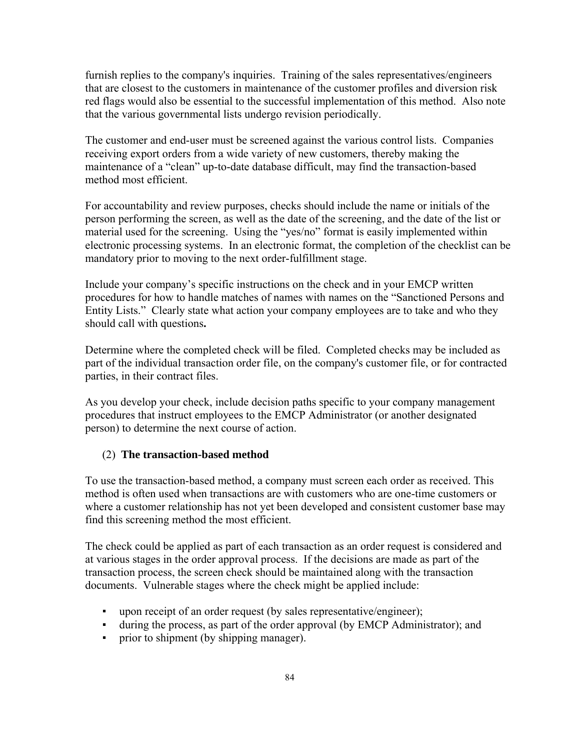furnish replies to the company's inquiries. Training of the sales representatives/engineers that are closest to the customers in maintenance of the customer profiles and diversion risk red flags would also be essential to the successful implementation of this method. Also note that the various governmental lists undergo revision periodically.

The customer and end-user must be screened against the various control lists. Companies receiving export orders from a wide variety of new customers, thereby making the maintenance of a "clean" up-to-date database difficult, may find the transaction-based method most efficient.

For accountability and review purposes, checks should include the name or initials of the person performing the screen, as well as the date of the screening, and the date of the list or material used for the screening. Using the "yes/no" format is easily implemented within electronic processing systems. In an electronic format, the completion of the checklist can be mandatory prior to moving to the next order-fulfillment stage.

Include your company's specific instructions on the check and in your EMCP written procedures for how to handle matches of names with names on the "Sanctioned Persons and Entity Lists." Clearly state what action your company employees are to take and who they should call with questions**.**

Determine where the completed check will be filed. Completed checks may be included as part of the individual transaction order file, on the company's customer file, or for contracted parties, in their contract files.

As you develop your check, include decision paths specific to your company management procedures that instruct employees to the EMCP Administrator (or another designated person) to determine the next course of action.

### (2) **The transaction-based method**

To use the transaction-based method, a company must screen each order as received. This method is often used when transactions are with customers who are one-time customers or where a customer relationship has not yet been developed and consistent customer base may find this screening method the most efficient.

The check could be applied as part of each transaction as an order request is considered and at various stages in the order approval process. If the decisions are made as part of the transaction process, the screen check should be maintained along with the transaction documents. Vulnerable stages where the check might be applied include:

- upon receipt of an order request (by sales representative/engineer);
- during the process, as part of the order approval (by EMCP Administrator); and
- prior to shipment (by shipping manager).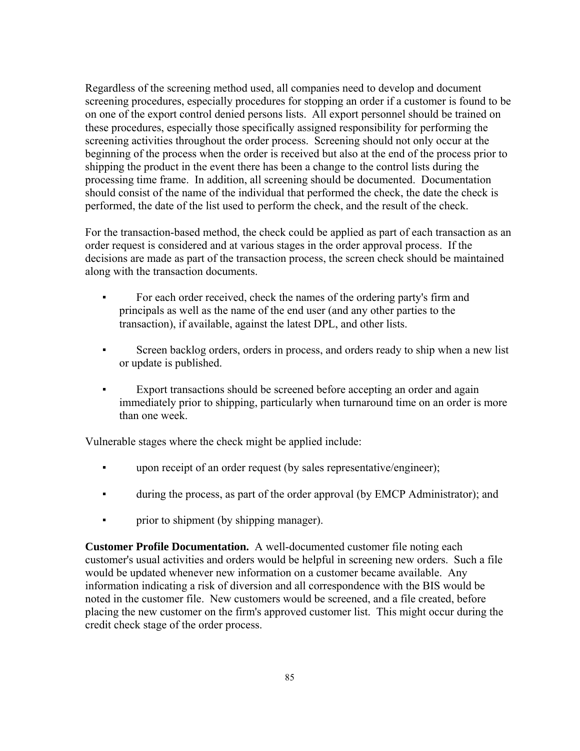Regardless of the screening method used, all companies need to develop and document screening procedures, especially procedures for stopping an order if a customer is found to be on one of the export control denied persons lists. All export personnel should be trained on these procedures, especially those specifically assigned responsibility for performing the screening activities throughout the order process. Screening should not only occur at the beginning of the process when the order is received but also at the end of the process prior to shipping the product in the event there has been a change to the control lists during the processing time frame. In addition, all screening should be documented. Documentation should consist of the name of the individual that performed the check, the date the check is performed, the date of the list used to perform the check, and the result of the check.

For the transaction-based method, the check could be applied as part of each transaction as an order request is considered and at various stages in the order approval process. If the decisions are made as part of the transaction process, the screen check should be maintained along with the transaction documents.

- For each order received, check the names of the ordering party's firm and principals as well as the name of the end user (and any other parties to the transaction), if available, against the latest DPL, and other lists.
- Screen backlog orders, orders in process, and orders ready to ship when a new list or update is published.
- Export transactions should be screened before accepting an order and again immediately prior to shipping, particularly when turnaround time on an order is more than one week

Vulnerable stages where the check might be applied include:

- **•** upon receipt of an order request (by sales representative/engineer);
- during the process, as part of the order approval (by EMCP Administrator); and
- prior to shipment (by shipping manager).

**Customer Profile Documentation.** A well-documented customer file noting each customer's usual activities and orders would be helpful in screening new orders. Such a file would be updated whenever new information on a customer became available. Any information indicating a risk of diversion and all correspondence with the BIS would be noted in the customer file. New customers would be screened, and a file created, before placing the new customer on the firm's approved customer list. This might occur during the credit check stage of the order process.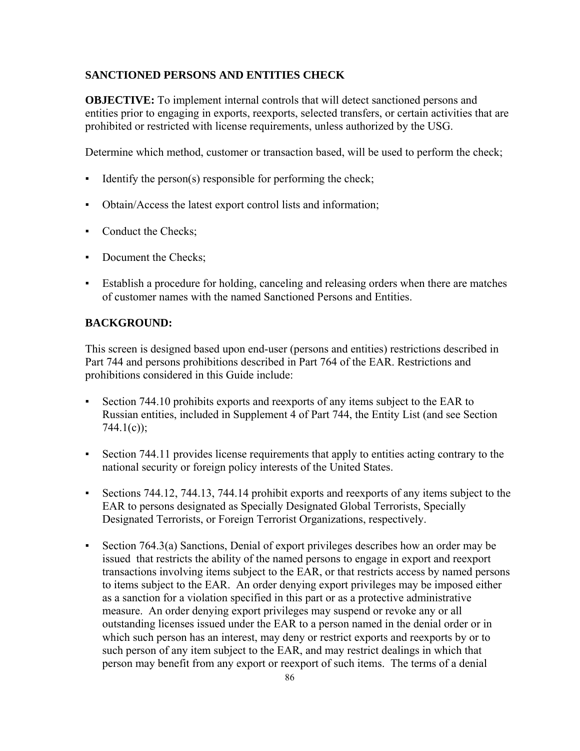# **SANCTIONED PERSONS AND ENTITIES CHECK**

**OBJECTIVE:** To implement internal controls that will detect sanctioned persons and entities prior to engaging in exports, reexports, selected transfers, or certain activities that are prohibited or restricted with license requirements, unless authorized by the USG.

Determine which method, customer or transaction based, will be used to perform the check;

- **•** Identify the person(s) responsible for performing the check;
- Obtain/Access the latest export control lists and information;
- Conduct the Checks;
- Document the Checks;
- Establish a procedure for holding, canceling and releasing orders when there are matches of customer names with the named Sanctioned Persons and Entities.

## **BACKGROUND:**

This screen is designed based upon end-user (persons and entities) restrictions described in Part 744 and persons prohibitions described in Part 764 of the EAR. Restrictions and prohibitions considered in this Guide include:

- Section 744.10 prohibits exports and reexports of any items subject to the EAR to Russian entities, included in Supplement 4 of Part 744, the Entity List (and see Section  $744.1(c)$ ;
- Section 744.11 provides license requirements that apply to entities acting contrary to the national security or foreign policy interests of the United States.
- Sections 744.12, 744.13, 744.14 prohibit exports and reexports of any items subject to the EAR to persons designated as Specially Designated Global Terrorists, Specially Designated Terrorists, or Foreign Terrorist Organizations, respectively.
- Section 764.3(a) Sanctions, Denial of export privileges describes how an order may be issued that restricts the ability of the named persons to engage in export and reexport transactions involving items subject to the EAR, or that restricts access by named persons to items subject to the EAR. An order denying export privileges may be imposed either as a sanction for a violation specified in this part or as a protective administrative measure. An order denying export privileges may suspend or revoke any or all outstanding licenses issued under the EAR to a person named in the denial order or in which such person has an interest, may deny or restrict exports and reexports by or to such person of any item subject to the EAR, and may restrict dealings in which that person may benefit from any export or reexport of such items. The terms of a denial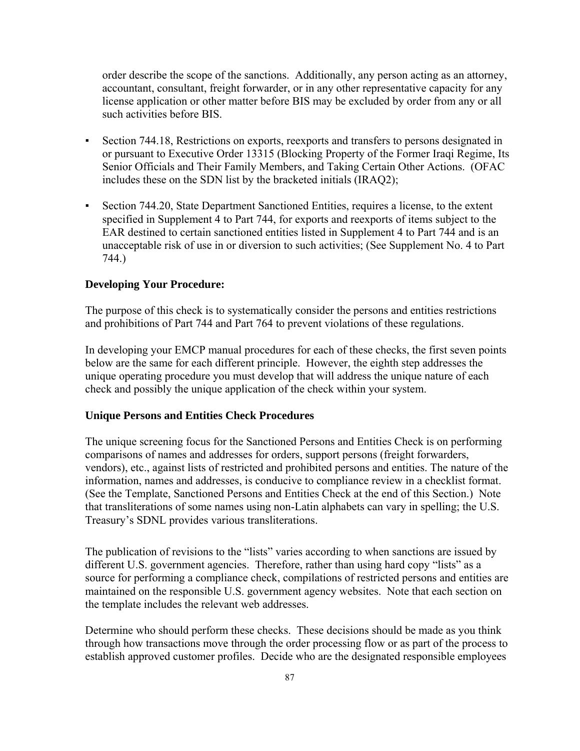order describe the scope of the sanctions. Additionally, any person acting as an attorney, accountant, consultant, freight forwarder, or in any other representative capacity for any license application or other matter before BIS may be excluded by order from any or all such activities before BIS.

- Section 744.18, Restrictions on exports, reexports and transfers to persons designated in or pursuant to Executive Order 13315 (Blocking Property of the Former Iraqi Regime, Its Senior Officials and Their Family Members, and Taking Certain Other Actions. (OFAC includes these on the SDN list by the bracketed initials (IRAQ2);
- Section 744.20, State Department Sanctioned Entities, requires a license, to the extent specified in Supplement 4 to Part 744, for exports and reexports of items subject to the EAR destined to certain sanctioned entities listed in Supplement 4 to Part 744 and is an unacceptable risk of use in or diversion to such activities; (See Supplement No. 4 to Part 744.)

### **Developing Your Procedure:**

The purpose of this check is to systematically consider the persons and entities restrictions and prohibitions of Part 744 and Part 764 to prevent violations of these regulations.

In developing your EMCP manual procedures for each of these checks, the first seven points below are the same for each different principle. However, the eighth step addresses the unique operating procedure you must develop that will address the unique nature of each check and possibly the unique application of the check within your system.

#### **Unique Persons and Entities Check Procedures**

The unique screening focus for the Sanctioned Persons and Entities Check is on performing comparisons of names and addresses for orders, support persons (freight forwarders, vendors), etc., against lists of restricted and prohibited persons and entities. The nature of the information, names and addresses, is conducive to compliance review in a checklist format. (See the Template, Sanctioned Persons and Entities Check at the end of this Section.) Note that transliterations of some names using non-Latin alphabets can vary in spelling; the U.S. Treasury's SDNL provides various transliterations.

The publication of revisions to the "lists" varies according to when sanctions are issued by different U.S. government agencies. Therefore, rather than using hard copy "lists" as a source for performing a compliance check, compilations of restricted persons and entities are maintained on the responsible U.S. government agency websites. Note that each section on the template includes the relevant web addresses.

Determine who should perform these checks. These decisions should be made as you think through how transactions move through the order processing flow or as part of the process to establish approved customer profiles. Decide who are the designated responsible employees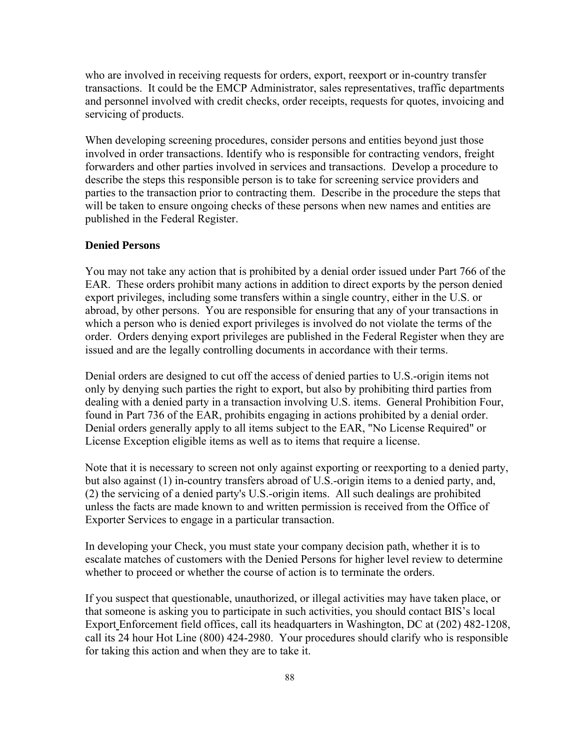who are involved in receiving requests for orders, export, reexport or in-country transfer transactions. It could be the EMCP Administrator, sales representatives, traffic departments and personnel involved with credit checks, order receipts, requests for quotes, invoicing and servicing of products.

When developing screening procedures, consider persons and entities beyond just those involved in order transactions. Identify who is responsible for contracting vendors, freight forwarders and other parties involved in services and transactions. Develop a procedure to describe the steps this responsible person is to take for screening service providers and parties to the transaction prior to contracting them. Describe in the procedure the steps that will be taken to ensure ongoing checks of these persons when new names and entities are published in the Federal Register.

# **Denied Persons**

You may not take any action that is prohibited by a denial order issued under Part 766 of the EAR. These orders prohibit many actions in addition to direct exports by the person denied export privileges, including some transfers within a single country, either in the U.S. or abroad, by other persons. You are responsible for ensuring that any of your transactions in which a person who is denied export privileges is involved do not violate the terms of the order. Orders denying export privileges are published in the Federal Register when they are issued and are the legally controlling documents in accordance with their terms.

Denial orders are designed to cut off the access of denied parties to U.S.-origin items not only by denying such parties the right to export, but also by prohibiting third parties from dealing with a denied party in a transaction involving U.S. items. General Prohibition Four, found in Part 736 of the EAR, prohibits engaging in actions prohibited by a denial order. Denial orders generally apply to all items subject to the EAR, "No License Required" or License Exception eligible items as well as to items that require a license.

Note that it is necessary to screen not only against exporting or reexporting to a denied party, but also against (1) in-country transfers abroad of U.S.-origin items to a denied party, and, (2) the servicing of a denied party's U.S.-origin items. All such dealings are prohibited unless the facts are made known to and written permission is received from the Office of Exporter Services to engage in a particular transaction.

In developing your Check, you must state your company decision path, whether it is to escalate matches of customers with the Denied Persons for higher level review to determine whether to proceed or whether the course of action is to terminate the orders.

If you suspect that questionable, unauthorized, or illegal activities may have taken place, or that someone is asking you to participate in such activities, you should contact BIS's local Export Enforcement field offices, call its headquarters in Washington, DC at (202) 482-1208, call its 24 hour Hot Line (800) 424-2980. Your procedures should clarify who is responsible for taking this action and when they are to take it.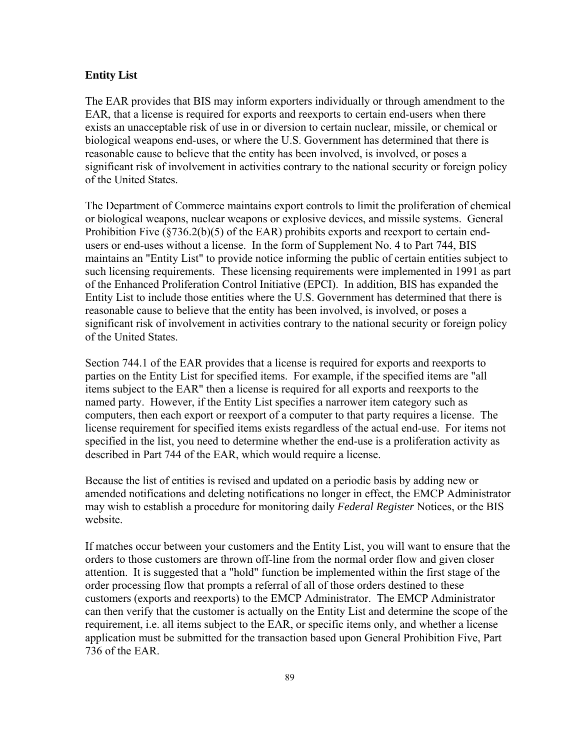### **Entity List**

The EAR provides that BIS may inform exporters individually or through amendment to the EAR, that a license is required for exports and reexports to certain end-users when there exists an unacceptable risk of use in or diversion to certain nuclear, missile, or chemical or biological weapons end-uses, or where the U.S. Government has determined that there is reasonable cause to believe that the entity has been involved, is involved, or poses a significant risk of involvement in activities contrary to the national security or foreign policy of the United States.

The Department of Commerce maintains export controls to limit the proliferation of chemical or biological weapons, nuclear weapons or explosive devices, and missile systems. General Prohibition Five (§736.2(b)(5) of the EAR) prohibits exports and reexport to certain endusers or end-uses without a license. In the form of Supplement No. 4 to Part 744, BIS maintains an "Entity List" to provide notice informing the public of certain entities subject to such licensing requirements. These licensing requirements were implemented in 1991 as part of the Enhanced Proliferation Control Initiative (EPCI). In addition, BIS has expanded the Entity List to include those entities where the U.S. Government has determined that there is reasonable cause to believe that the entity has been involved, is involved, or poses a significant risk of involvement in activities contrary to the national security or foreign policy of the United States.

Section 744.1 of the EAR provides that a license is required for exports and reexports to parties on the Entity List for specified items. For example, if the specified items are "all items subject to the EAR" then a license is required for all exports and reexports to the named party. However, if the Entity List specifies a narrower item category such as computers, then each export or reexport of a computer to that party requires a license. The license requirement for specified items exists regardless of the actual end-use. For items not specified in the list, you need to determine whether the end-use is a proliferation activity as described in Part 744 of the EAR, which would require a license.

Because the list of entities is revised and updated on a periodic basis by adding new or amended notifications and deleting notifications no longer in effect, the EMCP Administrator may wish to establish a procedure for monitoring daily *Federal Register* Notices, or the BIS website.

If matches occur between your customers and the Entity List, you will want to ensure that the orders to those customers are thrown off-line from the normal order flow and given closer attention. It is suggested that a "hold" function be implemented within the first stage of the order processing flow that prompts a referral of all of those orders destined to these customers (exports and reexports) to the EMCP Administrator. The EMCP Administrator can then verify that the customer is actually on the Entity List and determine the scope of the requirement, i.e. all items subject to the EAR, or specific items only, and whether a license application must be submitted for the transaction based upon General Prohibition Five, Part 736 of the EAR.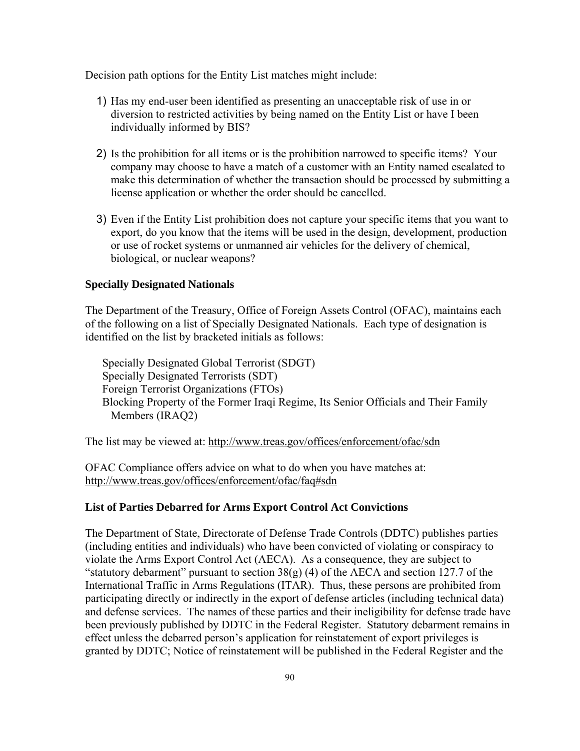Decision path options for the Entity List matches might include:

- 1) Has my end-user been identified as presenting an unacceptable risk of use in or diversion to restricted activities by being named on the Entity List or have I been individually informed by BIS?
- 2) Is the prohibition for all items or is the prohibition narrowed to specific items? Your company may choose to have a match of a customer with an Entity named escalated to make this determination of whether the transaction should be processed by submitting a license application or whether the order should be cancelled.
- 3) Even if the Entity List prohibition does not capture your specific items that you want to export, do you know that the items will be used in the design, development, production or use of rocket systems or unmanned air vehicles for the delivery of chemical, biological, or nuclear weapons?

#### **Specially Designated Nationals**

The Department of the Treasury, Office of Foreign Assets Control (OFAC), maintains each of the following on a list of Specially Designated Nationals. Each type of designation is identified on the list by bracketed initials as follows:

Specially Designated Global Terrorist (SDGT) Specially Designated Terrorists (SDT) Foreign Terrorist Organizations (FTOs) Blocking Property of the Former Iraqi Regime, Its Senior Officials and Their Family Members (IRAQ2)

The list may be viewed at:<http://www.treas.gov/offices/enforcement/ofac/sdn>

OFAC Compliance offers advice on what to do when you have matches at: <http://www.treas.gov/offices/enforcement/ofac/faq#sdn>

#### **List of Parties Debarred for Arms Export Control Act Convictions**

The Department of State, Directorate of Defense Trade Controls (DDTC) publishes parties (including entities and individuals) who have been convicted of violating or conspiracy to violate the Arms Export Control Act (AECA). As a consequence, they are subject to "statutory debarment" pursuant to section  $38(g)$  (4) of the AECA and section 127.7 of the International Traffic in Arms Regulations (ITAR). Thus, these persons are prohibited from participating directly or indirectly in the export of defense articles (including technical data) and defense services. The names of these parties and their ineligibility for defense trade have been previously published by DDTC in the Federal Register. Statutory debarment remains in effect unless the debarred person's application for reinstatement of export privileges is granted by DDTC; Notice of reinstatement will be published in the Federal Register and the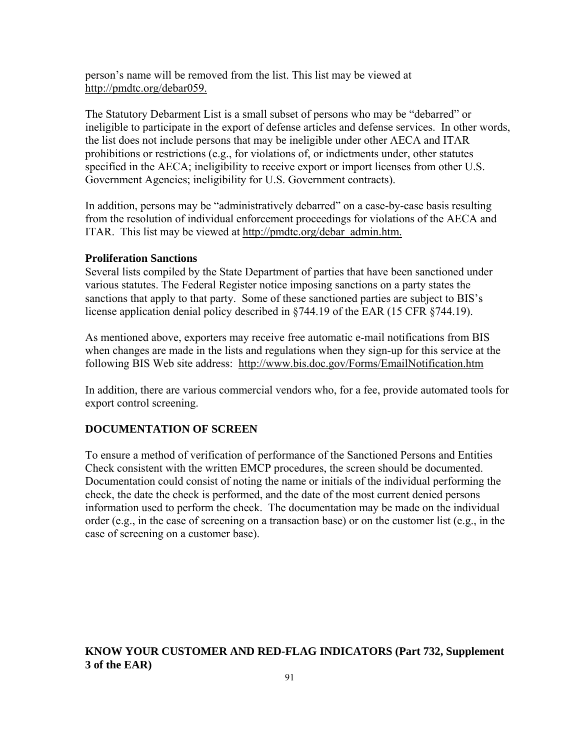person's name will be removed from the list. This list may be viewed at <http://pmdtc.org/debar059.>

The Statutory Debarment List is a small subset of persons who may be "debarred" or ineligible to participate in the export of defense articles and defense services. In other words, the list does not include persons that may be ineligible under other AECA and ITAR prohibitions or restrictions (e.g., for violations of, or indictments under, other statutes specified in the AECA; ineligibility to receive export or import licenses from other U.S. Government Agencies; ineligibility for U.S. Government contracts).

In addition, persons may be "administratively debarred" on a case-by-case basis resulting from the resolution of individual enforcement proceedings for violations of the AECA and ITAR. This list may be viewed at [http://pmdtc.org/debar\\_admin.htm.](http://pmdtc.org/debar_admin.htm.)

### **Proliferation Sanctions**

S everal lists compiled by the State Department of parties that have been sanctioned under various statutes. The Federal Register notice imposing sanctions on a party states the sanctions that apply to that party. Some of these sanctioned parties are subject to BIS' s license application denial policy described in §744.19 of the EAR (15 CFR §744.19).

As mentioned above, exporters may receive free automatic e-mail notifications from BIS when changes are made in the lists and regulations when they sign-up for this service at the [f](http://www.bis.doc.gov/Forms/EmailNotification.htm)ollowing BIS Web site address: <http://www.bis.doc.gov/Forms/EmailNotification.htm>

In addition, there are various commercial vendors who, for a fee, provide automated tools for export control screening.

## **OCUMENTATION OF SCREEN D**

To ensure a method of verification of performance of the Sanctioned Persons and Entities Documentation could consist of noting the name or initials of the individual performing the information used to perform the check. The documentation may be made on the individual Check consistent with the written EMCP procedures, the screen should be documented. check, the date the check is performed, and the date of the most current denied persons order (e.g., in the case of screening on a transaction base) or on the customer list (e.g., in the case of screening on a customer base).

# **NOW YOUR CUSTOMER AND RED-FLAG INDICATORS (Part 732, Supplement K3 of the EAR)**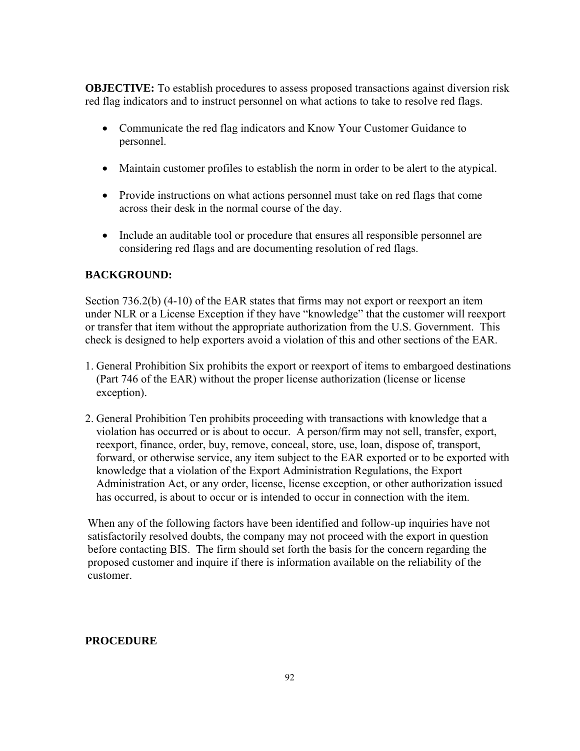**OBJECTIVE:** To establish procedures to assess proposed transactions against diversion risk red flag indicators and to instruct personnel on what actions to take to resolve red flags.

- personnel. • Communicate the red flag indicators and Know Your Customer Guidance to
- Maintain customer profiles to establish the norm in order to be alert to the atypical.
- across their desk in the normal course of the day. • Provide instructions on what actions personnel must take on red flags that come
- Include an auditable tool or procedure that ensures all responsible personnel are considering red flags and are documenting resolution of red flags.

# **BACKGROUND:**

Section  $736.2(b)$  (4-10) of the EAR states that firms may not export or reexport an item under NLR or a License Exception if they have "knowledge" that the customer will reexport or transfer that item without the appropriate authorization from the U.S. Government. This check is designed to help exporters avoid a violation of this and other sections of the EAR.

- 1. General Prohibition Six prohibits the export or reexport of items to embargoed destinations (Part 746 of the EAR) without the proper license authorization (license or license exception).
- 2. General Prohibition Ten prohibits proceeding with transactions with knowledge that a violation has occurred or is about to occur. A person/firm may not sell, transfer, export, forward, or otherwise service, any item subject to the EAR exported or to be exported with reexport, finance, order, buy, remove, conceal, store, use, loan, dispose of, transport, knowledge that a violation of the Export Administration Regulations, the Export Administration Act, or any order, license, license exception, or other authorization issued has occurred, is about to occur or is intended to occur in connection with the item.

When any of the following factors have been identified and follow-up inquiries have not satisfactorily resolved doubts, the company may not proceed with the export in question before contacting BIS. The firm should set forth the basis for the concern regarding the proposed customer and inquire if there is information available on the reliability of the customer.

# **ROCEDURE P**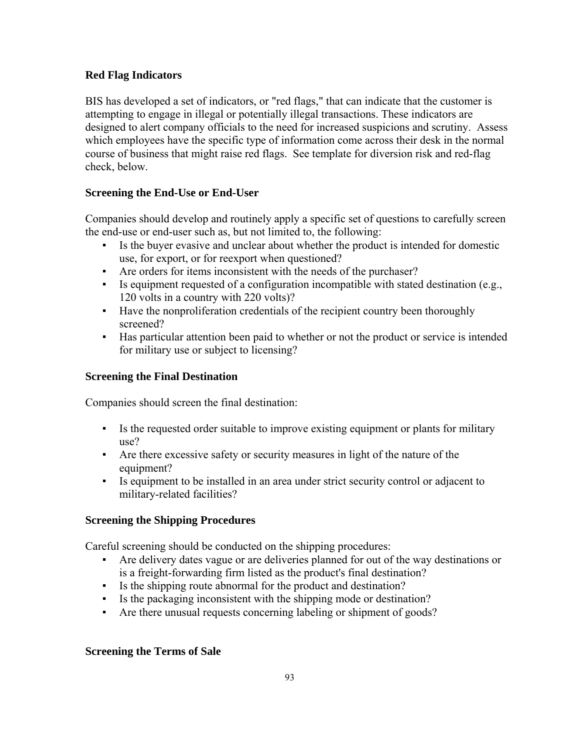# **Red Flag Indicators**

BIS has developed a set of indicators, or "red flags," that can indicate that the customer is ttempting to engage in illegal or potentially illegal transactions. These indicators are a designed to alert company officials to the need for increased suspicions and scrutiny. Assess which employees have the specific type of information come across their desk in the normal course of business that might raise red flags. See template for diversion risk and red-flag check, below.

# **End-Use or End-User Screening the**

Companies should develop and routinely apply a specific set of questions to carefully screen the end-use or end-user such as, but not limited to, the following:

- Is the buyer evasive and unclear about whether the product is intended for domestic use, for export, or for reexport when questioned?
- Are orders for items inconsistent with the needs of the purchaser?
- $\blacksquare$  Is equipment requested of a configuration incompatible with stated destination (e.g., 120 volts in a country with 220 volts)?
- Have the nonproliferation credentials of the recipient country been thoroughly screened?
- **Has particular attention been paid to whether or not the product or service is intended** for military use or subject to licensing?

# **Screening the Final Destination**

Companies should screen the final destination:

- Is the requested order suitable to improve existing equipment or plants for military use?
- equipment? ▪ Are there excessive safety or security measures in light of the nature of the
- Is equipment to be installed in an area under strict security control or adjacent to military-related facilities?

# **Screening the Shipping Procedures**

Careful screening should be conducted on the shipping procedures:

- Are delivery dates vague or are deliveries planned for out of the way destinations or is a freight-forwarding firm listed as the product's final destination?
- Is the shipping route abnormal for the product and destination?
- Is the packaging inconsistent with the shipping mode or destination?
- Are there unusual requests concerning labeling or shipment of goods?

# **Screening the Terms of Sale**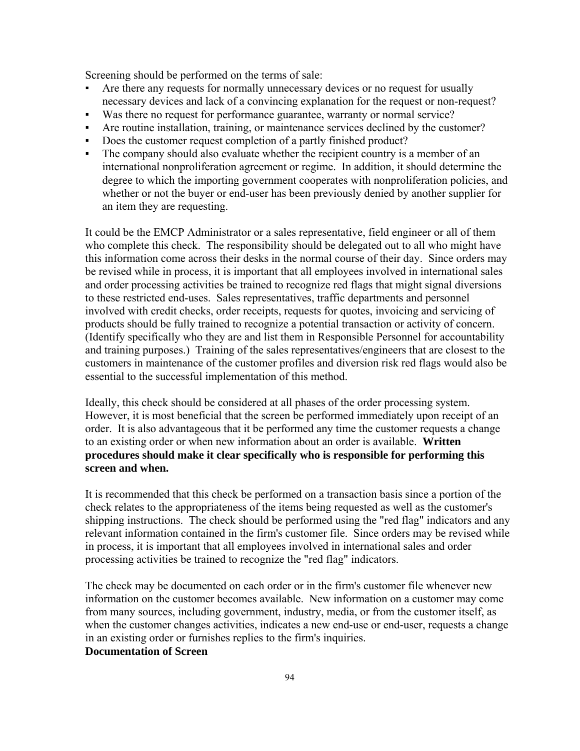Screening should be performed on the terms of sale:

- Are there any requests for normally unnecessary devices or no request for usually necessary devices and lack of a convincing explanation for the request or non-request? ▪
- Was there no request for performance guarantee, warranty or normal service?
- Are routine installation, training, or maintenance services declined by the customer?
- Does the customer request completion of a partly finished product?
- international nonproliferation agreement or regime. In addition, it should determine the degree to which the importing government cooperates with nonproliferation policies, and ▪ The company should also evaluate whether the recipient country is a member of an whether or not the buyer or end-user has been previously denied by another supplier for an item they are requesting.

It could be the EMCP Administrator or a sales representative, field engineer or all of them who complete this check. The responsibility should be delegated out to all who might have this information come across their desks in the normal course of their day. Since orders may products should be fully trained to recognize a potential transaction or activity of concern. be revised while in process, it is important that all employees involved in international sales and order processing activities be trained to recognize red flags that might signal diversions to these restricted end-uses. Sales representatives, traffic departments and personnel involved with credit checks, order receipts, requests for quotes, invoicing and servicing of (Identify specifically who they are and list them in Responsible Personnel for accountability and training purposes.) Training of the sales representatives/engineers that are closest to the customers in maintenance of the customer profiles and diversion risk red flags would also be essential to the successful implementation of this method.

Ideally, this check should be considered at all phases of the order processing system. However, it is most beneficial that the screen be performed immediately upon receipt of an order. It is also advantageous that it be performed any time the customer requests a change to an existing order or when new information about an order is available. **Written procedures should make it clear specifically who is responsible for performing this screen and when.**

It is recommended that this check be performed on a transaction basis since a portion of the check relates to the appropriateness of the items being requested as well as the customer's relevant information contained in the firm's customer file. Since orders may be revised while shipping instructions. The check should be performed using the "red flag" indicators and any in process, it is important that all employees involved in international sales and order processing activities be trained to recognize the "red flag" indicators.

The check may be documented on each order or in the firm's customer file whenever new information on the customer becomes available. New information on a customer may come from many sources, including government, industry, media, or from the customer itself, as when the customer changes activities, indicates a new end-use or end-user, requests a change in an existing order or furnishes replies to the firm's inquiries.

# **Documentation of Screen**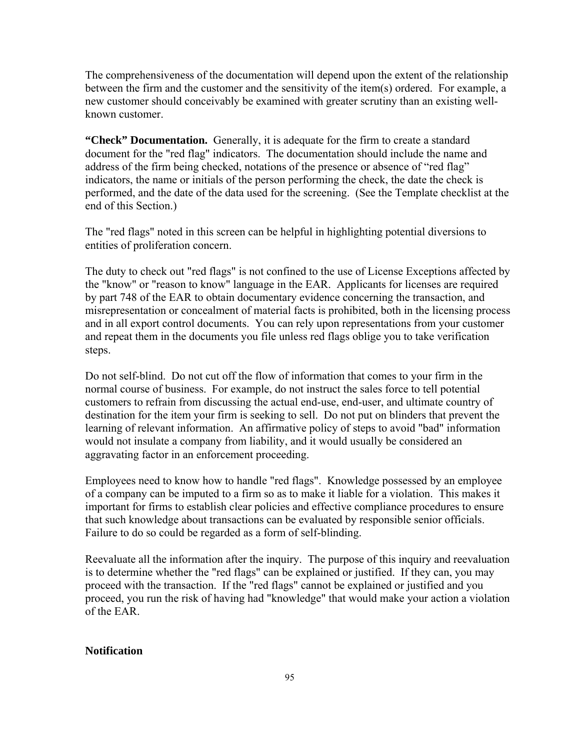The comprehensiveness of the documentation will depend upon the extent of the relationship between the firm and the customer and the sensitivity of the item $(s)$  ordered. For example, a new customer should conceivably be examined with greater scrutiny than an existing wellknown customer.

"Check" Documentation. Generally, it is adequate for the firm to create a standard document for the "red flag" indicators. The documentation should include the name and performed, and the date of the data used for the screening. (See the Template checklist at the address of the firm being checked, notations of the presence or absence of "red flag" indicators, the name or initials of the person performing the check, the date the check is end of this Section.)

The "red flags" noted in this screen can be helpful in highlighting potential diversions to entities of proliferation concern.

The duty to check out "red flags" is not confined to the use of License Exceptions affected by the "know" or "reason to know" language in the EAR. Applicants for licenses are required misrepresentation or concealment of material facts is prohibited, both in the licensing process and in all export control documents. You can rely upon representations from your customer by part 748 of the EAR to obtain documentary evidence concerning the transaction, and and repeat them in the documents you file unless red flags oblige you to take verification steps.

Do not self-blind. Do not cut off the flow of information that comes to your firm in the normal course of business. For example, do not instruct the sales force to tell potential customers to refrain from discussing the actual end-use, end-user, and ultimate country of destination for the item your firm is seeking to sell. Do not put on blinders that prevent the learning of relevant information. An affirmative policy of steps to avoid "bad" information would not insulate a company from liability, and it would usually be considered an aggravating factor in an enforcement proceeding.

Employees need to know how to handle "red flags". Knowledge possessed by an employee of a company can be imputed to a firm so as to make it liable for a violation. This makes it important for firms to establish clear policies and effective compliance procedures to ensure that such knowledge about transactions can be evaluated by responsible senior officials. Failure to do so could be regarded as a form of self-blinding.

Reevaluate all the information after the inquiry. The purpose of this inquiry and reevaluation is to determine whether the "red flags" can be explained or justified. If they can, you may proceed, you run the risk of having had "knowledge" that would make your action a violation proceed with the transaction. If the "red flags" cannot be explained or justified and you of the EAR.

#### **Notification**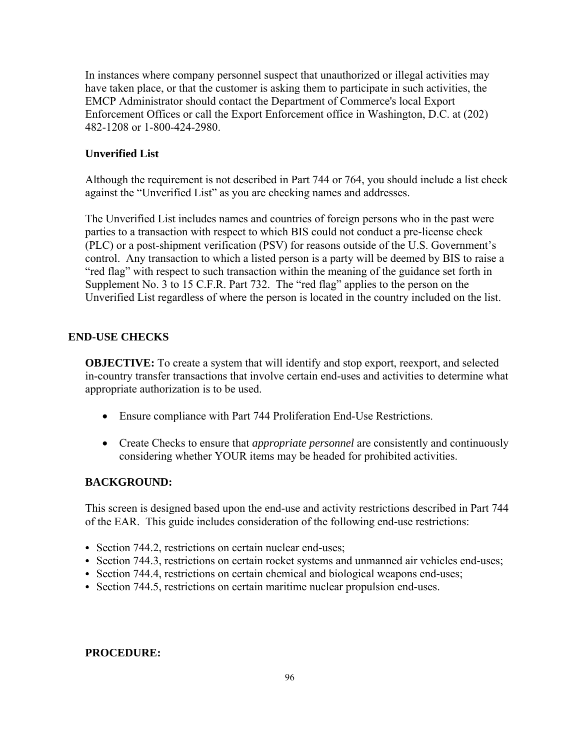In instances where company personnel suspect that unauthorized or illegal activities may have taken place, or that the customer is asking them to participate in such activities, the EMCP Administrator should contact the Department of Commerce's local Export Enforcement Offices or call the Export Enforcement office in Washington, D.C. at (202) 482-1208 or 1-800-424-2980.

### **Unverified List**

Although the requirement is not described in Part 744 or 764, you should include a list check gainst the "Unverified List" as you are checking names and addresses. a

The Unverified List includes names and countries of foreign persons who in the past were parties to a transaction with respect to which BIS could not conduct a pre-license check control. Any transaction to which a listed person is a party will be deemed by BIS to raise a . Unverified List regardless of where the person is located in the country included on the list (PLC) or a post-shipment verification (PSV) for reasons outside of the U.S. Government's "red flag" with respect to such transaction within the meaning of the guidance set forth in Supplement No. 3 to 15 C.F.R. Part 732. The "red flag" applies to the person on the

### **END-USE CHECKS**

**OBJECTIVE:** To create a system that will identify and stop export, reexport, and selected in-country transfer transactions that involve certain end-uses and activities to determine what appropriate authorization is to be used.

- Ensure compliance with Part 744 Proliferation End-Use Restrictions.
- Create Checks to ensure that *appropriate personnel* are consistently and continuously considering whether YOUR items may be headed for prohibited activities.

### **BACKGROUND:**

This screen is designed based upon the end-use and activity restrictions described in Part 744 of the EAR. This guide includes consideration of the following end-use restrictions:

- Section 744.2, restrictions on certain nuclear end-uses;
- Section 744.3, restrictions on certain rocket systems and unmanned air vehicles end-uses;
- Section 744.4, restrictions on certain chemical and biological weapons end-uses;
- Section 744.5, restrictions on certain maritime nuclear propulsion end-uses.

#### **ROCEDURE: P**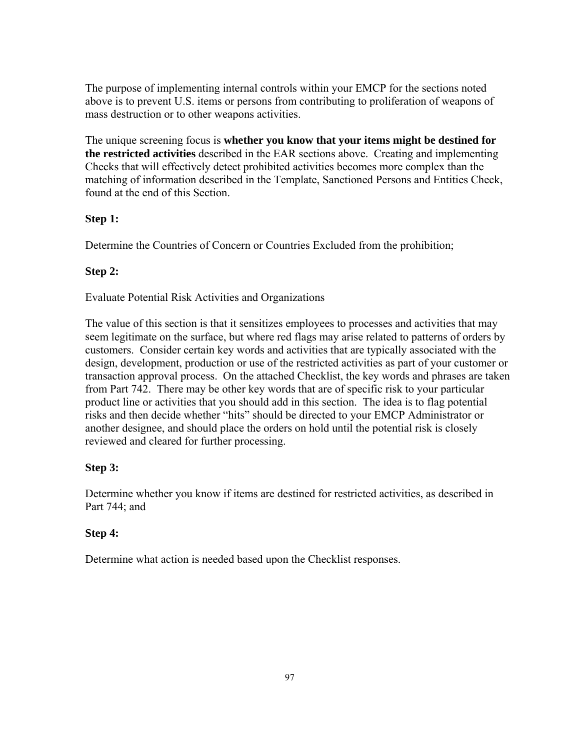The purpose of implementing internal controls within your EMCP for the sections noted above is to prevent U.S. items or persons from contributing to proliferation of weapons of mass destruction or to other weapons activities.

The unique screening focus is whether you know that your items might be destined for **the restricted activities** described in the EAR sections above. Creating and implementing Checks that will effectively detect prohibited activities becomes more complex than the matching of information described in the Template, Sanctioned Persons and Entities Check, found at the end of this Section.

# **Step 1:**

Determine the Countries of Concern or Countries Excluded from the prohibition;

# **Step 2:**

Evaluate Potential Risk Activities and Organizations

The value of this section is that it sensitizes employees to processes and activities that may seem legitimate on the surface, but where red flags may arise related to patterns of orders by transaction approval process. On the attached Checklist, the key words and phrases are taken customers. Consider certain key words and activities that are typically associated with the design, development, production or use of the restricted activities as part of your customer or from Part 742. There may be other key words that are of specific risk to your particular product line or activities that you should add in this section. The idea is to flag potential risks and then decide whether "hits" should be directed to your EMCP Administrator or another designee, and should place the orders on hold until the potential risk is closely reviewed and cleared for further processing.

# **Step 3:**

Determine whether you know if items are destined for restricted activities, as described in Part 744; and

# **Step 4:**

Determine what action is needed based upon the Checklist responses.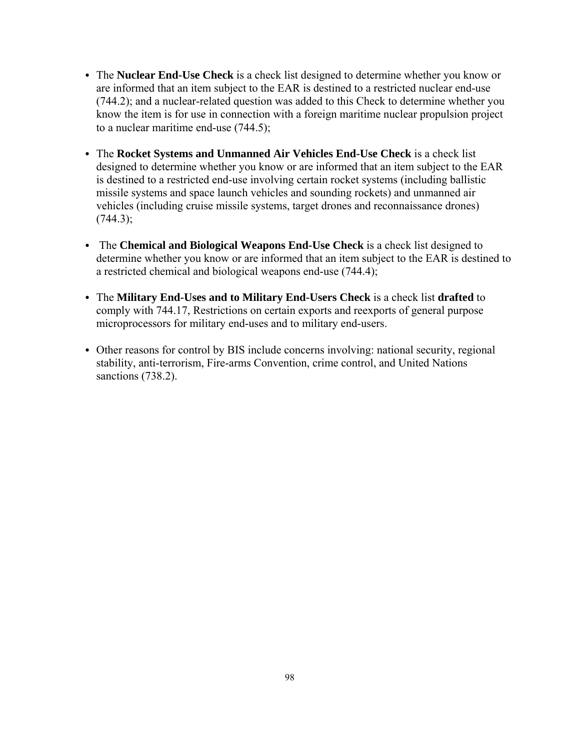- The **Nuclear End-Use Check** is a check list designed to determine whether you know or are informed that an item subject to the EAR is destined to a restricted nuclear end-use (744.2); and a nuclear-related question was added to this Check to determine whether you know the item is for use in connection with a foreign maritime nuclear propulsion project to a nuclear maritime end-use (744.5);
- The **Rocket Systems and Unmanned Air Vehicles End-Use Check** is a check list designed to determine whether you know or are informed that an item subject to the EAR is destined to a restricted end-use involving certain rocket systems (including ballistic missile systems and space launch vehicles and sounding rockets) and unmanned air vehicles (including cruise missile systems, target drones and reconnaissance drones)  $(744.3);$
- The **Chemical and Biological Weapons End-Use Check** is a check list designed to determine whether you know or are informed that an item subject to the EAR is destined to a restricted chemical and biological weapons end-use (744.4);
- The Military End-Uses and to Military End-Users Check is a check list drafted to comply with 744.17, Restrictions on certain exports and reexports of general purpose microprocessors for military end-uses and to military end-users.
- Other reasons for control by BIS include concerns involving: national security, regional stability, anti-terrorism, Fire-arms Convention, crime control, and United Nations sanctions (738.2).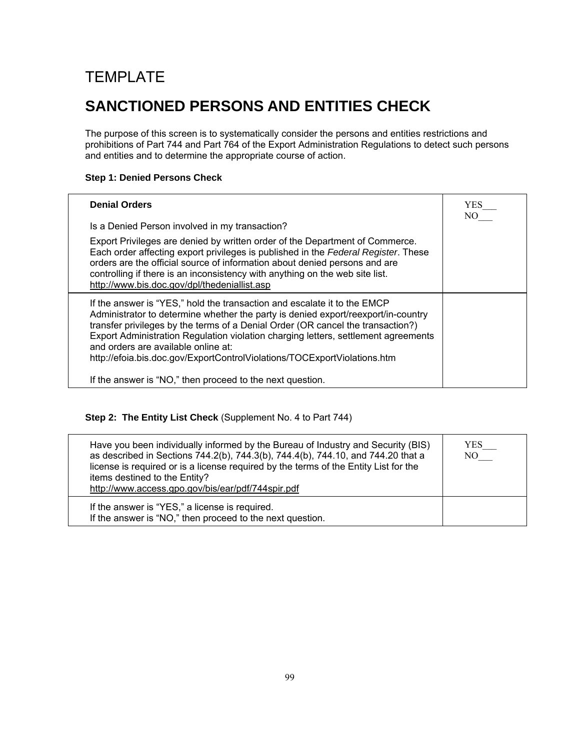# TEMPLATE

# **SANCTIONED PERSONS AND ENTITIES CHECK**

The purpose of this screen is to systematically consider the persons and entities restrictions and prohibitions of Part 744 and Part 764 of the Export Administration Regulations to detect such persons and entities and to determine the appropriate course of action.

## **Step 1: Denied Persons Check**

| <b>Denial Orders</b>                                                                                                                                                                                                                                                                                                                                                                                                                                      | <b>YES</b><br>NO. |
|-----------------------------------------------------------------------------------------------------------------------------------------------------------------------------------------------------------------------------------------------------------------------------------------------------------------------------------------------------------------------------------------------------------------------------------------------------------|-------------------|
| Is a Denied Person involved in my transaction?                                                                                                                                                                                                                                                                                                                                                                                                            |                   |
| Export Privileges are denied by written order of the Department of Commerce.<br>Each order affecting export privileges is published in the Federal Register. These<br>orders are the official source of information about denied persons and are<br>controlling if there is an inconsistency with anything on the web site list.<br>http://www.bis.doc.gov/dpl/thedeniallist.asp                                                                          |                   |
| If the answer is "YES," hold the transaction and escalate it to the EMCP<br>Administrator to determine whether the party is denied export/reexport/in-country<br>transfer privileges by the terms of a Denial Order (OR cancel the transaction?)<br>Export Administration Regulation violation charging letters, settlement agreements<br>and orders are available online at:<br>http://efoia.bis.doc.gov/ExportControlViolations/TOCExportViolations.htm |                   |
| If the answer is "NO," then proceed to the next question.                                                                                                                                                                                                                                                                                                                                                                                                 |                   |

# **Step 2: The Entity List Check** (Supplement No. 4 to Part 744)

| Have you been individually informed by the Bureau of Industry and Security (BIS)<br>as described in Sections 744.2(b), 744.3(b), 744.4(b), 744.10, and 744.20 that a<br>license is required or is a license required by the terms of the Entity List for the<br>items destined to the Entity?<br>http://www.access.gpo.gov/bis/ear/pdf/744spir.pdf | YES.<br>NO |
|----------------------------------------------------------------------------------------------------------------------------------------------------------------------------------------------------------------------------------------------------------------------------------------------------------------------------------------------------|------------|
| If the answer is "YES," a license is required.<br>If the answer is "NO," then proceed to the next question.                                                                                                                                                                                                                                        |            |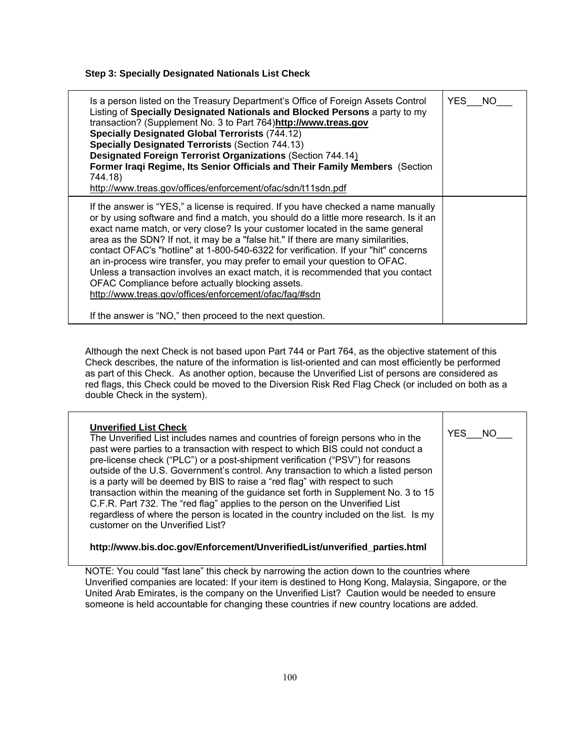**Step 3: Specially Designated Nationals List Check**

Although the next Check is not based upon Part 744 or Part 764, as the objective statement of this Check describes, the nature of the information is list-oriented and can most efficiently be performed as part of this Check. As another option, because the Unverified List of persons are considered as red flags, this Check could be moved to the Diversion Risk Red Flag Check (or included on both as a double Check in the system).

| <b>Unverified List Check</b><br>The Unverified List includes names and countries of foreign persons who in the<br>past were parties to a transaction with respect to which BIS could not conduct a<br>pre-license check ("PLC") or a post-shipment verification ("PSV") for reasons<br>outside of the U.S. Government's control. Any transaction to which a listed person<br>is a party will be deemed by BIS to raise a "red flag" with respect to such<br>transaction within the meaning of the guidance set forth in Supplement No. 3 to 15<br>C.F.R. Part 732. The "red flag" applies to the person on the Unverified List<br>regardless of where the person is located in the country included on the list. Is my<br>customer on the Unverified List? | YES.<br>NO. |
|------------------------------------------------------------------------------------------------------------------------------------------------------------------------------------------------------------------------------------------------------------------------------------------------------------------------------------------------------------------------------------------------------------------------------------------------------------------------------------------------------------------------------------------------------------------------------------------------------------------------------------------------------------------------------------------------------------------------------------------------------------|-------------|
| http://www.bis.doc.gov/Enforcement/UnverifiedList/unverified_parties.html                                                                                                                                                                                                                                                                                                                                                                                                                                                                                                                                                                                                                                                                                  |             |

NOTE: You could "fast lane" this check by narrowing the action down to the countries where Unverified companies are located: If your item is destined to Hong Kong, Malaysia, Singapore, or the United Arab Emirates, is the company on the Unverified List? Caution would be needed to ensure someone is held accountable for changing these countries if new country locations are added.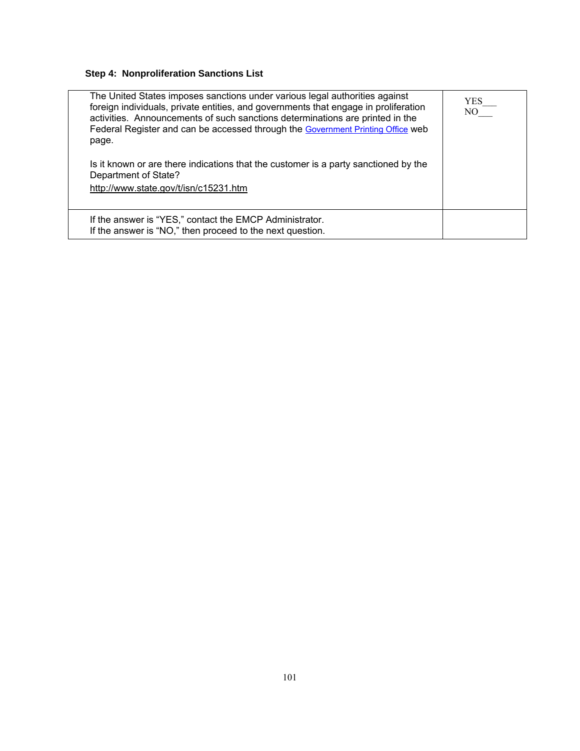# **Step 4: Nonproliferation Sanctions List**

| The United States imposes sanctions under various legal authorities against<br>foreign individuals, private entities, and governments that engage in proliferation<br>activities. Announcements of such sanctions determinations are printed in the<br>Federal Register and can be accessed through the Government Printing Office web<br>page. | YES<br>NO – |
|-------------------------------------------------------------------------------------------------------------------------------------------------------------------------------------------------------------------------------------------------------------------------------------------------------------------------------------------------|-------------|
| Is it known or are there indications that the customer is a party sanctioned by the<br>Department of State?                                                                                                                                                                                                                                     |             |
| http://www.state.gov/t/isn/c15231.htm                                                                                                                                                                                                                                                                                                           |             |
| If the answer is "YES," contact the EMCP Administrator.<br>If the answer is "NO," then proceed to the next question.                                                                                                                                                                                                                            |             |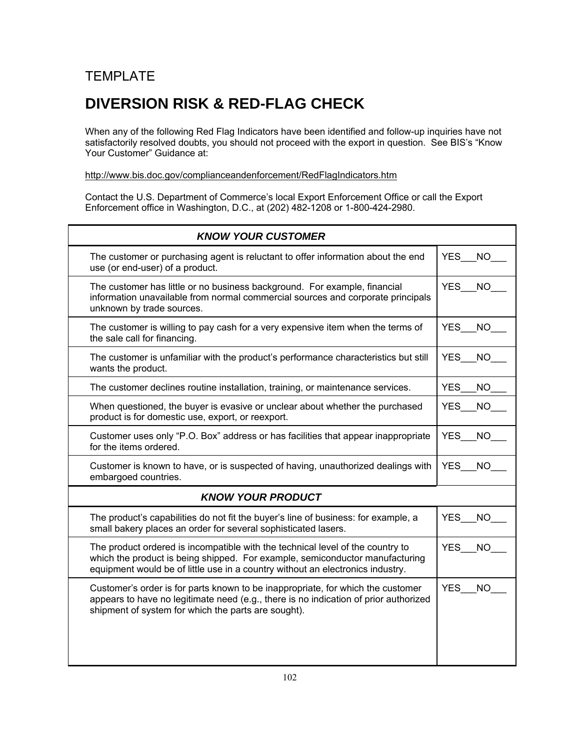# **TEMPLATE**

# **DIVERSION RISK & RED-FLAG CHECK**

When any of the following Red Flag Indicators have been identified and follow-up inquiries have not satisfactorily resolved doubts, you should not proceed with the export in question. See BIS's "Know Your Customer" Guidance at:

<http://www.bis.doc.gov/complianceandenforcement/RedFlagIndicators.htm>

Contact the U.S. Department of Commerce's local Export Enforcement Office or call the Export Enforcement office in Washington, D.C., at (202) 482-1208 or 1-800-424-2980.

| <b>KNOW YOUR CUSTOMER</b>                                                                                                                                                                                                                        |                         |  |
|--------------------------------------------------------------------------------------------------------------------------------------------------------------------------------------------------------------------------------------------------|-------------------------|--|
| The customer or purchasing agent is reluctant to offer information about the end<br>use (or end-user) of a product.                                                                                                                              | YES_NO                  |  |
| The customer has little or no business background. For example, financial<br>information unavailable from normal commercial sources and corporate principals<br>unknown by trade sources.                                                        | <b>YES</b><br><b>NO</b> |  |
| The customer is willing to pay cash for a very expensive item when the terms of<br>the sale call for financing.                                                                                                                                  | <b>YES</b><br>NO.       |  |
| The customer is unfamiliar with the product's performance characteristics but still<br>wants the product.                                                                                                                                        | <b>YES</b><br><b>NO</b> |  |
| The customer declines routine installation, training, or maintenance services.                                                                                                                                                                   | <b>YES</b><br><b>NO</b> |  |
| When questioned, the buyer is evasive or unclear about whether the purchased<br>product is for domestic use, export, or reexport.                                                                                                                | <b>NO</b><br><b>YES</b> |  |
| Customer uses only "P.O. Box" address or has facilities that appear inappropriate<br>for the items ordered.                                                                                                                                      | <b>YES</b><br><b>NO</b> |  |
| Customer is known to have, or is suspected of having, unauthorized dealings with<br>embargoed countries.                                                                                                                                         | <b>YES</b><br>NO.       |  |
| <b>KNOW YOUR PRODUCT</b>                                                                                                                                                                                                                         |                         |  |
| The product's capabilities do not fit the buyer's line of business: for example, a<br>small bakery places an order for several sophisticated lasers.                                                                                             | <b>YES</b><br><b>NO</b> |  |
| The product ordered is incompatible with the technical level of the country to<br>which the product is being shipped. For example, semiconductor manufacturing<br>equipment would be of little use in a country without an electronics industry. | <b>YES</b><br><b>NO</b> |  |
| Customer's order is for parts known to be inappropriate, for which the customer<br>appears to have no legitimate need (e.g., there is no indication of prior authorized<br>shipment of system for which the parts are sought).                   | <b>YES</b><br><b>NO</b> |  |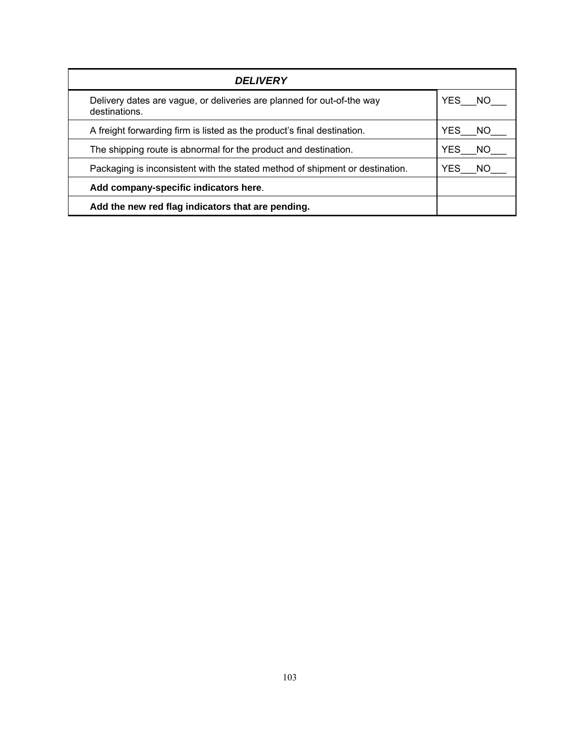| <b>DELIVERY</b>                                                                         |                   |
|-----------------------------------------------------------------------------------------|-------------------|
| Delivery dates are vague, or deliveries are planned for out-of-the way<br>destinations. | YES NO            |
| A freight forwarding firm is listed as the product's final destination.                 | YES<br>NO.        |
| The shipping route is abnormal for the product and destination.                         | <b>YES</b><br>NO. |
| Packaging is inconsistent with the stated method of shipment or destination.            | <b>YES</b><br>NO. |
| Add company-specific indicators here.                                                   |                   |
| Add the new red flag indicators that are pending.                                       |                   |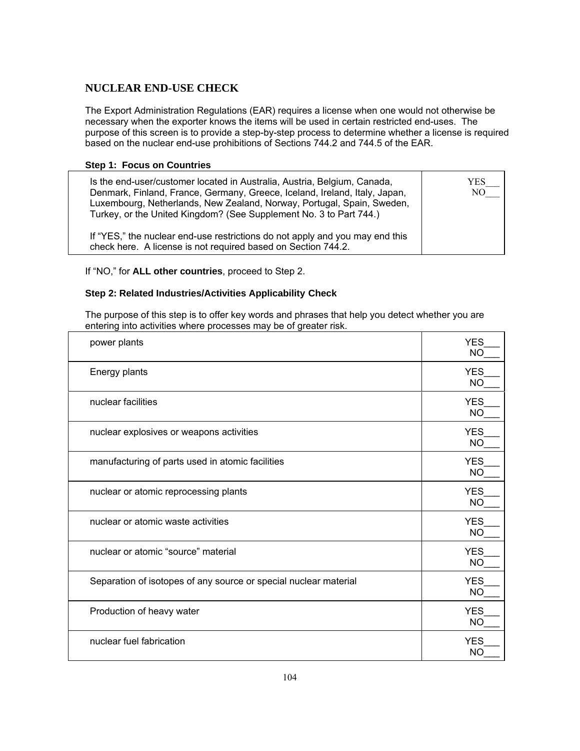# **NUCLEAR END-USE CHECK**

The Export Administration Regulations (EAR) requires a license when one would not otherwise be necessary when the exporter knows the items will be used in certain restricted end-uses. The purpose of this screen is to provide a step-by-step process to determine whether a license is required based on the nuclear end-use prohibitions of Sections 744.2 and 744.5 of the EAR.

#### **Step 1: Focus on Countries**

| Is the end-user/customer located in Australia, Austria, Belgium, Canada,<br>Denmark, Finland, France, Germany, Greece, Iceland, Ireland, Italy, Japan,<br>Luxembourg, Netherlands, New Zealand, Norway, Portugal, Spain, Sweden,<br>Turkey, or the United Kingdom? (See Supplement No. 3 to Part 744.) | YES<br>NO – |
|--------------------------------------------------------------------------------------------------------------------------------------------------------------------------------------------------------------------------------------------------------------------------------------------------------|-------------|
| If "YES," the nuclear end-use restrictions do not apply and you may end this<br>check here. A license is not required based on Section 744.2.                                                                                                                                                          |             |

If "NO," for **ALL other countries**, proceed to Step 2.

### **Step 2: Related Industries/Activities Applicability Check**

The purpose of this step is to offer key words and phrases that help you detect whether you are entering into activities where processes may be of greater risk.

| power plants                                                     | <b>YES</b><br><b>NO</b> |
|------------------------------------------------------------------|-------------------------|
| Energy plants                                                    | <b>YES</b><br><b>NO</b> |
| nuclear facilities                                               | <b>YES</b><br><b>NO</b> |
| nuclear explosives or weapons activities                         | <b>YES</b><br><b>NO</b> |
| manufacturing of parts used in atomic facilities                 | <b>YES</b><br><b>NC</b> |
| nuclear or atomic reprocessing plants                            | <b>YES</b><br><b>NC</b> |
| nuclear or atomic waste activities                               | <b>YES</b><br><b>NO</b> |
| nuclear or atomic "source" material                              | <b>YES</b><br><b>NO</b> |
| Separation of isotopes of any source or special nuclear material | <b>YES</b><br><b>NO</b> |
| Production of heavy water                                        | <b>YES</b><br><b>NO</b> |
| nuclear fuel fabrication                                         | <b>YES</b><br><b>NO</b> |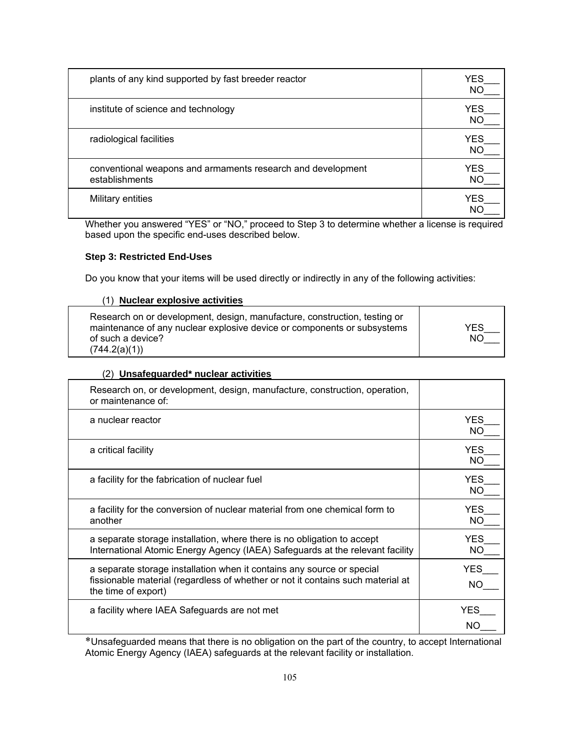| plants of any kind supported by fast breeder reactor                          | <b>YES</b><br><b>NO</b> |
|-------------------------------------------------------------------------------|-------------------------|
| institute of science and technology                                           | <b>YES</b><br><b>NO</b> |
| radiological facilities                                                       | <b>YES</b><br><b>NO</b> |
| conventional weapons and armaments research and development<br>establishments | <b>YES</b><br><b>NO</b> |
| Military entities                                                             | <b>YES</b><br>N۲        |

Whether you answered "YES" or "NO," proceed to Step 3 to determine whether a license is required based upon the specific end-uses described below.

### **Step 3: Restricted End-Uses**

Do you know that your items will be used directly or indirectly in any of the following activities:

#### (1) **Nuclear explosive activities**

| Research on or development, design, manufacture, construction, testing or |            |
|---------------------------------------------------------------------------|------------|
| maintenance of any nuclear explosive device or components or subsystems   | <b>YES</b> |
| of such a device?                                                         | NO.        |
| (744.2(a)(1))                                                             |            |

#### (2) **Unsafeguarded\* nuclear activities**

| Research on, or development, design, manufacture, construction, operation,<br>or maintenance of:                                                                                 |                         |
|----------------------------------------------------------------------------------------------------------------------------------------------------------------------------------|-------------------------|
| a nuclear reactor                                                                                                                                                                | YES<br>ΝO               |
| a critical facility                                                                                                                                                              | <b>YES</b><br><b>NO</b> |
| a facility for the fabrication of nuclear fuel                                                                                                                                   | <b>YES</b><br>ΝO        |
| a facility for the conversion of nuclear material from one chemical form to<br>another                                                                                           | <b>YES</b><br>NO        |
| a separate storage installation, where there is no obligation to accept<br>International Atomic Energy Agency (IAEA) Safeguards at the relevant facility                         | YES<br>NO               |
| a separate storage installation when it contains any source or special<br>fissionable material (regardless of whether or not it contains such material at<br>the time of export) | YES<br>NO.              |
| a facility where IAEA Safeguards are not met                                                                                                                                     | YES                     |

\*Unsafeguarded means that there is no obligation on the part of the country, to accept International Atomic Energy Agency (IAEA) safeguards at the relevant facility or installation.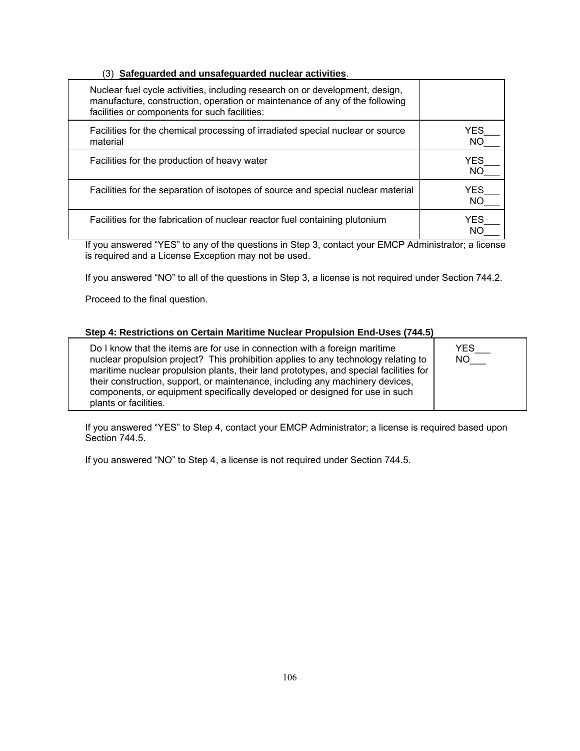#### (3) **Safeguarded and unsafeguarded nuclear activities**.

| Nuclear fuel cycle activities, including research on or development, design,<br>manufacture, construction, operation or maintenance of any of the following<br>facilities or components for such facilities: |            |
|--------------------------------------------------------------------------------------------------------------------------------------------------------------------------------------------------------------|------------|
| Facilities for the chemical processing of irradiated special nuclear or source<br>material                                                                                                                   | YES<br>NO. |
| Facilities for the production of heavy water                                                                                                                                                                 | YES<br>NO. |
| Facilities for the separation of isotopes of source and special nuclear material                                                                                                                             | YES<br>NO. |
| Facilities for the fabrication of nuclear reactor fuel containing plutonium                                                                                                                                  | YFS        |

If you answered "YES" to any of the questions in Step 3, contact your EMCP Administrator; a license is required and a License Exception may not be used.

If you answered "NO" to all of the questions in Step 3, a license is not required under Section 744.2.

Proceed to the final question.

#### **Step 4: Restrictions on Certain Maritime Nuclear Propulsion End-Uses (744.5)**

Do I know that the items are for use in connection with a foreign maritime nuclear propulsion project? This prohibition applies to any technology relating to maritime nuclear propulsion plants, their land prototypes, and special facilities for their construction, support, or maintenance, including any machinery devices, components, or equipment specifically developed or designed for use in such plants or facilities.

If you answered "YES" to Step 4, contact your EMCP Administrator; a license is required based upon Section 744.5.

YES\_\_\_ NO\_\_\_

If you answered "NO" to Step 4, a license is not required under Section 744.5.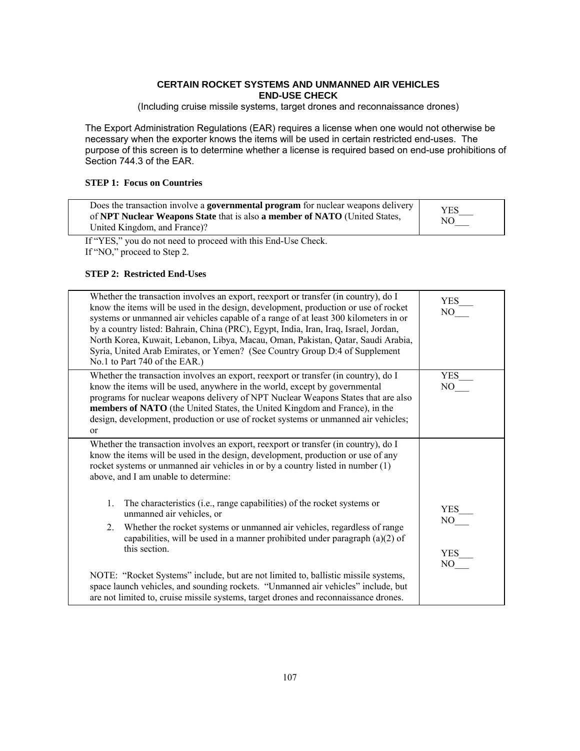#### **CERTAIN ROCKET SYSTEMS AND UNMANNED AIR VEHICLES END-USE CHECK**

(Including cruise missile systems, target drones and reconnaissance drones)

The Export Administration Regulations (EAR) requires a license when one would not otherwise be necessary when the exporter knows the items will be used in certain restricted end-uses. The purpose of this screen is to determine whether a license is required based on end-use prohibitions of Section 744.3 of the EAR.

#### **STEP 1: Focus on Countries**

| Does the transaction involve a governmental program for nuclear weapons delivery<br>of NPT Nuclear Weapons State that is also a member of NATO (United States,<br>United Kingdom, and France)? | <b>YES</b><br>NO. |
|------------------------------------------------------------------------------------------------------------------------------------------------------------------------------------------------|-------------------|
|------------------------------------------------------------------------------------------------------------------------------------------------------------------------------------------------|-------------------|

If "YES," you do not need to proceed with this End-Use Check. If "NO," proceed to Step 2.

#### **STEP 2: Restricted End-Uses**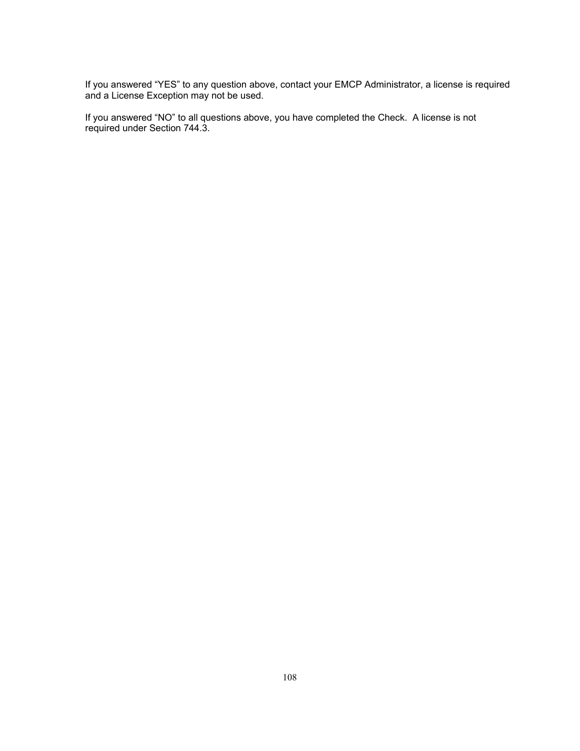If you answered "YES" to any question above, contact your EMCP Administrator, a license is required and a License Exception may not be used.

If you answered "NO" to all questions above, you have completed the Check. A license is not required under Section 744.3.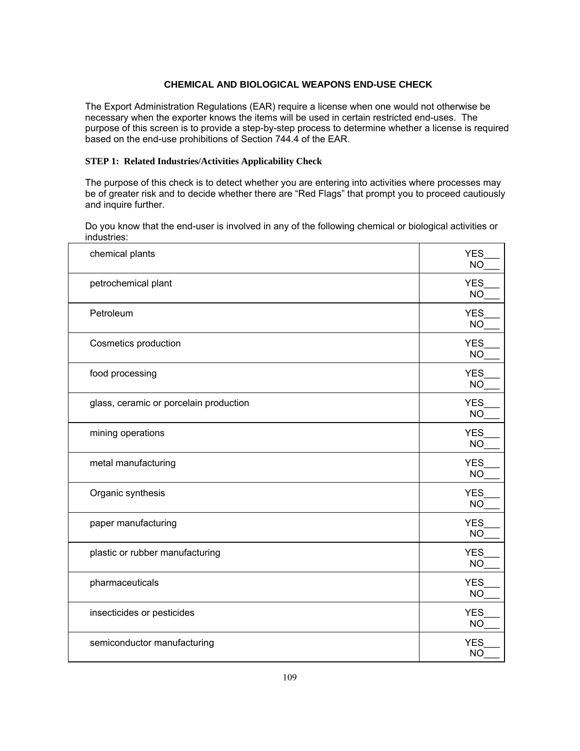### **CHEMICAL AND BIOLOGICAL WEAPONS END-USE CHECK**

The Export Administration Regulations (EAR) require a license when one would not otherwise be necessary when the exporter knows the items will be used in certain restricted end-uses. The purpose of this screen is to provide a step-by-step process to determine whether a license is required based on the end-use prohibitions of Section 744.4 of the EAR.

#### **STEP 1: Related Industries/Activities Applicability Check**

The purpose of this check is to detect whether you are entering into activities where processes may be of greater risk and to decide whether there are "Red Flags" that prompt you to proceed cautiously and inquire further.

Do you know that the end-user is involved in any of the following chemical or biological activities or industries:

| chemical plants                        | <b>YES</b><br><b>NO</b> |
|----------------------------------------|-------------------------|
| petrochemical plant                    | <b>YES</b><br><b>NO</b> |
| Petroleum                              | <b>YES</b><br><b>NO</b> |
| Cosmetics production                   | <b>YES</b><br><b>NO</b> |
| food processing                        | <b>YES</b><br><b>NO</b> |
| glass, ceramic or porcelain production | <b>YES</b><br><b>NO</b> |
| mining operations                      | <b>YES</b><br><b>NO</b> |
| metal manufacturing                    | <b>YES</b><br><b>NO</b> |
| Organic synthesis                      | <b>YES</b><br><b>NO</b> |
| paper manufacturing                    | <b>YES</b><br><b>NO</b> |
| plastic or rubber manufacturing        | <b>YES</b><br><b>NO</b> |
| pharmaceuticals                        | <b>YES</b><br><b>NO</b> |
| insecticides or pesticides             | <b>YES</b><br><b>NO</b> |
| semiconductor manufacturing            | <b>YES</b><br><b>NO</b> |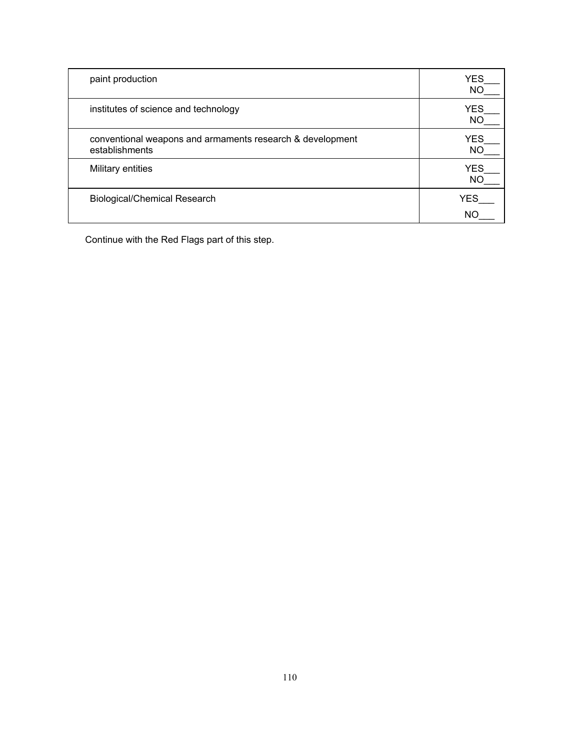| paint production                                                            | <b>YES</b><br>ΝC |
|-----------------------------------------------------------------------------|------------------|
| institutes of science and technology                                        | <b>YES</b><br>NC |
| conventional weapons and armaments research & development<br>establishments | YES<br>NΟ        |
| Military entities                                                           | <b>YES</b><br>NΟ |
| <b>Biological/Chemical Research</b>                                         | <b>YES</b>       |
|                                                                             |                  |

Continue with the Red Flags part of this step.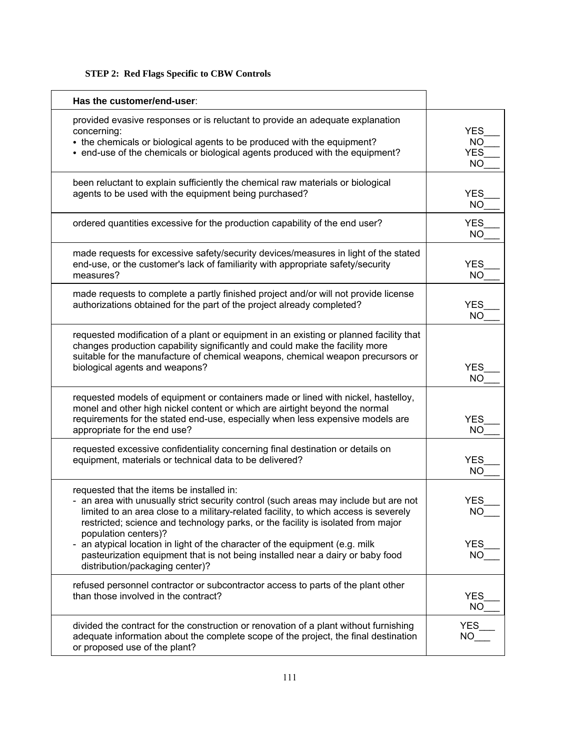### **STEP 2: Red Flags Specific to CBW Controls**

| Has the customer/end-user:                                                                                                                                                                                                                                                                                                                                                                                            |                                                    |
|-----------------------------------------------------------------------------------------------------------------------------------------------------------------------------------------------------------------------------------------------------------------------------------------------------------------------------------------------------------------------------------------------------------------------|----------------------------------------------------|
| provided evasive responses or is reluctant to provide an adequate explanation<br>concerning:<br>• the chemicals or biological agents to be produced with the equipment?<br>• end-use of the chemicals or biological agents produced with the equipment?                                                                                                                                                               | <b>YES</b><br><b>NO</b><br><b>YES</b><br><b>NO</b> |
| been reluctant to explain sufficiently the chemical raw materials or biological<br>agents to be used with the equipment being purchased?                                                                                                                                                                                                                                                                              | <b>YES</b><br><b>NO</b>                            |
| ordered quantities excessive for the production capability of the end user?                                                                                                                                                                                                                                                                                                                                           | <b>YES</b><br><b>NO</b>                            |
| made requests for excessive safety/security devices/measures in light of the stated<br>end-use, or the customer's lack of familiarity with appropriate safety/security<br>measures?                                                                                                                                                                                                                                   | <b>YES</b><br><b>NO</b>                            |
| made requests to complete a partly finished project and/or will not provide license<br>authorizations obtained for the part of the project already completed?                                                                                                                                                                                                                                                         | <b>YES</b><br><b>NO</b>                            |
| requested modification of a plant or equipment in an existing or planned facility that<br>changes production capability significantly and could make the facility more<br>suitable for the manufacture of chemical weapons, chemical weapon precursors or<br>biological agents and weapons?                                                                                                                           | <b>YES</b><br><b>NO</b>                            |
| requested models of equipment or containers made or lined with nickel, hastelloy,<br>monel and other high nickel content or which are airtight beyond the normal<br>requirements for the stated end-use, especially when less expensive models are<br>appropriate for the end use?                                                                                                                                    | <b>YES</b><br><b>NO</b>                            |
| requested excessive confidentiality concerning final destination or details on<br>equipment, materials or technical data to be delivered?                                                                                                                                                                                                                                                                             | <b>YES</b><br><b>NO</b>                            |
| requested that the items be installed in:<br>- an area with unusually strict security control (such areas may include but are not<br>limited to an area close to a military-related facility, to which access is severely<br>restricted; science and technology parks, or the facility is isolated from major<br>population centers)?<br>- an atypical location in light of the character of the equipment (e.g. milk | YES<br><b>NO</b><br><b>YES</b>                     |
| pasteurization equipment that is not being installed near a dairy or baby food<br>distribution/packaging center)?                                                                                                                                                                                                                                                                                                     | <b>NO</b>                                          |
| refused personnel contractor or subcontractor access to parts of the plant other<br>than those involved in the contract?                                                                                                                                                                                                                                                                                              | <b>YES</b><br><b>NO</b>                            |
| divided the contract for the construction or renovation of a plant without furnishing<br>adequate information about the complete scope of the project, the final destination<br>or proposed use of the plant?                                                                                                                                                                                                         | <b>YES</b><br>NO                                   |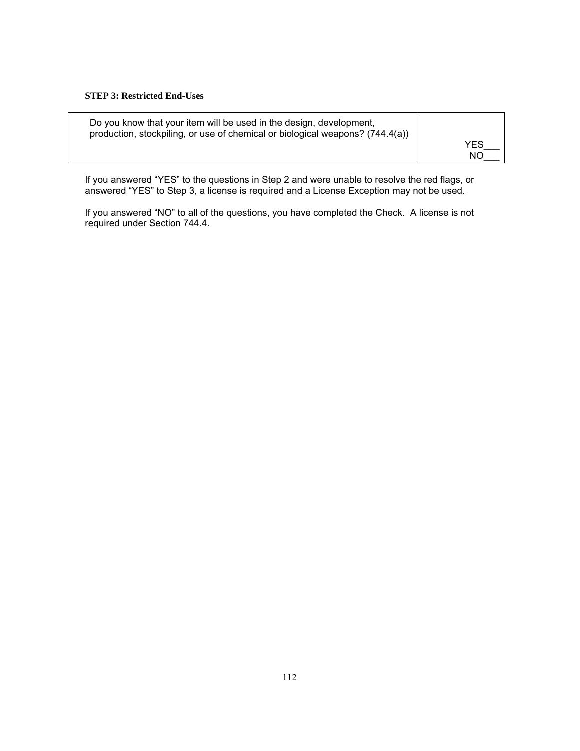#### **STEP 3: Restricted End-Uses**

| Do you know that your item will be used in the design, development,           | <b>YES</b> |
|-------------------------------------------------------------------------------|------------|
| production, stockpiling, or use of chemical or biological weapons? (744.4(a)) | NΟ         |

If you answered "YES" to the questions in Step 2 and were unable to resolve the red flags, or answered "YES" to Step 3, a license is required and a License Exception may not be used.

If you answered "NO" to all of the questions, you have completed the Check. A license is not required under Section 744.4.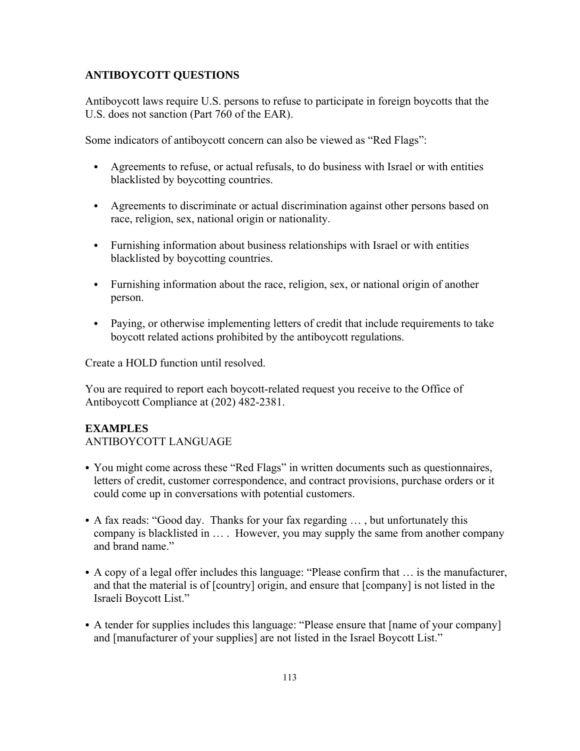## **ANTIBOYCOTT QUESTIONS**

Antiboycott laws require U.S. persons to refuse to participate in foreign boycotts that the U.S. does not sanction (Part 760 of the EAR).

Some indicators of antiboycott concern can also be viewed as "Red Flags":

- Agreements to refuse, or actual refusals, to do business with Israel or with entities blacklisted by boycotting countries.
- Agreements to discriminate or actual discrimination against other persons based on race, religion, sex, national origin or nationality.
- Furnishing information about business relationships with Israel or with entities blacklisted by boycotting countries.
- Furnishing information about the race, religion, sex, or national origin of another person.
- Paying, or otherwise implementing letters of credit that include requirements to take boycott related actions prohibited by the antiboycott regulations.

Create a HOLD function until resolved.

You are required to report each boycott-related request you receive to the Office of Antiboycott Compliance at (202) 482-2381.

### **EXAMPLES**

ANTIBOYCOTT LANGUAGE

- You might come across these "Red Flags" in written documents such as questionnaires, letters of credit, customer correspondence, and contract provisions, purchase orders or it could come up in conversations with potential customers.
- A fax reads: "Good day. Thanks for your fax regarding  $\dots$ , but unfortunately this company is blacklisted in … . However, you may supply the same from another company and brand name."
- A copy of a legal offer includes this language: "Please confirm that ... is the manufacturer, and that the material is of [country] origin, and ensure that [company] is not listed in the Israeli Boycott List."
- A tender for supplies includes this language: "Please ensure that [name of your company] and [manufacturer of your supplies] are not listed in the Israel Boycott List."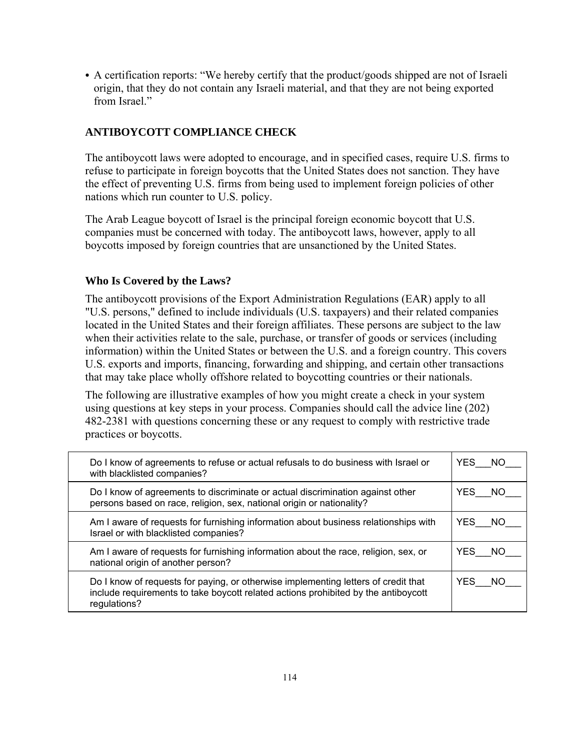• A certification reports: "We hereby certify that the product/goods shipped are not of Israeli origin, that they do not contain any Israeli material, and that they are not being exported from Israel."

## **ANTIBOYCOTT COMPLIANCE CHECK**

The antiboycott laws were adopted to encourage, and in specified cases, require U.S. firms to refuse to participate in foreign boycotts that the United States does not sanction. They have the effect of preventing U.S. firms from being used to implement foreign policies of other nations which run counter to U.S. policy.

The Arab League boycott of Israel is the principal foreign economic boycott that U.S. companies must be concerned with today. The antiboycott laws, however, apply to all boycotts imposed by foreign countries that are unsanctioned by the United States.

### **Who Is Covered by the Laws?**

The antiboycott provisions of the Export Administration Regulations (EAR) apply to all "U.S. persons," defined to include individuals (U.S. taxpayers) and their related companies located in the United States and their foreign affiliates. These persons are subject to the law when their activities relate to the sale, purchase, or transfer of goods or services (including information) within the United States or between the U.S. and a foreign country. This covers U.S. exports and imports, financing, forwarding and shipping, and certain other transactions that may take place wholly offshore related to boycotting countries or their nationals.

The following are illustrative examples of how you might create a check in your system using questions at key steps in your process. Companies should call the advice line (202) 482-2381 with questions concerning these or any request to comply with restrictive trade practices or boycotts.

| Do I know of agreements to refuse or actual refusals to do business with Israel or<br>with blacklisted companies?                                                                        | YES<br>- NO       |
|------------------------------------------------------------------------------------------------------------------------------------------------------------------------------------------|-------------------|
| Do I know of agreements to discriminate or actual discrimination against other<br>persons based on race, religion, sex, national origin or nationality?                                  | YES NO            |
| Am I aware of requests for furnishing information about business relationships with<br>Israel or with blacklisted companies?                                                             | YES NO            |
| Am I aware of requests for furnishing information about the race, religion, sex, or<br>national origin of another person?                                                                | YES NO            |
| Do I know of requests for paying, or otherwise implementing letters of credit that<br>include requirements to take boycott related actions prohibited by the antiboycott<br>regulations? | <b>YES</b><br>NO. |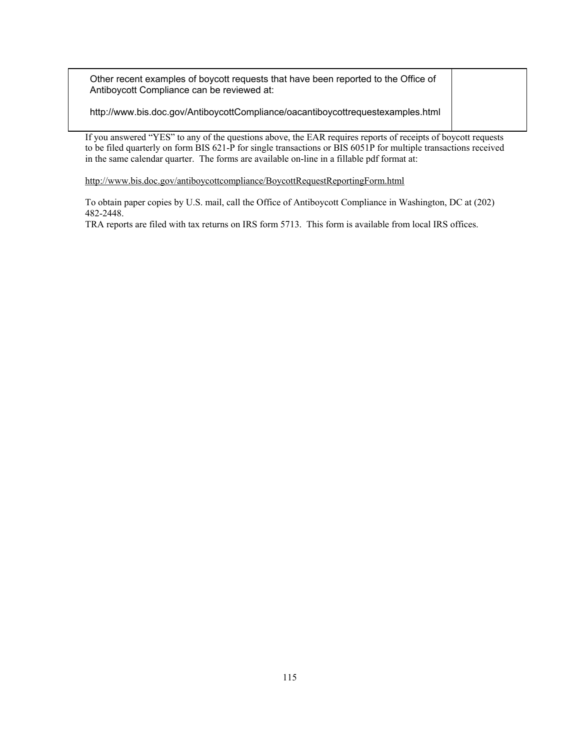Other recent examples of boycott requests that have been reported to the Office of Antiboycott Compliance can be reviewed at:

http://www.bis.doc.gov/AntiboycottCompliance/oacantiboycottrequestexamples.html

If you answered "YES" to any of the questions above, the EAR requires reports of receipts of boycott requests to be filed quarterly on form BIS 621-P for single transactions or BIS 6051P for multiple transactions received in the same calendar quarter. The forms are available on-line in a fillable pdf format at:

<http://www.bis.doc.gov/antiboycottcompliance/BoycottRequestReportingForm.html>

To obtain paper copies by U.S. mail, call the Office of Antiboycott Compliance in Washington, DC at (202) 482-2448.

TRA reports are filed with tax returns on IRS form 5713. This form is available from local IRS offices.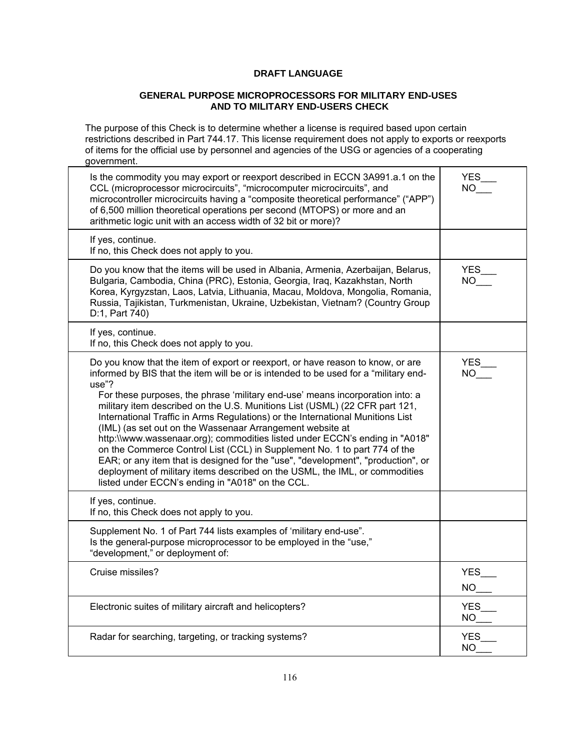### **DRAFT LANGUAGE**

#### **GENERAL PURPOSE MICROPROCESSORS FOR MILITARY END-USES AND TO MILITARY END-USERS CHECK**

The purpose of this Check is to determine whether a license is required based upon certain restrictions described in Part 744.17. This license requirement does not apply to exports or reexports of items for the official use by personnel and agencies of the USG or agencies of a cooperating government.

| Is the commodity you may export or reexport described in ECCN 3A991.a.1 on the<br>CCL (microprocessor microcircuits", "microcomputer microcircuits", and<br>microcontroller microcircuits having a "composite theoretical performance" ("APP")<br>of 6,500 million theoretical operations per second (MTOPS) or more and an<br>arithmetic logic unit with an access width of 32 bit or more)?                                                                                                                                                                                                                                                                                                                                                                                                                                                                                      | YES_<br><b>NO</b>                     |
|------------------------------------------------------------------------------------------------------------------------------------------------------------------------------------------------------------------------------------------------------------------------------------------------------------------------------------------------------------------------------------------------------------------------------------------------------------------------------------------------------------------------------------------------------------------------------------------------------------------------------------------------------------------------------------------------------------------------------------------------------------------------------------------------------------------------------------------------------------------------------------|---------------------------------------|
| If yes, continue.<br>If no, this Check does not apply to you.                                                                                                                                                                                                                                                                                                                                                                                                                                                                                                                                                                                                                                                                                                                                                                                                                      |                                       |
| Do you know that the items will be used in Albania, Armenia, Azerbaijan, Belarus,<br>Bulgaria, Cambodia, China (PRC), Estonia, Georgia, Iraq, Kazakhstan, North<br>Korea, Kyrgyzstan, Laos, Latvia, Lithuania, Macau, Moldova, Mongolia, Romania,<br>Russia, Tajikistan, Turkmenistan, Ukraine, Uzbekistan, Vietnam? (Country Group<br>D:1, Part 740)                                                                                                                                                                                                                                                                                                                                                                                                                                                                                                                              | YES_<br><b>NO</b>                     |
| If yes, continue.<br>If no, this Check does not apply to you.                                                                                                                                                                                                                                                                                                                                                                                                                                                                                                                                                                                                                                                                                                                                                                                                                      |                                       |
| Do you know that the item of export or reexport, or have reason to know, or are<br>informed by BIS that the item will be or is intended to be used for a "military end-<br>use"?<br>For these purposes, the phrase 'military end-use' means incorporation into: a<br>military item described on the U.S. Munitions List (USML) (22 CFR part 121,<br>International Traffic in Arms Regulations) or the International Munitions List<br>(IML) (as set out on the Wassenaar Arrangement website at<br>http://www.wassenaar.org); commodities listed under ECCN's ending in "A018"<br>on the Commerce Control List (CCL) in Supplement No. 1 to part 774 of the<br>EAR; or any item that is designed for the "use", "development", "production", or<br>deployment of military items described on the USML, the IML, or commodities<br>listed under ECCN's ending in "A018" on the CCL. | YES<br>$NO$ <sup><math>-</math></sup> |
| If yes, continue.<br>If no, this Check does not apply to you.                                                                                                                                                                                                                                                                                                                                                                                                                                                                                                                                                                                                                                                                                                                                                                                                                      |                                       |
| Supplement No. 1 of Part 744 lists examples of 'military end-use".<br>Is the general-purpose microprocessor to be employed in the "use,"<br>"development," or deployment of:                                                                                                                                                                                                                                                                                                                                                                                                                                                                                                                                                                                                                                                                                                       |                                       |
| Cruise missiles?                                                                                                                                                                                                                                                                                                                                                                                                                                                                                                                                                                                                                                                                                                                                                                                                                                                                   | YES                                   |
| Electronic suites of military aircraft and helicopters?                                                                                                                                                                                                                                                                                                                                                                                                                                                                                                                                                                                                                                                                                                                                                                                                                            | YES___<br>NO___                       |
| Radar for searching, targeting, or tracking systems?                                                                                                                                                                                                                                                                                                                                                                                                                                                                                                                                                                                                                                                                                                                                                                                                                               | <b>YES</b><br>NO -                    |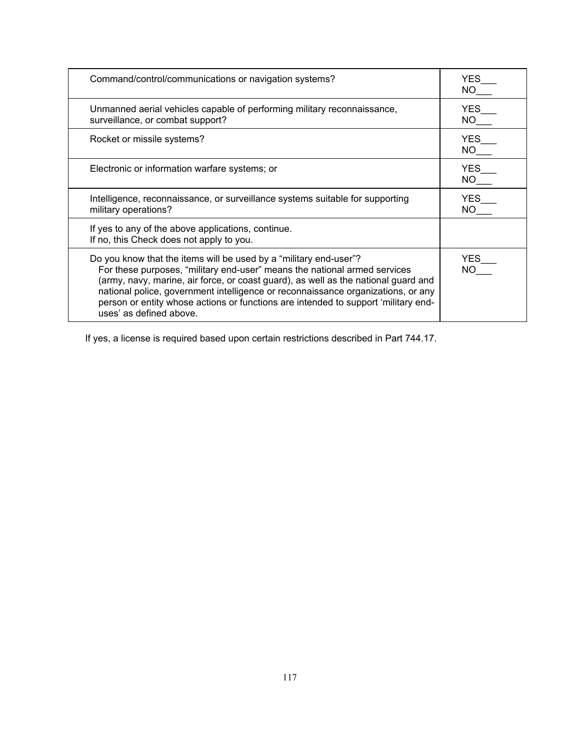| Command/control/communications or navigation systems?                                                                                                                                                                                                                                                                                                                                                                                     | YES<br>NO.         |
|-------------------------------------------------------------------------------------------------------------------------------------------------------------------------------------------------------------------------------------------------------------------------------------------------------------------------------------------------------------------------------------------------------------------------------------------|--------------------|
| Unmanned aerial vehicles capable of performing military reconnaissance,<br>surveillance, or combat support?                                                                                                                                                                                                                                                                                                                               | YES.<br>NO -       |
| Rocket or missile systems?                                                                                                                                                                                                                                                                                                                                                                                                                | <b>YES</b><br>NO L |
| Electronic or information warfare systems; or                                                                                                                                                                                                                                                                                                                                                                                             | YES<br>NO l        |
| Intelligence, reconnaissance, or surveillance systems suitable for supporting<br>military operations?                                                                                                                                                                                                                                                                                                                                     | <b>YES</b><br>NO.  |
| If yes to any of the above applications, continue.<br>If no, this Check does not apply to you.                                                                                                                                                                                                                                                                                                                                            |                    |
| Do you know that the items will be used by a "military end-user"?<br>For these purposes, "military end-user" means the national armed services<br>(army, navy, marine, air force, or coast guard), as well as the national guard and<br>national police, government intelligence or reconnaissance organizations, or any<br>person or entity whose actions or functions are intended to support 'military end-<br>uses' as defined above. | YES.               |

If yes, a license is required based upon certain restrictions described in Part 744.17.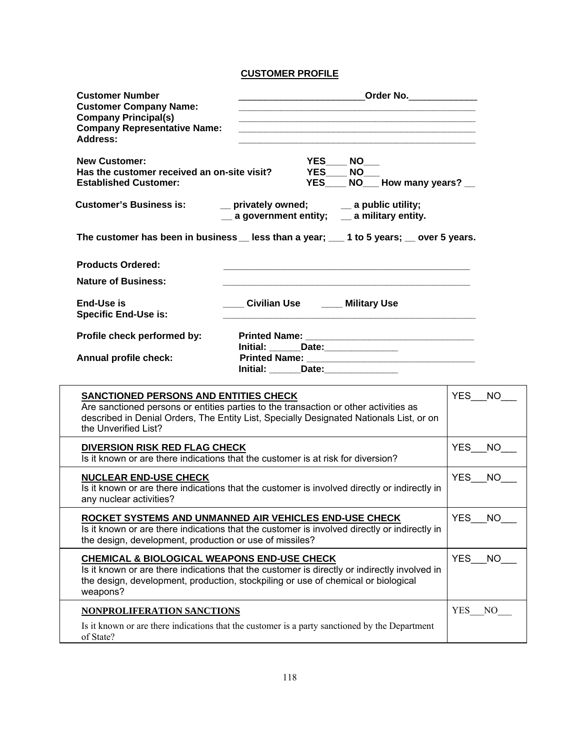## **CUSTOMER PROFILE**

| <b>Customer Number</b><br><b>Customer Company Name:</b><br><b>Company Principal(s)</b><br><b>Company Representative Name:</b><br><b>Address:</b> |                                                                                                                                                                                   | Order No.                                        |
|--------------------------------------------------------------------------------------------------------------------------------------------------|-----------------------------------------------------------------------------------------------------------------------------------------------------------------------------------|--------------------------------------------------|
| <b>New Customer:</b><br>Has the customer received an on-site visit?<br><b>Established Customer:</b>                                              | YES<br><b>NO</b><br>YES<br><b>NO</b><br>YES                                                                                                                                       | NO How many years?                               |
| <b>Customer's Business is:</b>                                                                                                                   | __ privately owned;<br>$\equiv$ a public utility;<br>$\equiv$ a government entity; $\equiv$ a military entity.                                                                    |                                                  |
|                                                                                                                                                  | The customer has been in business Less than a year; 1 to 5 years; Lover 5 years.                                                                                                  |                                                  |
| <b>Products Ordered:</b>                                                                                                                         |                                                                                                                                                                                   |                                                  |
| <b>Nature of Business:</b>                                                                                                                       |                                                                                                                                                                                   |                                                  |
| End-Use is<br><b>Specific End-Use is:</b>                                                                                                        | Civilian Use _____ Military Use                                                                                                                                                   |                                                  |
| Profile check performed by:                                                                                                                      | Initial: ______Date: _____________                                                                                                                                                |                                                  |
| Annual profile check:                                                                                                                            | Initial: Date: Date:                                                                                                                                                              |                                                  |
| SANCTIONED PERSONS AND ENTITIES CHECK<br>the Unverified List?                                                                                    | Are sanctioned persons or entities parties to the transaction or other activities as<br>described in Denial Orders, The Entity List, Specially Designated Nationals List, or on   | YES                                              |
| <b>DIVERSION RISK RED FLAG CHECK</b>                                                                                                             |                                                                                                                                                                                   | YES NO                                           |
|                                                                                                                                                  | Is it known or are there indications that the customer is at risk for diversion?                                                                                                  |                                                  |
| <b>NUCLEAR END-USE CHECK</b><br>any nuclear activities?                                                                                          | Is it known or are there indications that the customer is involved directly or indirectly in                                                                                      |                                                  |
| the design, development, production or use of missiles?                                                                                          | ROCKET SYSTEMS AND UNMANNED AIR VEHICLES END-USE CHECK<br>Is it known or are there indications that the customer is involved directly or indirectly in                            |                                                  |
| CHEMICAL & BIOLOGICAL WEAPONS END-USE CHECK<br>weapons?                                                                                          | Is it known or are there indications that the customer is directly or indirectly involved in<br>the design, development, production, stockpiling or use of chemical or biological |                                                  |
| NONPROLIFERATION SANCTIONS                                                                                                                       | Is it known or are there indications that the customer is a party sanctioned by the Department                                                                                    | YES NO<br><b>YES</b><br><b>YES</b><br><b>YES</b> |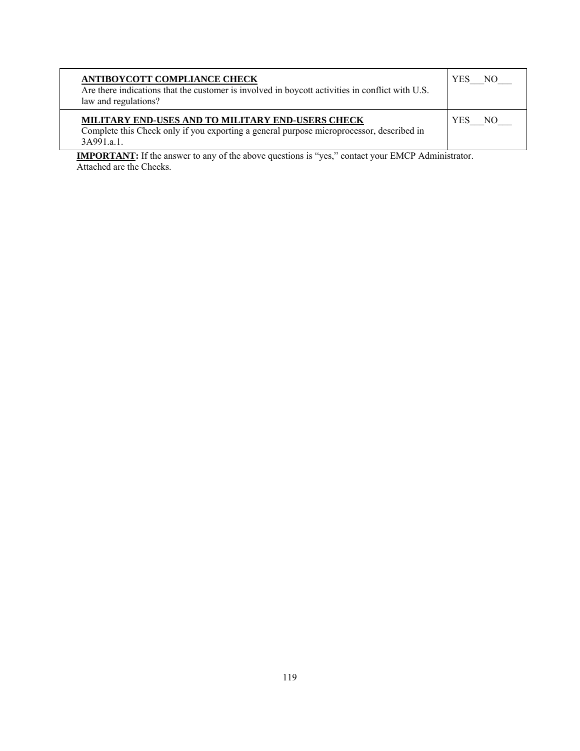| <b>ANTIBOYCOTT COMPLIANCE CHECK</b><br>Are there indications that the customer is involved in boycott activities in conflict with U.S.<br>law and regulations? | <b>YES</b><br>NΟ |
|----------------------------------------------------------------------------------------------------------------------------------------------------------------|------------------|
| MILITARY END-USES AND TO MILITARY END-USERS CHECK<br>Complete this Check only if you exporting a general purpose microprocessor, described in<br>3A991a1       | <b>YES</b><br>NΩ |

**IMPORTANT:** If the answer to any of the above questions is "yes," contact your EMCP Administrator. Attached are the Checks.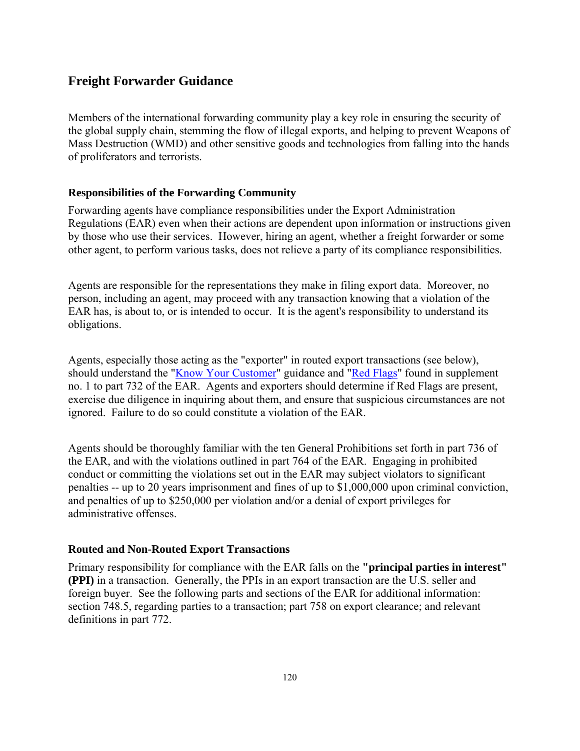# **Freight Forwarder Guidance**

Members of the international forwarding community play a key role in ensuring the security of the global supply chain, stemming the flow of illegal exports, and helping to prevent Weapons of Mass Destruction (WMD) and other sensitive goods and technologies from falling into the hands of proliferators and terrorists.

### **Responsibilities of the Forwarding Community**

Forwarding agents have compliance responsibilities under the Export Administration Regulations (EAR) even when their actions are dependent upon information or instructions given by those who use their services. However, hiring an agent, whether a freight forwarder or some other agent, to perform various tasks, does not relieve a party of its compliance responsibilities.

Agents are responsible for the representations they make in filing export data. Moreover, no person, including an agent, may proceed with any transaction knowing that a violation of the EAR has, is about to, or is intended to occur. It is the agent's responsibility to understand its obligations.

Agents, especially those acting as the "exporter" in routed export transactions (see below), should understand the "Know Your Customer" guidance and "Red Flags" found in supplement no. 1 to part 732 of the EAR. Agents and exporters should determine if Red Flags are present, exercise due diligence in inquiring about them, and ensure that suspicious circumstances are not ignored. Failure to do so could constitute a violation of the EAR.

Agents should be thoroughly familiar with the ten General Prohibitions set forth in part 736 of the EAR, and with the violations outlined in part 764 of the EAR. Engaging in prohibited conduct or committing the violations set out in the EAR may subject violators to significant penalties -- up to 20 years imprisonment and fines of up to \$1,000,000 upon criminal conviction, and penalties of up to \$250,000 per violation and/or a denial of export privileges for administrative offenses.

### **Routed and Non-Routed Export Transactions**

Primary responsibility for compliance with the EAR falls on the **"principal parties in interest" (PPI)** in a transaction. Generally, the PPIs in an export transaction are the U.S. seller and foreign buyer. See the following parts and sections of the EAR for additional information: section 748.5, regarding parties to a transaction; part 758 on export clearance; and relevant definitions in part 772.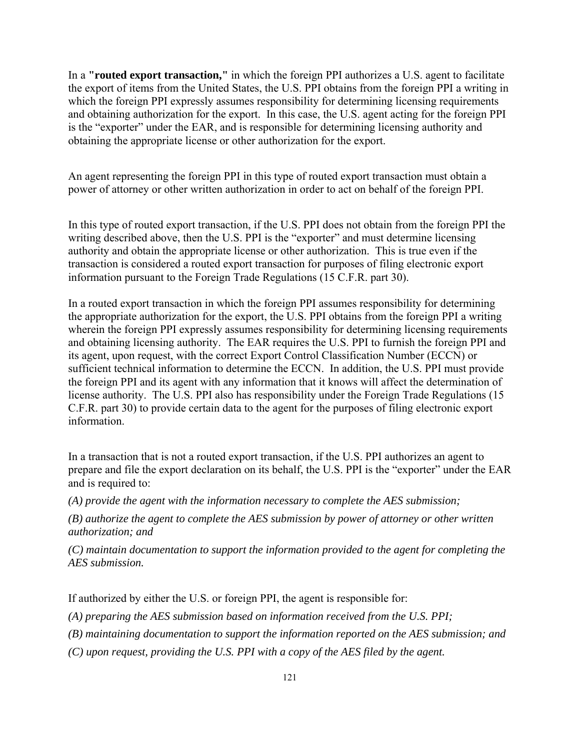In a **"routed export transaction,"** in which the foreign PPI authorizes a U.S. agent to facilitate the export of items from the United States, the U.S. PPI obtains from the foreign PPI a writing in which the foreign PPI expressly assumes responsibility for determining licensing requirements and obtaining authorization for the export. In this case, the U.S. agent acting for the foreign PPI is the "exporter" under the EAR, and is responsible for determining licensing authority and obtaining the appropriate license or other authorization for the export.

An agent representing the foreign PPI in this type of routed export transaction must obtain a power of attorney or other written authorization in order to act on behalf of the foreign PPI.

In this type of routed export transaction, if the U.S. PPI does not obtain from the foreign PPI the writing described above, then the U.S. PPI is the "exporter" and must determine licensing authority and obtain the appropriate license or other authorization. This is true even if the transaction is considered a routed export transaction for purposes of filing electronic export information pursuant to the Foreign Trade Regulations (15 C.F.R. part 30).

In a routed export transaction in which the foreign PPI assumes responsibility for determining the appropriate authorization for the export, the U.S. PPI obtains from the foreign PPI a writing wherein the foreign PPI expressly assumes responsibility for determining licensing requirements and obtaining licensing authority. The EAR requires the U.S. PPI to furnish the foreign PPI and its agent, upon request, with the correct Export Control Classification Number (ECCN) or sufficient technical information to determine the ECCN. In addition, the U.S. PPI must provide the foreign PPI and its agent with any information that it knows will affect the determination of license authority. The U.S. PPI also has responsibility under the Foreign Trade Regulations (15 C.F.R. part 30) to provide certain data to the agent for the purposes of filing electronic export information.

In a transaction that is not a routed export transaction, if the U.S. PPI authorizes an agent to prepare and file the export declaration on its behalf, the U.S. PPI is the "exporter" under the EAR and is required to:

*(A) provide the agent with the information necessary to complete the AES submission;* 

*(B) authorize the agent to complete the AES submission by power of attorney or other written authorization; and* 

*(C) maintain documentation to support the information provided to the agent for completing the AES submission.* 

If authorized by either the U.S. or foreign PPI, the agent is responsible for:

*(A) preparing the AES submission based on information received from the U.S. PPI;* 

*(B) maintaining documentation to support the information reported on the AES submission; and* 

*(C) upon request, providing the U.S. PPI with a copy of the AES filed by the agent.*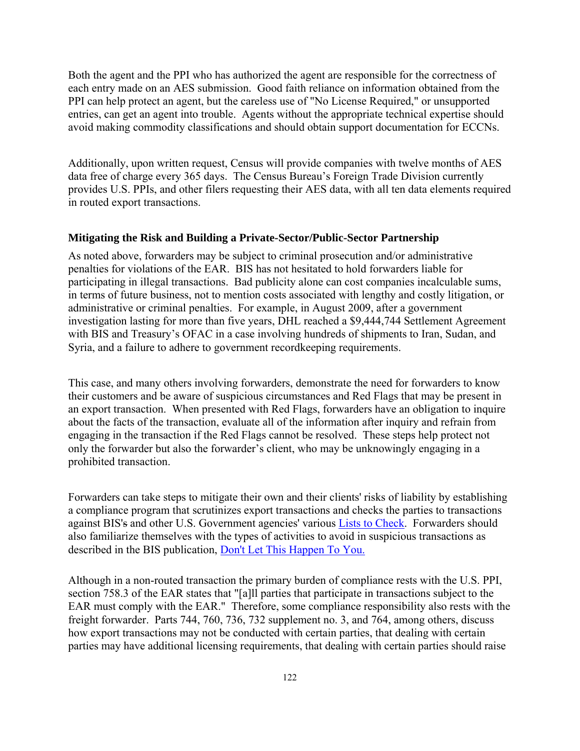Both the agent and the PPI who has authorized the agent are responsible for the correctness of each entry made on an AES submission. Good faith reliance on information obtained from the PPI can help protect an agent, but the careless use of "No License Required," or unsupported entries, can get an agent into trouble. Agents without the appropriate technical expertise should avoid making commodity classifications and should obtain support documentation for ECCNs.

Additionally, upon written request, Census will provide companies with twelve months of AES data free of charge every 365 days. The Census Bureau's Foreign Trade Division currently provides U.S. PPIs, and other filers requesting their AES data, with all ten data elements required in routed export transactions.

### **Mitigating the Risk and Building a Private-Sector/Public-Sector Partnership**

As noted above, forwarders may be subject to criminal prosecution and/or administrative penalties for violations of the EAR. BIS has not hesitated to hold forwarders liable for participating in illegal transactions. Bad publicity alone can cost companies incalculable sums, in terms of future business, not to mention costs associated with lengthy and costly litigation, or administrative or criminal penalties. For example, in August 2009, after a government investigation lasting for more than five years, DHL reached a \$9,444,744 Settlement Agreement with BIS and Treasury's OFAC in a case involving hundreds of shipments to Iran, Sudan, and Syria, and a failure to adhere to government recordkeeping requirements.

This case, and many others involving forwarders, demonstrate the need for forwarders to know their customers and be aware of suspicious circumstances and Red Flags that may be present in an export transaction. When presented with Red Flags, forwarders have an obligation to inquire about the facts of the transaction, evaluate all of the information after inquiry and refrain from engaging in the transaction if the Red Flags cannot be resolved. These steps help protect not only the forwarder but also the forwarder's client, who may be unknowingly engaging in a prohibited transaction.

Forwarders can take steps to mitigate their own and their clients' risks of liability by establishing a compliance program that scrutinizes export transactions and checks the parties to transactions against BIS's and other U.S. Government agencies' various Lists to Check. Forwarders should also familiarize themselves with the types of activities to avoid in suspicious transactions as described in the BIS publication, Don't Let This Happen To You.

Although in a non-routed transaction the primary burden of compliance rests with the U.S. PPI, section 758.3 of the EAR states that "[a]ll parties that participate in transactions subject to the EAR must comply with the EAR." Therefore, some compliance responsibility also rests with the freight forwarder. Parts 744, 760, 736, 732 supplement no. 3, and 764, among others, discuss how export transactions may not be conducted with certain parties, that dealing with certain parties may have additional licensing requirements, that dealing with certain parties should raise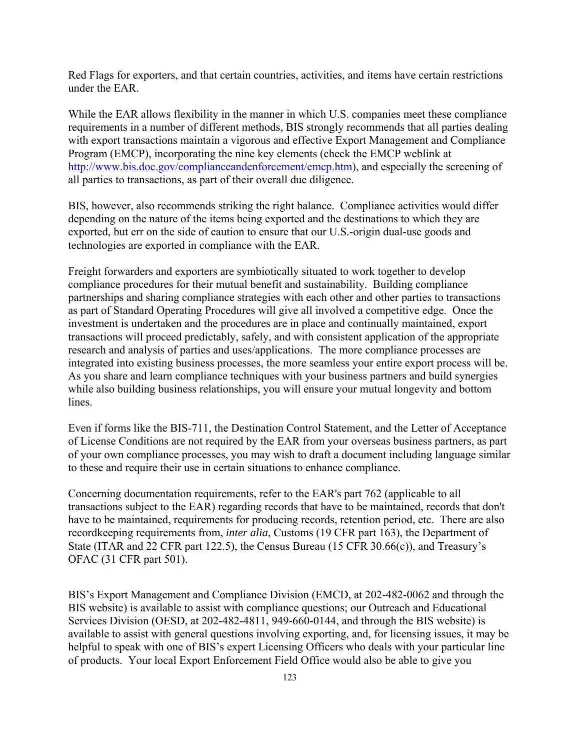Red Flags for exporters, and that certain countries, activities, and items have certain restrictions under the EAR.

While the EAR allows flexibility in the manner in which U.S. companies meet these compliance requirements in a number of different methods, BIS strongly recommends that all parties dealing with export transactions maintain a vigorous and effective Export Management and Compliance Program (EMCP), incorporating the nine key elements (check the EMCP weblink at [http://www.bis.doc.gov/complianceandenforcement/emcp.htm\)](http://www.bis.doc.gov/complianceandenforcement/emcp.htm), and especially the screening of all parties to transactions, as part of their overall due diligence.

BIS, however, also recommends striking the right balance. Compliance activities would differ depending on the nature of the items being exported and the destinations to which they are exported, but err on the side of caution to ensure that our U.S.-origin dual-use goods and technologies are exported in compliance with the EAR.

Freight forwarders and exporters are symbiotically situated to work together to develop compliance procedures for their mutual benefit and sustainability. Building compliance partnerships and sharing compliance strategies with each other and other parties to transactions as part of Standard Operating Procedures will give all involved a competitive edge. Once the investment is undertaken and the procedures are in place and continually maintained, export transactions will proceed predictably, safely, and with consistent application of the appropriate research and analysis of parties and uses/applications. The more compliance processes are integrated into existing business processes, the more seamless your entire export process will be. As you share and learn compliance techniques with your business partners and build synergies while also building business relationships, you will ensure your mutual longevity and bottom lines.

Even if forms like the BIS-711, the Destination Control Statement, and the Letter of Acceptance of License Conditions are not required by the EAR from your overseas business partners, as part of your own compliance processes, you may wish to draft a document including language similar to these and require their use in certain situations to enhance compliance.

Concerning documentation requirements, refer to the EAR's part 762 (applicable to all transactions subject to the EAR) regarding records that have to be maintained, records that don't have to be maintained, requirements for producing records, retention period, etc. There are also recordkeeping requirements from, *inter alia*, Customs (19 CFR part 163), the Department of State (ITAR and 22 CFR part 122.5), the Census Bureau (15 CFR 30.66(c)), and Treasury's OFAC (31 CFR part 501).

BIS's Export Management and Compliance Division (EMCD, at 202-482-0062 and through the BIS website) is available to assist with compliance questions; our Outreach and Educational Services Division (OESD, at 202-482-4811, 949-660-0144, and through the BIS website) is available to assist with general questions involving exporting, and, for licensing issues, it may be helpful to speak with one of BIS's expert Licensing Officers who deals with your particular line of products. Your local Export Enforcement Field Office would also be able to give you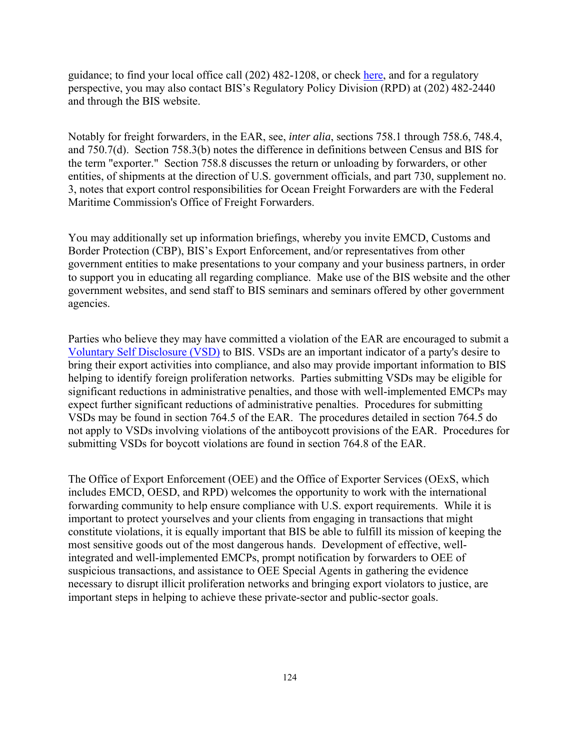guidance; to find your local office call (202) 482-1208, or check here, and for a regulatory perspective, you may also contact BIS's Regulatory Policy Division (RPD) at (202) 482-2440 and through the BIS website.

Notably for freight forwarders, in the EAR, see, *inter alia*, sections 758.1 through 758.6, 748.4, and 750.7(d). Section 758.3(b) notes the difference in definitions between Census and BIS for the term "exporter." Section 758.8 discusses the return or unloading by forwarders, or other entities, of shipments at the direction of U.S. government officials, and part 730, supplement no. 3, notes that export control responsibilities for Ocean Freight Forwarders are with the Federal Maritime Commission's Office of Freight Forwarders.

You may additionally set up information briefings, whereby you invite EMCD, Customs and Border Protection (CBP), BIS's Export Enforcement, and/or representatives from other government entities to make presentations to your company and your business partners, in order to support you in educating all regarding compliance. Make use of the BIS website and the other government websites, and send staff to BIS seminars and seminars offered by other government agencies.

Parties who believe they may have committed a violation of the EAR are encouraged to submit a Voluntary Self Disclosure (VSD) to BIS. VSDs are an important indicator of a party's desire to bring their export activities into compliance, and also may provide important information to BIS helping to identify foreign proliferation networks. Parties submitting VSDs may be eligible for significant reductions in administrative penalties, and those with well-implemented EMCPs may expect further significant reductions of administrative penalties. Procedures for submitting VSDs may be found in section 764.5 of the EAR. The procedures detailed in section 764.5 do not apply to VSDs involving violations of the antiboycott provisions of the EAR. Procedures for submitting VSDs for boycott violations are found in section 764.8 of the EAR.

The Office of Export Enforcement (OEE) and the Office of Exporter Services (OExS, which includes EMCD, OESD, and RPD) welcomes the opportunity to work with the international forwarding community to help ensure compliance with U.S. export requirements. While it is important to protect yourselves and your clients from engaging in transactions that might constitute violations, it is equally important that BIS be able to fulfill its mission of keeping the most sensitive goods out of the most dangerous hands. Development of effective, wellintegrated and well-implemented EMCPs, prompt notification by forwarders to OEE of suspicious transactions, and assistance to OEE Special Agents in gathering the evidence necessary to disrupt illicit proliferation networks and bringing export violators to justice, are important steps in helping to achieve these private-sector and public-sector goals.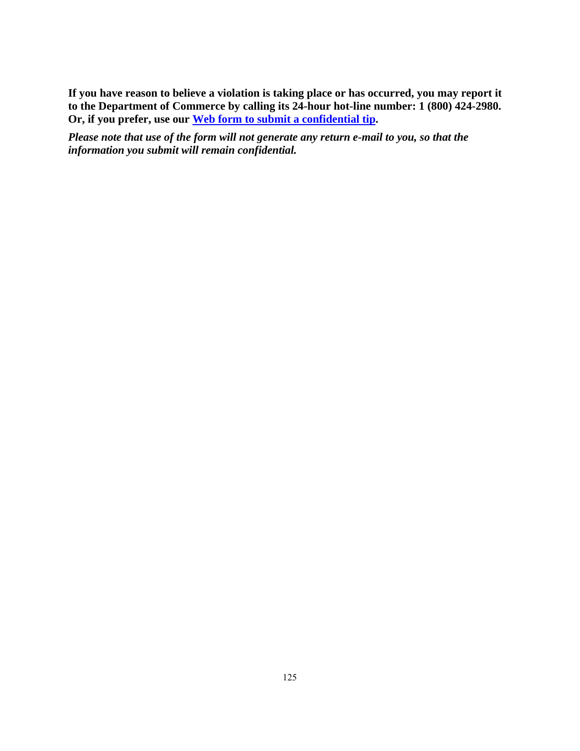**If you have reason to believe a violation is taking place or has occurred, you may report it to the Department of Commerce by calling its 24-hour hot-line number: 1 (800) 424-2980. Or, if you prefer, use our [Web form to submit a confidential tip.](https://www.bis.doc.gov/forms/eeleadsntips.html)** 

*Please note that use of the form will not generate any return e-mail to you, so that the information you submit will remain confidential.*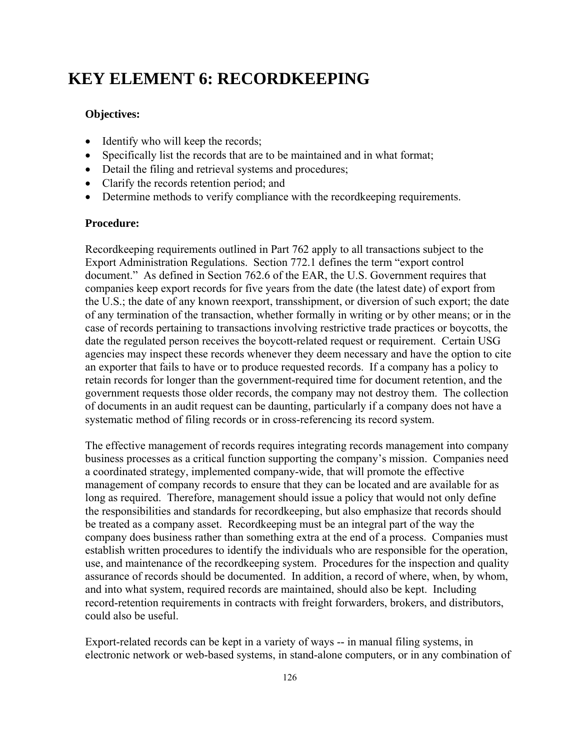# **KEY ELEMENT 6: RECORDKEEPING**

### **Objectives:**

- Identify who will keep the records;
- Specifically list the records that are to be maintained and in what format;
- Detail the filing and retrieval systems and procedures;
- Clarify the records retention period; and
- Determine methods to verify compliance with the record keeping requirements.

### **Procedure:**

Recordkeeping requirements outlined in Part 762 apply to all transactions subject to the Export Administration Regulations. Section 772.1 defines the term "export control document." As defined in Section 762.6 of the EAR, the U.S. Government requires that companies keep export records for five years from the date (the latest date) of export from the U.S.; the date of any known reexport, transshipment, or diversion of such export; the date of any termination of the transaction, whether formally in writing or by other means; or in the case of records pertaining to transactions involving restrictive trade practices or boycotts, the date the regulated person receives the boycott-related request or requirement. Certain USG agencies may inspect these records whenever they deem necessary and have the option to cite an exporter that fails to have or to produce requested records. If a company has a policy to retain records for longer than the government-required time for document retention, and the government requests those older records, the company may not destroy them. The collection of documents in an audit request can be daunting, particularly if a company does not have a systematic method of filing records or in cross-referencing its record system.

The effective management of records requires integrating records management into company business processes as a critical function supporting the company's mission. Companies need a coordinated strategy, implemented company-wide, that will promote the effective management of company records to ensure that they can be located and are available for as long as required. Therefore, management should issue a policy that would not only define the responsibilities and standards for recordkeeping, but also emphasize that records should be treated as a company asset. Recordkeeping must be an integral part of the way the company does business rather than something extra at the end of a process. Companies must establish written procedures to identify the individuals who are responsible for the operation, use, and maintenance of the recordkeeping system. Procedures for the inspection and quality assurance of records should be documented. In addition, a record of where, when, by whom, and into what system, required records are maintained, should also be kept. Including record-retention requirements in contracts with freight forwarders, brokers, and distributors, could also be useful.

Export-related records can be kept in a variety of ways -- in manual filing systems, in electronic network or web-based systems, in stand-alone computers, or in any combination of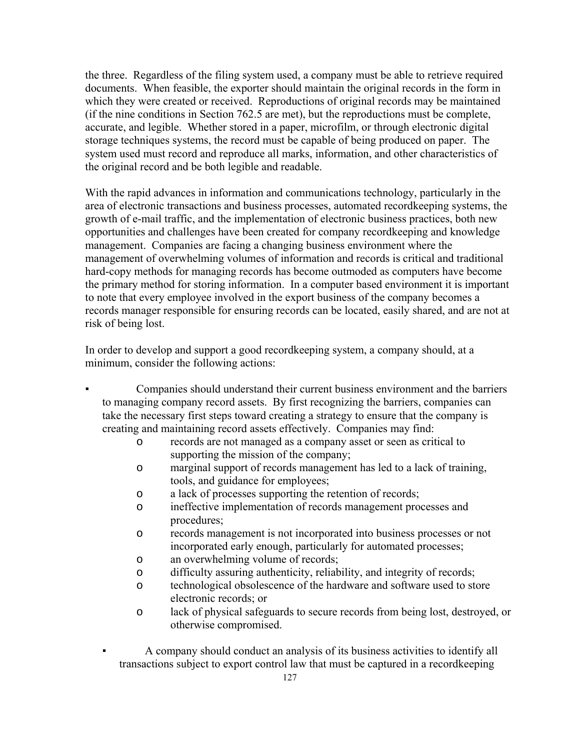the three. Regardless of the filing system used, a company must be able to retrieve required documents. When feasible, the exporter should maintain the original records in the form in which they were created or received. Reproductions of original records may be maintained (if the nine conditions in Section 762.5 are met), but the reproductions must be complete, accurate, and legible. Whether stored in a paper, microfilm, or through electronic digital storage techniques systems, the record must be capable of being produced on paper. The system used must record and reproduce all marks, information, and other characteristics of the original record and be both legible and readable.

With the rapid advances in information and communications technology, particularly in the area of electronic transactions and business processes, automated recordkeeping systems, the growth of e-mail traffic, and the implementation of electronic business practices, both new opportunities and challenges have been created for company recordkeeping and knowledge management. Companies are facing a changing business environment where the management of overwhelming volumes of information and records is critical and traditional hard-copy methods for managing records has become outmoded as computers have become the primary method for storing information. In a computer based environment it is important to note that every employee involved in the export business of the company becomes a records manager responsible for ensuring records can be located, easily shared, and are not at risk of being lost.

In order to develop and support a good recordkeeping system, a company should, at a minimum, consider the following actions:

- Companies should understand their current business environment and the barriers to managing company record assets. By first recognizing the barriers, companies can take the necessary first steps toward creating a strategy to ensure that the company is creating and maintaining record assets effectively. Companies may find:
	- o records are not managed as a company asset or seen as critical to supporting the mission of the company;
	- o marginal support of records management has led to a lack of training, tools, and guidance for employees;
	- o a lack of processes supporting the retention of records;
	- o ineffective implementation of records management processes and procedures;
	- o records management is not incorporated into business processes or not incorporated early enough, particularly for automated processes;
	- o an overwhelming volume of records;
	- o difficulty assuring authenticity, reliability, and integrity of records;
	- o technological obsolescence of the hardware and software used to store electronic records; or
	- o lack of physical safeguards to secure records from being lost, destroyed, or otherwise compromised.
	- A company should conduct an analysis of its business activities to identify all transactions subject to export control law that must be captured in a recordkeeping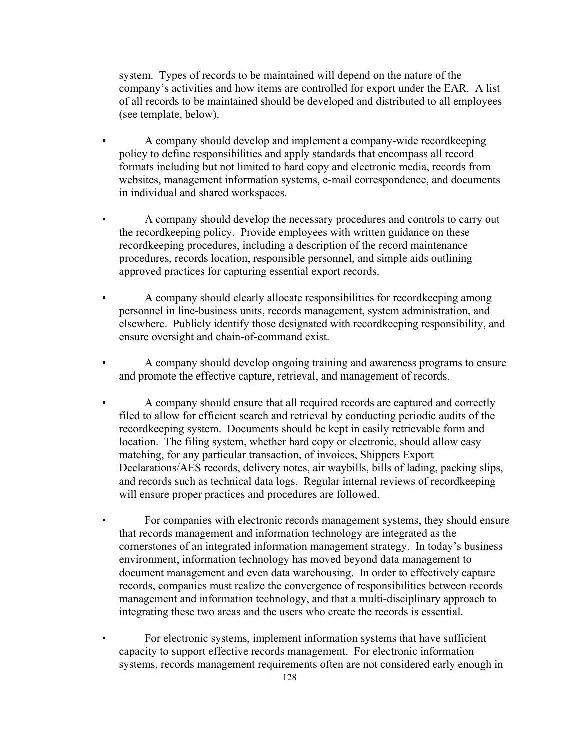system. Types of records to be maintained will depend on the nature of the company's activities and how items are controlled for export under the EAR. A list of all records to be maintained should be developed and distributed to all employees (see template, below).

- A company should develop and implement a company-wide recordkeeping policy to define responsibilities and apply standards that encompass all record formats including but not limited to hard copy and electronic media, records from websites, management information systems, e-mail correspondence, and documents in individual and shared workspaces.
- A company should develop the necessary procedures and controls to carry out the recordkeeping policy. Provide employees with written guidance on these recordkeeping procedures, including a description of the record maintenance procedures, records location, responsible personnel, and simple aids outlining approved practices for capturing essential export records.
- A company should clearly allocate responsibilities for record keeping among personnel in line-business units, records management, system administration, and elsewhere. Publicly identify those designated with recordkeeping responsibility, and ensure oversight and chain-of-command exist.
- A company should develop ongoing training and awareness programs to ensure and promote the effective capture, retrieval, and management of records.
- A company should ensure that all required records are captured and correctly filed to allow for efficient search and retrieval by conducting periodic audits of the recordkeeping system. Documents should be kept in easily retrievable form and location. The filing system, whether hard copy or electronic, should allow easy matching, for any particular transaction, of invoices, Shippers Export Declarations/AES records, delivery notes, air waybills, bills of lading, packing slips, and records such as technical data logs. Regular internal reviews of recordkeeping will ensure proper practices and procedures are followed.
- For companies with electronic records management systems, they should ensure that records management and information technology are integrated as the cornerstones of an integrated information management strategy. In today's business environment, information technology has moved beyond data management to document management and even data warehousing. In order to effectively capture records, companies must realize the convergence of responsibilities between records management and information technology, and that a multi-disciplinary approach to integrating these two areas and the users who create the records is essential.
- For electronic systems, implement information systems that have sufficient capacity to support effective records management. For electronic information systems, records management requirements often are not considered early enough in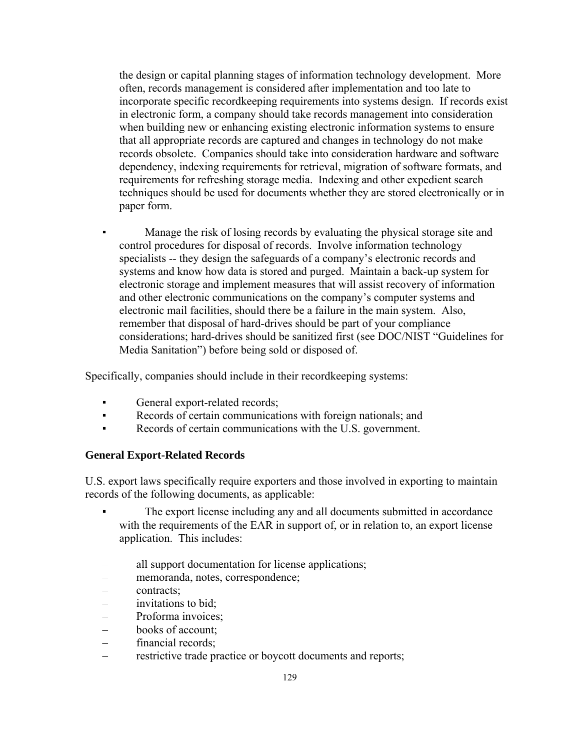the design or capital planning stages of information technology development. More often, records management is considered after implementation and too late to incorporate specific recordkeeping requirements into systems design. If records exist in electronic form, a company should take records management into consideration when building new or enhancing existing electronic information systems to ensure that all appropriate records are captured and changes in technology do not make records obsolete. Companies should take into consideration hardware and software dependency, indexing requirements for retrieval, migration of software formats, and requirements for refreshing storage media. Indexing and other expedient search techniques should be used for documents whether they are stored electronically or in paper form.

Manage the risk of losing records by evaluating the physical storage site and control procedures for disposal of records. Involve information technology specialists -- they design the safeguards of a company's electronic records and systems and know how data is stored and purged. Maintain a back-up system for electronic storage and implement measures that will assist recovery of information and other electronic communications on the company's computer systems and electronic mail facilities, should there be a failure in the main system. Also, remember that disposal of hard-drives should be part of your compliance considerations; hard-drives should be sanitized first (see DOC/NIST "Guidelines for Media Sanitation") before being sold or disposed of.

Specifically, companies should include in their recordkeeping systems:

- General export-related records;
- Records of certain communications with foreign nationals; and
- Records of certain communications with the U.S. government.

### **General Export-Related Records**

U.S. export laws specifically require exporters and those involved in exporting to maintain records of the following documents, as applicable:

- The export license including any and all documents submitted in accordance with the requirements of the EAR in support of, or in relation to, an export license application. This includes:
- all support documentation for license applications;
- memoranda, notes, correspondence;
- contracts;
- invitations to bid;
- Proforma invoices;
- books of account;
- financial records;
- restrictive trade practice or boycott documents and reports;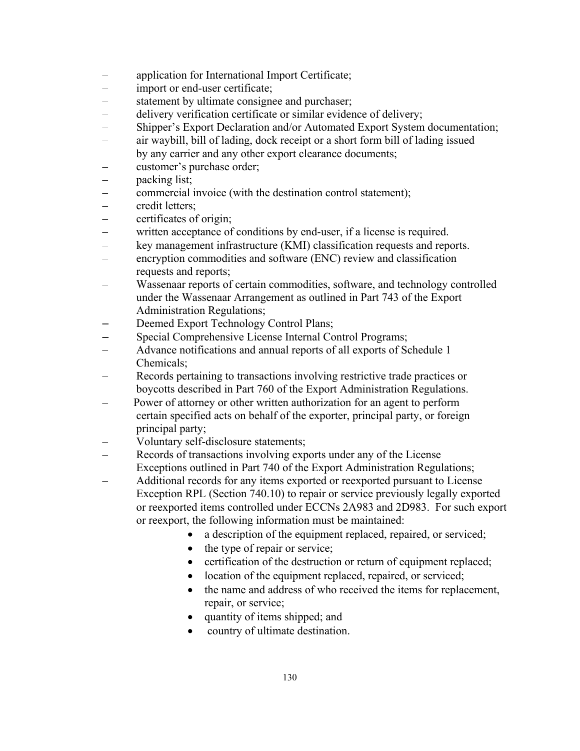- application for International Import Certificate;
- import or end-user certificate;
- statement by ultimate consignee and purchaser;
- delivery verification certificate or similar evidence of delivery;
- Shipper's Export Declaration and/or Automated Export System documentation;
- air waybill, bill of lading, dock receipt or a short form bill of lading issued by any carrier and any other export clearance documents;
- customer's purchase order;
- packing list;
- commercial invoice (with the destination control statement);
- credit letters;
- certificates of origin;
- written acceptance of conditions by end-user, if a license is required.
- key management infrastructure (KMI) classification requests and reports.
- encryption commodities and software (ENC) review and classification requests and reports;
- Wassenaar reports of certain commodities, software, and technology controlled under the Wassenaar Arrangement as outlined in Part 743 of the Export Administration Regulations;
- Deemed Export Technology Control Plans;
- Special Comprehensive License Internal Control Programs;
- Advance notifications and annual reports of all exports of Schedule 1 Chemicals;
- Records pertaining to transactions involving restrictive trade practices or boycotts described in Part 760 of the Export Administration Regulations.
- Power of attorney or other written authorization for an agent to perform certain specified acts on behalf of the exporter, principal party, or foreign principal party;
- Voluntary self-disclosure statements;
- Records of transactions involving exports under any of the License Exceptions outlined in Part 740 of the Export Administration Regulations;
- Additional records for any items exported or reexported pursuant to License Exception RPL (Section 740.10) to repair or service previously legally exported or reexported items controlled under ECCNs 2A983 and 2D983. For such export or reexport, the following information must be maintained:
	- a description of the equipment replaced, repaired, or serviced;
	- the type of repair or service;
	- certification of the destruction or return of equipment replaced;
	- location of the equipment replaced, repaired, or serviced;
	- the name and address of who received the items for replacement, repair, or service;
	- quantity of items shipped; and
	- country of ultimate destination.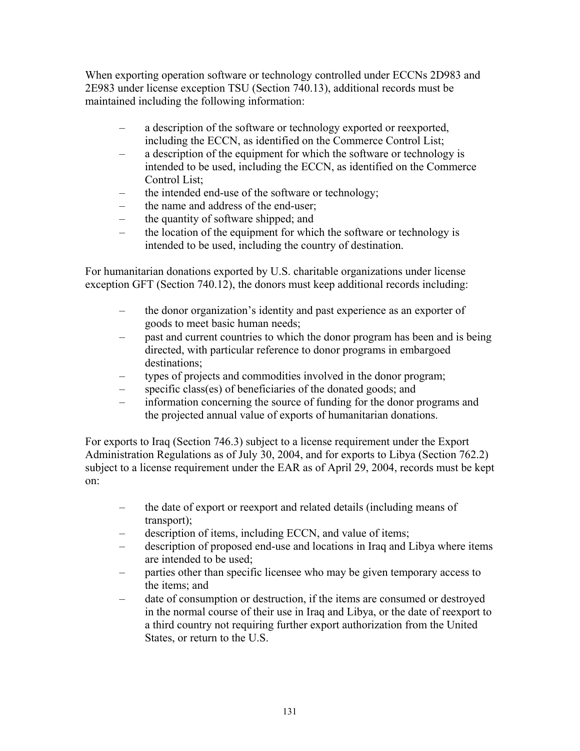When exporting operation software or technology controlled under ECCNs 2D983 and 2E983 under license exception TSU (Section 740.13), additional records must be maintained including the following information:

- a description of the software or technology exported or reexported, including the ECCN, as identified on the Commerce Control List;
- a description of the equipment for which the software or technology is intended to be used, including the ECCN, as identified on the Commerce Control List;
- the intended end-use of the software or technology;
- the name and address of the end-user;
- the quantity of software shipped; and
- the location of the equipment for which the software or technology is intended to be used, including the country of destination.

For humanitarian donations exported by U.S. charitable organizations under license exception GFT (Section 740.12), the donors must keep additional records including:

- the donor organization's identity and past experience as an exporter of goods to meet basic human needs;
- past and current countries to which the donor program has been and is being directed, with particular reference to donor programs in embargoed destinations;
- types of projects and commodities involved in the donor program;
- specific class(es) of beneficiaries of the donated goods; and
- information concerning the source of funding for the donor programs and the projected annual value of exports of humanitarian donations.

For exports to Iraq (Section 746.3) subject to a license requirement under the Export Administration Regulations as of July 30, 2004, and for exports to Libya (Section 762.2) subject to a license requirement under the EAR as of April 29, 2004, records must be kept on:

- the date of export or reexport and related details (including means of transport);
- description of items, including ECCN, and value of items;
- description of proposed end-use and locations in Iraq and Libya where items are intended to be used;
- parties other than specific licensee who may be given temporary access to the items; and
- date of consumption or destruction, if the items are consumed or destroyed in the normal course of their use in Iraq and Libya, or the date of reexport to a third country not requiring further export authorization from the United States, or return to the U.S.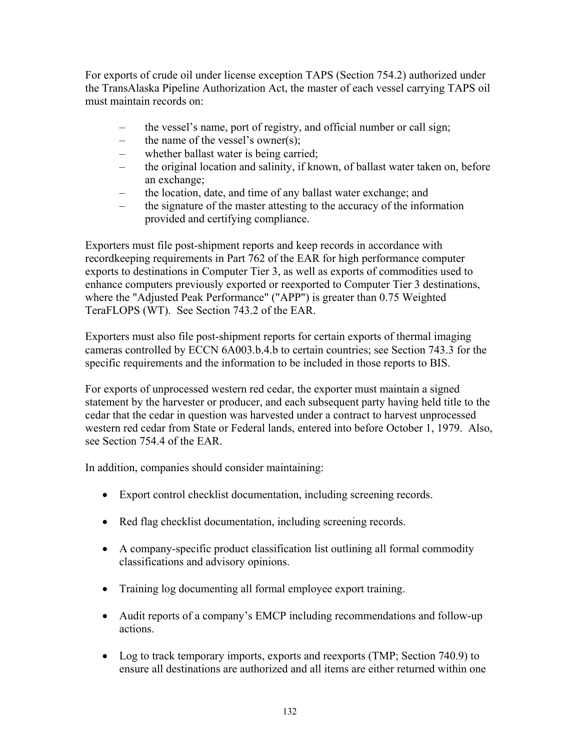For exports of crude oil under license exception TAPS (Section 754.2) authorized under the TransAlaska Pipeline Authorization Act, the master of each vessel carrying TAPS oil must maintain records on:

- the vessel's name, port of registry, and official number or call sign;
- the name of the vessel's owner(s);
- whether ballast water is being carried;
- the original location and salinity, if known, of ballast water taken on, before an exchange;
- the location, date, and time of any ballast water exchange; and
- the signature of the master attesting to the accuracy of the information provided and certifying compliance.

Exporters must file post-shipment reports and keep records in accordance with recordkeeping requirements in Part 762 of the EAR for high performance computer exports to destinations in Computer Tier 3, as well as exports of commodities used to enhance computers previously exported or reexported to Computer Tier 3 destinations, where the "Adjusted Peak Performance" ("APP") is greater than 0.75 Weighted TeraFLOPS (WT). See Section 743.2 of the EAR.

Exporters must also file post-shipment reports for certain exports of thermal imaging cameras controlled by ECCN 6A003.b.4.b to certain countries; see Section 743.3 for the specific requirements and the information to be included in those reports to BIS.

For exports of unprocessed western red cedar, the exporter must maintain a signed statement by the harvester or producer, and each subsequent party having held title to the cedar that the cedar in question was harvested under a contract to harvest unprocessed western red cedar from State or Federal lands, entered into before October 1, 1979. Also, see Section 754.4 of the EAR.

In addition, companies should consider maintaining:

- Export control checklist documentation, including screening records.
- Red flag checklist documentation, including screening records.
- A company-specific product classification list outlining all formal commodity classifications and advisory opinions.
- Training log documenting all formal employee export training.
- Audit reports of a company's EMCP including recommendations and follow-up actions.
- Log to track temporary imports, exports and reexports (TMP; Section 740.9) to ensure all destinations are authorized and all items are either returned within one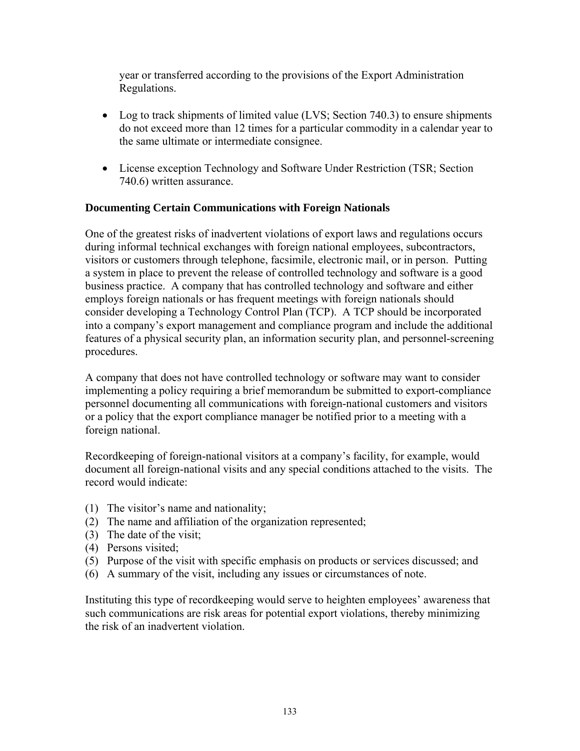year or transferred according to the provisions of the Export Administration Regulations.

- Log to track shipments of limited value (LVS; Section 740.3) to ensure shipments do not exceed more than 12 times for a particular commodity in a calendar year to the same ultimate or intermediate consignee.
- License exception Technology and Software Under Restriction (TSR; Section 740.6) written assurance.

## **Documenting Certain Communications with Foreign Nationals**

One of the greatest risks of inadvertent violations of export laws and regulations occurs during informal technical exchanges with foreign national employees, subcontractors, visitors or customers through telephone, facsimile, electronic mail, or in person. Putting a system in place to prevent the release of controlled technology and software is a good business practice. A company that has controlled technology and software and either employs foreign nationals or has frequent meetings with foreign nationals should consider developing a Technology Control Plan (TCP). A TCP should be incorporated into a company's export management and compliance program and include the additional features of a physical security plan, an information security plan, and personnel-screening procedures.

A company that does not have controlled technology or software may want to consider implementing a policy requiring a brief memorandum be submitted to export-compliance personnel documenting all communications with foreign-national customers and visitors or a policy that the export compliance manager be notified prior to a meeting with a foreign national.

Recordkeeping of foreign-national visitors at a company's facility, for example, would document all foreign-national visits and any special conditions attached to the visits. The record would indicate:

- (1) The visitor's name and nationality;
- (2) The name and affiliation of the organization represented;
- (3) The date of the visit;
- (4) Persons visited;
- (5) Purpose of the visit with specific emphasis on products or services discussed; and
- (6) A summary of the visit, including any issues or circumstances of note.

Instituting this type of recordkeeping would serve to heighten employees' awareness that such communications are risk areas for potential export violations, thereby minimizing the risk of an inadvertent violation.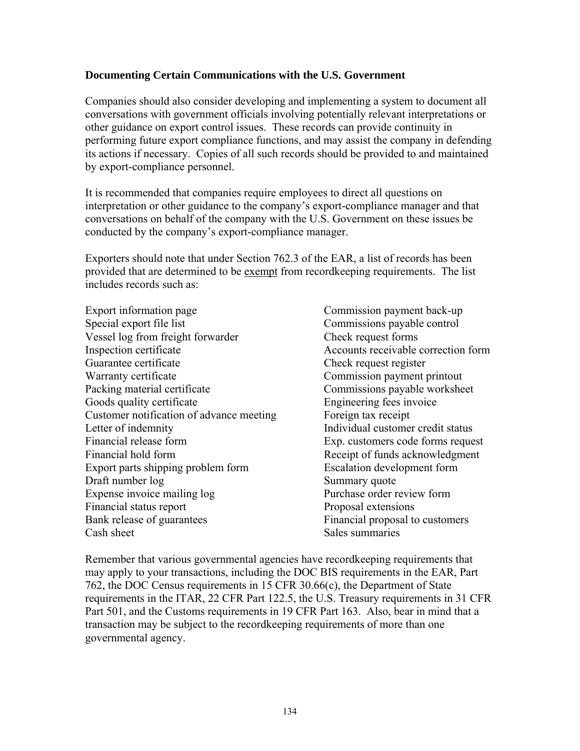## **Documenting Certain Communications with the U.S. Government**

Companies should also consider developing and implementing a system to document all conversations with government officials involving potentially relevant interpretations or other guidance on export control issues. These records can provide continuity in performing future export compliance functions, and may assist the company in defending its actions if necessary. Copies of all such records should be provided to and maintained by export-compliance personnel.

It is recommended that companies require employees to direct all questions on interpretation or other guidance to the company's export-compliance manager and that conversations on behalf of the company with the U.S. Government on these issues be conducted by the company's export-compliance manager.

Exporters should note that under Section 762.3 of the EAR, a list of records has been provided that are determined to be exempt from recordkeeping requirements. The list includes records such as:

- Export information page Commission payment back-up Special export file list Commissions payable control Vessel log from freight forwarder Check request forms Inspection certificate Accounts receivable correction form Guarantee certificate Check request register Warranty certificate Commission payment printout Packing material certificate Commissions payable worksheet Goods quality certificate Engineering fees invoice Customer notification of advance meeting Foreign tax receipt Letter of indemnity Individual customer credit status Financial release form Exp. customers code forms request Financial hold form Receipt of funds acknowledgment Export parts shipping problem form Escalation development form Draft number  $log$  Summary quote Expense invoice mailing log Purchase order review form Financial status report Proposal extensions Bank release of guarantees Financial proposal to customers Cash sheet Sales summaries
	-

Remember that various governmental agencies have recordkeeping requirements that may apply to your transactions, including the DOC BIS requirements in the EAR, Part 762, the DOC Census requirements in 15 CFR 30.66(c), the Department of State requirements in the ITAR, 22 CFR Part 122.5, the U.S. Treasury requirements in 31 CFR Part 501, and the Customs requirements in 19 CFR Part 163. Also, bear in mind that a transaction may be subject to the recordkeeping requirements of more than one governmental agency.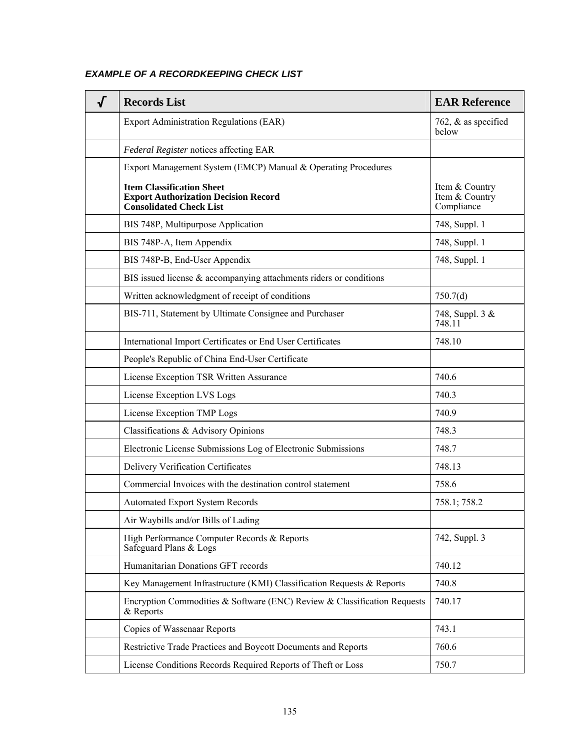# *EXAMPLE OF A RECORDKEEPING CHECK LIST*

| √ | <b>Records List</b>                                                                                               | <b>EAR Reference</b>                           |
|---|-------------------------------------------------------------------------------------------------------------------|------------------------------------------------|
|   | <b>Export Administration Regulations (EAR)</b>                                                                    | 762, $\&$ as specified<br>below                |
|   | Federal Register notices affecting EAR                                                                            |                                                |
|   | Export Management System (EMCP) Manual & Operating Procedures                                                     |                                                |
|   | <b>Item Classification Sheet</b><br><b>Export Authorization Decision Record</b><br><b>Consolidated Check List</b> | Item & Country<br>Item & Country<br>Compliance |
|   | BIS 748P, Multipurpose Application                                                                                | 748, Suppl. 1                                  |
|   | BIS 748P-A, Item Appendix                                                                                         | 748, Suppl. 1                                  |
|   | BIS 748P-B, End-User Appendix                                                                                     | 748, Suppl. 1                                  |
|   | BIS issued license $\&$ accompanying attachments riders or conditions                                             |                                                |
|   | Written acknowledgment of receipt of conditions                                                                   | 750.7(d)                                       |
|   | BIS-711, Statement by Ultimate Consignee and Purchaser                                                            | 748, Suppl. 3 &<br>748.11                      |
|   | International Import Certificates or End User Certificates                                                        | 748.10                                         |
|   | People's Republic of China End-User Certificate                                                                   |                                                |
|   | License Exception TSR Written Assurance                                                                           | 740.6                                          |
|   | License Exception LVS Logs                                                                                        | 740.3                                          |
|   | License Exception TMP Logs                                                                                        | 740.9                                          |
|   | Classifications & Advisory Opinions                                                                               | 748.3                                          |
|   | Electronic License Submissions Log of Electronic Submissions                                                      | 748.7                                          |
|   | Delivery Verification Certificates                                                                                | 748.13                                         |
|   | Commercial Invoices with the destination control statement                                                        | 758.6                                          |
|   | <b>Automated Export System Records</b>                                                                            | 758.1; 758.2                                   |
|   | Air Waybills and/or Bills of Lading                                                                               |                                                |
|   | High Performance Computer Records & Reports<br>Safeguard Plans & Logs                                             | 742, Suppl. 3                                  |
|   | Humanitarian Donations GFT records                                                                                | 740.12                                         |
|   | Key Management Infrastructure (KMI) Classification Requests & Reports                                             | 740.8                                          |
|   | Encryption Commodities & Software (ENC) Review & Classification Requests<br>& Reports                             | 740.17                                         |
|   | Copies of Wassenaar Reports                                                                                       | 743.1                                          |
|   | Restrictive Trade Practices and Boycott Documents and Reports                                                     | 760.6                                          |
|   | License Conditions Records Required Reports of Theft or Loss                                                      | 750.7                                          |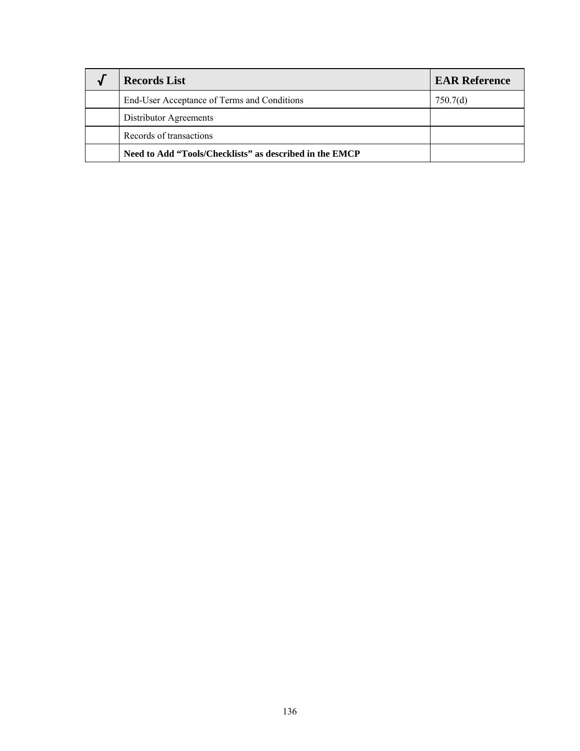| <b>Records List</b>                                     | <b>EAR Reference</b> |
|---------------------------------------------------------|----------------------|
| End-User Acceptance of Terms and Conditions             | 750.7(d)             |
| Distributor Agreements                                  |                      |
| Records of transactions                                 |                      |
| Need to Add "Tools/Checklists" as described in the EMCP |                      |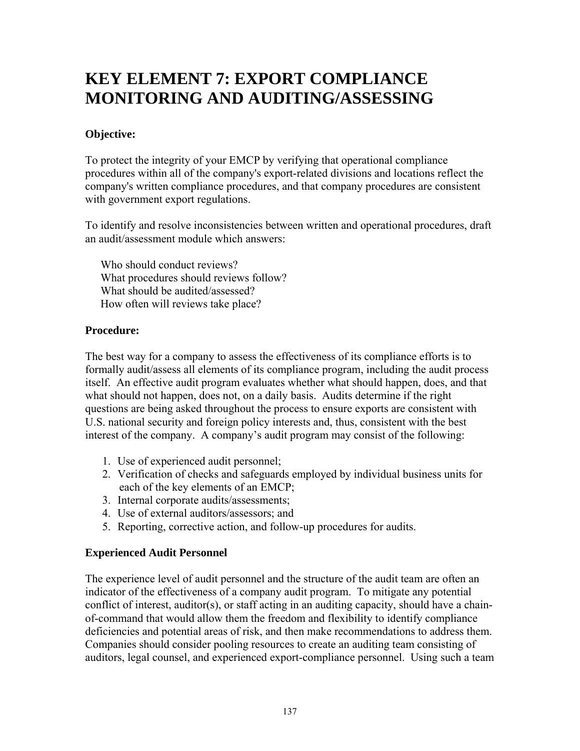# **KEY ELEMENT 7: EXPORT COMPLIANCE MONITORING AND AUDITING/ASSESSING**

# **Objective:**

To protect the integrity of your EMCP by verifying that operational compliance procedures within all of the company's export-related divisions and locations reflect the company's written compliance procedures, and that company procedures are consistent with government export regulations.

To identify and resolve inconsistencies between written and operational procedures, draft an audit/assessment module which answers:

 Who should conduct reviews? What procedures should reviews follow? What should be audited/assessed? How often will reviews take place?

# **Procedure:**

The best way for a company to assess the effectiveness of its compliance efforts is to formally audit/assess all elements of its compliance program, including the audit process itself. An effective audit program evaluates whether what should happen, does, and that what should not happen, does not, on a daily basis. Audits determine if the right questions are being asked throughout the process to ensure exports are consistent with U.S. national security and foreign policy interests and, thus, consistent with the best interest of the company. A company's audit program may consist of the following:

- 1. Use of experienced audit personnel;
- 2. Verification of checks and safeguards employed by individual business units for each of the key elements of an EMCP;
- 3. Internal corporate audits/assessments;
- 4. Use of external auditors/assessors; and
- 5. Reporting, corrective action, and follow-up procedures for audits.

# **Experienced Audit Personnel**

The experience level of audit personnel and the structure of the audit team are often an indicator of the effectiveness of a company audit program. To mitigate any potential conflict of interest, auditor(s), or staff acting in an auditing capacity, should have a chainof-command that would allow them the freedom and flexibility to identify compliance deficiencies and potential areas of risk, and then make recommendations to address them. Companies should consider pooling resources to create an auditing team consisting of auditors, legal counsel, and experienced export-compliance personnel. Using such a team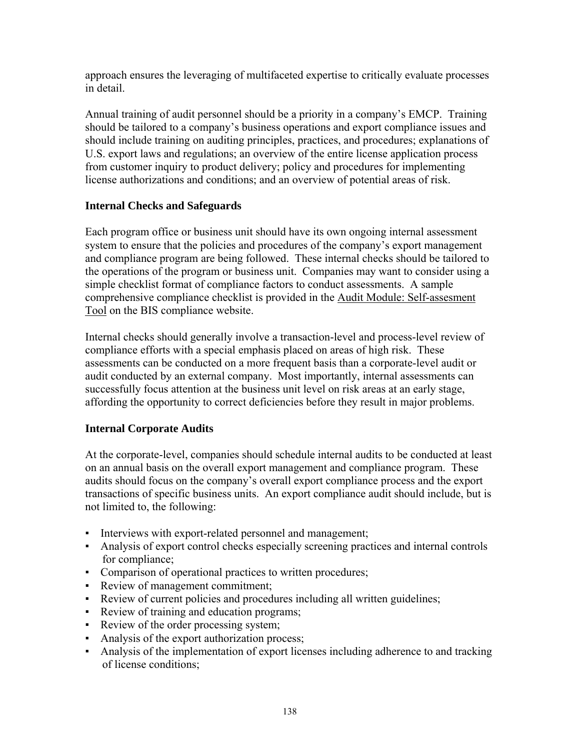approach ensures the leveraging of multifaceted expertise to critically evaluate processes in detail.

Annual training of audit personnel should be a priority in a company's EMCP. Training should be tailored to a company's business operations and export compliance issues and should include training on auditing principles, practices, and procedures; explanations of U.S. export laws and regulations; an overview of the entire license application process from customer inquiry to product delivery; policy and procedures for implementing license authorizations and conditions; and an overview of potential areas of risk.

# **Internal Checks and Safeguards**

Each program office or business unit should have its own ongoing internal assessment system to ensure that the policies and procedures of the company's export management and compliance program are being followed. These internal checks should be tailored to the operations of the program or business unit. Companies may want to consider using a simple checklist format of compliance factors to conduct assessments. A sample comprehensive compliance checklist is provided in the Audit Module: Self-assesment Tool on the BIS compliance website.

Internal checks should generally involve a transaction-level and process-level review of compliance efforts with a special emphasis placed on areas of high risk. These assessments can be conducted on a more frequent basis than a corporate-level audit or audit conducted by an external company. Most importantly, internal assessments can successfully focus attention at the business unit level on risk areas at an early stage, affording the opportunity to correct deficiencies before they result in major problems.

# **Internal Corporate Audits**

At the corporate-level, companies should schedule internal audits to be conducted at least on an annual basis on the overall export management and compliance program. These audits should focus on the company's overall export compliance process and the export transactions of specific business units. An export compliance audit should include, but is not limited to, the following:

- Interviews with export-related personnel and management;
- Analysis of export control checks especially screening practices and internal controls for compliance;
- Comparison of operational practices to written procedures;
- Review of management commitment;
- Review of current policies and procedures including all written guidelines;
- Review of training and education programs;
- Review of the order processing system;
- Analysis of the export authorization process;
- Analysis of the implementation of export licenses including adherence to and tracking of license conditions;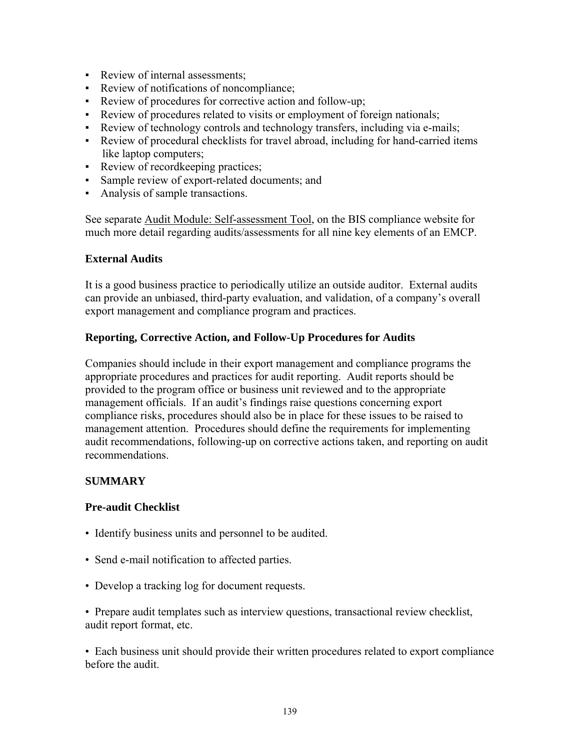- Review of internal assessments:
- Review of notifications of noncompliance;
- Review of procedures for corrective action and follow-up;
- Review of procedures related to visits or employment of foreign nationals;
- Review of technology controls and technology transfers, including via e-mails;
- Review of procedural checklists for travel abroad, including for hand-carried items like laptop computers;
- Review of record keeping practices;
- Sample review of export-related documents; and
- Analysis of sample transactions.

See separate Audit Module: Self-assessment Tool, on the BIS compliance website for much more detail regarding audits/assessments for all nine key elements of an EMCP.

## **External Audits**

It is a good business practice to periodically utilize an outside auditor. External audits can provide an unbiased, third-party evaluation, and validation, of a company's overall export management and compliance program and practices.

## **Reporting, Corrective Action, and Follow-Up Procedures for Audits**

Companies should include in their export management and compliance programs the appropriate procedures and practices for audit reporting. Audit reports should be provided to the program office or business unit reviewed and to the appropriate management officials. If an audit's findings raise questions concerning export compliance risks, procedures should also be in place for these issues to be raised to management attention. Procedures should define the requirements for implementing audit recommendations, following-up on corrective actions taken, and reporting on audit recommendations.

# **SUMMARY**

### **Pre-audit Checklist**

- Identify business units and personnel to be audited.
- Send e-mail notification to affected parties.
- Develop a tracking log for document requests.

• Prepare audit templates such as interview questions, transactional review checklist, audit report format, etc.

• Each business unit should provide their written procedures related to export compliance before the audit.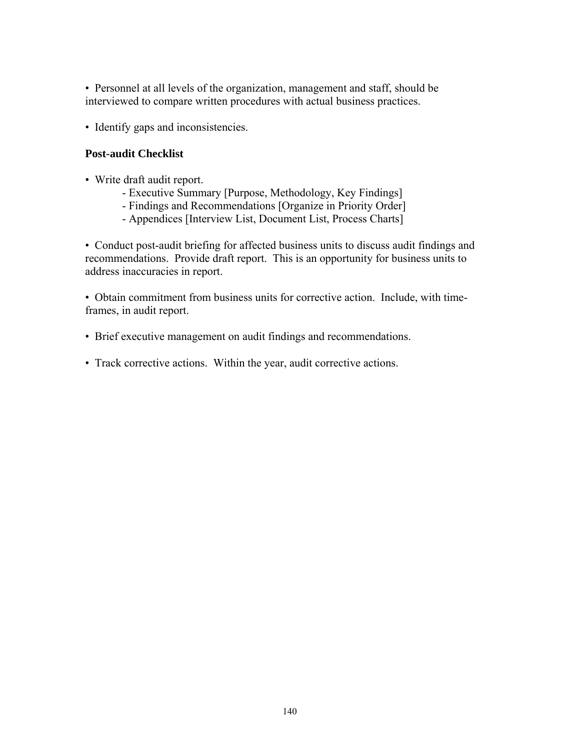• Personnel at all levels of the organization, management and staff, should be interviewed to compare written procedures with actual business practices.

• Identify gaps and inconsistencies.

## **Post-audit Checklist**

- Write draft audit report.
	- Executive Summary [Purpose, Methodology, Key Findings]
	- Findings and Recommendations [Organize in Priority Order]
	- Appendices [Interview List, Document List, Process Charts]

• Conduct post-audit briefing for affected business units to discuss audit findings and recommendations. Provide draft report. This is an opportunity for business units to address inaccuracies in report.

• Obtain commitment from business units for corrective action. Include, with timeframes, in audit report.

- Brief executive management on audit findings and recommendations.
- Track corrective actions. Within the year, audit corrective actions.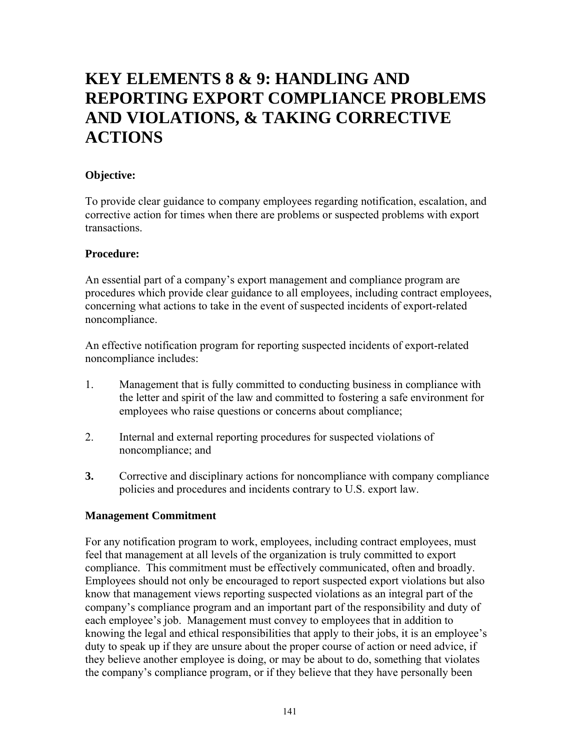# **KEY ELEMENTS 8 & 9: HANDLING AND REPORTING EXPORT COMPLIANCE PROBLEMS AND VIOLATIONS, & TAKING CORRECTIVE ACTIONS**

# **Objective:**

To provide clear guidance to company employees regarding notification, escalation, and corrective action for times when there are problems or suspected problems with export transactions.

# **Procedure:**

An essential part of a company's export management and compliance program are procedures which provide clear guidance to all employees, including contract employees, concerning what actions to take in the event of suspected incidents of export-related noncompliance.

An effective notification program for reporting suspected incidents of export-related noncompliance includes:

- 1. Management that is fully committed to conducting business in compliance with the letter and spirit of the law and committed to fostering a safe environment for employees who raise questions or concerns about compliance;
- 2. Internal and external reporting procedures for suspected violations of noncompliance; and
- **3.** Corrective and disciplinary actions for noncompliance with company compliance policies and procedures and incidents contrary to U.S. export law.

# **Management Commitment**

For any notification program to work, employees, including contract employees, must feel that management at all levels of the organization is truly committed to export compliance. This commitment must be effectively communicated, often and broadly. Employees should not only be encouraged to report suspected export violations but also know that management views reporting suspected violations as an integral part of the company's compliance program and an important part of the responsibility and duty of each employee's job. Management must convey to employees that in addition to knowing the legal and ethical responsibilities that apply to their jobs, it is an employee's duty to speak up if they are unsure about the proper course of action or need advice, if they believe another employee is doing, or may be about to do, something that violates the company's compliance program, or if they believe that they have personally been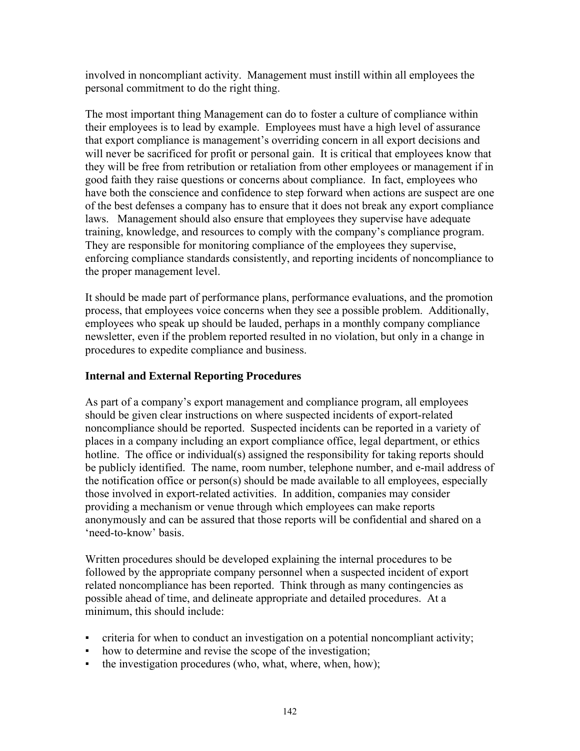involved in noncompliant activity. Management must instill within all employees the personal commitment to do the right thing.

The most important thing Management can do to foster a culture of compliance within their employees is to lead by example. Employees must have a high level of assurance that export compliance is management's overriding concern in all export decisions and will never be sacrificed for profit or personal gain. It is critical that employees know that they will be free from retribution or retaliation from other employees or management if in good faith they raise questions or concerns about compliance. In fact, employees who have both the conscience and confidence to step forward when actions are suspect are one of the best defenses a company has to ensure that it does not break any export compliance laws. Management should also ensure that employees they supervise have adequate training, knowledge, and resources to comply with the company's compliance program. They are responsible for monitoring compliance of the employees they supervise, enforcing compliance standards consistently, and reporting incidents of noncompliance to the proper management level.

It should be made part of performance plans, performance evaluations, and the promotion process, that employees voice concerns when they see a possible problem. Additionally, employees who speak up should be lauded, perhaps in a monthly company compliance newsletter, even if the problem reported resulted in no violation, but only in a change in procedures to expedite compliance and business.

## **Internal and External Reporting Procedures**

As part of a company's export management and compliance program, all employees should be given clear instructions on where suspected incidents of export-related noncompliance should be reported. Suspected incidents can be reported in a variety of places in a company including an export compliance office, legal department, or ethics hotline. The office or individual(s) assigned the responsibility for taking reports should be publicly identified. The name, room number, telephone number, and e-mail address of the notification office or person(s) should be made available to all employees, especially those involved in export-related activities. In addition, companies may consider providing a mechanism or venue through which employees can make reports anonymously and can be assured that those reports will be confidential and shared on a 'need-to-know' basis.

Written procedures should be developed explaining the internal procedures to be followed by the appropriate company personnel when a suspected incident of export related noncompliance has been reported. Think through as many contingencies as possible ahead of time, and delineate appropriate and detailed procedures. At a minimum, this should include:

- criteria for when to conduct an investigation on a potential noncompliant activity;
- how to determine and revise the scope of the investigation;
- the investigation procedures (who, what, where, when, how);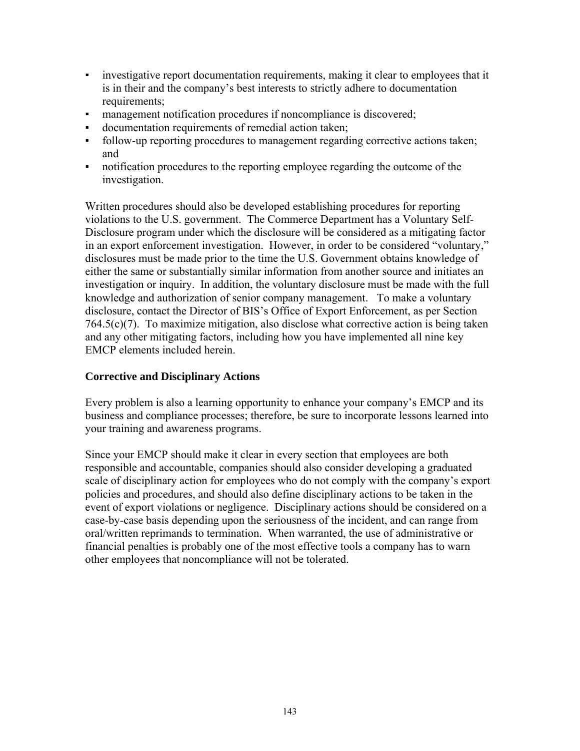- **•** investigative report documentation requirements, making it clear to employees that it is in their and the company's best interests to strictly adhere to documentation requirements;
- management notification procedures if noncompliance is discovered;
- documentation requirements of remedial action taken;
- follow-up reporting procedures to management regarding corrective actions taken; and
- notification procedures to the reporting employee regarding the outcome of the investigation.

Written procedures should also be developed establishing procedures for reporting violations to the U.S. government. The Commerce Department has a Voluntary Self-Disclosure program under which the disclosure will be considered as a mitigating factor in an export enforcement investigation. However, in order to be considered "voluntary," disclosures must be made prior to the time the U.S. Government obtains knowledge of either the same or substantially similar information from another source and initiates an investigation or inquiry. In addition, the voluntary disclosure must be made with the full knowledge and authorization of senior company management. To make a voluntary disclosure, contact the Director of BIS's Office of Export Enforcement, as per Section 764.5(c)(7). To maximize mitigation, also disclose what corrective action is being taken and any other mitigating factors, including how you have implemented all nine key EMCP elements included herein.

## **Corrective and Disciplinary Actions**

Every problem is also a learning opportunity to enhance your company's EMCP and its business and compliance processes; therefore, be sure to incorporate lessons learned into your training and awareness programs.

Since your EMCP should make it clear in every section that employees are both responsible and accountable, companies should also consider developing a graduated scale of disciplinary action for employees who do not comply with the company's export policies and procedures, and should also define disciplinary actions to be taken in the event of export violations or negligence. Disciplinary actions should be considered on a case-by-case basis depending upon the seriousness of the incident, and can range from oral/written reprimands to termination. When warranted, the use of administrative or financial penalties is probably one of the most effective tools a company has to warn other employees that noncompliance will not be tolerated.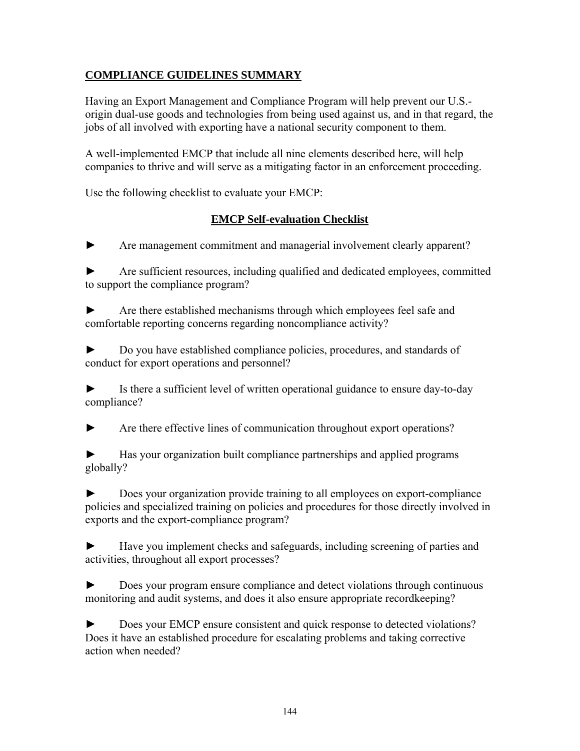# **COMPLIANCE GUIDELINES SUMMARY**

Having an Export Management and Compliance Program will help prevent our U.S. origin dual-use goods and technologies from being used against us, and in that regard, the jobs of all involved with exporting have a national security component to them.

A well-implemented EMCP that include all nine elements described here, will help companies to thrive and will serve as a mitigating factor in an enforcement proceeding.

Use the following checklist to evaluate your EMCP:

# **EMCP Self-evaluation Checklist**

Are management commitment and managerial involvement clearly apparent?

Are sufficient resources, including qualified and dedicated employees, committed to support the compliance program?

► Are there established mechanisms through which employees feel safe and comfortable reporting concerns regarding noncompliance activity?

► Do you have established compliance policies, procedures, and standards of conduct for export operations and personnel?

► Is there a sufficient level of written operational guidance to ensure day-to-day compliance?

► Are there effective lines of communication throughout export operations?

Has your organization built compliance partnerships and applied programs globally?

► Does your organization provide training to all employees on export-compliance policies and specialized training on policies and procedures for those directly involved in exports and the export-compliance program?

► Have you implement checks and safeguards, including screening of parties and activities, throughout all export processes?

► Does your program ensure compliance and detect violations through continuous monitoring and audit systems, and does it also ensure appropriate recordkeeping?

► Does your EMCP ensure consistent and quick response to detected violations? Does it have an established procedure for escalating problems and taking corrective action when needed?